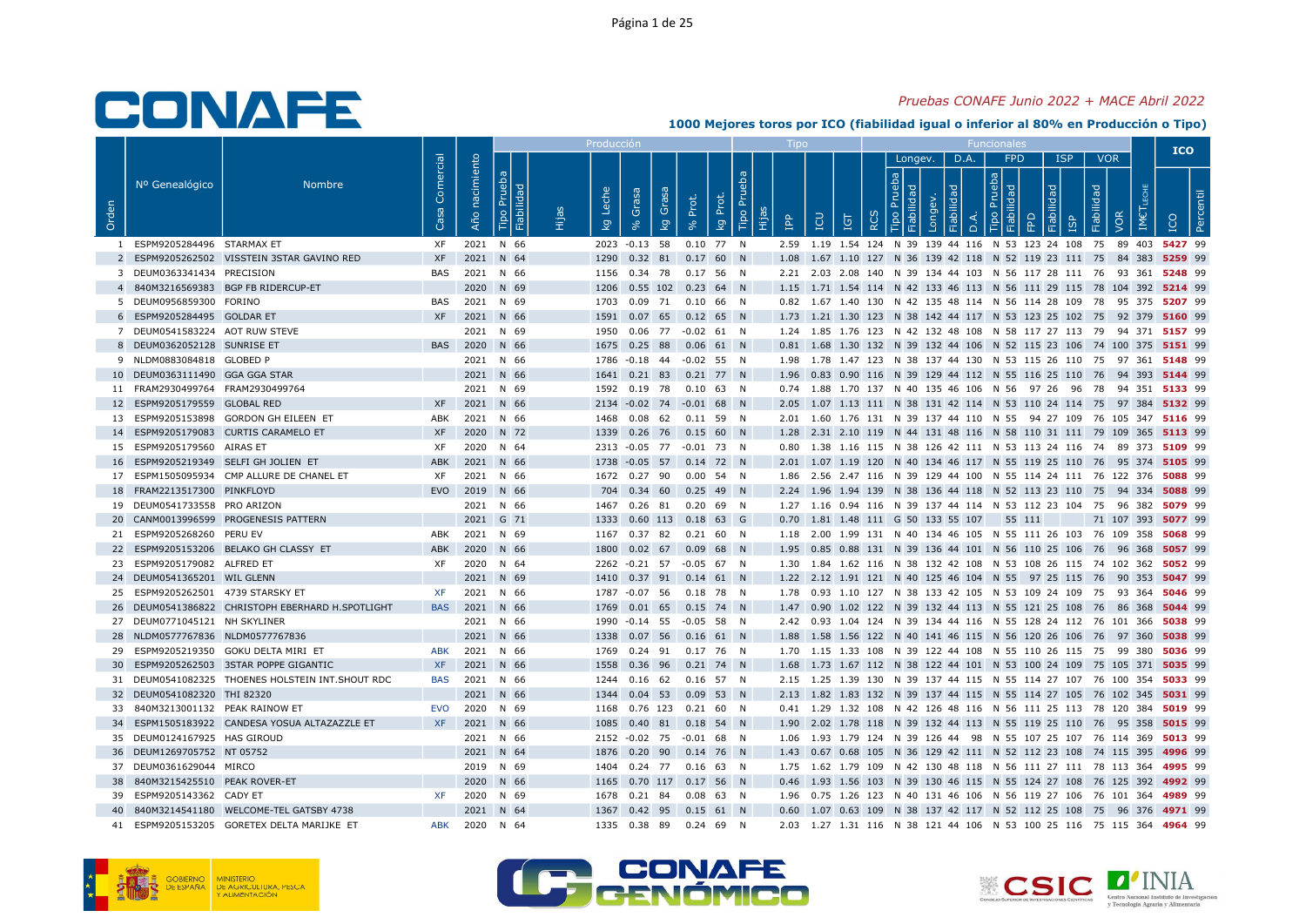### Pruebas CONAFE Junio 2022 + MACE Abril 2022

|       |                                   |                                                  |                   |                   |                                    |       | Producción        |                                              |                   |                                               |                 | <b>Tipo</b> |                                           |          |                    |      | <b>Funcionales</b>               |                                                                                         |                          |      | <b>ICO</b>         |  |
|-------|-----------------------------------|--------------------------------------------------|-------------------|-------------------|------------------------------------|-------|-------------------|----------------------------------------------|-------------------|-----------------------------------------------|-----------------|-------------|-------------------------------------------|----------|--------------------|------|----------------------------------|-----------------------------------------------------------------------------------------|--------------------------|------|--------------------|--|
| Orden | Nº Genealógico                    | <b>Nombre</b>                                    | Comercial<br>Casa | nacimiento<br>Año | Prueba<br>iabilidad<br><b>Fipo</b> | Hijas | Leche<br><b>S</b> | Grasa<br>Grasa<br>$\overline{5}$<br>$\aleph$ | Prot.<br>$\aleph$ | <sub>E</sub><br>Prot.<br>Tipo<br>$\mathbb{R}$ | <b>AdI</b><br>Ë | EQ          | Ξg                                        | $\alpha$ | Longev.<br>$\circ$ | D.A. | FPD<br>$\sigma$<br>$\frac{1}{2}$ | <b>ISP</b><br>dad<br>$\cap$                                                             | <b>VOR</b><br>Fiabilidad | IMET |                    |  |
|       | 1 ESPM9205284496 STARMAX ET       |                                                  | XF                |                   | 2021 N 66                          |       |                   | 2023 -0.13 58 0.10 77 N                      |                   |                                               |                 |             |                                           |          |                    |      |                                  | 2.59 1.19 1.54 124 N 39 139 44 116 N 53 123 24 108 75 89 403 5427 99                    |                          |      |                    |  |
|       |                                   | 2 ESPM9205262502 VISSTEIN 3STAR GAVINO RED       | XF                |                   | 2021 N 64                          |       |                   | 1290  0.32  81  0.17  60  N                  |                   |                                               |                 |             |                                           |          |                    |      |                                  | 1.08 1.67 1.10 127 N 36 139 42 118 N 52 119 23 111 75 84 383 5259 99                    |                          |      |                    |  |
|       | 3 DEUM0363341434 PRECISION        |                                                  | BAS               |                   | 2021 N 66                          |       |                   | 1156  0.34  78  0.17  56  N                  |                   |                                               |                 |             |                                           |          |                    |      |                                  | 2.21 2.03 2.08 140 N 39 134 44 103 N 56 117 28 111 76 93 361 5248 99                    |                          |      |                    |  |
|       |                                   | 4 840M3216569383 BGP FB RIDERCUP-ET              |                   |                   | 2020 N 69                          |       |                   | 1206  0.55  102  0.23  64  N                 |                   |                                               |                 |             |                                           |          |                    |      |                                  | 1.15 1.71 1.54 114 N 42 133 46 113 N 56 111 29 115 78 104 392 5214 99                   |                          |      |                    |  |
|       | 5 DEUM0956859300 FORINO           |                                                  | BAS               |                   | 2021 N 69                          |       |                   | 1703  0.09  71  0.10  66  N                  |                   |                                               |                 |             |                                           |          |                    |      |                                  | 0.82 1.67 1.40 130 N 42 135 48 114 N 56 114 28 109 78 95 375 5207 99                    |                          |      |                    |  |
|       | 6 ESPM9205284495 GOLDAR ET        |                                                  |                   |                   | XF 2021 N 66                       |       |                   | 1591  0.07  65  0.12  65  N                  |                   |                                               |                 |             |                                           |          |                    |      |                                  | 1.73 1.21 1.30 123 N 38 142 44 117 N 53 123 25 102 75 92 379 5160 99                    |                          |      |                    |  |
|       | 7 DEUM0541583224 AOT RUW STEVE    |                                                  |                   |                   | 2021 N 69                          |       |                   | 1950  0.06  77  -0.02  61  N                 |                   |                                               |                 |             |                                           |          |                    |      |                                  | 1.24 1.85 1.76 123 N 42 132 48 108 N 58 117 27 113 79 94 371 5157 99                    |                          |      |                    |  |
|       | 8 DEUM0362052128 SUNRISE ET       |                                                  |                   |                   | BAS 2020 N 66                      |       |                   | 1675  0.25  88  0.06  61  N                  |                   |                                               |                 |             |                                           |          |                    |      |                                  | 0.81 1.68 1.30 132 N 39 132 44 106 N 52 115 23 106 74 100 375 5151 99                   |                          |      |                    |  |
|       | 9 NLDM0883084818 GLOBED P         |                                                  |                   |                   | 2021 N 66                          |       |                   | 1786 -0.18 44 -0.02 55 N                     |                   |                                               |                 |             |                                           |          |                    |      |                                  | 1.98 1.78 1.47 123 N 38 137 44 130 N 53 115 26 110 75 97 361 5148 99                    |                          |      |                    |  |
|       | 10 DEUM0363111490 GGA GGA STAR    |                                                  |                   |                   | 2021 N 66                          |       |                   | 1641 0.21 83 0.21 77 N                       |                   |                                               |                 |             |                                           |          |                    |      |                                  | 1.96 0.83 0.90 116 N 39 129 44 112 N 55 116 25 110 76 94 393 5144 99                    |                          |      |                    |  |
|       | 11 FRAM2930499764 FRAM2930499764  |                                                  |                   |                   | 2021 N 69                          |       |                   | 1592  0.19  78  0.10  63  N                  |                   |                                               |                 |             |                                           |          |                    |      |                                  | 0.74 1.88 1.70 137 N 40 135 46 106 N 56 97 26 96 78 94 351 5133 99                      |                          |      |                    |  |
|       | 12 ESPM9205179559 GLOBAL RED      |                                                  | XF                |                   | 2021 N 66                          |       |                   | 2134 -0.02 74 -0.01 68 N                     |                   |                                               |                 |             |                                           |          |                    |      |                                  | 2.05 1.07 1.13 111 N 38 131 42 114 N 53 110 24 114 75 97 384 5132 99                    |                          |      |                    |  |
|       |                                   | 13 ESPM9205153898 GORDON GH EILEEN ET            | ABK               |                   | 2021 N 66                          |       |                   | 1468  0.08  62  0.11  59  N                  |                   |                                               |                 |             |                                           |          |                    |      |                                  | 2.01 1.60 1.76 131 N 39 137 44 110 N 55 94 27 109 76 105 347 5116 99                    |                          |      |                    |  |
|       |                                   | 14 ESPM9205179083 CURTIS CARAMELO ET             | <b>XF</b>         |                   | 2020 N 72                          |       |                   | 1339 0.26 76 0.15 60 N                       |                   |                                               |                 |             |                                           |          |                    |      |                                  | 1.28 2.31 2.10 119 N 44 131 48 116 N 58 110 31 111 79 109 365 5113 99                   |                          |      |                    |  |
|       | 15 ESPM9205179560 AIRAS ET        |                                                  | XF                |                   | 2020 N 64                          |       |                   | 2313 -0.05 77 -0.01 73 N                     |                   |                                               |                 |             |                                           |          |                    |      |                                  | 0.80 1.38 1.16 115 N 38 126 42 111 N 53 113 24 116 74 89 373 5109 99                    |                          |      |                    |  |
|       |                                   | 16 ESPM9205219349 SELFI GH JOLIEN ET             | ABK               |                   | 2021 N 66                          |       |                   | 1738 -0.05 57 0.14 72 N                      |                   |                                               |                 |             |                                           |          |                    |      |                                  | 2.01 1.07 1.19 120 N 40 134 46 117 N 55 119 25 110 76 95 374 5105 99                    |                          |      |                    |  |
|       |                                   | 17 ESPM1505095934 CMP ALLURE DE CHANEL ET        | XF                |                   | 2021 N 66                          |       |                   | 1672  0.27  90  0.00  54  N                  |                   |                                               |                 |             |                                           |          |                    |      |                                  | 1.86 2.56 2.47 116 N 39 129 44 100 N 55 114 24 111 76 122 376 5088 99                   |                          |      |                    |  |
|       | 18 FRAM2213517300 PINKFLOYD       |                                                  |                   |                   | EVO 2019 N 66                      |       |                   | 704 0.34 60 0.25 49 N                        |                   |                                               |                 |             |                                           |          |                    |      |                                  | 2.24 1.96 1.94 139 N 38 136 44 118 N 52 113 23 110 75 94 334 5088 99                    |                          |      |                    |  |
|       | 19 DEUM0541733558 PRO ARIZON      |                                                  |                   |                   | 2021 N 66                          |       |                   | 1467  0.26  81  0.20  69  N                  |                   |                                               |                 |             |                                           |          |                    |      |                                  | 1.27 1.16 0.94 116 N 39 137 44 114 N 53 112 23 104 75 96 382 5079 99                    |                          |      |                    |  |
|       |                                   | 20 CANM0013996599 PROGENESIS PATTERN             |                   |                   | 2021 G 71                          |       |                   | 1333 0.60 113 0.18 63 G                      |                   |                                               |                 |             | 0.70 1.81 1.48 111 G 50 133 55 107 55 111 |          |                    |      |                                  |                                                                                         |                          |      | 71 107 393 5077 99 |  |
|       | 21 ESPM9205268260 PERU EV         |                                                  | ABK               |                   | 2021 N 69                          |       |                   | 1167  0.37  82  0.21  60  N                  |                   |                                               |                 |             |                                           |          |                    |      |                                  | 1.18  2.00  1.99  131  N  40  134  46  105  N  55  111  26  103  76  109  358  5068  99 |                          |      |                    |  |
|       |                                   | 22 ESPM9205153206 BELAKO GH CLASSY ET            | ABK               |                   | 2020 N 66                          |       |                   | 1800  0.02  67  0.09  68  N                  |                   |                                               |                 |             |                                           |          |                    |      |                                  | 1.95 0.85 0.88 131 N 39 136 44 101 N 56 110 25 106 76 96 368 5057 99                    |                          |      |                    |  |
|       | 23 ESPM9205179082 ALFRED ET       |                                                  | XF                |                   | 2020 N 64                          |       |                   | 2262 -0.21 57 -0.05 67 N                     |                   |                                               |                 |             |                                           |          |                    |      |                                  | 1.30 1.84 1.62 116 N 38 132 42 108 N 53 108 26 115 74 102 362 5052 99                   |                          |      |                    |  |
|       | 24 DEUM0541365201 WIL GLENN       |                                                  |                   |                   | 2021 N 69                          |       |                   | 1410 0.37 91 0.14 61 N                       |                   |                                               |                 |             |                                           |          |                    |      |                                  | 1.22 2.12 1.91 121 N 40 125 46 104 N 55 97 25 115 76 90 353 5047 99                     |                          |      |                    |  |
|       | 25 ESPM9205262501 4739 STARSKY ET |                                                  | <b>XF</b>         |                   | 2021 N 66                          |       |                   | 1787 -0.07 56 0.18 78 N                      |                   |                                               |                 |             |                                           |          |                    |      |                                  | 1.78 0.93 1.10 127 N 38 133 42 105 N 53 109 24 109 75 93 364 5046 99                    |                          |      |                    |  |
|       |                                   | 26 DEUM0541386822 CHRISTOPH EBERHARD H.SPOTLIGHT | <b>BAS</b>        |                   | 2021 N 66                          |       |                   | 1769  0.01  65  0.15  74  N                  |                   |                                               |                 |             |                                           |          |                    |      |                                  | 1.47 0.90 1.02 122 N 39 132 44 113 N 55 121 25 108 76 86 368 5044 99                    |                          |      |                    |  |
|       | 27 DEUM0771045121 NH SKYLINER     |                                                  |                   |                   | 2021 N 66                          |       |                   | 1990 -0.14 55 -0.05 58 N                     |                   |                                               |                 |             |                                           |          |                    |      |                                  | 2.42 0.93 1.04 124 N 39 134 44 116 N 55 128 24 112 76 101 366 5038 99                   |                          |      |                    |  |
|       | 28 NLDM0577767836 NLDM0577767836  |                                                  |                   |                   | 2021 N 66                          |       |                   | 1338 0.07 56 0.16 61 N                       |                   |                                               |                 |             |                                           |          |                    |      |                                  | 1.88 1.58 1.56 122 N 40 141 46 115 N 56 120 26 106 76 97 360 5038 99                    |                          |      |                    |  |
|       |                                   | 29 ESPM9205219350 GOKU DELTA MIRI ET             | ABK               |                   | 2021 N 66                          |       |                   | 1769  0.24  91  0.17  76  N                  |                   |                                               |                 |             |                                           |          |                    |      |                                  | 1.70 1.15 1.33 108 N 39 122 44 108 N 55 110 26 115 75 99 380 5036 99                    |                          |      |                    |  |
|       |                                   | 30 ESPM9205262503 3STAR POPPE GIGANTIC           | <b>XF</b>         |                   | 2021 N 66                          |       |                   | 1558 0.36 96 0.21 74 N                       |                   |                                               |                 |             |                                           |          |                    |      |                                  | 1.68 1.73 1.67 112 N 38 122 44 101 N 53 100 24 109 75 105 371 5035 99                   |                          |      |                    |  |
|       |                                   | 31 DEUM0541082325 THOENES HOLSTEIN INT.SHOUT RDC | <b>BAS</b>        |                   | 2021 N 66                          |       |                   | 1244  0.16  62  0.16  57  N                  |                   |                                               |                 |             |                                           |          |                    |      |                                  | 2.15 1.25 1.39 130 N 39 137 44 115 N 55 114 27 107 76 100 354 5033 99                   |                          |      |                    |  |
|       | 32 DEUM0541082320 THI 82320       |                                                  |                   |                   | 2021 N 66                          |       |                   | 1344 0.04 53 0.09 53 N                       |                   |                                               |                 |             |                                           |          |                    |      |                                  | 2.13 1.82 1.83 132 N 39 137 44 115 N 55 114 27 105 76 102 345 5031 99                   |                          |      |                    |  |
| 33    | 840M3213001132 PEAK RAINOW ET     |                                                  | EVO               |                   | 2020 N 69                          |       |                   | 1168  0.76  123  0.21  60  N                 |                   |                                               |                 |             |                                           |          |                    |      |                                  | 0.41 1.29 1.32 108 N 42 126 48 116 N 56 111 25 113 78 120 384 5019 99                   |                          |      |                    |  |
|       |                                   | 34 ESPM1505183922 CANDESA YOSUA ALTAZAZZLE ET    | <b>XF</b>         |                   | 2021 N 66                          |       |                   | 1085  0.40  81  0.18  54  N                  |                   |                                               |                 |             |                                           |          |                    |      |                                  | 1.90 2.02 1.78 118 N 39 132 44 113 N 55 119 25 110 76 95 358 5015 99                    |                          |      |                    |  |
|       | 35 DEUM0124167925 HAS GIROUD      |                                                  |                   |                   | 2021 N 66                          |       |                   | 2152 -0.02 75 -0.01 68 N                     |                   |                                               |                 |             |                                           |          |                    |      |                                  | 1.06 1.93 1.79 124 N 39 126 44 98 N 55 107 25 107 76 114 369 5013 99                    |                          |      |                    |  |
|       | 36 DEUM1269705752 NT 05752        |                                                  |                   |                   | 2021 N 64                          |       |                   | 1876  0.20  90  0.14  76  N                  |                   |                                               |                 |             |                                           |          |                    |      |                                  | 1.43 0.67 0.68 105 N 36 129 42 111 N 52 112 23 108 74 115 395 4996 99                   |                          |      |                    |  |
|       | 37 DEUM0361629044 MIRCO           |                                                  |                   |                   | 2019 N 69                          |       |                   | 1404  0.24  77  0.16  63  N                  |                   |                                               |                 |             |                                           |          |                    |      |                                  | 1.75 1.62 1.79 109 N 42 130 48 118 N 56 111 27 111 78 113 364 4995 99                   |                          |      |                    |  |
|       | 38 840M3215425510 PEAK ROVER-ET   |                                                  |                   |                   | 2020 N 66                          |       |                   | 1165  0.70  117  0.17  56  N                 |                   |                                               |                 |             |                                           |          |                    |      |                                  | 0.46 1.93 1.56 103 N 39 130 46 115 N 55 124 27 108 76 125 392 4992 99                   |                          |      |                    |  |
|       | 39 ESPM9205143362 CADY ET         |                                                  | XF                |                   | 2020 N 69                          |       |                   | 1678  0.21  84  0.08  63  N                  |                   |                                               |                 |             |                                           |          |                    |      |                                  | 1.96  0.75  1.26  123  N  40  131  46  106  N  56  119  27  106  76  101  364  4989  99 |                          |      |                    |  |
| 40    |                                   | 840M3214541180 WELCOME-TEL GATSBY 4738           |                   |                   | 2021 N 64                          |       |                   | 1367 0.42 95 0.15 61 N                       |                   |                                               |                 |             |                                           |          |                    |      |                                  | 0.60 1.07 0.63 109 N 38 137 42 117 N 52 112 25 108 75 96 376 4971 99                    |                          |      |                    |  |
|       |                                   | 41 ESPM9205153205 GORETEX DELTA MARIJKE ET       | ABK               |                   | 2020 N 64                          |       |                   | 1335  0.38  89  0.24  69  N                  |                   |                                               |                 |             |                                           |          |                    |      |                                  | 2.03 1.27 1.31 116 N 38 121 44 106 N 53 100 25 116 75 115 364 4964 99                   |                          |      |                    |  |





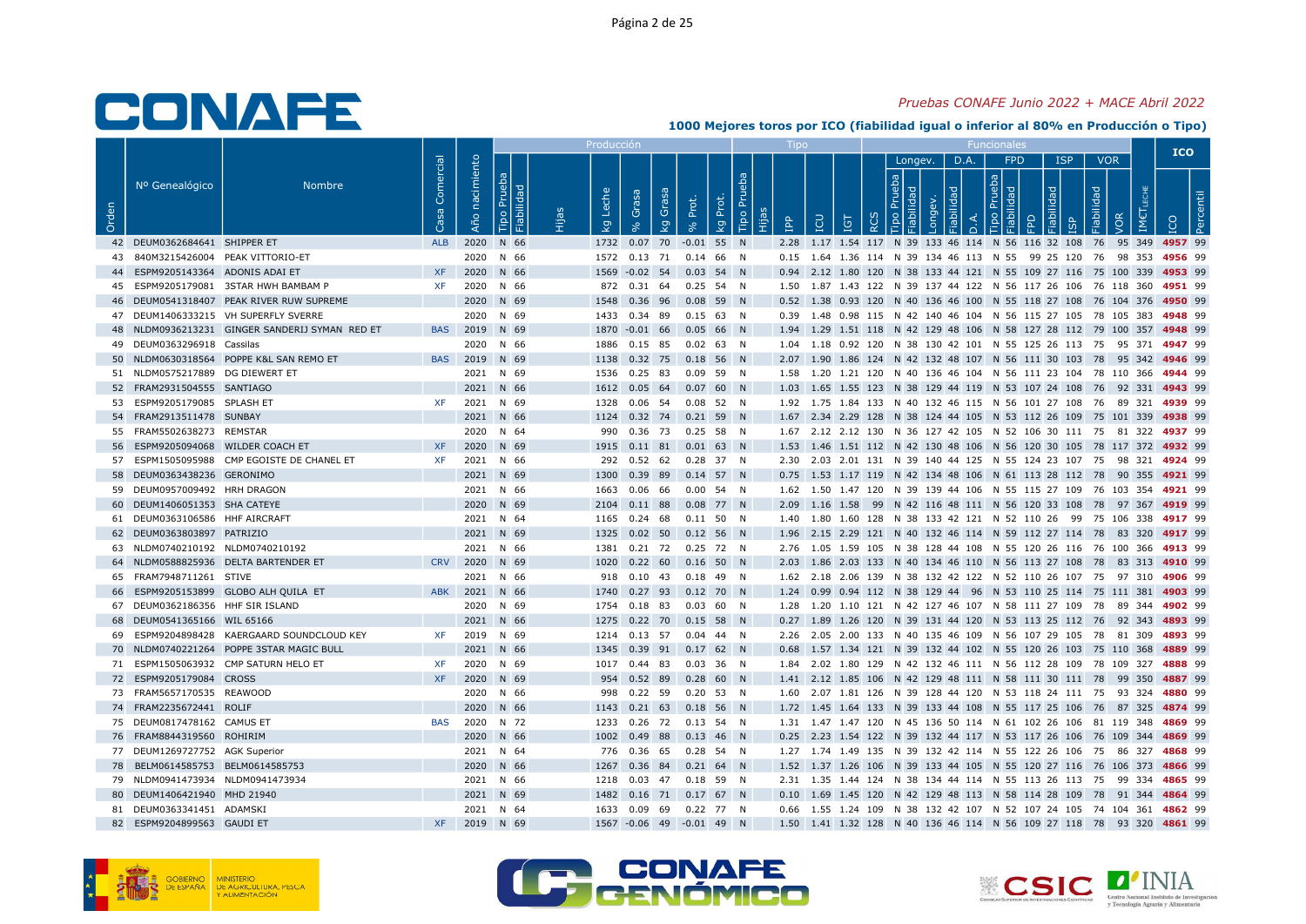#### Pruebas CONAFE Junio 2022 + MACE Abril 2022

|       |                                                          |                                                |                   |                   |                           | Producción          |                                                            |             |                                           |            |                                                                                                                                               |               |      |                                |   |                          |                          | <b>ICO</b> |  |
|-------|----------------------------------------------------------|------------------------------------------------|-------------------|-------------------|---------------------------|---------------------|------------------------------------------------------------|-------------|-------------------------------------------|------------|-----------------------------------------------------------------------------------------------------------------------------------------------|---------------|------|--------------------------------|---|--------------------------|--------------------------|------------|--|
| Orden | Nº Genealógico                                           | <b>Nombre</b>                                  | Comercial<br>Casa | nacimiento<br>Año | Prueba<br>bilidad<br>Tipo | Leche<br><b>L</b> g | Grasa<br>Grasa<br>$\overline{5}$                           | Prot.       | <b>Bd</b><br>Tipo Pru<br>Prot.<br>ΙŞ<br>旧 | <b>AdI</b> | $\overline{5}$<br><u>igr</u>                                                                                                                  | Longev.<br>ੂਰ | D.A. | FPD<br>$\boxed{g}$ $\boxed{g}$ | 뫂 | <b>ISP</b><br>Fiabilidad | <b>VOR</b><br><b>JOR</b> |            |  |
|       | 42 DEUM0362684641 SHIPPER ET                             |                                                | <b>ALB</b>        |                   | 2020 N 66                 |                     | 1732  0.07  70  -0.01  55  N                               |             |                                           |            | 2.28 1.17 1.54 117 N 39 133 46 114 N 56 116 32 108 76 95 349 4957 99                                                                          |               |      |                                |   |                          |                          |            |  |
|       | 43 840M3215426004 PEAK VITTORIO-ET                       |                                                |                   |                   | 2020 N 66                 |                     | 1572  0.13  71  0.14  66  N                                |             |                                           |            | 0.15 1.64 1.36 114 N 39 134 46 113 N 55 99 25 120 76 98 353 4956 99                                                                           |               |      |                                |   |                          |                          |            |  |
|       | 44 ESPM9205143364 ADONIS ADAI ET                         |                                                | <b>XF</b>         |                   | 2020 N 66                 |                     | 1569 - 0.02 54 0.03 54 N                                   |             |                                           |            | 0.94 2.12 1.80 120 N 38 133 44 121 N 55 109 27 116 75 100 339 4953 99                                                                         |               |      |                                |   |                          |                          |            |  |
|       |                                                          | 45 ESPM9205179081 3STAR HWH BAMBAM P           | <b>XF</b>         |                   | 2020 N 66                 |                     | 872  0.31  64  0.25  54  N                                 |             |                                           |            | 1.50 1.87 1.43 122 N 39 137 44 122 N 56 117 26 106 76 118 360 4951 99                                                                         |               |      |                                |   |                          |                          |            |  |
|       |                                                          | 46 DEUM0541318407 PEAK RIVER RUW SUPREME       |                   |                   | 2020 N 69                 |                     | 1548  0.36  96  0.08  59  N                                |             |                                           |            | 0.52 1.38 0.93 120 N 40 136 46 100 N 55 118 27 108 76 104 376 4950 99                                                                         |               |      |                                |   |                          |                          |            |  |
|       |                                                          | 47 DEUM1406333215 VH SUPERFLY SVERRE           |                   |                   | 2020 N 69                 |                     | 1433  0.34  89  0.15  63  N                                |             |                                           |            | 0.39 1.48 0.98 115 N 42 140 46 104 N 56 115 27 105 78 105 383 4948 99                                                                         |               |      |                                |   |                          |                          |            |  |
|       |                                                          | 48 NLDM0936213231 GINGER SANDERIJ SYMAN RED ET |                   | BAS 2019 N 69     |                           |                     | 1870 -0.01 66 0.05 66 N                                    |             |                                           |            | 1.94 1.29 1.51 118 N 42 129 48 106 N 58 127 28 112 79 100 357 4948 99                                                                         |               |      |                                |   |                          |                          |            |  |
|       | 49 DEUM0363296918 Cassilas                               |                                                |                   |                   | 2020 N 66                 | 1886                | $0.15$ 85 $0.02$ 63 N                                      |             |                                           |            | 1.04 1.18 0.92 120 N 38 130 42 101 N 55 125 26 113 75 95 371 4947 99                                                                          |               |      |                                |   |                          |                          |            |  |
|       |                                                          | 50 NLDM0630318564 POPPE K&L SAN REMO ET        | <b>BAS</b>        |                   | 2019 N 69                 |                     | 1138  0.32  75  0.18  56  N                                |             |                                           |            | 2.07 1.90 1.86 124 N 42 132 48 107 N 56 111 30 103 78 95 342 4946 99                                                                          |               |      |                                |   |                          |                          |            |  |
|       | 51 NLDM0575217889 DG DIEWERT ET                          |                                                |                   |                   | 2021 N 69                 |                     | 1536  0.25  83  0.09  59  N                                |             |                                           |            | 1.58  1.20  1.21  120  N  40  136  46  104  N  56  111  23  104  78  110  366  4944  99                                                       |               |      |                                |   |                          |                          |            |  |
|       | 52 FRAM2931504555 SANTIAGO                               |                                                |                   |                   | 2021 N 66                 |                     | 1612  0.05  64  0.07  60  N                                |             |                                           |            | 1.03 1.65 1.55 123 N 38 129 44 119 N 53 107 24 108 76 92 331 4943 99                                                                          |               |      |                                |   |                          |                          |            |  |
|       | 53 ESPM9205179085 SPLASH ET<br>54 FRAM2913511478 SUNBAY  |                                                | XF                |                   | 2021 N 69<br>2021 N 66    |                     | 1328  0.06  54  0.08  52  N<br>1124  0.32  74  0.21  59  N |             |                                           |            | 1.92 1.75 1.84 133 N 40 132 46 115 N 56 101 27 108 76 89 321 4939 99<br>1.67 2.34 2.29 128 N 38 124 44 105 N 53 112 26 109 75 101 339 4938 99 |               |      |                                |   |                          |                          |            |  |
|       | 55 FRAM5502638273 REMSTAR                                |                                                |                   |                   | 2020 N 64                 |                     | 990  0.36  73  0.25  58  N                                 |             |                                           |            | 1.67 2.12 2.12 130 N 36 127 42 105 N 52 106 30 111 75 81 322 4937 99                                                                          |               |      |                                |   |                          |                          |            |  |
|       | 56 ESPM9205094068 WILDER COACH ET                        |                                                | <b>XF</b>         |                   | 2020 N 69                 |                     | 1915  0.11  81  0.01  63  N                                |             |                                           |            | 1.53 1.46 1.51 112 N 42 130 48 106 N 56 120 30 105 78 117 372 4932 99                                                                         |               |      |                                |   |                          |                          |            |  |
| 57    |                                                          | ESPM1505095988 CMP EGOISTE DE CHANEL ET        | <b>XF</b>         |                   | 2021 N 66                 |                     | 292  0.52  62  0.28  37  N                                 |             |                                           |            | 2.30 2.03 2.01 131 N 39 140 44 125 N 55 124 23 107 75 98 321 4924 99                                                                          |               |      |                                |   |                          |                          |            |  |
|       | 58 DEUM0363438236 GERONIMO                               |                                                |                   |                   | 2021 N 69                 |                     | 1300 0.39 89 0.14 57 N                                     |             |                                           |            | 0.75 1.53 1.17 119 N 42 134 48 106 N 61 113 28 112 78 90 355 4921 99                                                                          |               |      |                                |   |                          |                          |            |  |
|       | 59 DEUM0957009492 HRH DRAGON                             |                                                |                   |                   | 2021 N 66                 |                     | 1663  0.06  66                                             | 0.00 54 N   |                                           |            | 1.62 1.50 1.47 120 N 39 139 44 106 N 55 115 27 109 76 103 354 4921 99                                                                         |               |      |                                |   |                          |                          |            |  |
|       | 60 DEUM1406051353 SHA CATEYE                             |                                                |                   |                   | 2020 N 69                 |                     | 2104  0.11  88  0.08  77  N                                |             |                                           |            | 2.09 1.16 1.58 99 N 42 116 48 111 N 56 120 33 108 78 97 367 4919 99                                                                           |               |      |                                |   |                          |                          |            |  |
|       | 61 DEUM0363106586 HHF AIRCRAFT                           |                                                |                   |                   | 2021 N 64                 | 1165                | 0.24 68 0.11 50 N                                          |             |                                           |            | 1.40 1.80 1.60 128 N 38 133 42 121 N 52 110 26 99 75 106 338 4917 99                                                                          |               |      |                                |   |                          |                          |            |  |
|       | 62 DEUM0363803897 PATRIZIO                               |                                                |                   |                   | 2021 N 69                 | 1325                | 0.02 50 0.12 56 N                                          |             |                                           |            | 1.96 2.15 2.29 121 N 40 132 46 114 N 59 112 27 114 78 83 320 4917 99                                                                          |               |      |                                |   |                          |                          |            |  |
|       | 63 NLDM0740210192 NLDM0740210192                         |                                                |                   |                   | 2021 N 66                 |                     | 1381  0.21  72  0.25  72  N                                |             |                                           |            | 2.76 1.05 1.59 105 N 38 128 44 108 N 55 120 26 116 76 100 366 4913 99                                                                         |               |      |                                |   |                          |                          |            |  |
|       |                                                          | 64 NLDM0588825936 DELTA BARTENDER ET           |                   | CRV 2020 N 69     |                           |                     | 1020  0.22  60  0.16  50  N                                |             |                                           |            | 2.03 1.86 2.03 133 N 40 134 46 110 N 56 113 27 108 78 83 313 4910 99                                                                          |               |      |                                |   |                          |                          |            |  |
|       | 65 FRAM7948711261 STIVE                                  |                                                |                   |                   | 2021 N 66                 |                     | 918  0.10  43  0.18  49  N                                 |             |                                           |            | 1.62  2.18  2.06  139  N  38  132  42  122  N  52  110  26  107  75  97  310  4906  99                                                        |               |      |                                |   |                          |                          |            |  |
|       |                                                          | 66 ESPM9205153899 GLOBO ALH QUILA ET           | <b>ABK</b>        |                   | 2021 N 66                 |                     | 1740 0.27 93 0.12 70 N                                     |             |                                           |            | 1.24 0.99 0.94 112 N 38 129 44 96 N 53 110 25 114 75 111 381 4903 99                                                                          |               |      |                                |   |                          |                          |            |  |
|       | 67 DEUM0362186356 HHF SIR ISLAND                         |                                                |                   |                   | 2020 N 69                 |                     | 1754  0.18  83  0.03  60  N                                |             |                                           |            | 1.28 1.20 1.10 121 N 42 127 46 107 N 58 111 27 109 78 89 344 4902 99                                                                          |               |      |                                |   |                          |                          |            |  |
|       | 68 DEUM0541365166 WIL 65166                              |                                                |                   |                   | 2021 N 66                 |                     | 1275  0.22  70  0.15  58  N                                |             |                                           |            | 0.27 1.89 1.26 120 N 39 131 44 120 N 53 113 25 112 76 92 343 4893 99                                                                          |               |      |                                |   |                          |                          |            |  |
| 69    |                                                          | ESPM9204898428 KAERGAARD SOUNDCLOUD KEY        | XF                |                   | 2019 N 69                 |                     | 1214  0.13  57  0.04  44  N                                |             |                                           |            | 2.26 2.05 2.00 133 N 40 135 46 109 N 56 107 29 105 78 81 309 4893 99                                                                          |               |      |                                |   |                          |                          |            |  |
|       |                                                          | 70 NLDM0740221264 POPPE 3STAR MAGIC BULL       |                   |                   | 2021 N 66                 |                     | 1345  0.39  91  0.17  62  N                                |             |                                           |            | 0.68 1.57 1.34 121 N 39 132 44 102 N 55 120 26 103 75 110 368 4889 99                                                                         |               |      |                                |   |                          |                          |            |  |
|       |                                                          | 71 ESPM1505063932 CMP SATURN HELO ET           | <b>XF</b>         |                   | 2020 N 69                 |                     | 1017 0.44 83                                               | $0.03$ 36 N |                                           |            | 1.84  2.02  1.80  129  N  42  132  46  111  N  56  112  28  109  78  109  327  4888  99                                                       |               |      |                                |   |                          |                          |            |  |
|       | 72 ESPM9205179084 CROSS                                  |                                                | <b>XF</b>         |                   | 2020 N 69                 |                     | 954  0.52  89  0.28  60  N                                 |             |                                           |            | 1.41 2.12 1.85 106 N 42 129 48 111 N 58 111 30 111 78 99 350 4887 99                                                                          |               |      |                                |   |                          |                          |            |  |
|       | 73 FRAM5657170535 REAWOOD                                |                                                |                   |                   | 2020 N 66                 |                     | 998  0.22  59  0.20  53  N                                 |             |                                           |            | 1.60  2.07  1.81  126  N  39  128  44  120  N  53  118  24  111  75  93  324  4880  99                                                        |               |      |                                |   |                          |                          |            |  |
|       | 74 FRAM2235672441 ROLIF                                  |                                                |                   |                   | 2020 N 66                 |                     | 1143 0.21 63 0.18 56 N                                     |             |                                           |            | 1.72 1.45 1.64 133 N 39 133 44 108 N 55 117 25 106 76 87 325 4874 99                                                                          |               |      |                                |   |                          |                          |            |  |
|       | 75 DEUM0817478162 CAMUS ET                               |                                                | BAS               |                   | 2020 N 72                 |                     | 1233  0.26  72  0.13  54  N                                |             |                                           |            | 1.31 1.47 1.47 120 N 45 136 50 114 N 61 102 26 106 81 119 348 4869 99                                                                         |               |      |                                |   |                          |                          |            |  |
|       | 76 FRAM8844319560 ROHIRIM                                |                                                |                   |                   | 2020 N 66                 | 1002                | 0.49 88 0.13 46 N                                          |             |                                           |            | 0.25 2.23 1.54 122 N 39 132 44 117 N 53 117 26 106 76 109 344 4869 99                                                                         |               |      |                                |   |                          |                          |            |  |
|       | 77 DEUM1269727752 AGK Superior                           |                                                |                   |                   | 2021 N 64                 |                     | 776  0.36  65  0.28  54  N                                 |             |                                           |            | 1.27 1.74 1.49 135 N 39 132 42 114 N 55 122 26 106 75 86 327 4868 99                                                                          |               |      |                                |   |                          |                          |            |  |
|       | 78 BELM0614585753 BELM0614585753                         |                                                |                   |                   | 2020 N 66                 |                     | 1267 0.36 84 0.21 64 N                                     |             |                                           |            | 1.52 1.37 1.26 106 N 39 133 44 105 N 55 120 27 116 76 106 373 4866 99                                                                         |               |      |                                |   |                          |                          |            |  |
|       | 79 NLDM0941473934 NLDM0941473934                         |                                                |                   |                   | 2021 N 66                 |                     | 1218  0.03  47  0.18  59  N                                |             |                                           |            | 2.31 1.35 1.44 124 N 38 134 44 114 N 55 113 26 113 75 99 334 4865 99                                                                          |               |      |                                |   |                          |                          |            |  |
|       | 80 DEUM1406421940 MHD 21940<br>81 DEUM0363341451 ADAMSKI |                                                |                   |                   | 2021 N 69<br>2021 N 64    |                     | 1482  0.16  71  0.17  67  N<br>1633  0.09  69  0.22  77  N |             |                                           |            | 0.10 1.69 1.45 120 N 42 129 48 113 N 58 114 28 109 78 91 344 4864 99<br>0.66 1.55 1.24 109 N 38 132 42 107 N 52 107 24 105 74 104 361 4862 99 |               |      |                                |   |                          |                          |            |  |
|       | 82 ESPM9204899563 GAUDI ET                               |                                                | <b>XF</b>         |                   | 2019 N 69                 |                     | 1567 -0.06 49 -0.01 49 N                                   |             |                                           |            | 1.50 1.41 1.32 128 N 40 136 46 114 N 56 109 27 118 78 93 320 4861 99                                                                          |               |      |                                |   |                          |                          |            |  |
|       |                                                          |                                                |                   |                   |                           |                     |                                                            |             |                                           |            |                                                                                                                                               |               |      |                                |   |                          |                          |            |  |





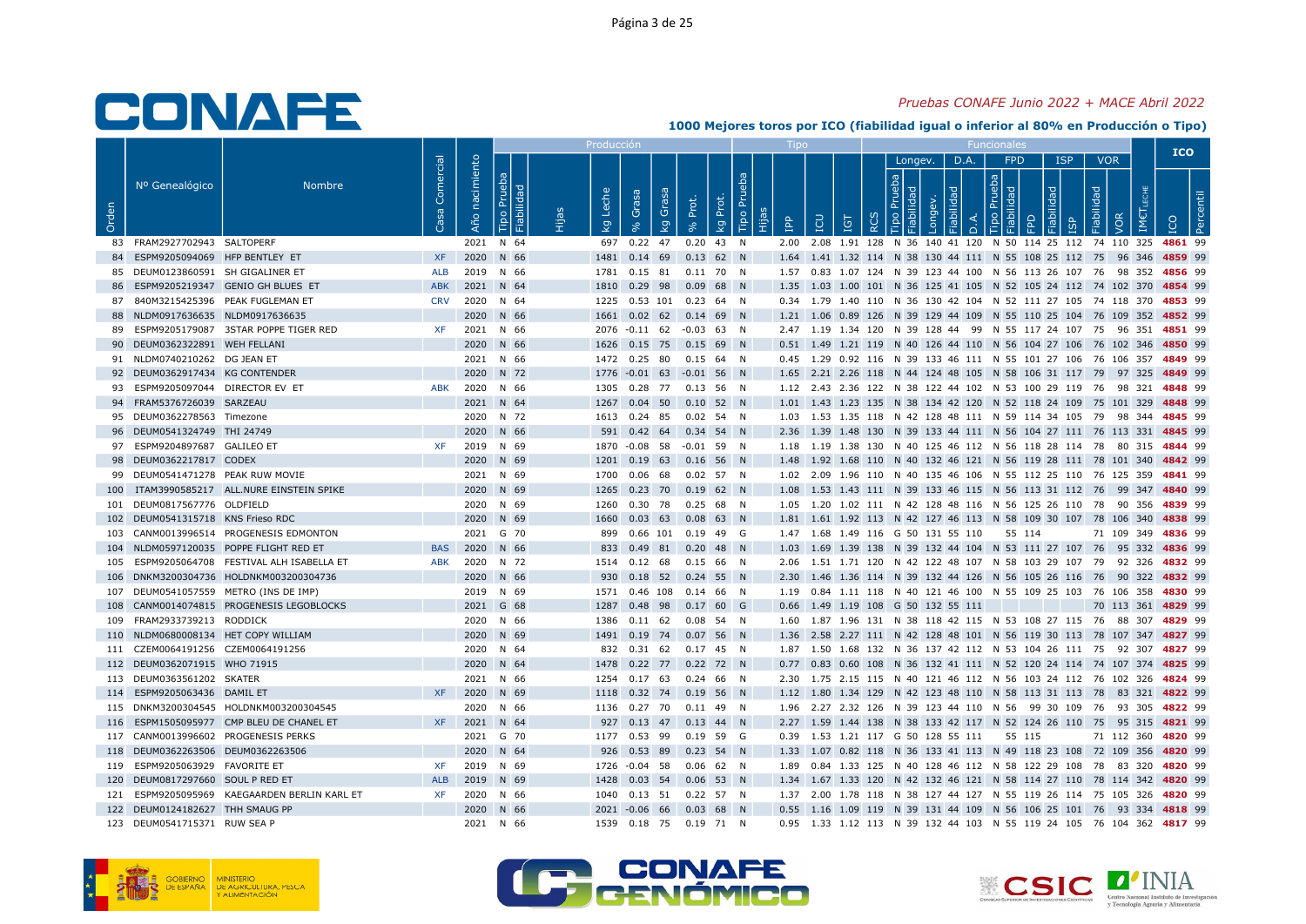#### Pruebas CONAFE Junio 2022 + MACE Abril 2022

|       |                                     |                                              |                  |                   |                              |       | Producción |                                                           |                                       |           |              |                                                                                                                                                                  |          |                          |      |                   |            |                                 | <b>ICO</b>         |
|-------|-------------------------------------|----------------------------------------------|------------------|-------------------|------------------------------|-------|------------|-----------------------------------------------------------|---------------------------------------|-----------|--------------|------------------------------------------------------------------------------------------------------------------------------------------------------------------|----------|--------------------------|------|-------------------|------------|---------------------------------|--------------------|
| Orden | Nº Genealógico                      | <b>Nombre</b>                                | Comercial<br>്ര  | nacimiento<br>Año | Prueba<br>Fiabilidad<br>Tipo | Hijas | kg Leche   | Grasa<br>Grasa<br>Ιğ                                      | Prot.<br>Prot.<br>kg<br>$\mathcal{S}$ | Tipo Prue | $\mathbf{f}$ | <b>POI</b><br>IGT                                                                                                                                                | $\alpha$ | Longev.<br>$\frac{d}{d}$ | D.A. | FPD<br><b>day</b> | <b>ISP</b> | <b>VOR</b><br>Fiabilidad<br>VOR |                    |
|       | 83 FRAM2927702943 SALTOPERF         |                                              |                  |                   | 2021 N 64                    |       |            | 697 0.22 47                                               | $0.20$ 43 N                           |           |              | 2.00 2.08 1.91 128 N 36 140 41 120 N 50 114 25 112 74 110 325 4861 99                                                                                            |          |                          |      |                   |            |                                 |                    |
|       | 84 ESPM9205094069 HFP BENTLEY ET    |                                              | <b>XF</b>        |                   | 2020 N 66                    |       |            | 1481  0.14  69  0.13  62  N                               |                                       |           |              | 1.64 1.41 1.32 114 N 38 130 44 111 N 55 108 25 112 75 96 346 4859 99                                                                                             |          |                          |      |                   |            |                                 |                    |
|       | 85 DEUM0123860591 SH GIGALINER ET   |                                              | ALB              |                   | 2019 N 66                    |       | 1781       | 0.15 81 0.11 70 N                                         |                                       |           |              | 1.57  0.83  1.07  124  N  39  123  44  100  N  56  113  26  107  76  98  352  4856  99                                                                           |          |                          |      |                   |            |                                 |                    |
|       |                                     | ESPM9205219347 GENIO GH BLUES ET             | <b>ABK</b>       |                   | 2021 N 64                    |       | 1810       | 0.29 98 0.09 68 N                                         |                                       |           |              | 1.35 1.03 1.00 101 N 36 125 41 105 N 52 105 24 112 74 102 370 4854 99                                                                                            |          |                          |      |                   |            |                                 |                    |
|       |                                     | 87 840M3215425396 PEAK FUGLEMAN ET           | <b>CRV</b>       |                   | 2020 N 64                    |       |            | 1225  0.53  101  0.23  64  N                              |                                       |           |              | 0.34 1.79 1.40 110 N 36 130 42 104 N 52 111 27 105 74 118 370 4853 99                                                                                            |          |                          |      |                   |            |                                 |                    |
|       | 88 NLDM0917636635 NLDM0917636635    |                                              |                  |                   | 2020 N 66                    |       | 1661       | $0.02$ 62 0.14 69 N                                       |                                       |           |              | 1.21 1.06 0.89 126 N 39 129 44 109 N 55 110 25 104 76 109 352 4852 99                                                                                            |          |                          |      |                   |            |                                 |                    |
|       |                                     | 89 ESPM9205179087 3STAR POPPE TIGER RED      | <b>XF</b>        |                   | 2021 N 66                    |       |            | 2076 -0.11 62 -0.03 63 N                                  |                                       |           |              | 2.47 1.19 1.34 120 N 39 128 44 99 N 55 117 24 107 75 96 351 4851 99                                                                                              |          |                          |      |                   |            |                                 |                    |
|       | 90 DEUM0362322891 WEH FELLANI       |                                              |                  |                   | 2020 N 66                    |       |            | 1626  0.15  75  0.15  69  N                               |                                       |           |              | 0.51 1.49 1.21 119 N 40 126 44 110 N 56 104 27 106 76 102 346 4850 99                                                                                            |          |                          |      |                   |            |                                 |                    |
|       | 91 NLDM0740210262 DG JEAN ET        |                                              |                  |                   | 2021 N 66                    |       |            | 1472  0.25  80  0.15  64  N                               |                                       |           |              | 0.45 1.29 0.92 116 N 39 133 46 111 N 55 101 27 106 76 106 357 4849 99                                                                                            |          |                          |      |                   |            |                                 |                    |
|       | 92 DEUM0362917434 KG CONTENDER      |                                              |                  |                   | 2020 N 72                    |       |            | 1776 -0.01 63 -0.01 56 N                                  |                                       |           |              | 1.65 2.21 2.26 118 N 44 124 48 105 N 58 106 31 117 79 97 325 4849 99                                                                                             |          |                          |      |                   |            |                                 |                    |
| 93    | ESPM9205097044 DIRECTOR EV ET       |                                              | ABK              |                   | 2020 N 66                    |       | 1305       | 0.28 77 0.13 56 N                                         |                                       |           |              | 1.12 2.43 2.36 122 N 38 122 44 102 N 53 100 29 119 76 98 321 4848 99                                                                                             |          |                          |      |                   |            |                                 |                    |
|       | 94 FRAM5376726039 SARZEAU           |                                              |                  |                   | 2021 N 64                    |       |            | 1267  0.04  50  0.10  52  N                               |                                       |           |              | 1.01 1.43 1.23 135 N 38 134 42 120 N 52 118 24 109 75 101 329 4848 99                                                                                            |          |                          |      |                   |            |                                 |                    |
|       | 95 DEUM0362278563 Timezone          |                                              |                  |                   | 2020 N 72                    |       |            | 1613  0.24  85  0.02  54  N                               |                                       |           |              | 1.03 1.53 1.35 118 N 42 128 48 111 N 59 114 34 105 79 98 344 4845 99                                                                                             |          |                          |      |                   |            |                                 |                    |
|       | 96 DEUM0541324749 THI 24749         |                                              |                  |                   | 2020 N 66                    |       |            | 591  0.42  64  0.34  54  N                                |                                       |           |              | 2.36 1.39 1.48 130 N 39 133 44 111 N 56 104 27 111 76 113 331 4845 99                                                                                            |          |                          |      |                   |            |                                 |                    |
|       | 97 ESPM9204897687 GALILEO ET        |                                              | <b>XF</b>        |                   | 2019 N 69                    |       |            | 1870 -0.08 58 -0.01 59 N                                  |                                       |           |              | 1.18 1.19 1.38 130 N 40 125 46 112 N 56 118 28 114 78 80 315 4844 99                                                                                             |          |                          |      |                   |            |                                 |                    |
|       | 98 DEUM0362217817 CODEX             |                                              |                  |                   | 2020 N 69                    |       | 1201       | 0.19 63 0.16 56 N                                         |                                       |           |              | 1.48 1.92 1.68 110 N 40 132 46 121 N 56 119 28 111 78 101 340 4842 99                                                                                            |          |                          |      |                   |            |                                 |                    |
|       | 99 DEUM0541471278 PEAK RUW MOVIE    |                                              |                  |                   | 2021 N 69                    |       | 1700       | 0.06 68 0.02 57 N                                         |                                       |           |              | 1.02  2.09  1.96  110  N  40  135  46  106  N  55  112  25  110  76  125  359  4841  99                                                                          |          |                          |      |                   |            |                                 |                    |
|       |                                     | 100 ITAM3990585217 ALL.NURE EINSTEIN SPIKE   |                  |                   | 2020 N 69                    |       | 1265       | $0.23$ 70 $0.19$ 62 N                                     |                                       |           |              | 1.08 1.53 1.43 111 N 39 133 46 115 N 56 113 31 112 76 99 347 4840 99                                                                                             |          |                          |      |                   |            |                                 |                    |
|       | 101 DEUM0817567776 OLDFIELD         |                                              |                  |                   | 2020 N 69                    |       |            | 1260  0.30  78  0.25  68  N                               |                                       |           |              | 1.05 1.20 1.02 111 N 42 128 48 116 N 56 125 26 110 78 90 356 4839 99                                                                                             |          |                          |      |                   |            |                                 |                    |
|       | 102 DEUM0541315718 KNS Frieso RDC   |                                              |                  |                   | 2020 N 69                    |       | 1660       | $0.03$ 63 0.08 63 N                                       |                                       |           |              | 1.81 1.61 1.92 113 N 42 127 46 113 N 58 109 30 107 78 106 340 4838 99                                                                                            |          |                          |      |                   |            |                                 |                    |
|       |                                     | 103 CANM0013996514 PROGENESIS EDMONTON       |                  |                   | 2021 G 70                    |       | 899        | 0.66 101 0.19 49 G                                        |                                       |           |              | 1.47 1.68 1.49 116 G 50 131 55 110                                                                                                                               |          |                          |      | 55 114            |            |                                 | 71 109 349 4836 99 |
|       |                                     | 104 NLDM0597120035 POPPE FLIGHT RED ET       | <b>BAS</b>       |                   | 2020 N 66                    |       | 833        | 0.49 81 0.20 48 N                                         |                                       |           |              | 1.03 1.69 1.39 138 N 39 132 44 104 N 53 111 27 107 76 95 332 4836 99                                                                                             |          |                          |      |                   |            |                                 |                    |
| 105   |                                     | ESPM9205064708 FESTIVAL ALH ISABELLA ET      | <b>ABK</b>       |                   | 2020 N 72                    |       |            | 1514  0.12  68                                            | $0.15\quad 66\quad N$                 |           |              | 2.06 1.51 1.71 120 N 42 122 48 107 N 58 103 29 107 79 92 326 4832 99                                                                                             |          |                          |      |                   |            |                                 |                    |
|       |                                     | 106 DNKM3200304736 HOLDNKM003200304736       |                  |                   | 2020 N 66                    |       |            | 930  0.18  52  0.24  55  N                                |                                       |           |              | 2.30 1.46 1.36 114 N 39 132 44 126 N 56 105 26 116 76 90 322 4832 99                                                                                             |          |                          |      |                   |            |                                 |                    |
|       |                                     | 107 DEUM0541057559 METRO (INS DE IMP)        |                  |                   | 2019 N 69                    |       |            | 1571  0.46  108  0.14  66  N                              |                                       |           |              | 1.19  0.84  1.11  118  N  40  121  46  100  N  55  109  25  103  76  106  358  4830  99                                                                          |          |                          |      |                   |            |                                 |                    |
|       |                                     | 108 CANM0014074815 PROGENESIS LEGOBLOCKS     |                  |                   | 2021 G 68                    |       | 1287       | 0.48 98 0.17 60 G                                         |                                       |           |              | 0.66 1.49 1.19 108 G 50 132 55 111                                                                                                                               |          |                          |      |                   |            |                                 | 70 113 361 4829 99 |
|       | 109 FRAM2933739213 RODDICK          |                                              |                  |                   | 2020 N 66                    |       | 1386       | $0.11$ 62                                                 | $0.08$ 54 N                           |           |              | 1.60 1.87 1.96 131 N 38 118 42 115 N 53 108 27 115 76 88 307 4829 99                                                                                             |          |                          |      |                   |            |                                 |                    |
|       | 110 NLDM0680008134 HET COPY WILLIAM |                                              |                  |                   | 2020 N 69                    |       | 1491       | 0.19 74 0.07 56 N                                         |                                       |           |              | 1.36 2.58 2.27 111 N 42 128 48 101 N 56 119 30 113 78 107 347 4827 99                                                                                            |          |                          |      |                   |            |                                 |                    |
|       | 111 CZEM0064191256 CZEM0064191256   |                                              |                  |                   | 2020 N 64                    |       |            | 832  0.31  62  0.17  45  N                                |                                       |           |              | 1.87 1.50 1.68 132 N 36 137 42 112 N 53 104 26 111 75 92 307 4827 99                                                                                             |          |                          |      |                   |            |                                 |                    |
|       | 112 DEUM0362071915 WHO 71915        |                                              |                  |                   | 2020 N 64                    |       | 1478       | 0.22 77 0.22 72 N                                         |                                       |           |              | 0.77 0.83 0.60 108 N 36 132 41 111 N 52 120 24 114 74 107 374 4825 99                                                                                            |          |                          |      |                   |            |                                 |                    |
|       | 113 DEUM0363561202 SKATER           |                                              |                  |                   | 2021 N 66                    |       |            | 1254  0.17  63  0.24  66  N                               |                                       |           |              | 2.30 1.75 2.15 115 N 40 121 46 112 N 56 103 24 112 76 102 326 4824 99                                                                                            |          |                          |      |                   |            |                                 |                    |
|       | 114 ESPM9205063436 DAMIL ET         |                                              | <b>XF</b>        |                   | 2020 N 69                    |       |            | 1118  0.32  74  0.19  56  N                               |                                       |           |              | 1.12 1.80 1.34 129 N 42 123 48 110 N 58 113 31 113 78 83 321 4822 99                                                                                             |          |                          |      |                   |            |                                 |                    |
|       |                                     | 115 DNKM3200304545 HOLDNKM003200304545       |                  |                   | 2020 N 66                    |       |            | 1136  0.27  70  0.11  49  N                               |                                       |           |              | 1.96 2.27 2.32 126 N 39 123 44 110 N 56 99 30 109 76 93 305 4822 99                                                                                              |          |                          |      |                   |            |                                 |                    |
|       |                                     | 116 ESPM1505095977 CMP BLEU DE CHANEL ET     | <b>XF</b>        | 2021 N 64         |                              |       |            | 927 0.13 47 0.13 44 N                                     |                                       |           |              | 2.27 1.59 1.44 138 N 38 133 42 117 N 52 124 26 110 75 95 315 4821 99                                                                                             |          |                          |      |                   |            |                                 |                    |
|       | 118 DEUM0362263506 DEUM0362263506   | 117 CANM0013996602 PROGENESIS PERKS          |                  |                   | 2021 G 70<br>2020 N 64       |       |            | 1177  0.53  99  0.19  59  G<br>926  0.53  89  0.23  54  N |                                       |           |              | 0.39 1.53 1.21 117 G 50 128 55 111<br>1.33 1.07 0.82 118 N 36 133 41 113 N 49 118 23 108 72 109 356 4820 99                                                      |          |                          |      | 55 115            |            |                                 | 71 112 360 4820 99 |
|       | 119 ESPM9205063929 FAVORITE ET      |                                              |                  |                   | 2019 N 69                    |       |            | 1726 -0.04 58                                             | 0.06 62 N                             |           |              | 1.89  0.84  1.33  125  N  40  128  46  112  N  58  122  29  108  78  83  320  4820  99                                                                           |          |                          |      |                   |            |                                 |                    |
|       |                                     |                                              | XF<br><b>ALB</b> |                   | 2019 N 69                    |       |            | 1428  0.03  54  0.06  53  N                               |                                       |           |              |                                                                                                                                                                  |          |                          |      |                   |            |                                 |                    |
|       | 120 DEUM0817297660 SOUL P RED ET    | 121 ESPM9205095969 KAEGAARDEN BERLIN KARL ET | <b>XF</b>        |                   | 2020 N 66                    |       |            | 1040  0.13  51  0.22  57  N                               |                                       |           |              | 1.34 1.67 1.33 120 N 42 132 46 121 N 58 114 27 110 78 114 342 4820 99<br>1.37  2.00  1.78  118  N  38  127  44  127  N  55  119  26  114  75  105  326  4820  99 |          |                          |      |                   |            |                                 |                    |
|       | 122 DEUM0124182627 THH SMAUG PP     |                                              |                  |                   | 2020 N 66                    |       |            | 2021 -0.06 66 0.03 68 N                                   |                                       |           |              | 0.55 1.16 1.09 119 N 39 131 44 109 N 56 106 25 101 76 93 334 4818 99                                                                                             |          |                          |      |                   |            |                                 |                    |
|       | 123 DEUM0541715371 RUW SEA P        |                                              |                  |                   | 2021 N 66                    |       |            | 1539  0.18  75  0.19  71  N                               |                                       |           |              | 0.95 1.33 1.12 113 N 39 132 44 103 N 55 119 24 105 76 104 362 4817 99                                                                                            |          |                          |      |                   |            |                                 |                    |
|       |                                     |                                              |                  |                   |                              |       |            |                                                           |                                       |           |              |                                                                                                                                                                  |          |                          |      |                   |            |                                 |                    |





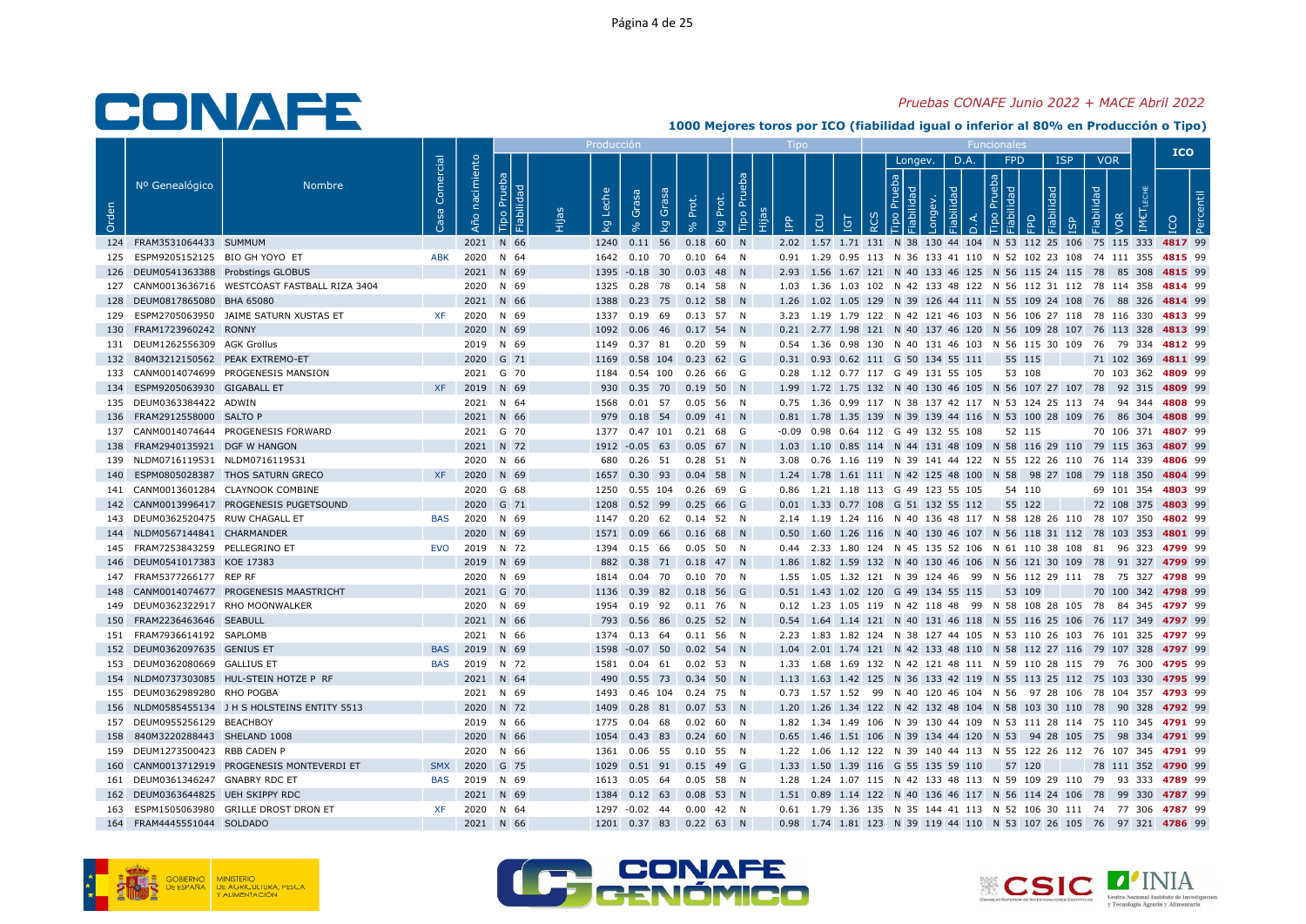#### Pruebas CONAFE Junio 2022 + MACE Abril 2022

|       |                                      |                                                 |                 |                          |                              | Producci            |                                                            |       |                         |                 |     |                              |                                             |      |                                    |        |            |                                 | <b>ICO</b>                                                                                |  |
|-------|--------------------------------------|-------------------------------------------------|-----------------|--------------------------|------------------------------|---------------------|------------------------------------------------------------|-------|-------------------------|-----------------|-----|------------------------------|---------------------------------------------|------|------------------------------------|--------|------------|---------------------------------|-------------------------------------------------------------------------------------------|--|
| Orden | Nº Genealógico                       | Nombre                                          | Comercial<br>്ള | nacimiento<br><b>Año</b> | Prueba<br>Fiabilidad<br>Tipo | Leche<br><b>L</b> g | Grasa<br>Grasa<br><b>L</b> g                               | Prot. | Tipo Pru<br>Prot.<br>kg | <b>Add</b><br>E | LCU | $\overline{\Xi}$<br>$\alpha$ | Longev.<br><b>da</b>                        | D.A. | FPD<br>$\frac{1}{2}$ $\frac{1}{8}$ | 모      | <b>ISP</b> | <b>VOR</b><br>Fiabilidad<br>/OR |                                                                                           |  |
|       | 124 FRAM3531064433 SUMMUM            |                                                 |                 |                          | 2021 N 66                    |                     | 1240  0.11  56  0.18  60  N                                |       |                         |                 |     |                              |                                             |      |                                    |        |            |                                 | 2.02 1.57 1.71 131 N 38 130 44 104 N 53 112 25 106 75 115 333 4817 99                     |  |
|       | 125 ESPM9205152125 BIO GH YOYO ET    |                                                 | ABK             |                          | 2020 N 64                    |                     | 1642  0.10  70  0.10  64  N                                |       |                         |                 |     |                              |                                             |      |                                    |        |            |                                 | 0.91 1.29 0.95 113 N 36 133 41 110 N 52 102 23 108 74 111 355 4815 99                     |  |
|       | 126 DEUM0541363388 Probstings GLOBUS |                                                 |                 |                          | 2021 N 69                    |                     | 1395 -0.18 30 0.03 48 N                                    |       |                         |                 |     |                              |                                             |      |                                    |        |            |                                 | 2.93 1.56 1.67 121 N 40 133 46 125 N 56 115 24 115 78 85 308 4815 99                      |  |
|       |                                      | 127 CANM0013636716 WESTCOAST FASTBALL RIZA 3404 |                 |                          | 2020 N 69                    |                     | 1325  0.28  78  0.14  58  N                                |       |                         |                 |     |                              |                                             |      |                                    |        |            |                                 | 1.03 1.36 1.03 102 N 42 133 48 122 N 56 112 31 112 78 114 358 4814 99                     |  |
|       | 128 DEUM0817865080 BHA 65080         |                                                 |                 |                          | 2021 N 66                    |                     | 1388  0.23  75  0.12  58  N                                |       |                         |                 |     |                              |                                             |      |                                    |        |            |                                 | 1.26 1.02 1.05 129 N 39 126 44 111 N 55 109 24 108 76 88 326 4814 99                      |  |
|       |                                      | 129 ESPM2705063950 JAIME SATURN XUSTAS ET       | XF              |                          | 2020 N 69                    |                     | 1337  0.19  69  0.13  57  N                                |       |                         |                 |     |                              |                                             |      |                                    |        |            |                                 | 3.23 1.19 1.79 122 N 42 121 46 103 N 56 106 27 118 78 116 330 4813 99                     |  |
|       | 130 FRAM1723960242 RONNY             |                                                 |                 |                          | 2020 N 69                    |                     | 1092  0.06  46  0.17  54  N                                |       |                         |                 |     |                              |                                             |      |                                    |        |            |                                 | 0.21 2.77 1.98 121 N 40 137 46 120 N 56 109 28 107 76 113 328 4813 99                     |  |
|       | 131 DEUM1262556309 AGK Grollus       |                                                 |                 |                          | 2019 N 69                    |                     | 1149  0.37  81  0.20  59  N                                |       |                         |                 |     |                              |                                             |      |                                    |        |            |                                 | 0.54 1.36 0.98 130 N 40 131 46 103 N 56 115 30 109 76 79 334 4812 99                      |  |
|       | 132 840M3212150562 PEAK EXTREMO-ET   |                                                 |                 |                          | 2020 G 71                    |                     | 1169  0.58  104  0.23  62  G                               |       |                         |                 |     |                              | 0.31 0.93 0.62 111 G 50 134 55 111          |      |                                    | 55 115 |            |                                 | 71 102 369 4811 99                                                                        |  |
|       |                                      | 133 CANM0014074699 PROGENESIS MANSION           |                 |                          | 2021 G 70                    |                     | 1184  0.54  100  0.26  66  G                               |       |                         |                 |     |                              | 0.28 1.12 0.77 117 G 49 131 55 105          |      |                                    | 53 108 |            |                                 | 70 103 362 4809 99                                                                        |  |
|       | 134 ESPM9205063930 GIGABALL ET       |                                                 | <b>XF</b>       |                          | 2019 N 69                    | 930                 | 0.35 70 0.19 50 N                                          |       |                         |                 |     |                              |                                             |      |                                    |        |            |                                 | 1.99 1.72 1.75 132 N 40 130 46 105 N 56 107 27 107 78 92 315 4809 99                      |  |
|       | 135 DEUM0363384422 ADWIN             |                                                 |                 |                          | 2021 N 64                    |                     | 1568  0.01  57  0.05  56  N                                |       |                         |                 |     |                              |                                             |      |                                    |        |            |                                 | 0.75 1.36 0.99 117 N 38 137 42 117 N 53 124 25 113 74 94 344 4808 99                      |  |
|       | 136 FRAM2912558000 SALTO P           |                                                 |                 |                          | 2021 N 66                    |                     | 979  0.18  54  0.09  41  N                                 |       |                         |                 |     |                              |                                             |      |                                    |        |            |                                 | 0.81 1.78 1.35 139 N 39 139 44 116 N 53 100 28 109 76 86 304 4808 99                      |  |
|       |                                      | 137 CANM0014074644 PROGENESIS FORWARD           |                 |                          | 2021 G 70                    |                     | 1377 0.47 101 0.21 68 G                                    |       |                         |                 |     |                              | -0.09  0.98  0.64  112  G  49  132  55  108 |      |                                    | 52 115 |            |                                 | 70 106 371 4807 99                                                                        |  |
|       | 138 FRAM2940135921 DGF W HANGON      |                                                 |                 |                          | 2021 N 72                    |                     | 1912 -0.05 63 0.05 67 N                                    |       |                         |                 |     |                              |                                             |      |                                    |        |            |                                 | 1.03 1.10 0.85 114 N 44 131 48 109 N 58 116 29 110 79 115 363 4807 99                     |  |
|       | 139 NLDM0716119531 NLDM0716119531    |                                                 |                 |                          | 2020 N 66                    |                     | 680  0.26  51  0.28  51  N                                 |       |                         |                 |     |                              |                                             |      |                                    |        |            |                                 | 3.08  0.76  1.16  119  N  39  141  44  122  N  55  122  26  110  76  114  339  4806  99   |  |
|       |                                      | 140 ESPM0805028387 THOS SATURN GRECO            | <b>XF</b>       |                          | 2020 N 69                    |                     | 1657  0.30  93  0.04  58  N                                |       |                         |                 |     |                              |                                             |      |                                    |        |            |                                 | 1.24 1.78 1.61 111 N 42 125 48 100 N 58 98 27 108 79 118 350 4804 99                      |  |
|       |                                      | 141 CANM0013601284 CLAYNOOK COMBINE             |                 |                          | 2020 G 68                    |                     | 1250  0.55  104  0.26  69  G                               |       |                         |                 |     |                              | 0.86 1.21 1.18 113 G 49 123 55 105          |      |                                    | 54 110 |            |                                 | 69 101 354 4803 99                                                                        |  |
|       |                                      | 142 CANM0013996417 PROGENESIS PUGETSOUND        |                 |                          | 2020 G 71                    |                     | 1208  0.52  99  0.25  66  G                                |       |                         |                 |     |                              | 0.01 1.33 0.77 108 G 51 132 55 112 55 122   |      |                                    |        |            |                                 | 72 108 375 4803 99                                                                        |  |
|       | 143 DEUM0362520475 RUW CHAGALL ET    |                                                 | <b>BAS</b>      |                          | 2020 N 69                    |                     | 1147  0.20  62  0.14  52  N                                |       |                         |                 |     |                              |                                             |      |                                    |        |            |                                 | 2.14 1.19 1.24 116 N 40 136 48 117 N 58 128 26 110 78 107 350 4802 99                     |  |
|       | 144 NLDM0567144841 CHARMANDER        |                                                 |                 |                          | 2020 N 69                    |                     | 1571  0.09  66  0.16  68  N                                |       |                         |                 |     |                              |                                             |      |                                    |        |            |                                 | 0.50 1.60 1.26 116 N 40 130 46 107 N 56 118 31 112 78 103 353 4801 99                     |  |
|       | 145 FRAM7253843259 PELLEGRINO ET     |                                                 | EVO             |                          | 2019 N 72                    |                     | 1394  0.15  66  0.05  50  N                                |       |                         |                 |     |                              |                                             |      |                                    |        |            |                                 | 0.44  2.33  1.80  124  N  45  135  52  106  N  61  110  38  108  81  96  323  4799  99    |  |
|       | 146 DEUM0541017383 KOE 17383         |                                                 |                 |                          | 2019 N 69                    | 882                 | 0.38 71 0.18 47 N                                          |       |                         |                 |     |                              |                                             |      |                                    |        |            |                                 | 1.86 1.82 1.59 132 N 40 130 46 106 N 56 121 30 109 78 91 327 4799 99                      |  |
|       | 147 FRAM5377266177 REP RF            |                                                 |                 |                          | 2020 N 69                    |                     | 1814  0.04  70  0.10  70  N                                |       |                         |                 |     |                              |                                             |      |                                    |        |            |                                 | 1.55 1.05 1.32 121 N 39 124 46 99 N 56 112 29 111 78 75 327 4798 99                       |  |
|       | 149 DEUM0362322917 RHO MOONWALKER    | 148 CANM0014074677 PROGENESIS MAASTRICHT        |                 |                          | 2021 G 70<br>2020 N 69       |                     | 1136  0.39  82  0.18  56  G<br>1954  0.19  92  0.11  76  N |       |                         |                 |     |                              | 0.51 1.43 1.02 120 G 49 134 55 115 53 109   |      |                                    |        |            |                                 | 70 100 342 4798 99<br>0.12 1.23 1.05 119 N 42 118 48 99 N 58 108 28 105 78 84 345 4797 99 |  |
|       | 150 FRAM2236463646 SEABULL           |                                                 |                 |                          | 2021 N 66                    |                     | 793  0.56  86  0.25  52  N                                 |       |                         |                 |     |                              |                                             |      |                                    |        |            |                                 | 0.54 1.64 1.14 121 N 40 131 46 118 N 55 116 25 106 76 117 349 4797 99                     |  |
|       | 151 FRAM7936614192 SAPLOMB           |                                                 |                 |                          | 2021 N 66                    |                     | 1374  0.13  64  0.11  56  N                                |       |                         |                 |     |                              |                                             |      |                                    |        |            |                                 | 2.23 1.83 1.82 124 N 38 127 44 105 N 53 110 26 103 76 101 325 4797 99                     |  |
|       | 152 DEUM0362097635 GENIUS ET         |                                                 | <b>BAS</b>      |                          | 2019 N 69                    |                     | 1598 -0.07 50 0.02 54 N                                    |       |                         |                 |     |                              |                                             |      |                                    |        |            |                                 | 1.04 2.01 1.74 121 N 42 133 48 110 N 58 112 27 116 79 107 328 4797 99                     |  |
|       | 153 DEUM0362080669 GALLIUS ET        |                                                 | BAS             |                          | 2019 N 72                    |                     | 1581  0.04  61  0.02  53  N                                |       |                         |                 |     |                              |                                             |      |                                    |        |            |                                 | 1.33 1.68 1.69 132 N 42 121 48 111 N 59 110 28 115 79 76 300 4795 99                      |  |
|       |                                      | 154 NLDM0737303085 HUL-STEIN HOTZE P RF         |                 |                          | 2021 N 64                    |                     | 490  0.55  73  0.34  50  N                                 |       |                         |                 |     |                              |                                             |      |                                    |        |            |                                 | 1.13 1.63 1.42 125 N 36 133 42 119 N 55 113 25 112 75 103 330 4795 99                     |  |
|       | 155 DEUM0362989280 RHO POGBA         |                                                 |                 |                          | 2021 N 69                    |                     | 1493  0.46  104  0.24  75  N                               |       |                         |                 |     |                              |                                             |      |                                    |        |            |                                 | 0.73 1.57 1.52 99 N 40 120 46 104 N 56 97 28 106 78 104 357 4793 99                       |  |
|       |                                      | 156 NLDM0585455134 J H S HOLSTEINS ENTITY 5513  |                 |                          | 2020 N 72                    |                     | 1409  0.28  81  0.07  53  N                                |       |                         |                 |     |                              |                                             |      |                                    |        |            |                                 | 1.20 1.26 1.34 122 N 42 132 48 104 N 58 103 30 110 78 90 328 4792 99                      |  |
|       | 157 DEUM0955256129 BEACHBOY          |                                                 |                 |                          | 2019 N 66                    |                     | 1775  0.04  68  0.02  60  N                                |       |                         |                 |     |                              |                                             |      |                                    |        |            |                                 | 1.82 1.34 1.49 106 N 39 130 44 109 N 53 111 28 114 75 110 345 4791 99                     |  |
|       | 158 840M3220288443 SHELAND 1008      |                                                 |                 |                          | 2020 N 66                    | 1054                | 0.43 83 0.24 60 N                                          |       |                         |                 |     |                              |                                             |      |                                    |        |            |                                 | 0.65 1.46 1.51 106 N 39 134 44 120 N 53 94 28 105 75 98 334 4791 99                       |  |
|       | 159 DEUM1273500423 RBB CADEN P       |                                                 |                 |                          | 2020 N 66                    |                     | 1361  0.06  55  0.10  55  N                                |       |                         |                 |     |                              |                                             |      |                                    |        |            |                                 | 1.22 1.06 1.12 122 N 39 140 44 113 N 55 122 26 112 76 107 345 4791 99                     |  |
|       |                                      | 160 CANM0013712919 PROGENESIS MONTEVERDI ET     | <b>SMX</b>      |                          | 2020 G 75                    |                     | 1029  0.51  91  0.15  49  G                                |       |                         |                 |     |                              | 1.33 1.50 1.39 116 G 55 135 59 110          |      |                                    | 57 120 |            |                                 | 78 111 352 4790 99                                                                        |  |
|       | 161 DEUM0361346247 GNABRY RDC ET     |                                                 | <b>BAS</b>      |                          | 2019 N 69                    |                     | 1613  0.05  64  0.05  58  N                                |       |                         |                 |     |                              |                                             |      |                                    |        |            |                                 | 1.28 1.24 1.07 115 N 42 133 48 113 N 59 109 29 110 79 93 333 4789 99                      |  |
|       | 162 DEUM0363644825 UEH SKIPPY RDC    |                                                 |                 |                          | 2021 N 69                    |                     | 1384  0.12  63  0.08  53  N                                |       |                         |                 |     |                              |                                             |      |                                    |        |            |                                 | 1.51 0.89 1.14 122 N 40 136 46 117 N 56 114 24 106 78 99 330 4787 99                      |  |
|       |                                      | 163 ESPM1505063980 GRILLE DROST DRON ET         | XF              |                          | 2020 N 64                    |                     | 1297 -0.02 44 0.00 42 N                                    |       |                         |                 |     |                              |                                             |      |                                    |        |            |                                 | 0.61 1.79 1.36 135 N 35 144 41 113 N 52 106 30 111 74 77 306 4787 99                      |  |
|       | 164 FRAM4445551044 SOLDADO           |                                                 |                 |                          | 2021 N 66                    |                     | 1201 0.37 83 0.22 63 N                                     |       |                         |                 |     |                              |                                             |      |                                    |        |            |                                 | 0.98 1.74 1.81 123 N 39 119 44 110 N 53 107 26 105 76 97 321 4786 99                      |  |





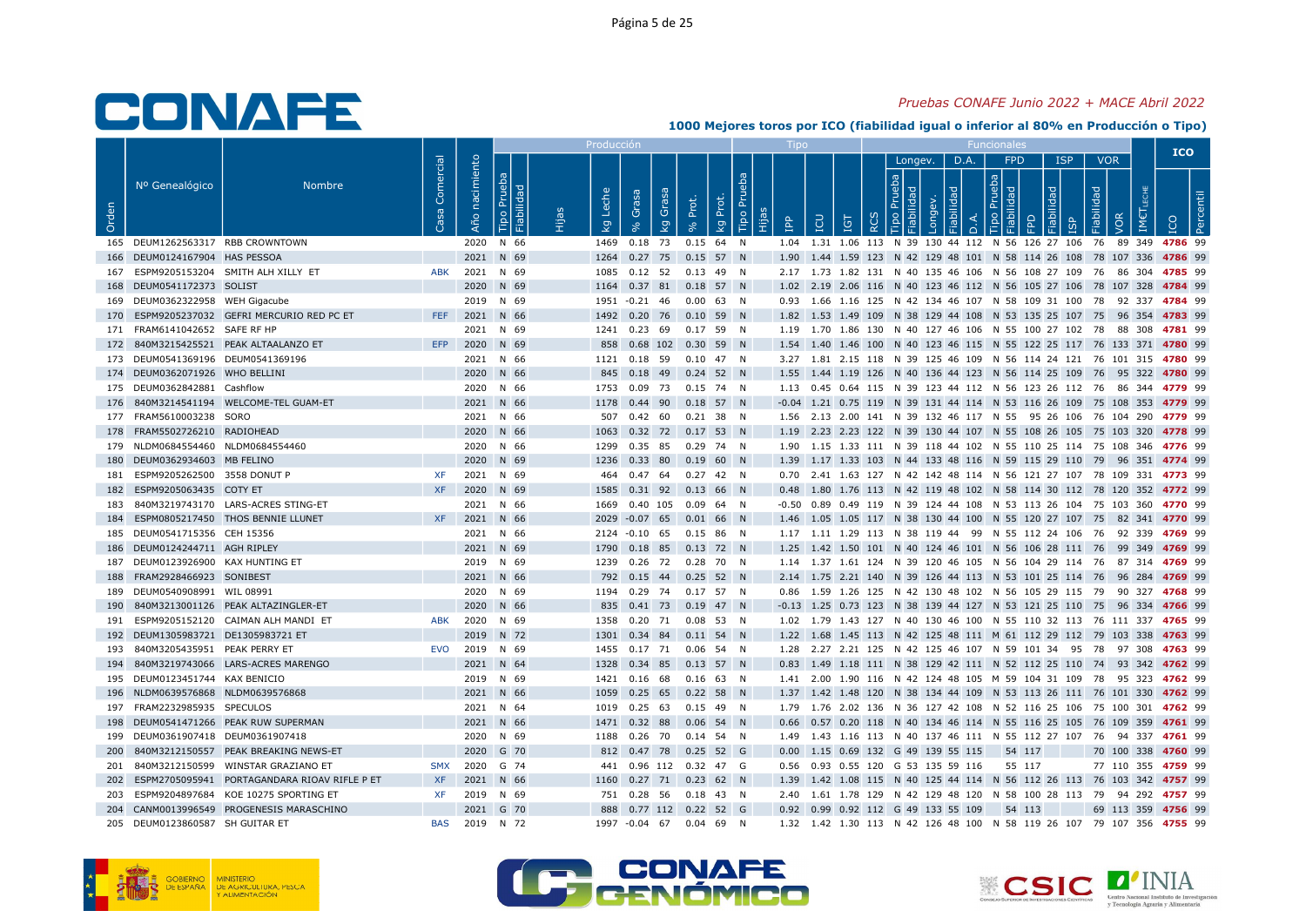#### Pruebas CONAFE Junio 2022 + MACE Abril 2022

|       |                                                                        |                                                  |                 |                   |                              | Producci            |                                                       |       |                         |   |           |                                    |           |         |      |                                    |        |            |                                        | <b>ICO</b>                                                                                                                                                    |
|-------|------------------------------------------------------------------------|--------------------------------------------------|-----------------|-------------------|------------------------------|---------------------|-------------------------------------------------------|-------|-------------------------|---|-----------|------------------------------------|-----------|---------|------|------------------------------------|--------|------------|----------------------------------------|---------------------------------------------------------------------------------------------------------------------------------------------------------------|
| Orden | Nº Genealógico                                                         | Nombre                                           | Comercial<br>്ള | nacimiento<br>Año | Prueba<br>Fiabilidad<br>Tipo | Leche<br><b>L</b> g | Grasa<br>Grasa<br><b>S</b>                            | Prot. | Tipo Pru<br>Prot.<br>kg | ÷ | <u>ed</u> | <b>CO</b><br>Ξ                     | $\propto$ | Longev. | D.A. | FPD<br>$\frac{1}{2}$ $\frac{1}{2}$ | 요      | <b>ISP</b> | <b>VOR</b><br>Fiabilidad<br><b>JOR</b> |                                                                                                                                                               |
|       | 165 DEUM1262563317 RBB CROWNTOWN                                       |                                                  |                 |                   | 2020 N 66                    |                     | 1469  0.18  73  0.15  64  N                           |       |                         |   |           |                                    |           |         |      |                                    |        |            |                                        | 1.04 1.31 1.06 113 N 39 130 44 112 N 56 126 27 106 76 89 349 4786 99                                                                                          |
|       | 166 DEUM0124167904 HAS PESSOA                                          |                                                  |                 |                   | 2021 N 69                    |                     | 1264  0.27  75  0.15  57  N                           |       |                         |   |           |                                    |           |         |      |                                    |        |            |                                        | 1.90 1.44 1.59 123 N 42 129 48 101 N 58 114 26 108 78 107 336 4786 99                                                                                         |
|       |                                                                        | 167 ESPM9205153204 SMITH ALH XILLY ET            | <b>ABK</b>      |                   | 2021 N 69                    |                     | 1085  0.12  52  0.13  49  N                           |       |                         |   |           |                                    |           |         |      |                                    |        |            |                                        | 2.17 1.73 1.82 131 N 40 135 46 106 N 56 108 27 109 76 86 304 4785 99                                                                                          |
|       | 168 DEUM0541172373 SOLIST                                              |                                                  |                 |                   | 2020 N 69                    |                     | 1164  0.37  81  0.18  57  N                           |       |                         |   |           |                                    |           |         |      |                                    |        |            |                                        | 1.02 2.19 2.06 116 N 40 123 46 112 N 56 105 27 106 78 107 328 4784 99                                                                                         |
|       | 169 DEUM0362322958 WEH Gigacube                                        |                                                  |                 |                   | 2019 N 69                    |                     | 1951 -0.21 46 0.00 63 N                               |       |                         |   |           |                                    |           |         |      |                                    |        |            |                                        | 0.93 1.66 1.16 125 N 42 134 46 107 N 58 109 31 100 78 92 337 4784 99                                                                                          |
|       |                                                                        | 170 ESPM9205237032 GEFRI MERCURIO RED PC ET      |                 |                   | FEF 2021 N 66                |                     | 1492  0.20  76  0.10  59  N                           |       |                         |   |           |                                    |           |         |      |                                    |        |            |                                        | 1.82 1.53 1.49 109 N 38 129 44 108 N 53 135 25 107 75 96 354 4783 99                                                                                          |
|       | 171 FRAM6141042652 SAFE RF HP                                          |                                                  |                 |                   | 2021 N 69                    |                     | 1241  0.23  69  0.17  59  N                           |       |                         |   |           |                                    |           |         |      |                                    |        |            |                                        | 1.19 1.70 1.86 130 N 40 127 46 106 N 55 100 27 102 78 88 308 4781 99                                                                                          |
|       |                                                                        | 172 840M3215425521 PEAK ALTAALANZO ET            | <b>EFP</b>      |                   | 2020 N 69                    |                     | 858  0.68  102  0.30  59  N                           |       |                         |   |           |                                    |           |         |      |                                    |        |            |                                        | 1.54 1.40 1.46 100 N 40 123 46 115 N 55 122 25 117 76 133 371 4780 99                                                                                         |
|       | 173 DEUM0541369196 DEUM0541369196                                      |                                                  |                 |                   | 2021 N 66                    |                     | 1121  0.18  59  0.10  47  N                           |       |                         |   |           |                                    |           |         |      |                                    |        |            |                                        | 3.27 1.81 2.15 118 N 39 125 46 109 N 56 114 24 121 76 101 315 4780 99                                                                                         |
|       | 174 DEUM0362071926 WHO BELLINI                                         |                                                  |                 |                   | 2020 N 66                    |                     | 845 0.18 49 0.24 52 N                                 |       |                         |   |           |                                    |           |         |      |                                    |        |            |                                        | 1.55 1.44 1.19 126 N 40 136 44 123 N 56 114 25 109 76 95 322 4780 99                                                                                          |
|       | 175 DEUM0362842881 Cashflow                                            |                                                  |                 |                   | 2020 N 66                    |                     | 1753  0.09  73  0.15  74  N                           |       |                         |   |           |                                    |           |         |      |                                    |        |            |                                        | 1.13 0.45 0.64 115 N 39 123 44 112 N 56 123 26 112 76 86 344 4779 99                                                                                          |
|       |                                                                        | 176 840M3214541194 WELCOME-TEL GUAM-ET           |                 |                   | 2021 N 66                    |                     | 1178  0.44  90  0.18  57  N                           |       |                         |   |           |                                    |           |         |      |                                    |        |            |                                        | -0.04 1.21 0.75 119 N 39 131 44 114 N 53 116 26 109 75 108 353 4779 99                                                                                        |
|       | 177 FRAM5610003238 SORO                                                |                                                  |                 |                   | 2021 N 66                    |                     | 507  0.42  60  0.21  38  N                            |       |                         |   |           |                                    |           |         |      |                                    |        |            |                                        | 1.56 2.13 2.00 141 N 39 132 46 117 N 55 95 26 106 76 104 290 4779 99                                                                                          |
|       | 178 FRAM5502726210 RADIOHEAD                                           |                                                  |                 |                   | 2020 N 66                    |                     | 1063  0.32  72  0.17  53  N                           |       |                         |   |           |                                    |           |         |      |                                    |        |            |                                        | 1.19 2.23 2.23 122 N 39 130 44 107 N 55 108 26 105 75 103 320 4778 99                                                                                         |
|       | 179 NLDM0684554460 NLDM0684554460                                      |                                                  |                 |                   | 2020 N 66                    |                     | 1299  0.35  85  0.29  74  N                           |       |                         |   |           |                                    |           |         |      |                                    |        |            |                                        | 1.90 1.15 1.33 111 N 39 118 44 102 N 55 110 25 114 75 108 346 4776 99                                                                                         |
|       | 180 DEUM0362934603 MB FELINO                                           |                                                  |                 |                   | 2020 N 69                    |                     | 1236  0.33  80  0.19  60  N                           |       |                         |   |           |                                    |           |         |      |                                    |        |            |                                        | 1.39 1.17 1.33 103 N 44 133 48 116 N 59 115 29 110 79 96 351 4774 99                                                                                          |
|       | 181 ESPM9205262500 3558 DONUT P                                        |                                                  | XF              |                   | 2021 N 69                    |                     | 464  0.47  64  0.27  42  N                            |       |                         |   |           |                                    |           |         |      |                                    |        |            |                                        | 0.70  2.41  1.63  127  N  42  142  48  114  N  56  121  27  107  78  109  331  4773  99                                                                       |
|       | 182 ESPM9205063435 COTY ET                                             |                                                  | <b>XF</b>       |                   | 2020 N 69                    |                     | 1585 0.31 92 0.13 66 N                                |       |                         |   |           |                                    |           |         |      |                                    |        |            |                                        | 0.48 1.80 1.76 113 N 42 119 48 102 N 58 114 30 112 78 120 352 4772 99                                                                                         |
|       |                                                                        | 183 840M3219743170 LARS-ACRES STING-ET           |                 |                   | 2021 N 66                    |                     | 1669  0.40  105  0.09  64  N                          |       |                         |   |           |                                    |           |         |      |                                    |        |            |                                        | -0.50 0.89 0.49 119 N 39 124 44 108 N 53 113 26 104 75 103 360 4770 99                                                                                        |
|       |                                                                        | 184 ESPM0805217450 THOS BENNIE LLUNET            | <b>XF</b>       |                   | 2021 N 66                    |                     | 2029 -0.07 65 0.01 66 N                               |       |                         |   |           |                                    |           |         |      |                                    |        |            |                                        | 1.46 1.05 1.05 117 N 38 130 44 100 N 55 120 27 107 75 82 341 4770 99                                                                                          |
|       | 185 DEUM0541715356 CEH 15356                                           |                                                  |                 |                   | 2021 N 66                    |                     | 2124 -0.10 65 0.15 86 N                               |       |                         |   |           |                                    |           |         |      |                                    |        |            |                                        | 1.17 1.11 1.29 113 N 38 119 44 99 N 55 112 24 106 76 92 339 4769 99                                                                                           |
|       | 186 DEUM0124244711 AGH RIPLEY                                          |                                                  |                 |                   | 2021 N 69                    |                     | 1790  0.18  85  0.13  72  N                           |       |                         |   |           |                                    |           |         |      |                                    |        |            |                                        | 1.25 1.42 1.50 101 N 40 124 46 101 N 56 106 28 111 76 99 349 4769 99                                                                                          |
|       | 187 DEUM0123926900 KAX HUNTING ET                                      |                                                  |                 |                   | 2019 N 69                    |                     | 1239  0.26  72  0.28  70  N                           |       |                         |   |           |                                    |           |         |      |                                    |        |            |                                        | 1.14 1.37 1.61 124 N 39 120 46 105 N 56 104 29 114 76 87 314 4769 99                                                                                          |
|       | 188 FRAM2928466923 SONIBEST                                            |                                                  |                 |                   | 2021 N 66                    |                     | 792  0.15  44  0.25  52  N                            |       |                         |   |           |                                    |           |         |      |                                    |        |            |                                        | 2.14 1.75 2.21 140 N 39 126 44 113 N 53 101 25 114 76 96 284 4769 99                                                                                          |
|       | 189 DEUM0540908991 WIL 08991                                           |                                                  |                 |                   | 2020 N 69                    |                     | 1194  0.29  74  0.17  57  N                           |       |                         |   |           |                                    |           |         |      |                                    |        |            |                                        | 0.86 1.59 1.26 125 N 42 130 48 102 N 56 105 29 115 79 90 327 4768 99                                                                                          |
|       |                                                                        | 190 840M3213001126 PEAK ALTAZINGLER-ET           |                 |                   | 2020 N 66                    |                     | 835 0.41 73 0.19 47 N                                 |       |                         |   |           |                                    |           |         |      |                                    |        |            |                                        | -0.13 1.25 0.73 123 N 38 139 44 127 N 53 121 25 110 75 96 334 4766 99                                                                                         |
|       |                                                                        | 191 ESPM9205152120 CAIMAN ALH MANDI ET           | ABK             |                   | 2020 N 69                    |                     | 1358  0.20  71  0.08  53  N                           |       |                         |   |           |                                    |           |         |      |                                    |        |            |                                        | 1.02 1.79 1.43 127 N 40 130 46 100 N 55 110 32 113 76 111 337 4765 99                                                                                         |
|       | 192 DEUM1305983721 DE1305983721 ET<br>193 840M3205435951 PEAK PERRY ET |                                                  |                 |                   | 2019 N 72<br>EVO 2019 N 69   |                     | 1301 0.34 84 0.11 54 N                                |       |                         |   |           |                                    |           |         |      |                                    |        |            |                                        | 1.22 1.68 1.45 113 N 42 125 48 111 M 61 112 29 112 79 103 338 4763 99                                                                                         |
|       |                                                                        | 194 840M3219743066 LARS-ACRES MARENGO            |                 |                   | 2021 N 64                    |                     | 1455  0.17  71  0.06  54  N<br>1328 0.34 85 0.13 57 N |       |                         |   |           |                                    |           |         |      |                                    |        |            |                                        | 1.28  2.27  2.21  125  N  42  125  46  107  N  59  101  34  95  78  97  308  4763  99<br>0.83 1.49 1.18 111 N 38 129 42 111 N 52 112 25 110 74 93 342 4762 99 |
|       | 195 DEUM0123451744 KAX BENICIO                                         |                                                  |                 |                   | 2019 N 69                    |                     | 1421  0.16  68  0.16  63  N                           |       |                         |   |           |                                    |           |         |      |                                    |        |            |                                        | 1.41  2.00  1.90  116  N  42  124  48  105  M  59  104  31  109  78  95  323  4762  99                                                                        |
|       | 196 NLDM0639576868 NLDM0639576868                                      |                                                  |                 |                   | 2021 N 66                    |                     | 1059  0.25  65  0.22  58  N                           |       |                         |   |           |                                    |           |         |      |                                    |        |            |                                        | 1.37 1.42 1.48 120 N 38 134 44 109 N 53 113 26 111 76 101 330 4762 99                                                                                         |
|       | 197 FRAM2232985935 SPECULOS                                            |                                                  |                 |                   | 2021 N 64                    |                     | 1019  0.25  63  0.15  49  N                           |       |                         |   |           |                                    |           |         |      |                                    |        |            |                                        | 1.79 1.76 2.02 136 N 36 127 42 108 N 52 116 25 106 75 100 301 <b>4762</b> 99                                                                                  |
|       |                                                                        | 198 DEUM0541471266 PEAK RUW SUPERMAN             |                 |                   | 2021 N 66                    |                     | 1471  0.32  88  0.06  54  N                           |       |                         |   |           |                                    |           |         |      |                                    |        |            |                                        | 0.66 0.57 0.20 118 N 40 134 46 114 N 55 116 25 105 76 109 359 4761 99                                                                                         |
|       | 199 DEUM0361907418 DEUM0361907418                                      |                                                  |                 |                   | 2020 N 69                    |                     | 1188  0.26  70  0.14  54  N                           |       |                         |   |           |                                    |           |         |      |                                    |        |            |                                        | 1.49 1.43 1.16 113 N 40 137 46 111 N 55 112 27 107 76 94 337 4761 99                                                                                          |
|       |                                                                        | 200 840M3212150557 PEAK BREAKING NEWS-ET         |                 |                   | 2020 G 70                    |                     | 812 0.47 78 0.25 52 G                                 |       |                         |   |           | 0.00 1.15 0.69 132 G 49 139 55 115 |           |         |      | 54 117                             |        |            |                                        | 70 100 338 4760 99                                                                                                                                            |
|       |                                                                        | 201 840M3212150599 WINSTAR GRAZIANO ET           | <b>SMX</b>      |                   | 2020 G 74                    |                     | 441  0.96  112  0.32  47  G                           |       |                         |   |           | 0.56 0.93 0.55 120 G 53 135 59 116 |           |         |      |                                    | 55 117 |            |                                        | 77 110 355 4759 99                                                                                                                                            |
|       |                                                                        | 202 ESPM2705095941 PORTAGANDARA RIOAV RIFLE P ET | <b>XF</b>       |                   | 2021 N 66                    |                     | 1160  0.27  71  0.23  62  N                           |       |                         |   |           |                                    |           |         |      |                                    |        |            |                                        | 1.39 1.42 1.08 115 N 40 125 44 114 N 56 112 26 113 76 103 342 4757 99                                                                                         |
|       |                                                                        | 203 ESPM9204897684 KOE 10275 SPORTING ET         | XF              |                   | 2019 N 69                    |                     | 751 0.28 56 0.18 43 N                                 |       |                         |   |           |                                    |           |         |      |                                    |        |            |                                        | 2.40 1.61 1.78 129 N 42 129 48 120 N 58 100 28 113 79 94 292 4757 99                                                                                          |
|       |                                                                        | 204 CANM0013996549 PROGENESIS MARASCHINO         |                 |                   | 2021 G 70                    |                     | 888 0.77 112 0.22 52 G                                |       |                         |   |           | 0.92 0.99 0.92 112 G 49 133 55 109 |           |         |      | 54 113                             |        |            |                                        | 69 113 359 4756 99                                                                                                                                            |
|       | 205 DEUM0123860587 SH GUITAR ET                                        |                                                  |                 |                   | BAS 2019 N 72                |                     | 1997 -0.04 67 0.04 69 N                               |       |                         |   |           |                                    |           |         |      |                                    |        |            |                                        | 1.32 1.42 1.30 113 N 42 126 48 100 N 58 119 26 107 79 107 356 4755 99                                                                                         |





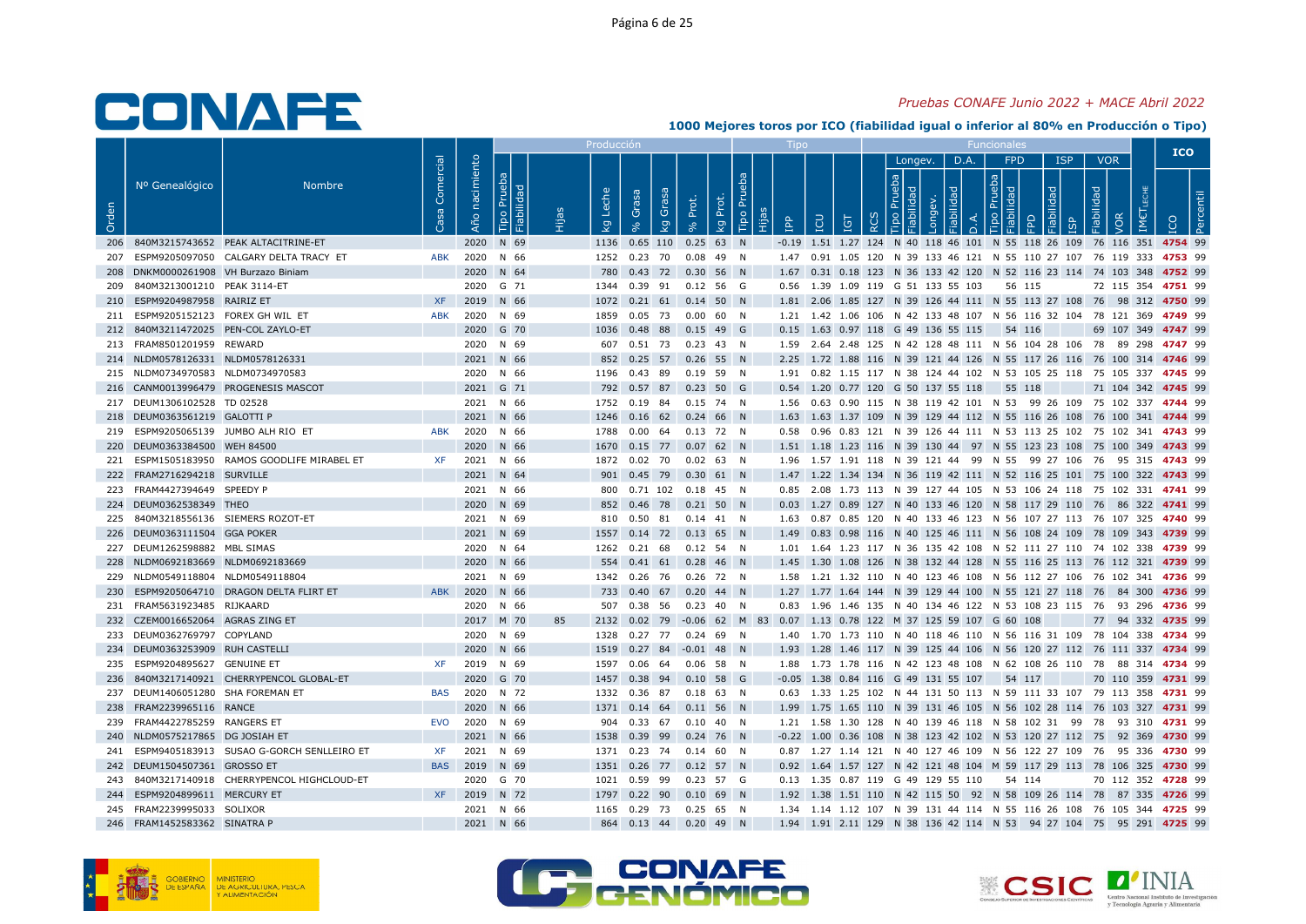#### Pruebas CONAFE Junio 2022 + MACE Abril 2022

|       |                                      |                                               |                   |                   |                        |    | Produccić          |                                                     |                      |               |     |                                                                                                                                              |                          |      |                   |          |                         | <b>ICO</b>         |  |
|-------|--------------------------------------|-----------------------------------------------|-------------------|-------------------|------------------------|----|--------------------|-----------------------------------------------------|----------------------|---------------|-----|----------------------------------------------------------------------------------------------------------------------------------------------|--------------------------|------|-------------------|----------|-------------------------|--------------------|--|
| Orden | Nº Genealógico                       | <b>Nombre</b>                                 | Comercial<br>- 53 | nacimiento<br>Año | Pru<br>흐               |    | ீ<br>$\mathcal{Q}$ | Grasa<br>Grasa<br>$\mathcal{Q}$                     | Prot.<br>Prot.<br>Κg | Tipo Pru<br>旧 | ПPР | <b>B</b><br>Ξ                                                                                                                                | Longev.<br>$\frac{8}{5}$ | D.A. | <b>FPD</b><br>막 묶 | ISP<br>모 | <b>VOR</b><br>iabilidad |                    |  |
|       |                                      | 206 840M3215743652 PEAK ALTACITRINE-ET        |                   |                   | 2020 N 69              |    |                    | 1136  0.65  110  0.25  63  N                        |                      |               |     | -0.19 1.51 1.27 124 N 40 118 46 101 N 55 118 26 109 76 116 351 4754 99                                                                       |                          |      |                   |          |                         |                    |  |
|       |                                      | ESPM9205097050 CALGARY DELTA TRACY ET         | ABK               |                   | 2020 N 66              |    |                    | 1252  0.23  70  0.08  49  N                         |                      |               |     | 1.47 0.91 1.05 120 N 39 133 46 121 N 55 110 27 107 76 119 333 4753 99                                                                        |                          |      |                   |          |                         |                    |  |
|       | 208 DNKM0000261908 VH Burzazo Biniam |                                               |                   |                   | 2020 N 64              |    |                    | 780  0.43  72  0.30  56  N                          |                      |               |     | 1.67 0.31 0.18 123 N 36 133 42 120 N 52 116 23 114 74 103 348 4752 99                                                                        |                          |      |                   |          |                         |                    |  |
| 209   | 840M3213001210 PEAK 3114-ET          |                                               |                   |                   | 2020 G 71              |    |                    | 1344  0.39  91  0.12  56  G                         |                      |               |     | 0.56 1.39 1.09 119 G 51 133 55 103                                                                                                           |                          |      | 56 115            |          |                         | 72 115 354 4751 99 |  |
|       | 210 ESPM9204987958 RAIRIZ ET         |                                               | <b>XF</b>         |                   | 2019 N 66              |    |                    | 1072  0.21  61  0.14  50  N                         |                      |               |     | 1.81 2.06 1.85 127 N 39 126 44 111 N 55 113 27 108 76 98 312 4750 99                                                                         |                          |      |                   |          |                         |                    |  |
|       | 211 ESPM9205152123 FOREX GH WIL ET   |                                               | <b>ABK</b>        |                   | 2020 N 69              |    |                    | 1859  0.05  73  0.00  60  N                         |                      |               |     | 1.21 1.42 1.06 106 N 42 133 48 107 N 56 116 32 104 78 121 369 4749 99                                                                        |                          |      |                   |          |                         |                    |  |
|       | 212 840M3211472025 PEN-COL ZAYLO-ET  |                                               |                   |                   | 2020 G 70              |    |                    | 1036  0.48  88  0.15  49  G                         |                      |               |     | 0.15 1.63 0.97 118 G 49 136 55 115 54 116                                                                                                    |                          |      |                   |          |                         | 69 107 349 4747 99 |  |
|       | 213 FRAM8501201959 REWARD            |                                               |                   |                   | 2020 N 69              |    |                    | 607  0.51  73  0.23  43  N                          |                      |               |     | 1.59  2.64  2.48  125  N  42  128  48  111  N  56  104  28  106  78  89  298  4747  99                                                       |                          |      |                   |          |                         |                    |  |
|       | 214 NLDM0578126331 NLDM0578126331    |                                               |                   |                   | 2021 N 66              |    |                    | 852 0.25 57 0.26 55 N                               |                      |               |     | 2.25 1.72 1.88 116 N 39 121 44 126 N 55 117 26 116 76 100 314 4746 99                                                                        |                          |      |                   |          |                         |                    |  |
|       | 215 NLDM0734970583 NLDM0734970583    |                                               |                   |                   | 2020 N 66              |    |                    | 1196  0.43  89  0.19  59  N                         |                      |               |     | 1.91  0.82  1.15  117  N  38  124  44  102  N  53  105  25  118  75  105  337  4745  99                                                      |                          |      |                   |          |                         |                    |  |
|       |                                      | 216 CANM0013996479 PROGENESIS MASCOT          |                   |                   | 2021 G 71              |    |                    | 792 0.57 87 0.23 50 G                               |                      |               |     | 0.54 1.20 0.77 120 G 50 137 55 118                                                                                                           |                          |      | 55 118            |          |                         | 71 104 342 4745 99 |  |
|       | 217 DEUM1306102528 TD 02528          |                                               |                   |                   | 2021 N 66              |    |                    | 1752  0.19  84  0.15  74  N                         |                      |               |     | 1.56  0.63  0.90  115  N  38  119  42  101  N  53  99  26  109  75  102  337  4744  99                                                       |                          |      |                   |          |                         |                    |  |
|       | 218 DEUM0363561219 GALOTTI P         |                                               |                   |                   | 2021 N 66              |    |                    | 1246  0.16  62  0.24  66  N                         |                      |               |     | 1.63 1.63 1.37 109 N 39 129 44 112 N 55 116 26 108 76 100 341 4744 99                                                                        |                          |      |                   |          |                         |                    |  |
|       | 219 ESPM9205065139 JUMBO ALH RIO ET  |                                               | ABK               |                   | 2020 N 66              |    | 1788               | 0.00 64 0.13 72 N                                   |                      |               |     | 0.58 0.96 0.83 121 N 39 126 44 111 N 53 113 25 102 75 102 341 4743 99                                                                        |                          |      |                   |          |                         |                    |  |
|       | 220 DEUM0363384500 WEH 84500         |                                               |                   |                   | 2020 N 66              |    |                    | 1670  0.15  77  0.07  62  N                         |                      |               |     | 1.51 1.18 1.23 116 N 39 130 44 97 N 55 123 23 108 75 100 349 4743 99                                                                         |                          |      |                   |          |                         |                    |  |
|       |                                      | 221 ESPM1505183950 RAMOS GOODLIFE MIRABEL ET  | XF.               |                   | 2021 N 66              |    |                    | 1872  0.02  70  0.02  63  N                         |                      |               |     | 1.96 1.57 1.91 118 N 39 121 44 99 N 55 99 27 106 76 95 315 4743 99                                                                           |                          |      |                   |          |                         |                    |  |
|       | 222 FRAM2716294218 SURVILLE          |                                               |                   |                   | 2021 N 64              |    |                    | 901  0.45  79  0.30  61  N                          |                      |               |     | 1.47 1.22 1.34 134 N 36 119 42 111 N 52 116 25 101 75 100 322 4743 99                                                                        |                          |      |                   |          |                         |                    |  |
|       | 223 FRAM4427394649 SPEEDY P          |                                               |                   |                   | 2021 N 66              |    |                    | 800  0.71  102  0.18  45  N                         |                      |               |     | 0.85  2.08  1.73  113  N  39  127  44  105  N  53  106  24  118  75  102  331  4741  99                                                      |                          |      |                   |          |                         |                    |  |
|       | 224 DEUM0362538349 THEO              |                                               |                   |                   | 2020 N 69              |    |                    | 852 0.46 78 0.21 50 N                               |                      |               |     | 0.03 1.27 0.89 127 N 40 133 46 120 N 58 117 29 110 76 86 322 4741 99                                                                         |                          |      |                   |          |                         |                    |  |
|       | 225 840M3218556136 SIEMERS ROZOT-ET  |                                               |                   |                   | 2021 N 69              |    |                    | 810  0.50  81  0.14  41  N                          |                      |               |     | 1.63 0.87 0.85 120 N 40 133 46 123 N 56 107 27 113 76 107 325 4740 99                                                                        |                          |      |                   |          |                         |                    |  |
|       | 226 DEUM0363111504 GGA POKER         |                                               |                   |                   | 2021 N 69              |    |                    | 1557 0.14 72 0.13 65 N                              |                      |               |     | 1.49 0.83 0.98 116 N 40 125 46 111 N 56 108 24 109 78 109 343 4739 99                                                                        |                          |      |                   |          |                         |                    |  |
|       | 227 DEUM1262598882 MBL SIMAS         |                                               |                   |                   | 2020 N 64              |    |                    | 1262  0.21  68  0.12  54  N                         |                      |               |     | 1.01 1.64 1.23 117 N 36 135 42 108 N 52 111 27 110 74 102 338 4739 99                                                                        |                          |      |                   |          |                         |                    |  |
|       | 228 NLDM0692183669 NLDM0692183669    |                                               |                   |                   | 2020 N 66              |    |                    | 554 0.41 61 0.28 46 N                               |                      |               |     | 1.45 1.30 1.08 126 N 38 132 44 128 N 55 116 25 113 76 112 321 4739 99                                                                        |                          |      |                   |          |                         |                    |  |
|       | 229 NLDM0549118804 NLDM0549118804    | 230 ESPM9205064710 DRAGON DELTA FLIRT ET      |                   |                   | 2021 N 69              |    |                    | 1342  0.26  76  0.26  72  N                         |                      |               |     | 1.58 1.21 1.32 110 N 40 123 46 108 N 56 112 27 106 76 102 341 4736 99                                                                        |                          |      |                   |          |                         |                    |  |
|       | 231 FRAM5631923485 RIJKAARD          |                                               | <b>ABK</b>        |                   | 2020 N 66<br>2020 N 66 |    |                    | 733 0.40 67 0.20 44 N<br>507  0.38  56  0.23  40  N |                      |               |     | 1.27 1.77 1.64 144 N 39 129 44 100 N 55 121 27 118 76 84 300 4736 99<br>0.83 1.96 1.46 135 N 40 134 46 122 N 53 108 23 115 76 93 296 4736 99 |                          |      |                   |          |                         |                    |  |
|       | 232 CZEM0016652064 AGRAS ZING ET     |                                               |                   |                   | 2017 M 70              | 85 |                    | 2132 0.02 79 -0.06 62 M 83                          |                      |               |     | 0.07 1.13 0.78 122 M 37 125 59 107 G 60 108                                                                                                  |                          |      |                   |          |                         | 77 94 332 4735 99  |  |
|       | 233 DEUM0362769797 COPYLAND          |                                               |                   |                   | 2020 N 69              |    |                    | 1328  0.27  77  0.24  69  N                         |                      |               |     | 1.40 1.70 1.73 110 N 40 118 46 110 N 56 116 31 109 78 104 338 4734 99                                                                        |                          |      |                   |          |                         |                    |  |
|       | 234 DEUM0363253909 RUH CASTELLI      |                                               |                   |                   | 2020 N 66              |    |                    | 1519  0.27  84  -0.01  48  N                        |                      |               |     | 1.93 1.28 1.46 117 N 39 125 44 106 N 56 120 27 112 76 111 337 4734 99                                                                        |                          |      |                   |          |                         |                    |  |
|       | 235 ESPM9204895627 GENUINE ET        |                                               | <b>XF</b>         |                   | 2019 N 69              |    | 1597               | 0.06 64 0.06 58 N                                   |                      |               |     | 1.88 1.73 1.78 116 N 42 123 48 108 N 62 108 26 110 78 88 314 4734 99                                                                         |                          |      |                   |          |                         |                    |  |
|       |                                      | 236 840M3217140921 CHERRYPENCOL GLOBAL-ET     |                   |                   | 2020 G 70              |    |                    | 1457 0.38 94 0.10 58 G                              |                      |               |     | $-0.05$ 1.38 0.84 116 G 49 131 55 107 54 117                                                                                                 |                          |      |                   |          |                         | 70 110 359 4731 99 |  |
|       | 237 DEUM1406051280 SHA FOREMAN ET    |                                               | BAS               |                   | 2020 N 72              |    |                    | 1332  0.36  87  0.18  63  N                         |                      |               |     | 0.63 1.33 1.25 102 N 44 131 50 113 N 59 111 33 107 79 113 358 4731 99                                                                        |                          |      |                   |          |                         |                    |  |
|       | 238 FRAM2239965116 RANCE             |                                               |                   |                   | 2020 N 66              |    |                    | 1371  0.14  64  0.11  56  N                         |                      |               |     | 1.99 1.75 1.65 110 N 39 131 46 105 N 56 102 28 114 76 103 327 4731 99                                                                        |                          |      |                   |          |                         |                    |  |
|       | 239 FRAM4422785259 RANGERS ET        |                                               | EVO               |                   | 2020 N 69              |    |                    | 904  0.33  67  0.10  40  N                          |                      |               |     | 1.21 1.58 1.30 128 N 40 139 46 118 N 58 102 31 99 78 93 310 4731 99                                                                          |                          |      |                   |          |                         |                    |  |
|       | 240 NLDM0575217865 DG JOSIAH ET      |                                               |                   |                   | 2021 N 66              |    | 1538               | 0.39 99 0.24 76 N                                   |                      |               |     | -0.22 1.00 0.36 108 N 38 123 42 102 N 53 120 27 112 75 92 369 4730 99                                                                        |                          |      |                   |          |                         |                    |  |
|       |                                      | 241 ESPM9405183913 SUSAO G-GORCH SENLLEIRO ET | <b>XF</b>         |                   | 2021 N 69              |    |                    | 1371  0.23  74  0.14  60  N                         |                      |               |     | 0.87 1.27 1.14 121 N 40 127 46 109 N 56 122 27 109 76 95 336 4730 99                                                                         |                          |      |                   |          |                         |                    |  |
|       | 242 DEUM1504507361 GROSSO ET         |                                               |                   |                   | BAS 2019 N 69          |    |                    | 1351  0.26  77  0.12  57  N                         |                      |               |     | 0.92 1.64 1.57 127 N 42 121 48 104 M 59 117 29 113 78 106 325 4730 99                                                                        |                          |      |                   |          |                         |                    |  |
|       |                                      | 243 840M3217140918 CHERRYPENCOL HIGHCLOUD-ET  |                   |                   | 2020 G 70              |    |                    | 1021  0.59  99  0.23  57  G                         |                      |               |     | 0.13 1.35 0.87 119 G 49 129 55 110 54 114                                                                                                    |                          |      |                   |          |                         | 70 112 352 4728 99 |  |
|       | 244 ESPM9204899611 MERCURY ET        |                                               |                   |                   | XF 2019 N 72           |    |                    | 1797  0.22  90  0.10  69  N                         |                      |               |     | 1.92 1.38 1.51 110 N 42 115 50 92 N 58 109 26 114 78 87 335 4726 99                                                                          |                          |      |                   |          |                         |                    |  |
|       | 245 FRAM2239995033 SOLIXOR           |                                               |                   |                   | 2021 N 66              |    |                    | 1165  0.29  73  0.25  65  N                         |                      |               |     | 1.34 1.14 1.12 107 N 39 131 44 114 N 55 116 26 108 76 105 344 4725 99                                                                        |                          |      |                   |          |                         |                    |  |
|       | 246 FRAM1452583362 SINATRA P         |                                               |                   |                   | 2021 N 66              |    |                    | 864 0.13 44 0.20 49 N                               |                      |               |     | 1.94 1.91 2.11 129 N 38 136 42 114 N 53 94 27 104 75 95 291 4725 99                                                                          |                          |      |                   |          |                         |                    |  |





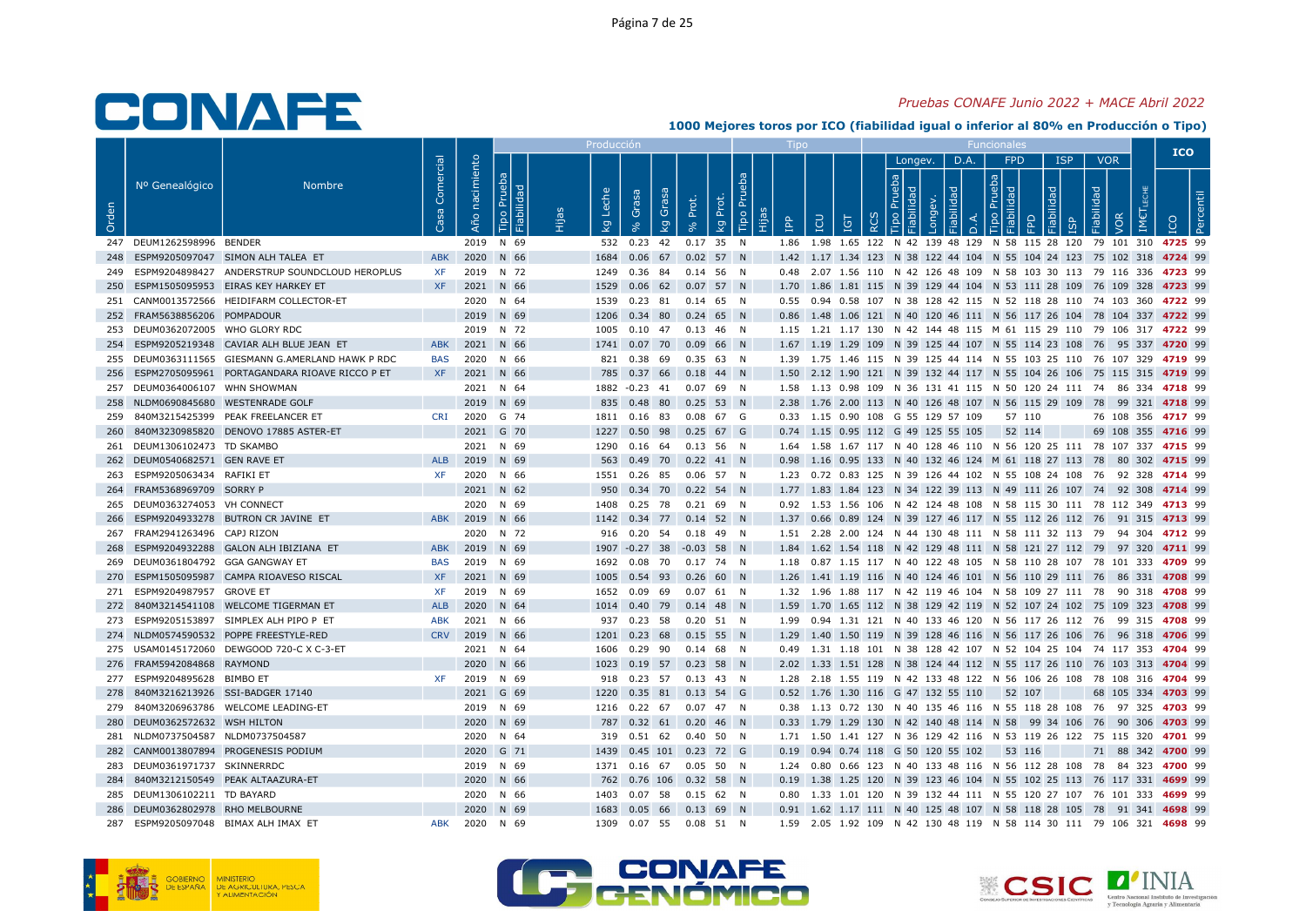#### Pruebas CONAFE Junio 2022 + MACE Abril 2022

|       |                                     |                                                   |                 |                   |                             | Produccić |                                                           |                   |                   |           |                                           |          |                          |                |                   |           |                          |     | <b>ICO</b>                                                                                                                                    |  |
|-------|-------------------------------------|---------------------------------------------------|-----------------|-------------------|-----------------------------|-----------|-----------------------------------------------------------|-------------------|-------------------|-----------|-------------------------------------------|----------|--------------------------|----------------|-------------------|-----------|--------------------------|-----|-----------------------------------------------------------------------------------------------------------------------------------------------|--|
| Orden | Nº Genealógico                      | <b>Nombre</b>                                     | Comercial<br>္တ | nacimiento<br>Año | Pru<br><b>bilid</b><br>Tipo | ு<br>Σã   | Grasa<br>Grasa<br>$\mathcal{Q}$                           | kg Prot.<br>Prot. | Tipo Pru<br>Hijas | <b>PP</b> | <b>CD</b><br>ΙGΤ                          | $\alpha$ | Longev.<br>$\frac{1}{2}$ | D.A.<br>$\cap$ | <b>FPD</b><br>막 몸 | ISP<br>ੂਰ | <b>VOR</b><br>Fiabilidad | VOR |                                                                                                                                               |  |
|       | 247 DEUM1262598996 BENDER           |                                                   |                 |                   | 2019 N 69                   |           | 532 0.23 42 0.17 35 N                                     |                   |                   |           |                                           |          |                          |                |                   |           |                          |     | 1.86 1.98 1.65 122 N 42 139 48 129 N 58 115 28 120 79 101 310 4725 99                                                                         |  |
|       |                                     | 248 ESPM9205097047 SIMON ALH TALEA ET             | <b>ABK</b>      |                   | 2020 N 66                   |           | 1684  0.06  67  0.02  57  N                               |                   |                   |           |                                           |          |                          |                |                   |           |                          |     | 1.42 1.17 1.34 123 N 38 122 44 104 N 55 104 24 123 75 102 318 4724 99                                                                         |  |
|       |                                     | 249 ESPM9204898427 ANDERSTRUP SOUNDCLOUD HEROPLUS | XF.             |                   | 2019 N 72                   |           | 1249  0.36  84  0.14  56  N                               |                   |                   |           |                                           |          |                          |                |                   |           |                          |     | 0.48  2.07  1.56  110  N  42  126  48  109  N  58  103  30  113  79  116  336  4723  99                                                       |  |
| 250   |                                     | ESPM1505095953 EIRAS KEY HARKEY ET                | <b>XF</b>       |                   | 2021 N 66                   | 1529      | 0.06 62 0.07 57 N                                         |                   |                   |           |                                           |          |                          |                |                   |           |                          |     | 1.70 1.86 1.81 115 N 39 129 44 104 N 53 111 28 109 76 109 328 4723 99                                                                         |  |
|       |                                     | 251 CANM0013572566 HEIDIFARM COLLECTOR-ET         |                 |                   | 2020 N 64                   |           | 1539  0.23  81  0.14  65  N                               |                   |                   |           |                                           |          |                          |                |                   |           |                          |     | 0.55 0.94 0.58 107 N 38 128 42 115 N 52 118 28 110 74 103 360 4722 99                                                                         |  |
|       | 252 FRAM5638856206 POMPADOUR        |                                                   |                 |                   | 2019 N 69                   |           | 1206 0.34 80 0.24 65 N                                    |                   |                   |           |                                           |          |                          |                |                   |           |                          |     | 0.86 1.48 1.06 121 N 40 120 46 111 N 56 117 26 104 78 104 337 4722 99                                                                         |  |
|       | 253 DEUM0362072005 WHO GLORY RDC    |                                                   |                 |                   | 2019 N 72                   |           | 1005  0.10  47  0.13  46  N                               |                   |                   |           |                                           |          |                          |                |                   |           |                          |     | 1.15 1.21 1.17 130 N 42 144 48 115 M 61 115 29 110 79 106 317 4722 99                                                                         |  |
|       |                                     | 254 ESPM9205219348 CAVIAR ALH BLUE JEAN ET        | <b>ABK</b>      |                   | 2021 N 66                   |           | 1741  0.07  70  0.09  66  N                               |                   |                   |           |                                           |          |                          |                |                   |           |                          |     | 1.67 1.19 1.29 109 N 39 125 44 107 N 55 114 23 108 76 95 337 4720 99                                                                          |  |
|       |                                     | 255 DEUM0363111565 GIESMANN G.AMERLAND HAWK P RDC | BAS             |                   | 2020 N 66                   |           | 821 0.38 69 0.35 63 N                                     |                   |                   |           |                                           |          |                          |                |                   |           |                          |     | 1.39 1.75 1.46 115 N 39 125 44 114 N 55 103 25 110 76 107 329 4719 99                                                                         |  |
|       |                                     | 256 ESPM2705095961 PORTAGANDARA RIOAVE RICCO P ET | XF              |                   | 2021 N 66                   |           | 785 0.37 66 0.18 44 N                                     |                   |                   |           |                                           |          |                          |                |                   |           |                          |     | 1.50 2.12 1.90 121 N 39 132 44 117 N 55 104 26 106 75 115 315 4719 99                                                                         |  |
|       | 257 DEUM0364006107 WHN SHOWMAN      |                                                   |                 |                   | 2021 N 64                   |           | 1882 -0.23 41 0.07 69 N                                   |                   |                   |           |                                           |          |                          |                |                   |           |                          |     | 1.58  1.13  0.98  109  N  36  131  41  115  N  50  120  24  111  74  86  334  4718  99                                                        |  |
|       | 258 NLDM0690845680 WESTENRADE GOLF  |                                                   |                 |                   | 2019 N 69                   |           | 835 0.48 80 0.25 53 N                                     |                   |                   |           |                                           |          |                          |                |                   |           |                          |     | 2.38 1.76 2.00 113 N 40 126 48 107 N 56 115 29 109 78 99 321 4718 99                                                                          |  |
|       |                                     | 259 840M3215425399 PEAK FREELANCER ET             | CRI             |                   | 2020 G 74                   |           | 1811  0.16  83  0.08  67  G                               |                   |                   |           | 0.33 1.15 0.90 108 G 55 129 57 109        |          |                          |                | 57 110            |           |                          |     | 76 108 356 4717 99                                                                                                                            |  |
|       |                                     | 260 840M3230985820 DENOVO 17885 ASTER-ET          |                 |                   | 2021 G 70                   |           | 1227  0.50  98  0.25  67  G                               |                   |                   |           | 0.74 1.15 0.95 112 G 49 125 55 105        |          |                          |                | 52 114            |           |                          |     | 69 108 355 4716 99                                                                                                                            |  |
|       | 261 DEUM1306102473 TD SKAMBO        |                                                   |                 |                   | 2021 N 69                   |           | 1290  0.16  64  0.13  56  N                               |                   |                   |           |                                           |          |                          |                |                   |           |                          |     | 1.64 1.58 1.67 117 N 40 128 46 110 N 56 120 25 111 78 107 337 4715 99                                                                         |  |
|       | 262 DEUM0540682571 GEN RAVE ET      |                                                   | <b>ALB</b>      |                   | 2019 N 69                   |           | 563  0.49  70  0.22  41  N                                |                   |                   |           |                                           |          |                          |                |                   |           |                          |     | 0.98 1.16 0.95 133 N 40 132 46 124 M 61 118 27 113 78 80 302 4715 99                                                                          |  |
|       | 263 ESPM9205063434 RAFIKI ET        |                                                   | XF              |                   | 2020 N 66                   |           | 1551  0.26  85  0.06  57  N                               |                   |                   |           |                                           |          |                          |                |                   |           |                          |     | 1.23 0.72 0.83 125 N 39 126 44 102 N 55 108 24 108 76 92 328 4714 99                                                                          |  |
|       | 264 FRAM5368969709 SORRY P          |                                                   |                 |                   | 2021 N 62                   |           | 950 0.34 70 0.22 54 N                                     |                   |                   |           |                                           |          |                          |                |                   |           |                          |     | 1.77 1.83 1.84 123 N 34 122 39 113 N 49 111 26 107 74 92 308 4714 99                                                                          |  |
|       | 265 DEUM0363274053 VH CONNECT       |                                                   |                 |                   | 2020 N 69                   |           | 1408  0.25  78  0.21  69  N                               |                   |                   |           |                                           |          |                          |                |                   |           |                          |     | 0.92 1.53 1.56 106 N 42 124 48 108 N 58 115 30 111 78 112 349 4713 99                                                                         |  |
|       | 267 FRAM2941263496 CAPJ RIZON       | 266 ESPM9204933278 BUTRON CR JAVINE ET            |                 |                   | ABK 2019 N 66<br>2020 N 72  |           | 1142  0.34  77  0.14  52  N<br>916  0.20  54  0.18  49  N |                   |                   |           |                                           |          |                          |                |                   |           |                          |     | 1.37 0.66 0.89 124 N 39 127 46 117 N 55 112 26 112 76 91 315 4713 99                                                                          |  |
|       |                                     |                                                   | <b>ABK</b>      |                   | 2019 N 69                   |           |                                                           |                   |                   |           |                                           |          |                          |                |                   |           |                          |     | 1.51  2.28  2.00  124  N  44  130  48  111  N  58  111  32  113  79  94  304  4712  99                                                        |  |
| 268   | 269 DEUM0361804792 GGA GANGWAY ET   | ESPM9204932288 GALON ALH IBIZIANA ET              | BAS             |                   | 2019 N 69                   |           | 1907 -0.27 38 -0.03 58 N<br>1692  0.08  70  0.17  74  N   |                   |                   |           |                                           |          |                          |                |                   |           |                          |     | 1.84 1.62 1.54 118 N 42 129 48 111 N 58 121 27 112 79 97 320 4711 99<br>1.18 0.87 1.15 117 N 40 122 48 105 N 58 110 28 107 78 101 333 4709 99 |  |
|       |                                     | 270 ESPM1505095987 CAMPA RIOAVESO RISCAL          | <b>XF</b>       |                   | 2021 N 69                   |           | 1005  0.54  93  0.26  60  N                               |                   |                   |           |                                           |          |                          |                |                   |           |                          |     | 1.26 1.41 1.19 116 N 40 124 46 101 N 56 110 29 111 76 86 331 4708 99                                                                          |  |
|       | 271 ESPM9204987957 GROVE ET         |                                                   | XF              |                   | 2019 N 69                   |           | 1652  0.09  69  0.07  61  N                               |                   |                   |           |                                           |          |                          |                |                   |           |                          |     | 1.32 1.96 1.88 117 N 42 119 46 104 N 58 109 27 111 78 90 318 4708 99                                                                          |  |
|       |                                     | 272 840M3214541108 WELCOME TIGERMAN ET            | ALB             |                   | 2020 N 64                   |           | 1014  0.40  79  0.14  48  N                               |                   |                   |           |                                           |          |                          |                |                   |           |                          |     | 1.59 1.70 1.65 112 N 38 129 42 119 N 52 107 24 102 75 109 323 4708 99                                                                         |  |
|       |                                     | 273 ESPM9205153897 SIMPLEX ALH PIPO P ET          | <b>ABK</b>      |                   | 2021 N 66                   |           | 937 0.23 58 0.20 51 N                                     |                   |                   |           |                                           |          |                          |                |                   |           |                          |     | 1.99  0.94  1.31  121  N  40  133  46  120  N  56  117  26  112  76  99  315  4708  99                                                        |  |
|       |                                     | 274 NLDM0574590532 POPPE FREESTYLE-RED            | <b>CRV</b>      |                   | 2019 N 66                   |           | 1201  0.23  68  0.15  55  N                               |                   |                   |           |                                           |          |                          |                |                   |           |                          |     | 1.29 1.40 1.50 119 N 39 128 46 116 N 56 117 26 106 76 96 318 4706 99                                                                          |  |
|       |                                     | 275 USAM0145172060 DEWGOOD 720-C X C-3-ET         |                 |                   | 2021 N 64                   |           | 1606  0.29  90  0.14  68  N                               |                   |                   |           |                                           |          |                          |                |                   |           |                          |     | 0.49 1.31 1.18 101 N 38 128 42 107 N 52 104 25 104 74 117 353 4704 99                                                                         |  |
|       | 276 FRAM5942084868 RAYMOND          |                                                   |                 |                   | 2020 N 66                   |           | 1023  0.19  57  0.23  58  N                               |                   |                   |           |                                           |          |                          |                |                   |           |                          |     | 2.02 1.33 1.51 128 N 38 124 44 112 N 55 117 26 110 76 103 313 4704 99                                                                         |  |
|       | 277 ESPM9204895628 BIMBO ET         |                                                   | <b>XF</b>       |                   | 2019 N 69                   |           | 918  0.23  57  0.13  43  N                                |                   |                   |           |                                           |          |                          |                |                   |           |                          |     | 1.28  2.18  1.55  119  N  42  133  48  122  N  56  106  26  108  78  108  316  4704  99                                                       |  |
|       | 278 840M3216213926 SSI-BADGER 17140 |                                                   |                 |                   | 2021 G 69                   |           | 1220  0.35  81  0.13  54  G                               |                   |                   |           | 0.52 1.76 1.30 116 G 47 132 55 110 52 107 |          |                          |                |                   |           |                          |     | 68 105 334 4703 99                                                                                                                            |  |
|       |                                     | 279 840M3206963786 WELCOME LEADING-ET             |                 |                   | 2019 N 69                   |           | 1216  0.22  67  0.07  47  N                               |                   |                   |           |                                           |          |                          |                |                   |           |                          |     | 0.38 1.13 0.72 130 N 40 135 46 116 N 55 118 28 108 76 97 325 4703 99                                                                          |  |
|       | 280 DEUM0362572632 WSH HILTON       |                                                   |                 |                   | 2020 N 69                   |           | 787  0.32  61  0.20  46  N                                |                   |                   |           |                                           |          |                          |                |                   |           |                          |     | 0.33 1.79 1.29 130 N 42 140 48 114 N 58 99 34 106 76 90 306 4703 99                                                                           |  |
|       | 281 NLDM0737504587 NLDM0737504587   |                                                   |                 |                   | 2020 N 64                   |           | 319  0.51  62  0.40  50  N                                |                   |                   |           |                                           |          |                          |                |                   |           |                          |     | 1.71 1.50 1.41 127 N 36 129 42 116 N 53 119 26 122 75 115 320 <b>4701</b> 99                                                                  |  |
|       |                                     | 282 CANM0013807894 PROGENESIS PODIUM              |                 |                   | 2020 G 71                   |           | 1439  0.45  101  0.23  72  G                              |                   |                   |           | 0.19 0.94 0.74 118 G 50 120 55 102 53 116 |          |                          |                |                   |           |                          |     | 71 88 342 4700 99                                                                                                                             |  |
|       | 283 DEUM0361971737 SKINNERRDC       |                                                   |                 |                   | 2019 N 69                   |           | 1371  0.16  67  0.05  50  N                               |                   |                   |           |                                           |          |                          |                |                   |           |                          |     | 1.24  0.80  0.66  123  N  40  133  48  116  N  56  112  28  108  78  84  323  4700  99                                                        |  |
|       |                                     | 284 840M3212150549 PEAK ALTAAZURA-ET              |                 |                   | 2020 N 66                   |           | 762  0.76  106  0.32  58  N                               |                   |                   |           |                                           |          |                          |                |                   |           |                          |     | 0.19 1.38 1.25 120 N 39 123 46 104 N 55 102 25 113 76 117 331 4699 99                                                                         |  |
|       | 285 DEUM1306102211 TD BAYARD        |                                                   |                 |                   | 2020 N 66                   |           | 1403  0.07  58  0.15  62  N                               |                   |                   |           |                                           |          |                          |                |                   |           |                          |     | 0.80 1.33 1.01 120 N 39 132 44 111 N 55 120 27 107 76 101 333 4699 99                                                                         |  |
|       | 286 DEUM0362802978 RHO MELBOURNE    |                                                   |                 |                   | 2020 N 69                   |           | 1683  0.05  66  0.13  69  N                               |                   |                   |           |                                           |          |                          |                |                   |           |                          |     | 0.91 1.62 1.17 111 N 40 125 48 107 N 58 118 28 105 78 91 341 4698 99                                                                          |  |
| 287   |                                     | ESPM9205097048 BIMAX ALH IMAX ET                  | ABK             |                   | 2020 N 69                   |           | 1309  0.07  55  0.08  51  N                               |                   |                   |           |                                           |          |                          |                |                   |           |                          |     | 1.59  2.05  1.92  109  N  42  130  48  119  N  58  114  30  111  79  106  321  4698  99                                                       |  |





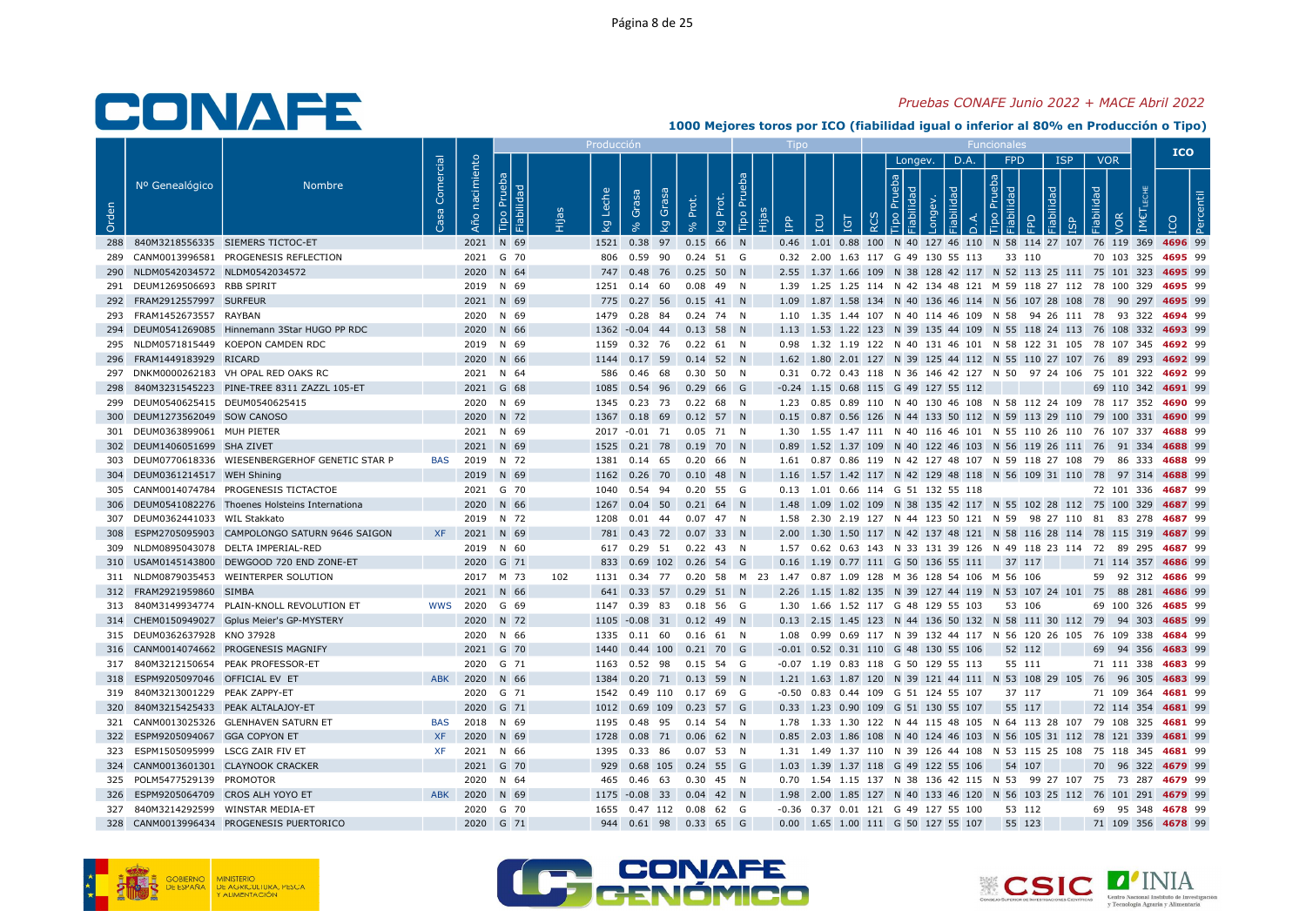#### Pruebas CONAFE Junio 2022 + MACE Abril 2022

|       |                                      |                                                   |                 |            |                           |     | Producc                    |                                                                                         |             |                               |             |     |                                           |                          |      |                                    |   |            |                          | <b>ICO</b>                                                                              |
|-------|--------------------------------------|---------------------------------------------------|-----------------|------------|---------------------------|-----|----------------------------|-----------------------------------------------------------------------------------------|-------------|-------------------------------|-------------|-----|-------------------------------------------|--------------------------|------|------------------------------------|---|------------|--------------------------|-----------------------------------------------------------------------------------------|
| Orden | Nº Genealógico                       | <b>Nombre</b>                                     | Comercial<br>്ര | nacimiento | Prueba<br>Pe<br>Fiabilida |     | che<br>$\overline{\sigma}$ | Grasa<br>Grasa                                                                          | Prot.       | $\overrightarrow{E}$<br>Prot. |             |     |                                           | Longev.<br>$\frac{1}{9}$ | D.A. | FPD<br>$\frac{1}{2}$ $\frac{1}{2}$ | う | <b>ISP</b> | <b>VOR</b><br>Fiabilidad |                                                                                         |
|       |                                      |                                                   |                 | Año        | Tipo                      |     | $\mathcal{Q}$              | $\overline{\mathsf{g}}$                                                                 |             | Tipo<br>Ιğ                    | e<br>E<br>÷ | LCU | Ξ                                         |                          |      |                                    |   |            | /OR                      |                                                                                         |
|       |                                      | 288 840M3218556335 SIEMERS TICTOC-ET              |                 |            | 2021 N 69                 |     |                            | 1521 0.38 97 0.15 66 N                                                                  |             |                               |             |     |                                           |                          |      |                                    |   |            |                          | 0.46 1.01 0.88 100 N 40 127 46 110 N 58 114 27 107 76 119 369 4696 99                   |
|       |                                      | 289 CANM0013996581 PROGENESIS REFLECTION          |                 |            | 2021 G 70                 |     |                            | 806  0.59  90  0.24  51  G                                                              |             |                               |             |     | 0.32 2.00 1.63 117 G 49 130 55 113 33 110 |                          |      |                                    |   |            |                          | 70 103 325 4695 99                                                                      |
|       | 290 NLDM0542034572 NLDM0542034572    |                                                   |                 |            | 2020 N 64                 |     |                            | 747 0.48 76 0.25 50 N                                                                   |             |                               |             |     |                                           |                          |      |                                    |   |            |                          | 2.55 1.37 1.66 109 N 38 128 42 117 N 52 113 25 111 75 101 323 4695 99                   |
|       | 291 DEUM1269506693 RBB SPIRIT        |                                                   |                 |            | 2019 N 69                 |     |                            | 1251  0.14  60                                                                          | $0.08$ 49 N |                               |             |     |                                           |                          |      |                                    |   |            |                          | 1.39 1.25 1.25 114 N 42 134 48 121 M 59 118 27 112 78 100 329 4695 99                   |
|       | 292 FRAM2912557997 SURFEUR           |                                                   |                 |            | 2021 N 69                 |     |                            | 775 0.27 56 0.15 41 N                                                                   |             |                               |             |     |                                           |                          |      |                                    |   |            |                          | 1.09 1.87 1.58 134 N 40 136 46 114 N 56 107 28 108 78 90 297 4695 99                    |
|       | 293 FRAM1452673557 RAYBAN            |                                                   |                 |            | 2020 N 69                 |     |                            | 1479  0.28  84  0.24  74  N                                                             |             |                               |             |     |                                           |                          |      |                                    |   |            |                          | 1.10 1.35 1.44 107 N 40 114 46 109 N 58 94 26 111 78 93 322 4694 99                     |
|       |                                      | 294 DEUM0541269085 Hinnemann 3Star HUGO PP RDC    |                 |            | 2020 N 66                 |     |                            | 1362 -0.04 44 0.13 58 N                                                                 |             |                               |             |     |                                           |                          |      |                                    |   |            |                          | 1.13 1.53 1.22 123 N 39 135 44 109 N 55 118 24 113 76 108 332 4693 99                   |
|       |                                      | 295 NLDM0571815449 KOEPON CAMDEN RDC              |                 |            | 2019 N 69                 |     |                            | 1159  0.32  76  0.22  61  N                                                             |             |                               |             |     |                                           |                          |      |                                    |   |            |                          | 0.98 1.32 1.19 122 N 40 131 46 101 N 58 122 31 105 78 107 345 4692 99                   |
|       | 296 FRAM1449183929 RICARD            |                                                   |                 |            | 2020 N 66                 |     |                            | 1144  0.17  59  0.14  52  N                                                             |             |                               |             |     |                                           |                          |      |                                    |   |            |                          | 1.62 1.80 2.01 127 N 39 125 44 112 N 55 110 27 107 76 89 293 4692 99                    |
|       |                                      | 297 DNKM0000262183 VH OPAL RED OAKS RC            |                 |            | 2021 N 64                 |     |                            | 586  0.46  68  0.30  50  N                                                              |             |                               |             |     |                                           |                          |      |                                    |   |            |                          | 0.31 0.72 0.43 118 N 36 146 42 127 N 50 97 24 106 75 101 322 4692 99                    |
| 298   |                                      | 840M3231545223 PINE-TREE 8311 ZAZZL 105-ET        |                 |            | 2021 G 68                 |     | 1085                       | 0.54 96 0.29 66 G                                                                       |             |                               |             |     | $-0.24$ 1.15 0.68 115 G 49 127 55 112     |                          |      |                                    |   |            |                          | 69 110 342 4691 99                                                                      |
|       | 299 DEUM0540625415 DEUM0540625415    |                                                   |                 |            | 2020 N 69                 |     |                            | 1345  0.23  73  0.22  68  N                                                             |             |                               |             |     |                                           |                          |      |                                    |   |            |                          | 1.23 0.85 0.89 110 N 40 130 46 108 N 58 112 24 109 78 117 352 4690 99                   |
|       | 300 DEUM1273562049 SOW CANOSO        |                                                   |                 |            | 2020 N 72                 |     |                            | 1367  0.18  69  0.12  57  N                                                             |             |                               |             |     |                                           |                          |      |                                    |   |            |                          | 0.15 0.87 0.56 126 N 44 133 50 112 N 59 113 29 110 79 100 331 4690 99                   |
|       | 301 DEUM0363899061 MUH PIETER        |                                                   |                 |            | 2021 N 69                 |     |                            | 2017 -0.01 71 0.05 71 N                                                                 |             |                               |             |     |                                           |                          |      |                                    |   |            |                          | 1.30 1.55 1.47 111 N 40 116 46 101 N 55 110 26 110 76 107 337 4688 99                   |
|       | 302 DEUM1406051699 SHA ZIVET         |                                                   |                 |            | 2021 N 69                 |     |                            | 1525 0.21 78 0.19 70 N                                                                  |             |                               |             |     |                                           |                          |      |                                    |   |            |                          | 0.89 1.52 1.37 109 N 40 122 46 103 N 56 119 26 111 76 91 334 4688 99                    |
|       |                                      | 303 DEUM0770618336 WIESENBERGERHOF GENETIC STAR P | BAS             |            | 2019 N 72                 |     | 1381                       | 0.14 65 0.20 66 N                                                                       |             |                               |             |     |                                           |                          |      |                                    |   |            |                          | 1.61 0.87 0.86 119 N 42 127 48 107 N 59 118 27 108 79 86 333 4688 99                    |
|       | 304 DEUM0361214517 WEH Shining       |                                                   |                 |            | 2019 N 69                 |     |                            | 1162  0.26  70  0.10  48  N                                                             |             |                               |             |     |                                           |                          |      |                                    |   |            |                          | 1.16 1.57 1.42 117 N 42 129 48 118 N 56 109 31 110 78 97 314 4688 99                    |
|       |                                      | 305 CANM0014074784 PROGENESIS TICTACTOE           |                 |            | 2021 G 70                 |     | 1040                       | 0.54 94 0.20 55 G                                                                       |             |                               |             |     | 0.13 1.01 0.66 114 G 51 132 55 118        |                          |      |                                    |   |            |                          | 72 101 336 4687 99                                                                      |
|       |                                      | 306 DEUM0541082276 Thoenes Holsteins Internationa |                 |            | 2020 N 66                 |     |                            | 1267 0.04 50 0.21 64 N                                                                  |             |                               |             |     |                                           |                          |      |                                    |   |            |                          | 1.48 1.09 1.02 109 N 38 135 42 117 N 55 102 28 112 75 100 329 4687 99                   |
|       | 307 DEUM0362441033 WIL Stakkato      |                                                   |                 |            | 2019 N 72                 |     | 1208                       | 0.01 44 0.07 47 N                                                                       |             |                               |             |     |                                           |                          |      |                                    |   |            |                          | 1.58  2.30  2.19  127  N  44  123  50  121  N  59  98  27  110  81  83  278  4687  99   |
|       |                                      | 308 ESPM2705095903 CAMPOLONGO SATURN 9646 SAIGON  | <b>XF</b>       |            | 2021 N 69                 |     |                            | 781 0.43 72 0.07 33 N                                                                   |             |                               |             |     |                                           |                          |      |                                    |   |            |                          | 2.00 1.30 1.50 117 N 42 137 48 121 N 58 116 28 114 78 115 319 4687 99                   |
|       |                                      | 309 NLDM0895043078 DELTA IMPERIAL-RED             |                 |            | 2019 N 60                 |     |                            | 617 0.29 51 0.22 43 N                                                                   |             |                               |             |     |                                           |                          |      |                                    |   |            |                          | 1.57 0.62 0.63 143 N 33 131 39 126 N 49 118 23 114 72 89 295 4687 99                    |
|       |                                      | 310 USAM0145143800 DEWGOOD 720 END ZONE-ET        |                 |            | 2020 G 71                 |     |                            | 833 0.69 102 0.26 54 G                                                                  |             |                               |             |     | 0.16 1.19 0.77 111 G 50 136 55 111        |                          |      | 37 117                             |   |            |                          | 71 114 357 4686 99                                                                      |
|       |                                      | 311 NLDM0879035453 WEINTERPER SOLUTION            |                 |            | 2017 M 73                 | 102 |                            | 1131  0.34  77  0.20  58  M  23  1.47  0.87  1.09  128  M  36  128  54  106  M  56  106 |             |                               |             |     |                                           |                          |      |                                    |   |            |                          | 59 92 312 4686 99                                                                       |
|       | 312 FRAM2921959860 SIMBA             |                                                   |                 |            | 2021 N 66                 |     |                            | 641 0.33 57 0.29 51 N                                                                   |             |                               |             |     |                                           |                          |      |                                    |   |            |                          | 2.26 1.15 1.82 135 N 39 127 44 119 N 53 107 24 101 75 88 281 4686 99                    |
|       |                                      | 313 840M3149934774 PLAIN-KNOLL REVOLUTION ET      | <b>WWS</b>      |            | 2020 G 69                 |     |                            | 1147 0.39 83 0.18 56 G                                                                  |             |                               |             |     | 1.30 1.66 1.52 117 G 48 129 55 103        |                          |      | 53 106                             |   |            |                          | 69 100 326 4685 99                                                                      |
|       |                                      | 314 CHEM0150949027 Gplus Meier's GP-MYSTERY       |                 |            | 2020 N 72                 |     |                            | 1105 -0.08 31 0.12 49 N                                                                 |             |                               |             |     |                                           |                          |      |                                    |   |            |                          | 0.13 2.15 1.45 123 N 44 136 50 132 N 58 111 30 112 79 94 303 4685 99                    |
|       | 315 DEUM0362637928 KNO 37928         |                                                   |                 |            | 2020 N 66                 |     |                            | 1335  0.11  60  0.16  61  N                                                             |             |                               |             |     |                                           |                          |      |                                    |   |            |                          | 1.08  0.99  0.69  117  N  39  132  44  117  N  56  120  26  105  76  109  338  4684  99 |
|       |                                      | 316 CANM0014074662 PROGENESIS MAGNIFY             |                 |            | 2021 G 70                 |     |                            | 1440  0.44  100  0.21  70  G                                                            |             |                               |             |     | $-0.01$ 0.52 0.31 110 G 48 130 55 106     |                          |      | 52 112                             |   |            |                          | 69 94 356 4683 99                                                                       |
|       |                                      | 317 840M3212150654 PEAK PROFESSOR-ET              |                 |            | 2020 G 71                 |     |                            | 1163  0.52  98  0.15  54  G                                                             |             |                               |             |     | $-0.07$ 1.19 0.83 118 G 50 129 55 113     |                          |      | 55 111                             |   |            |                          | 71 111 338 4683 99                                                                      |
|       | 318 ESPM9205097046 OFFICIAL EV ET    |                                                   | <b>ABK</b>      |            | 2020 N 66                 |     |                            | 1384  0.20  71  0.13  59  N                                                             |             |                               |             |     |                                           |                          |      |                                    |   |            |                          | 1.21 1.63 1.87 120 N 39 121 44 111 N 53 108 29 105 76 96 305 4683 99                    |
|       | 319 840M3213001229 PEAK ZAPPY-ET     |                                                   |                 |            | 2020 G 71                 |     |                            | 1542  0.49  110  0.17  69  G                                                            |             |                               |             |     | -0.50 0.83 0.44 109 G 51 124 55 107       |                          |      | 37 117                             |   |            |                          | 71 109 364 4681 99                                                                      |
|       | 320 840M3215425433 PEAK ALTALAJOY-ET |                                                   |                 |            | 2020 G 71                 |     |                            | 1012  0.69  109  0.23  57  G                                                            |             |                               |             |     | 0.33 1.23 0.90 109 G 51 130 55 107        |                          |      | 55 117                             |   |            |                          | 72 114 354 4681 99                                                                      |
|       |                                      | 321 CANM0013025326 GLENHAVEN SATURN ET            | <b>BAS</b>      |            | 2018 N 69                 |     |                            | 1195  0.48  95  0.14  54  N                                                             |             |                               |             |     |                                           |                          |      |                                    |   |            |                          | 1.78  1.33  1.30  122  N  44  115  48  105  N  64  113  28  107  79  108  325  4681  99 |
| 322   | ESPM9205094067 GGA COPYON ET         |                                                   | <b>XF</b>       |            | 2020 N 69                 |     | 1728                       | 0.08 71 0.06 62 N                                                                       |             |                               |             |     |                                           |                          |      |                                    |   |            |                          | 0.85 2.03 1.86 108 N 40 124 46 103 N 56 105 31 112 78 121 339 4681 99                   |
|       | 323 ESPM1505095999 LSCG ZAIR FIV ET  |                                                   | XF.             |            | 2021 N 66                 |     |                            | 1395  0.33  86  0.07  53  N                                                             |             |                               |             |     |                                           |                          |      |                                    |   |            |                          | 1.31 1.49 1.37 110 N 39 126 44 108 N 53 115 25 108 75 118 345 4681 99                   |
|       |                                      | 324 CANM0013601301 CLAYNOOK CRACKER               |                 |            | 2021 G 70                 |     |                            | 929  0.68  105  0.24  55  G                                                             |             |                               |             |     | 1.03 1.39 1.37 118 G 49 122 55 106        |                          |      | 54 107                             |   |            |                          | 70 96 322 4679 99                                                                       |
|       | 325 POLM5477529139 PROMOTOR          |                                                   |                 |            | 2020 N 64                 |     |                            | 465  0.46  63  0.30  45  N                                                              |             |                               |             |     |                                           |                          |      |                                    |   |            |                          | 0.70 1.54 1.15 137 N 38 136 42 115 N 53 99 27 107 75 73 287 4679 99                     |
|       | 326 ESPM9205064709 CROS ALH YOYO ET  |                                                   | <b>ABK</b>      |            | 2020 N 69                 |     |                            | 1175 -0.08 33 0.04 42 N                                                                 |             |                               |             |     |                                           |                          |      |                                    |   |            |                          | 1.98 2.00 1.85 127 N 40 133 46 120 N 56 103 25 112 76 101 291 4679 99                   |
|       | 327 840M3214292599 WINSTAR MEDIA-ET  |                                                   |                 |            | 2020 G 70                 |     |                            | 1655  0.47  112  0.08  62  G                                                            |             |                               |             |     | -0.36 0.37 0.01 121 G 49 127 55 100       |                          |      | 53 112                             |   |            |                          | 69 95 348 4678 99                                                                       |
|       |                                      | 328 CANM0013996434 PROGENESIS PUERTORICO          |                 |            | 2020 G 71                 |     |                            | 944  0.61  98  0.33  65  G                                                              |             |                               |             |     | 0.00 1.65 1.00 111 G 50 127 55 107        |                          |      | 55 123                             |   |            |                          | 71 109 356 4678 99                                                                      |





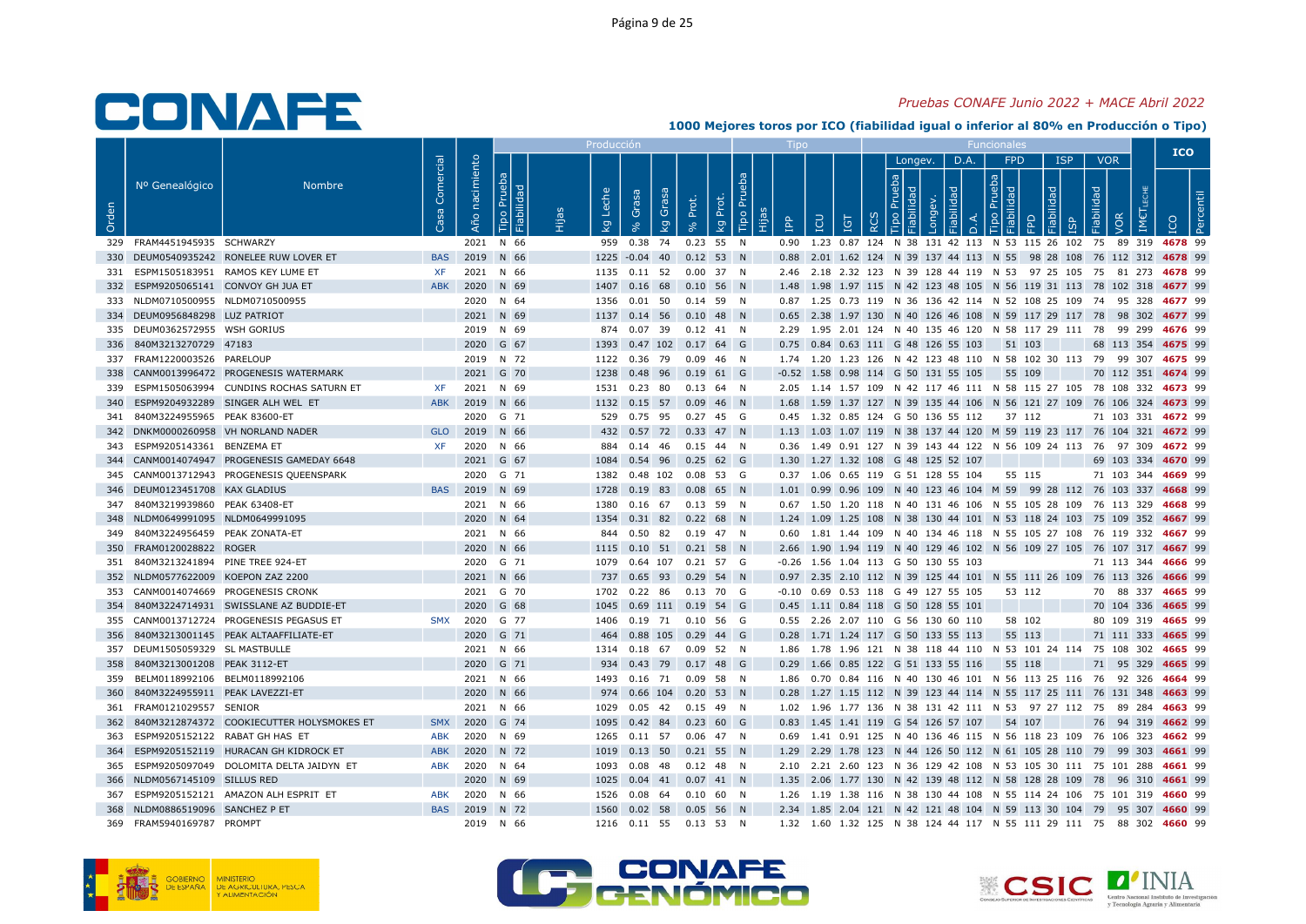### Pruebas CONAFE Junio 2022 + MACE Abril 2022

|       |                                     |                                               |                        |                   |                                     | Producció                         |                                                            |                      |          |                 |                                           |          |         |      |                      |        |            |                                        | <b>ICO</b>                                                                                                                                    |  |
|-------|-------------------------------------|-----------------------------------------------|------------------------|-------------------|-------------------------------------|-----------------------------------|------------------------------------------------------------|----------------------|----------|-----------------|-------------------------------------------|----------|---------|------|----------------------|--------|------------|----------------------------------------|-----------------------------------------------------------------------------------------------------------------------------------------------|--|
| Orden | Nº Genealógico                      | <b>Nombre</b>                                 | Comercial<br><b>Sa</b> | nacimiento<br>Año | Prueba<br><b>Fiabilidad</b><br>Tipo | Leche<br>$\overline{\mathcal{Q}}$ | Grasa<br>Grasa<br>$\overline{\mathsf{g}}$                  | Prot.<br>Prot.<br>Ιğ | Tipo Pru | <b>AdI</b><br>旧 | <b>CD</b><br>IGT                          | $\alpha$ | Longev. | D.A. | FPD<br>$\frac{1}{2}$ | 몪      | <b>ISP</b> | <b>VOR</b><br>Fiabilidad<br><b>JOR</b> |                                                                                                                                               |  |
|       | 329 FRAM4451945935 SCHWARZY         |                                               |                        |                   | 2021 N 66                           |                                   | 959 0.38 74 0.23 55 N                                      |                      |          |                 |                                           |          |         |      |                      |        |            |                                        | 0.90 1.23 0.87 124 N 38 131 42 113 N 53 115 26 102 75 89 319 4678 99                                                                          |  |
|       |                                     | 330 DEUM0540935242 RONELEE RUW LOVER ET       | <b>BAS</b>             |                   | 2019 N 66                           |                                   | 1225 -0.04 40 0.12 53 N                                    |                      |          |                 |                                           |          |         |      |                      |        |            |                                        | 0.88 2.01 1.62 124 N 39 137 44 113 N 55 98 28 108 76 112 312 4678 99                                                                          |  |
|       |                                     | 331 ESPM1505183951 RAMOS KEY LUME ET          | XF                     |                   | 2021 N 66                           |                                   | 1135  0.11  52  0.00  37  N                                |                      |          |                 |                                           |          |         |      |                      |        |            |                                        | 2.46 2.18 2.32 123 N 39 128 44 119 N 53 97 25 105 75 81 273 4678 99                                                                           |  |
|       | 332 ESPM9205065141 CONVOY GH JUA ET |                                               | <b>ABK</b>             |                   | 2020 N 69                           |                                   | 1407 0.16 68 0.10 56 N                                     |                      |          |                 |                                           |          |         |      |                      |        |            |                                        | 1.48 1.98 1.97 115 N 42 123 48 105 N 56 119 31 113 78 102 318 4677 99                                                                         |  |
|       | 333 NLDM0710500955 NLDM0710500955   |                                               |                        |                   | 2020 N 64                           |                                   | 1356  0.01  50  0.14  59  N                                |                      |          |                 |                                           |          |         |      |                      |        |            |                                        | 0.87 1.25 0.73 119 N 36 136 42 114 N 52 108 25 109 74 95 328 4677 99                                                                          |  |
|       | 334 DEUM0956848298 LUZ PATRIOT      |                                               |                        |                   | 2021 N 69                           |                                   | 1137 0.14 56 0.10 48 N                                     |                      |          |                 |                                           |          |         |      |                      |        |            |                                        | 0.65 2.38 1.97 130 N 40 126 46 108 N 59 117 29 117 78 98 302 4677 99                                                                          |  |
|       | 335 DEUM0362572955 WSH GORIUS       |                                               |                        |                   | 2019 N 69                           |                                   | 874  0.07  39  0.12  41  N                                 |                      |          |                 |                                           |          |         |      |                      |        |            |                                        | 2.29 1.95 2.01 124 N 40 135 46 120 N 58 117 29 111 78 99 299 4676 99                                                                          |  |
|       | 336 840M3213270729 47183            |                                               |                        |                   | 2020 G 67                           |                                   | 1393  0.47  102  0.17  64  G                               |                      |          |                 | 0.75 0.84 0.63 111 G 48 126 55 103        |          |         |      | 51 103               |        |            |                                        | 68 113 354 4675 99                                                                                                                            |  |
|       | 337 FRAM1220003526 PARELOUP         |                                               |                        |                   | 2019 N 72                           |                                   | 1122  0.36  79  0.09  46  N                                |                      |          |                 |                                           |          |         |      |                      |        |            |                                        | 1.74 1.20 1.23 126 N 42 123 48 110 N 58 102 30 113 79 99 307 4675 99                                                                          |  |
|       |                                     | 338 CANM0013996472 PROGENESIS WATERMARK       |                        |                   | 2021 G 70                           |                                   | 1238  0.48  96  0.19  61  G                                |                      |          |                 | $-0.52$ 1.58 0.98 114 G 50 131 55 105     |          |         |      | 55 109               |        |            |                                        | 70 112 351 4674 99                                                                                                                            |  |
|       |                                     | 339 ESPM1505063994 CUNDINS ROCHAS SATURN ET   | <b>XF</b>              |                   | 2021 N 69                           |                                   | 1531  0.23  80  0.13  64  N                                |                      |          |                 |                                           |          |         |      |                      |        |            |                                        | 2.05 1.14 1.57 109 N 42 117 46 111 N 58 115 27 105 78 108 332 4673 99                                                                         |  |
|       |                                     | 340 ESPM9204932289 SINGER ALH WEL ET          | <b>ABK</b>             |                   | 2019 N 66                           |                                   | 1132 0.15 57 0.09 46 N                                     |                      |          |                 |                                           |          |         |      |                      |        |            |                                        | 1.68 1.59 1.37 127 N 39 135 44 106 N 56 121 27 109 76 106 324 4673 99                                                                         |  |
|       | 341 840M3224955965 PEAK 83600-ET    |                                               |                        |                   | 2020 G 71                           |                                   | 529 0.75 95 0.27 45 G                                      |                      |          |                 | 0.45 1.32 0.85 124 G 50 136 55 112        |          |         |      | 37 112               |        |            |                                        | 71 103 331 4672 99                                                                                                                            |  |
|       | 343 ESPM9205143361 BENZEMA ET       | 342 DNKM0000260958 VH NORLAND NADER           | <b>GLO</b>             |                   | 2019 N 66                           |                                   | 432 0.57 72 0.33 47 N                                      |                      |          |                 |                                           |          |         |      |                      |        |            |                                        | 1.13 1.03 1.07 119 N 38 137 44 120 M 59 119 23 117 76 104 321 4672 99                                                                         |  |
|       |                                     | 344 CANM0014074947 PROGENESIS GAMEDAY 6648    | <b>XF</b>              |                   | 2020 N 66<br>2021 G 67              |                                   | 884  0.14  46  0.15  44  N<br>1084  0.54  96  0.25  62  G  |                      |          |                 | 1.30 1.27 1.32 108 G 48 125 52 107        |          |         |      |                      |        |            |                                        | 0.36 1.49 0.91 127 N 39 143 44 122 N 56 109 24 113 76 97 309 4672 99<br>69 103 334 4670 99                                                    |  |
|       |                                     | 345 CANM0013712943 PROGENESIS QUEENSPARK      |                        |                   | 2020 G 71                           |                                   | 1382  0.48  102  0.08  53  G                               |                      |          |                 | 0.37 1.06 0.65 119 G 51 128 55 104        |          |         |      | 55 115               |        |            |                                        | 71 103 344 4669 99                                                                                                                            |  |
|       | 346 DEUM0123451708 KAX GLADIUS      |                                               | <b>BAS</b>             |                   | 2019 N 69                           |                                   | 1728  0.19  83  0.08  65  N                                |                      |          |                 |                                           |          |         |      |                      |        |            |                                        | 1.01 0.99 0.96 109 N 40 123 46 104 M 59 99 28 112 76 103 337 4668 99                                                                          |  |
|       | 347 840M3219939860 PEAK 63408-ET    |                                               |                        |                   | 2021 N 66                           |                                   | 1380  0.16  67  0.13  59  N                                |                      |          |                 |                                           |          |         |      |                      |        |            |                                        | 0.67 1.50 1.20 118 N 40 131 46 106 N 55 105 28 109 76 113 329 4668 99                                                                         |  |
|       | 348 NLDM0649991095 NLDM0649991095   |                                               |                        |                   | 2020 N 64                           |                                   | 1354  0.31  82  0.22  68  N                                |                      |          |                 |                                           |          |         |      |                      |        |            |                                        | 1.24 1.09 1.25 108 N 38 130 44 101 N 53 118 24 103 75 109 352 4667 99                                                                         |  |
|       | 349 840M3224956459 PEAK ZONATA-ET   |                                               |                        |                   | 2021 N 66                           | 844                               | 0.50 82 0.19 47 N                                          |                      |          |                 |                                           |          |         |      |                      |        |            |                                        | 0.60 1.81 1.44 109 N 40 134 46 118 N 55 105 27 108 76 119 332 4667 99                                                                         |  |
|       | 350 FRAM0120028822 ROGER            |                                               |                        |                   | 2020 N 66                           |                                   | 1115  0.10  51  0.21  58  N                                |                      |          |                 |                                           |          |         |      |                      |        |            |                                        | 2.66 1.90 1.94 119 N 40 129 46 102 N 56 109 27 105 76 107 317 4667 99                                                                         |  |
|       | 351 840M3213241894 PINE TREE 924-ET |                                               |                        |                   | 2020 G 71                           |                                   | 1079  0.64  107  0.21  57  G                               |                      |          |                 | -0.26 1.56 1.04 113 G 50 130 55 103       |          |         |      |                      |        |            |                                        | 71 113 344 4666 99                                                                                                                            |  |
|       | 352 NLDM0577622009 KOEPON ZAZ 2200  |                                               |                        |                   | 2021 N 66                           |                                   | 737  0.65  93  0.29  54  N                                 |                      |          |                 |                                           |          |         |      |                      |        |            |                                        | 0.97 2.35 2.10 112 N 39 125 44 101 N 55 111 26 109 76 113 326 4666 99                                                                         |  |
|       |                                     | 353 CANM0014074669 PROGENESIS CRONK           |                        |                   | 2021 G 70                           |                                   | 1702  0.22  86  0.13  70  G                                |                      |          |                 | -0.10 0.69 0.53 118 G 49 127 55 105       |          |         |      | 53 112               |        |            |                                        | 70 88 337 4665 99                                                                                                                             |  |
|       |                                     | 354 840M3224714931 SWISSLANE AZ BUDDIE-ET     |                        |                   | 2020 G 68                           |                                   | 1045  0.69  111  0.19  54  G                               |                      |          |                 | 0.45 1.11 0.84 118 G 50 128 55 101        |          |         |      |                      |        |            |                                        | 70 104 336 4665 99                                                                                                                            |  |
|       |                                     | 355 CANM0013712724 PROGENESIS PEGASUS ET      | <b>SMX</b>             |                   | 2020 G 77                           |                                   | 1406  0.19  71  0.10  56  G                                |                      |          |                 | 0.55 2.26 2.07 110 G 56 130 60 110        |          |         |      |                      | 58 102 |            |                                        | 80 109 319 4665 99                                                                                                                            |  |
|       |                                     | 356 840M3213001145 PEAK ALTAAFFILIATE-ET      |                        |                   | 2020 G 71                           |                                   | 464 0.88 105 0.29 44 G                                     |                      |          |                 | 0.28 1.71 1.24 117 G 50 133 55 113        |          |         |      | 55 113               |        |            |                                        | 71 111 333 4665 99                                                                                                                            |  |
|       | 357 DEUM1505059329 SL MASTBULLE     |                                               |                        |                   | 2021 N 66                           |                                   | 1314  0.18  67  0.09  52  N                                |                      |          |                 |                                           |          |         |      |                      |        |            |                                        | 1.86 1.78 1.96 121 N 38 118 44 110 N 53 101 24 114 75 108 302 4665 99                                                                         |  |
| 358   | 840M3213001208 PEAK 3112-ET         |                                               |                        |                   | 2020 G 71                           |                                   | 934 0.43 79 0.17 48 G                                      |                      |          |                 | 0.29 1.66 0.85 122 G 51 133 55 116        |          |         |      | 55 118               |        |            |                                        | 71 95 329 4665 99                                                                                                                             |  |
|       | 359 BELM0118992106 BELM0118992106   |                                               |                        |                   | 2021 N 66                           |                                   | 1493  0.16  71  0.09  58  N                                |                      |          |                 |                                           |          |         |      |                      |        |            |                                        | 1.86  0.70  0.84  116  N  40  130  46  101  N  56  113  25  116  76  92  326  4664  99                                                        |  |
|       | 360 840M3224955911 PEAK LAVEZZI-ET  |                                               |                        |                   | 2020 N 66                           |                                   | 974 0.66 104 0.20 53 N                                     |                      |          |                 |                                           |          |         |      |                      |        |            |                                        | 0.28 1.27 1.15 112 N 39 123 44 114 N 55 117 25 111 76 131 348 4663 99                                                                         |  |
|       | 361 FRAM0121029557 SENIOR           |                                               |                        |                   | 2021 N 66                           |                                   | 1029  0.05  42  0.15  49  N                                |                      |          |                 |                                           |          |         |      |                      |        |            |                                        | 1.02 1.96 1.77 136 N 38 131 42 111 N 53 97 27 112 75 89 284 4663 99                                                                           |  |
|       |                                     | 362 840M3212874372 COOKIECUTTER HOLYSMOKES ET | SMX                    |                   | 2020 G 74                           |                                   | 1095  0.42  84  0.23  60  G                                |                      |          |                 | 0.83 1.45 1.41 119 G 54 126 57 107 54 107 |          |         |      |                      |        |            |                                        | 76 94 319 4662 99                                                                                                                             |  |
|       | 363 ESPM9205152122 RABAT GH HAS ET  |                                               | <b>ABK</b>             |                   | 2020 N 69                           |                                   | 1265  0.11  57  0.06  47  N                                |                      |          |                 |                                           |          |         |      |                      |        |            |                                        | 0.69 1.41 0.91 125 N 40 136 46 115 N 56 118 23 109 76 106 323 4662 99                                                                         |  |
|       |                                     | 364 ESPM9205152119 HURACAN GH KIDROCK ET      | <b>ABK</b>             |                   | 2020 N 72                           |                                   | 1019  0.13  50  0.21  55  N                                |                      |          |                 |                                           |          |         |      |                      |        |            |                                        | 1.29 2.29 1.78 123 N 44 126 50 112 N 61 105 28 110 79 99 303 4661 99                                                                          |  |
|       |                                     | 365 ESPM9205097049 DOLOMITA DELTA JAIDYN ET   | ABK                    |                   | 2020 N 64                           |                                   | 1093  0.08  48  0.12  48  N                                |                      |          |                 |                                           |          |         |      |                      |        |            |                                        | 2.10 2.21 2.60 123 N 36 129 42 108 N 53 105 30 111 75 101 288 4661 99                                                                         |  |
|       | 366 NLDM0567145109 SILLUS RED       | 367 ESPM9205152121 AMAZON ALH ESPRIT ET       | <b>ABK</b>             |                   | 2020 N 69<br>2020 N 66              |                                   | 1025  0.04  41  0.07  41  N<br>1526  0.08  64  0.10  60  N |                      |          |                 |                                           |          |         |      |                      |        |            |                                        | 1.35 2.06 1.77 130 N 42 139 48 112 N 58 128 28 109 78 96 310 4661 99<br>1.26 1.19 1.38 116 N 38 130 44 108 N 55 114 24 106 75 101 319 4660 99 |  |
|       | 368 NLDM0886519096 SANCHEZ P ET     |                                               | <b>BAS</b>             |                   | 2019 N 72                           |                                   | 1560  0.02  58  0.05  56  N                                |                      |          |                 |                                           |          |         |      |                      |        |            |                                        | 2.34 1.85 2.04 121 N 42 121 48 104 N 59 113 30 104 79 95 307 4660 99                                                                          |  |
|       | 369 FRAM5940169787 PROMPT           |                                               |                        |                   | 2019 N 66                           |                                   | 1216  0.11  55  0.13  53  N                                |                      |          |                 |                                           |          |         |      |                      |        |            |                                        | 1.32 1.60 1.32 125 N 38 124 44 117 N 55 111 29 111 75 88 302 4660 99                                                                          |  |
|       |                                     |                                               |                        |                   |                                     |                                   |                                                            |                      |          |                 |                                           |          |         |      |                      |        |            |                                        |                                                                                                                                               |  |





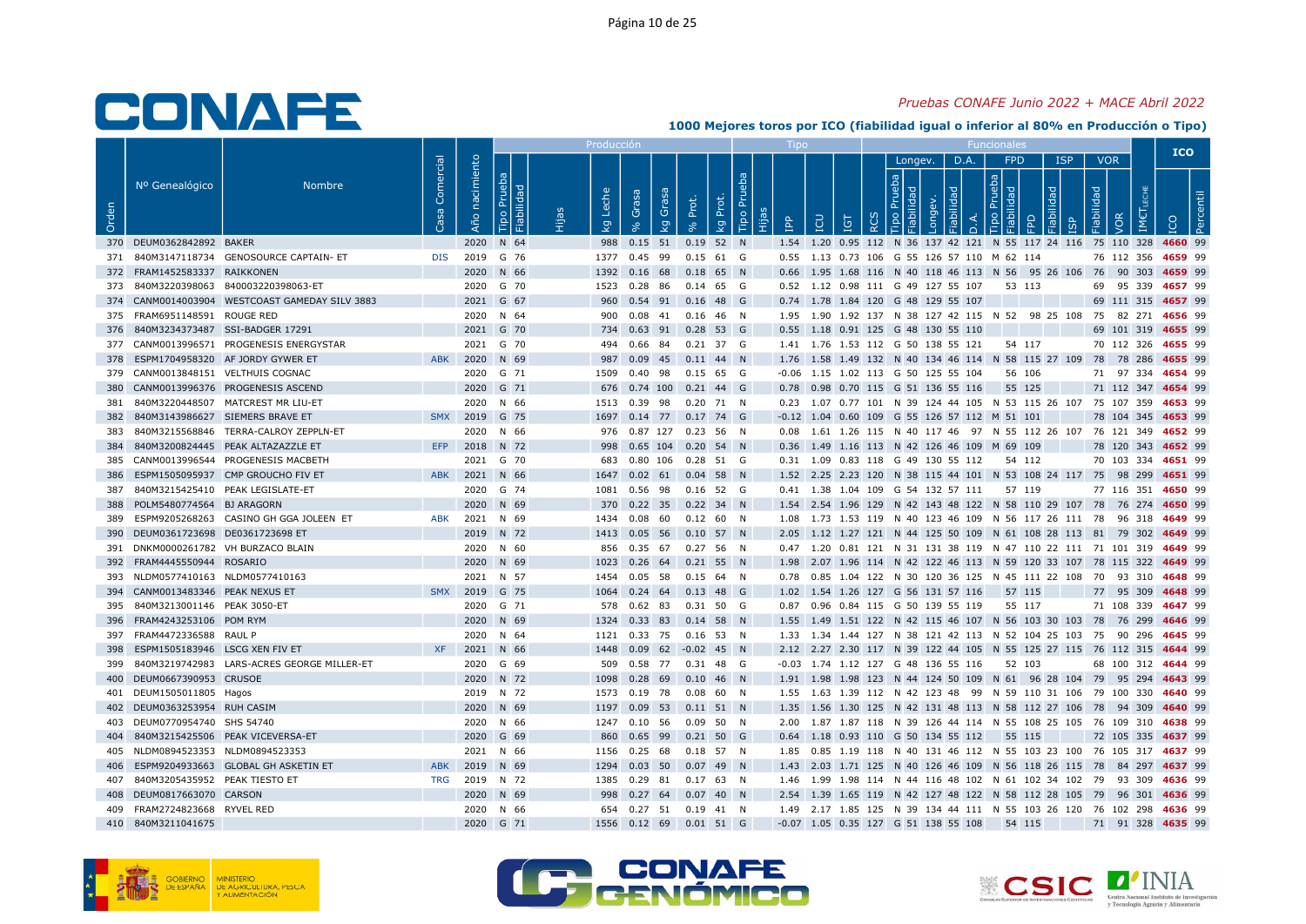### Pruebas CONAFE Junio 2022 + MACE Abril 2022

|       |                                      |                                                |                 |                   |                              | Producci |                                                            |             |                         |   |                                                                                                                                                                 |                              |      |                                           |                                 |            |                                 | <b>ICO</b>                              |  |
|-------|--------------------------------------|------------------------------------------------|-----------------|-------------------|------------------------------|----------|------------------------------------------------------------|-------------|-------------------------|---|-----------------------------------------------------------------------------------------------------------------------------------------------------------------|------------------------------|------|-------------------------------------------|---------------------------------|------------|---------------------------------|-----------------------------------------|--|
| Orden | Nº Genealógico                       | <b>Nombre</b>                                  | Comercial<br>Sa | nacimiento<br>Año | Prueba<br>ᄝ<br>bilid<br>Tipo | che      | <b>BSB</b><br>Grasa<br>Ö                                   | Prot.       | Tipo Prueba<br>kg Prot. | 욥 | LCU<br>Ξ                                                                                                                                                        | Longev.<br><b>동 [할</b><br>ਾਰ | D.A. | <b>FPD</b><br>$\frac{a}{b}$ $\frac{b}{c}$ | $\overline{\sigma}$<br>$\Omega$ | <b>ISP</b> | <b>VOR</b><br>Fiabilidad<br>/OR |                                         |  |
|       |                                      |                                                |                 |                   |                              | ତ୍ୟୁ     | $\overline{g}$                                             |             |                         |   |                                                                                                                                                                 |                              |      |                                           |                                 |            |                                 |                                         |  |
|       | 370 DEUM0362842892 BAKER             |                                                |                 |                   | 2020 N 64                    |          | 988  0.15  51  0.19  52  N                                 |             |                         |   | 1.54 1.20 0.95 112 N 36 137 42 121 N 55 117 24 116 75 110 328 4660 99                                                                                           |                              |      |                                           |                                 |            |                                 |                                         |  |
|       | 372 FRAM1452583337 RAIKKONEN         | 371 840M3147118734 GENOSOURCE CAPTAIN- ET      |                 | DIS 2019 G 76     |                              |          | 1377 0.45 99 0.15 61 G                                     |             |                         |   | 0.55 1.13 0.73 106 G 55 126 57 110 M 62 114                                                                                                                     |                              |      |                                           |                                 |            |                                 | 76 112 356 4659 99                      |  |
|       |                                      | 373 840M3220398063 840003220398063-ET          |                 |                   | 2020 N 66<br>2020 G 70       |          | 1392  0.16  68<br>1523 0.28 86 0.14 65 G                   | $0.18$ 65 N |                         |   | 0.66 1.95 1.68 116 N 40 118 46 113 N 56 95 26 106 76 90 303 4659 99                                                                                             |                              |      |                                           | 53 113                          |            |                                 |                                         |  |
|       |                                      | 374 CANM0014003904 WESTCOAST GAMEDAY SILV 3883 |                 |                   | 2021 G 67                    |          | 960  0.54  91  0.16  48  G                                 |             |                         |   | 0.52 1.12 0.98 111 G 49 127 55 107<br>0.74 1.78 1.84 120 G 48 129 55 107                                                                                        |                              |      |                                           |                                 |            |                                 | 69 95 339 4657 99<br>69 111 315 4657 99 |  |
|       | 375 FRAM6951148591 ROUGE RED         |                                                |                 |                   | 2020 N 64                    |          | 900  0.08  41  0.16  46  N                                 |             |                         |   | 1.95 1.90 1.92 137 N 38 127 42 115 N 52 98 25 108 75 82 271 4656 99                                                                                             |                              |      |                                           |                                 |            |                                 |                                         |  |
|       | 376 840M3234373487 SSI-BADGER 17291  |                                                |                 |                   | 2021 G 70                    |          | 734  0.63  91  0.28  53  G                                 |             |                         |   | 0.55 1.18 0.91 125 G 48 130 55 110                                                                                                                              |                              |      |                                           |                                 |            |                                 | 69 101 319 4655 99                      |  |
|       |                                      | 377 CANM0013996571 PROGENESIS ENERGYSTAR       |                 |                   | 2021 G 70                    |          | 494 0.66 84                                                | 0.21 37 G   |                         |   | 1.41 1.76 1.53 112 G 50 138 55 121                                                                                                                              |                              |      |                                           | 54 117                          |            |                                 | 70 112 326 4655 99                      |  |
|       |                                      | 378 ESPM1704958320 AF JORDY GYWER ET           | <b>ABK</b>      |                   | 2020 N 69                    |          | 987 0.09 45 0.11 44 N                                      |             |                         |   | 1.76 1.58 1.49 132 N 40 134 46 114 N 58 115 27 109 78 78 286 4655 99                                                                                            |                              |      |                                           |                                 |            |                                 |                                         |  |
|       | 379 CANM0013848151 VELTHUIS COGNAC   |                                                |                 |                   | 2020 G 71                    |          | 1509  0.40  98  0.15  65  G                                |             |                         |   | -0.06 1.15 1.02 113 G 50 125 55 104                                                                                                                             |                              |      |                                           | 56 106                          |            |                                 | 71 97 334 4654 99                       |  |
| 380   |                                      | CANM0013996376 PROGENESIS ASCEND               |                 |                   | 2020 G 71                    |          | 676 0.74 100 0.21 44 G                                     |             |                         |   | 0.78 0.98 0.70 115 G 51 136 55 116                                                                                                                              |                              |      |                                           | 55 125                          |            |                                 | 71 112 347 4654 99                      |  |
|       |                                      | 381 840M3220448507 MATCREST MR LIU-ET          |                 |                   | 2020 N 66                    |          | 1513  0.39  98  0.20  71  N                                |             |                         |   | 0.23 1.07 0.77 101 N 39 124 44 105 N 53 115 26 107 75 107 359 4653 99                                                                                           |                              |      |                                           |                                 |            |                                 |                                         |  |
|       | 382 840M3143986627 SIEMERS BRAVE ET  |                                                |                 | SMX 2019 G 75     |                              |          | 1697 0.14 77 0.17 74 G                                     |             |                         |   | -0.12 1.04 0.60 109 G 55 126 57 112 M 51 101                                                                                                                    |                              |      |                                           |                                 |            |                                 | 78 104 345 4653 99                      |  |
|       |                                      | 383 840M3215568846 TERRA-CALROY ZEPPLN-ET      |                 |                   | 2020 N 66                    |          | 976  0.87  127  0.23  56  N                                |             |                         |   | 0.08 1.61 1.26 115 N 40 117 46 97 N 55 112 26 107 76 121 349 4652 99                                                                                            |                              |      |                                           |                                 |            |                                 |                                         |  |
|       |                                      | 384 840M3200824445 PEAK ALTAZAZZLE ET          |                 | EFP 2018 N 72     |                              |          | 998  0.65  104  0.20  54  N                                |             |                         |   | 0.36 1.49 1.16 113 N 42 126 46 109 M 69 109                                                                                                                     |                              |      |                                           |                                 |            |                                 | 78 120 343 4652 99                      |  |
|       |                                      | 385 CANM0013996544 PROGENESIS MACBETH          |                 |                   | 2021 G 70                    |          | 683  0.80  106  0.28  51  G                                |             |                         |   | 0.31 1.09 0.83 118 G 49 130 55 112                                                                                                                              |                              |      | 54 112                                    |                                 |            |                                 | 70 103 334 4651 99                      |  |
| 386   |                                      | ESPM1505095937 CMP GROUCHO FIV ET              |                 | ABK 2021 N 66     |                              |          | 1647 0.02 61 0.04 58 N                                     |             |                         |   | 1.52 2.25 2.23 120 N 38 115 44 101 N 53 108 24 117 75 98 299 4651 99                                                                                            |                              |      |                                           |                                 |            |                                 |                                         |  |
|       | 387 840M3215425410 PEAK LEGISLATE-ET |                                                |                 |                   | 2020 G 74                    |          | 1081  0.56  98                                             | $0.16$ 52 G |                         |   | 0.41 1.38 1.04 109 G 54 132 57 111                                                                                                                              |                              |      | 57 119                                    |                                 |            |                                 | 77 116 351 4650 99                      |  |
|       | 388 POLM5480774564 BJ ARAGORN        |                                                |                 |                   | 2020 N 69                    |          | 370 0.22 35 0.22 34 N                                      |             |                         |   | 1.54 2.54 1.96 129 N 42 143 48 122 N 58 110 29 107 78 76 274 4650 99                                                                                            |                              |      |                                           |                                 |            |                                 |                                         |  |
|       |                                      | 389 ESPM9205268263 CASINO GH GGA JOLEEN ET     | ABK             |                   | 2021 N 69                    |          | 1434  0.08  60  0.12  60  N                                |             |                         |   | 1.08 1.73 1.53 119 N 40 123 46 109 N 56 117 26 111 78 96 318 4649 99                                                                                            |                              |      |                                           |                                 |            |                                 |                                         |  |
|       | 390 DEUM0361723698 DE0361723698 ET   |                                                |                 |                   | 2019 N 72                    |          | 1413  0.05  56  0.10  57  N                                |             |                         |   | 2.05 1.12 1.27 121 N 44 125 50 109 N 61 108 28 113 81 79 302 4649 99                                                                                            |                              |      |                                           |                                 |            |                                 |                                         |  |
|       | 391 DNKM0000261782 VH BURZACO BLAIN  |                                                |                 |                   | 2020 N 60                    |          | 856  0.35  67  0.27  56  N                                 |             |                         |   | 0.47 1.20 0.81 121 N 31 131 38 119 N 47 110 22 111 71 101 319 4649 99                                                                                           |                              |      |                                           |                                 |            |                                 |                                         |  |
|       | 392 FRAM4445550944 ROSARIO           |                                                |                 |                   | 2020 N 69                    | 1023     | $0.26$ 64 0.21 55 N                                        |             |                         |   | 1.98 2.07 1.96 114 N 42 122 46 113 N 59 120 33 107 78 115 322 4649 99                                                                                           |                              |      |                                           |                                 |            |                                 |                                         |  |
|       | 393 NLDM0577410163 NLDM0577410163    |                                                |                 |                   | 2021 N 57                    |          | 1454  0.05  58  0.15  64  N                                |             |                         |   | 0.78  0.85  1.04  122  N  30  120  36  125  N  45  111  22  108  70  93  310  4648  99                                                                          |                              |      |                                           |                                 |            |                                 |                                         |  |
|       | 394 CANM0013483346 PEAK NEXUS ET     |                                                |                 | SMX 2019 G 75     |                              |          | 1064  0.24  64  0.13  48  G                                |             |                         |   | 1.02 1.54 1.26 127 G 56 131 57 116                                                                                                                              |                              |      | 57 115                                    |                                 |            |                                 | 77 95 309 4648 99                       |  |
|       | 395 840M3213001146 PEAK 3050-ET      |                                                |                 |                   | 2020 G 71                    |          | 578  0.62  83  0.31  50  G                                 |             |                         |   | 0.87 0.96 0.84 115 G 50 139 55 119                                                                                                                              |                              |      |                                           | 55 117                          |            |                                 | 71 108 339 4647 99                      |  |
|       | 396 FRAM4243253106 POM RYM           |                                                |                 |                   | 2020 N 69                    |          | 1324 0.33 83 0.14 58 N                                     |             |                         |   | 1.55 1.49 1.51 122 N 42 115 46 107 N 56 103 30 103 78 76 299 4646 99                                                                                            |                              |      |                                           |                                 |            |                                 |                                         |  |
|       | 397 FRAM4472336588 RAUL P            |                                                |                 |                   | 2020 N 64                    |          | 1121  0.33  75  0.16  53  N                                |             |                         |   | 1.33 1.34 1.44 127 N 38 121 42 113 N 52 104 25 103 75 90 296 4645 99                                                                                            |                              |      |                                           |                                 |            |                                 |                                         |  |
|       | 398 ESPM1505183946 LSCG XEN FIV ET   |                                                |                 | XF 2021 N 66      |                              |          | 1448  0.09  62  -0.02  45  N                               |             |                         |   | 2.12 2.27 2.30 117 N 39 122 44 105 N 55 125 27 115 76 112 315 4644 99                                                                                           |                              |      |                                           |                                 |            |                                 |                                         |  |
|       |                                      | 399 840M3219742983 LARS-ACRES GEORGE MILLER-ET |                 |                   | 2020 G 69                    | 509      | 0.58 77 0.31 48 G                                          |             |                         |   | -0.03 1.74 1.12 127 G 48 136 55 116                                                                                                                             |                              |      | 52 103                                    |                                 |            |                                 | 68 100 312 4644 99                      |  |
|       | 400 DEUM0667390953 CRUSOE            |                                                |                 |                   | 2020 N 72                    |          | 1098  0.28  69  0.10  46  N                                |             |                         |   | 1.91 1.98 1.98 123 N 44 124 50 109 N 61 96 28 104 79 95 294 4643 99                                                                                             |                              |      |                                           |                                 |            |                                 |                                         |  |
|       | 401 DEUM1505011805 Hagos             |                                                |                 |                   | 2019 N 72                    |          | 1573  0.19  78  0.08  60  N                                |             |                         |   | 1.55 1.63 1.39 112 N 42 123 48 99 N 59 110 31 106 79 100 330 4640 99                                                                                            |                              |      |                                           |                                 |            |                                 |                                         |  |
|       | 402 DEUM0363253954 RUH CASIM         |                                                |                 |                   | 2020 N 69                    |          | 1197  0.09  53  0.11  51  N                                |             |                         |   | 1.35 1.56 1.30 125 N 42 131 48 113 N 58 112 27 106 78 94 309 4640 99                                                                                            |                              |      |                                           |                                 |            |                                 |                                         |  |
|       | 403 DEUM0770954740 SHS 54740         |                                                |                 |                   | 2020 N 66                    |          | 1247  0.10  56  0.09  50  N                                |             |                         |   | 2.00 1.87 1.87 118 N 39 126 44 114 N 55 108 25 105 76 109 310 4638 99                                                                                           |                              |      |                                           |                                 |            |                                 |                                         |  |
|       | 405 NLDM0894523353 NLDM0894523353    | 404 840M3215425506 PEAK VICEVERSA-ET           |                 |                   | 2020 G 69                    | 860      | 0.65 99 0.21 50 G                                          |             |                         |   | 0.64 1.18 0.93 110 G 50 134 55 112                                                                                                                              |                              |      | 55 115                                    |                                 |            |                                 | 72 105 335 4637 99                      |  |
|       |                                      | 406 ESPM9204933663 GLOBAL GH ASKETIN ET        | ABK             |                   | 2021 N 66<br>2019 N 69       |          | 1156  0.25  68  0.18  57  N<br>1294  0.03  50  0.07  49  N |             |                         |   | 1.85  0.85  1.19  118  N  40  131  46  112  N  55  103  23  100  76  105  317  4637  99<br>1.43 2.03 1.71 125 N 40 126 46 109 N 56 118 26 115 78 84 297 4637 99 |                              |      |                                           |                                 |            |                                 |                                         |  |
|       | 407 840M3205435952 PEAK TIESTO ET    |                                                |                 | TRG 2019 N 72     |                              |          | 1385  0.29  81  0.17  63  N                                |             |                         |   | 1.46 1.99 1.98 114 N 44 116 48 102 N 61 102 34 102 79 93 309 4636 99                                                                                            |                              |      |                                           |                                 |            |                                 |                                         |  |
|       | 408 DEUM0817663070 CARSON            |                                                |                 |                   | 2020 N 69                    |          | 998 0.27 64 0.07 40 N                                      |             |                         |   | 2.54 1.39 1.65 119 N 42 127 48 122 N 58 112 28 105 79 96 301 4636 99                                                                                            |                              |      |                                           |                                 |            |                                 |                                         |  |
|       | 409 FRAM2724823668 RYVEL RED         |                                                |                 |                   | 2020 N 66                    |          | 654  0.27  51  0.19  41  N                                 |             |                         |   | 1.49 2.17 1.85 125 N 39 134 44 111 N 55 103 26 120 76 102 298 4636 99                                                                                           |                              |      |                                           |                                 |            |                                 |                                         |  |
|       | 410 840M3211041675                   |                                                |                 |                   | 2020 G 71                    |          | 1556  0.12  69  0.01  51  G                                |             |                         |   | -0.07 1.05 0.35 127 G 51 138 55 108                                                                                                                             |                              |      | 54 115                                    |                                 |            |                                 | 71 91 328 4635 99                       |  |
|       |                                      |                                                |                 |                   |                              |          |                                                            |             |                         |   |                                                                                                                                                                 |                              |      |                                           |                                 |            |                                 |                                         |  |





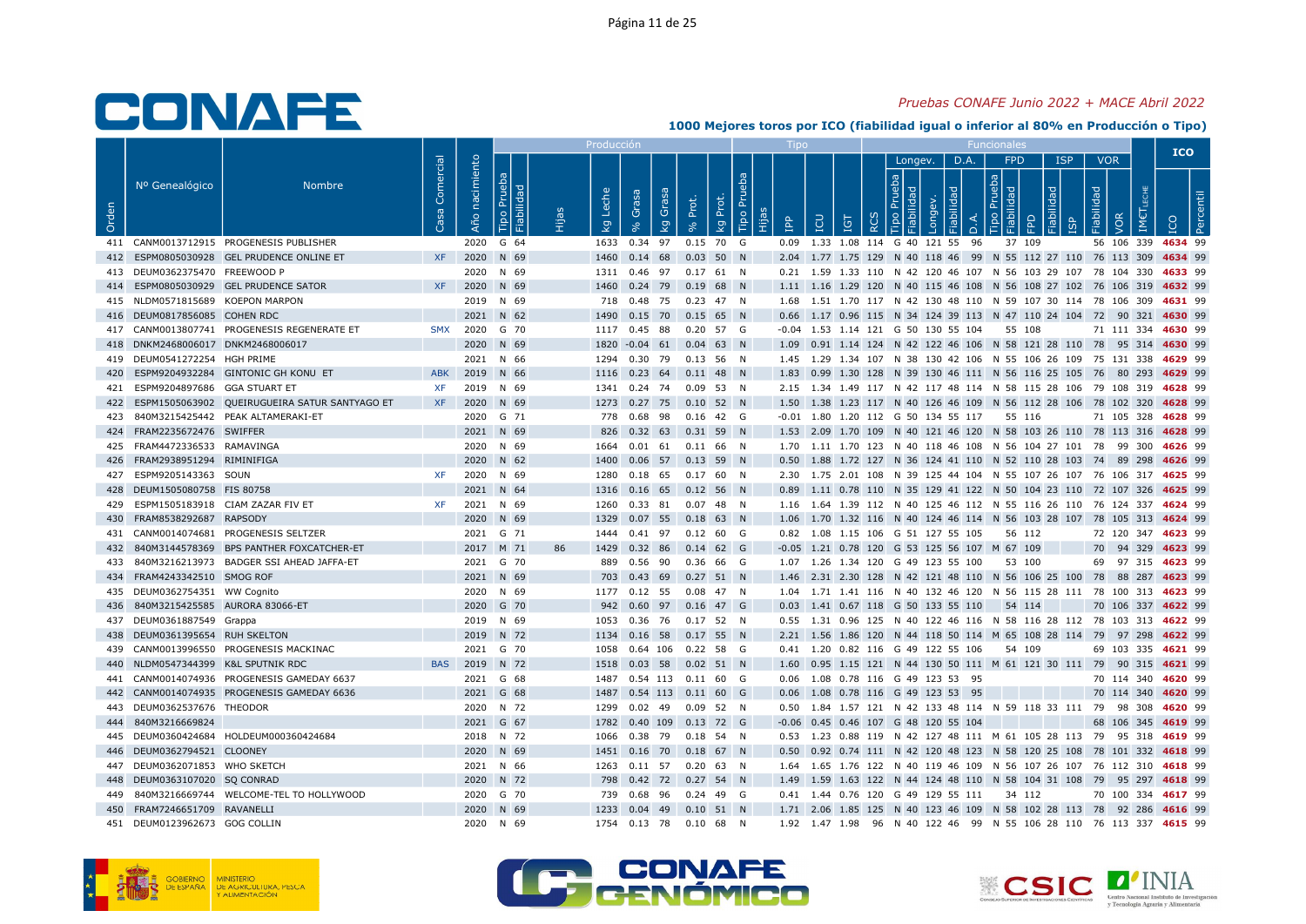### Pruebas CONAFE Junio 2022 + MACE Abril 2022

|       |                                      |                                                   |                        |                   |                              |    | Producció                        |                                                            |             |                         |         |                                                                                                                                                |          |              |           |    |            |                            |                                 | <b>ICO</b>         |
|-------|--------------------------------------|---------------------------------------------------|------------------------|-------------------|------------------------------|----|----------------------------------|------------------------------------------------------------|-------------|-------------------------|---------|------------------------------------------------------------------------------------------------------------------------------------------------|----------|--------------|-----------|----|------------|----------------------------|---------------------------------|--------------------|
| Orden | Nº Genealógico                       | <b>Nombre</b>                                     | Comercial<br><b>Sa</b> | nacimiento<br>Año | Prueba<br>Fiabilidad<br>Tipo |    | Leche<br>$\overline{\mathsf{x}}$ | Grasa<br>Grasa<br>$\overline{\mathsf{g}}$                  | Prot.       | Tipo Pru<br>Prot.<br>Ιğ | ۹q<br>旧 | <b>CO</b><br>IGT                                                                                                                               | $\alpha$ | Longev.<br>윿 | D.A.<br>≏ |    | FPD<br>몸 몸 | <b>ISP</b><br>$\mathbb{R}$ | <b>VOR</b><br>Fiabilidad<br>VOR |                    |
|       |                                      | 411 CANM0013712915 PROGENESIS PUBLISHER           |                        |                   | 2020 G 64                    |    |                                  | 1633 0.34 97                                               | $0.15$ 70 G |                         |         | 0.09 1.33 1.08 114 G 40 121 55                                                                                                                 |          |              |           | 96 | 37 109     |                            |                                 | 56 106 339 4634 99 |
|       |                                      | 412 ESPM0805030928 GEL PRUDENCE ONLINE ET         | <b>XF</b>              |                   | 2020 N 69                    |    |                                  | 1460  0.14  68  0.03  50  N                                |             |                         |         | 2.04 1.77 1.75 129 N 40 118 46 99 N 55 112 27 110 76 113 309 4634 99                                                                           |          |              |           |    |            |                            |                                 |                    |
|       | 413 DEUM0362375470 FREEWOOD P        |                                                   |                        |                   | 2020 N 69                    |    |                                  | 1311  0.46  97  0.17  61  N                                |             |                         |         | 0.21 1.59 1.33 110 N 42 120 46 107 N 56 103 29 107 78 104 330 4633 99                                                                          |          |              |           |    |            |                            |                                 |                    |
|       |                                      | 414 ESPM0805030929 GEL PRUDENCE SATOR             | <b>XF</b>              |                   | 2020 N 69                    |    | 1460                             | 0.24 79 0.19 68 N                                          |             |                         |         | 1.11 1.16 1.29 120 N 40 115 46 108 N 56 108 27 102 76 106 319 4632 99                                                                          |          |              |           |    |            |                            |                                 |                    |
|       | 415 NLDM0571815689 KOEPON MARPON     |                                                   |                        |                   | 2019 N 69                    |    |                                  | 718  0.48  75  0.23  47  N                                 |             |                         |         | 1.68  1.51  1.70  117  N  42  130  48  110  N  59  107  30  114  78  106  309  4631  99                                                        |          |              |           |    |            |                            |                                 |                    |
|       | 416 DEUM0817856085 COHEN RDC         |                                                   |                        |                   | 2021 N 62                    |    |                                  | 1490  0.15  70  0.15  65  N                                |             |                         |         | 0.66 1.17 0.96 115 N 34 124 39 113 N 47 110 24 104 72 90 321 4630 99                                                                           |          |              |           |    |            |                            |                                 |                    |
|       |                                      | 417 CANM0013807741 PROGENESIS REGENERATE ET       |                        |                   | SMX 2020 G 70                |    |                                  | 1117 0.45 88 0.20 57 G                                     |             |                         |         | -0.04 1.53 1.14 121 G 50 130 55 104                                                                                                            |          |              |           |    | 55 108     |                            |                                 | 71 111 334 4630 99 |
|       | 418 DNKM2468006017 DNKM2468006017    |                                                   |                        |                   | 2020 N 69                    |    |                                  | 1820 -0.04 61 0.04 63 N                                    |             |                         |         | 1.09  0.91  1.14  124  N  42  122  46  106  N  58  121  28  110  78  95  314  4630  99                                                         |          |              |           |    |            |                            |                                 |                    |
|       | 419 DEUM0541272254 HGH PRIME         |                                                   |                        |                   | 2021 N 66                    |    |                                  | 1294  0.30  79  0.13  56  N                                |             |                         |         | 1.45 1.29 1.34 107 N 38 130 42 106 N 55 106 26 109 75 131 338 4629 99                                                                          |          |              |           |    |            |                            |                                 |                    |
|       | 421 ESPM9204897686 GGA STUART ET     | 420 ESPM9204932284 GINTONIC GH KONU ET            | ABK                    |                   | 2019 N 66                    |    |                                  | 1116 0.23 64 0.11 48 N                                     |             |                         |         | 1.83 0.99 1.30 128 N 39 130 46 111 N 56 116 25 105 76 80 293 4629 99                                                                           |          |              |           |    |            |                            |                                 |                    |
|       |                                      | 422 ESPM1505063902 QUEIRUGUEIRA SATUR SANTYAGO ET | <b>XF</b><br><b>XF</b> |                   | 2019 N 69<br>2020 N 69       |    |                                  | 1341  0.24  74  0.09  53  N<br>1273  0.27  75  0.10  52  N |             |                         |         | 2.15 1.34 1.49 117 N 42 117 48 114 N 58 115 28 106 79 108 319 4628 99<br>1.50 1.38 1.23 117 N 40 126 46 109 N 56 112 28 106 78 102 320 4628 99 |          |              |           |    |            |                            |                                 |                    |
|       |                                      | 423 840M3215425442 PEAK ALTAMERAKI-ET             |                        |                   | 2020 G 71                    |    |                                  | 778  0.68  98  0.16  42  G                                 |             |                         |         | -0.01 1.80 1.20 112 G 50 134 55 117                                                                                                            |          |              |           |    | 55 116     |                            |                                 | 71 105 328 4628 99 |
|       | 424 FRAM2235672476 SWIFFER           |                                                   |                        |                   | 2021 N 69                    |    |                                  | 826 0.32 63 0.31 59 N                                      |             |                         |         | 1.53 2.09 1.70 109 N 40 121 46 120 N 58 103 26 110 78 113 316 4628 99                                                                          |          |              |           |    |            |                            |                                 |                    |
|       | 425 FRAM4472336533 RAMAVINGA         |                                                   |                        |                   | 2020 N 69                    |    |                                  | 1664  0.01  61  0.11  66  N                                |             |                         |         | 1.70 1.11 1.70 123 N 40 118 46 108 N 56 104 27 101 78 99 300 4626 99                                                                           |          |              |           |    |            |                            |                                 |                    |
|       | 426 FRAM2938951294 RIMINIFIGA        |                                                   |                        |                   | 2020 N 62                    |    | 1400                             | $0.06$ 57 $0.13$ 59 N                                      |             |                         |         | 0.50 1.88 1.72 127 N 36 124 41 110 N 52 110 28 103 74 89 298 4626 99                                                                           |          |              |           |    |            |                            |                                 |                    |
|       | 427 ESPM9205143363 SOUN              |                                                   | XF.                    |                   | 2020 N 69                    |    |                                  | 1280  0.18  65  0.17  60  N                                |             |                         |         | 2.30 1.75 2.01 108 N 39 125 44 104 N 55 107 26 107 76 106 317 4625 99                                                                          |          |              |           |    |            |                            |                                 |                    |
|       | 428 DEUM1505080758 FIS 80758         |                                                   |                        |                   | 2021 N 64                    |    |                                  | 1316  0.16  65  0.12  56  N                                |             |                         |         | 0.89 1.11 0.78 110 N 35 129 41 122 N 50 104 23 110 72 107 326 4625 99                                                                          |          |              |           |    |            |                            |                                 |                    |
|       | 429 ESPM1505183918 CIAM ZAZAR FIV ET |                                                   | XF                     |                   | 2021 N 69                    |    |                                  | 1260  0.33  81  0.07  48  N                                |             |                         |         | 1.16 1.64 1.39 112 N 40 125 46 112 N 55 116 26 110 76 124 337 4624 99                                                                          |          |              |           |    |            |                            |                                 |                    |
|       | 430 FRAM8538292687 RAPSODY           |                                                   |                        |                   | 2020 N 69                    |    |                                  | 1329  0.07  55  0.18  63  N                                |             |                         |         | 1.06 1.70 1.32 116 N 40 124 46 114 N 56 103 28 107 78 105 313 4624 99                                                                          |          |              |           |    |            |                            |                                 |                    |
|       |                                      | 431 CANM0014074681 PROGENESIS SELTZER             |                        |                   | 2021 G 71                    |    |                                  | 1444  0.41  97  0.12  60  G                                |             |                         |         | 0.82 1.08 1.15 106 G 51 127 55 105                                                                                                             |          |              |           |    | 56 112     |                            |                                 | 72 120 347 4623 99 |
|       |                                      | 432 840M3144578369 BPS PANTHER FOXCATCHER-ET      |                        |                   | 2017 M 71                    | 86 |                                  | 1429  0.32  86  0.14  62  G                                |             |                         |         | -0.05 1.21 0.78 120 G 53 125 56 107 M 67 109                                                                                                   |          |              |           |    |            |                            |                                 | 70 94 329 4623 99  |
|       |                                      | 433 840M3216213973 BADGER SSI AHEAD JAFFA-ET      |                        |                   | 2021 G 70                    |    |                                  | 889  0.56  90  0.36  66  G                                 |             |                         |         | 1.07 1.26 1.34 120 G 49 123 55 100                                                                                                             |          |              |           |    | 53 100     |                            |                                 | 69 97 315 4623 99  |
|       | 434 FRAM4243342510 SMOG ROF          |                                                   |                        |                   | 2021 N 69                    |    |                                  | 703 0.43 69 0.27 51 N                                      |             |                         |         | 1.46 2.31 2.30 128 N 42 121 48 110 N 56 106 25 100 78 88 287 4623 99                                                                           |          |              |           |    |            |                            |                                 |                    |
|       | 435 DEUM0362754351 WW Cognito        |                                                   |                        |                   | 2020 N 69                    |    |                                  | 1177  0.12  55  0.08  47  N                                |             |                         |         | 1.04 1.71 1.41 116 N 40 132 46 120 N 56 115 28 111 78 100 313 4623 99                                                                          |          |              |           |    |            |                            |                                 |                    |
|       | 436 840M3215425585 AURORA 83066-ET   |                                                   |                        |                   | 2020 G 70                    |    |                                  | 942 0.60 97 0.16 47 G                                      |             |                         |         | 0.03 1.41 0.67 118 G 50 133 55 110 54 114                                                                                                      |          |              |           |    |            |                            |                                 | 70 106 337 4622 99 |
|       | 437 DEUM0361887549 Grappa            |                                                   |                        |                   | 2019 N 69                    |    |                                  | 1053  0.36  76  0.17  52  N                                |             |                         |         | 0.55 1.31 0.96 125 N 40 122 46 116 N 58 116 28 112 78 103 313 4622 99                                                                          |          |              |           |    |            |                            |                                 |                    |
|       | 438 DEUM0361395654 RUH SKELTON       |                                                   |                        |                   | 2019 N 72                    |    |                                  | 1134  0.16  58  0.17  55  N                                |             |                         |         | 2.21 1.56 1.86 120 N 44 118 50 114 M 65 108 28 114 79 97 298 4622 99                                                                           |          |              |           |    |            |                            |                                 |                    |
|       |                                      | 439 CANM0013996550 PROGENESIS MACKINAC            |                        |                   | 2021 G 70                    |    |                                  | 1058  0.64  106  0.22  58  G                               |             |                         |         | 0.41 1.20 0.82 116 G 49 122 55 106                                                                                                             |          |              |           |    | 54 109     |                            |                                 | 69 103 335 4621 99 |
|       | 440 NLDM0547344399 K&L SPUTNIK RDC   |                                                   | <b>BAS</b>             |                   | 2019 N 72                    |    |                                  | 1518  0.03  58  0.02  51  N                                |             |                         |         | 1.60 0.95 1.15 121 N 44 130 50 111 M 61 121 30 111 79 90 315 4621 99                                                                           |          |              |           |    |            |                            |                                 |                    |
|       |                                      | 441 CANM0014074936 PROGENESIS GAMEDAY 6637        |                        |                   | 2021 G 68                    |    |                                  | 1487  0.54  113  0.11  60  G                               |             |                         |         | 0.06 1.08 0.78 116 G 49 123 53 95                                                                                                              |          |              |           |    |            |                            |                                 | 70 114 340 4620 99 |
|       |                                      | 442 CANM0014074935 PROGENESIS GAMEDAY 6636        |                        |                   | 2021 G 68                    |    |                                  | 1487  0.54  113  0.11  60  G                               |             |                         |         | 0.06 1.08 0.78 116 G 49 123 53 95                                                                                                              |          |              |           |    |            |                            |                                 | 70 114 340 4620 99 |
|       | 443 DEUM0362537676 THEODOR           |                                                   |                        |                   | 2020 N 72                    |    |                                  | 1299  0.02  49  0.09  52  N                                |             |                         |         | 0.50 1.84 1.57 121 N 42 133 48 114 N 59 118 33 111 79 98 308 4620 99                                                                           |          |              |           |    |            |                            |                                 |                    |
|       | 444 840M3216669824                   |                                                   |                        |                   | 2021 G 67                    |    |                                  | 1782  0.40  109  0.13  72  G                               |             |                         |         | -0.06 0.45 0.46 107 G 48 120 55 104                                                                                                            |          |              |           |    |            |                            |                                 | 68 106 345 4619 99 |
|       | 446 DEUM0362794521 CLOONEY           | 445 DEUM0360424684 HOLDEUM000360424684            |                        |                   | 2018 N 72<br>2020 N 69       |    | 1066                             | 0.38 79 0.18 54 N<br>1451  0.16  70  0.18  67  N           |             |                         |         | 0.53 1.23 0.88 119 N 42 127 48 111 M 61 105 28 113 79 95 318 4619 99<br>0.50 0.92 0.74 111 N 42 120 48 123 N 58 120 25 108 78 101 332 4618 99  |          |              |           |    |            |                            |                                 |                    |
|       | 447 DEUM0362071853 WHO SKETCH        |                                                   |                        |                   | 2021 N 66                    |    |                                  | 1263  0.11  57  0.20  63  N                                |             |                         |         | 1.64 1.65 1.76 122 N 40 119 46 109 N 56 107 26 107 76 112 310 4618 99                                                                          |          |              |           |    |            |                            |                                 |                    |
|       | 448 DEUM0363107020 SQ CONRAD         |                                                   |                        |                   | 2020 N 72                    |    |                                  | 798  0.42  72  0.27  54  N                                 |             |                         |         | 1.49 1.59 1.63 122 N 44 124 48 110 N 58 104 31 108 79 95 297 4618 99                                                                           |          |              |           |    |            |                            |                                 |                    |
|       |                                      | 449 840M3216669744 WELCOME-TEL TO HOLLYWOOD       |                        |                   | 2020 G 70                    |    |                                  | 739  0.68  96  0.24  49  G                                 |             |                         |         | 0.41 1.44 0.76 120 G 49 129 55 111                                                                                                             |          |              |           |    | 34 112     |                            |                                 | 70 100 334 4617 99 |
|       | 450 FRAM7246651709 RAVANELLI         |                                                   |                        |                   | 2020 N 69                    |    |                                  | 1233 0.04 49 0.10 51 N                                     |             |                         |         | 1.71 2.06 1.85 125 N 40 123 46 109 N 58 102 28 113 78 92 286 4616 99                                                                           |          |              |           |    |            |                            |                                 |                    |
|       | 451 DEUM0123962673 GOG COLLIN        |                                                   |                        |                   | 2020 N 69                    |    |                                  | 1754  0.13  78  0.10  68  N                                |             |                         |         | 1.92 1.47 1.98 96 N 40 122 46 99 N 55 106 28 110 76 113 337 4615 99                                                                            |          |              |           |    |            |                            |                                 |                    |
|       |                                      |                                                   |                        |                   |                              |    |                                  |                                                            |             |                         |         |                                                                                                                                                |          |              |           |    |            |                            |                                 |                    |





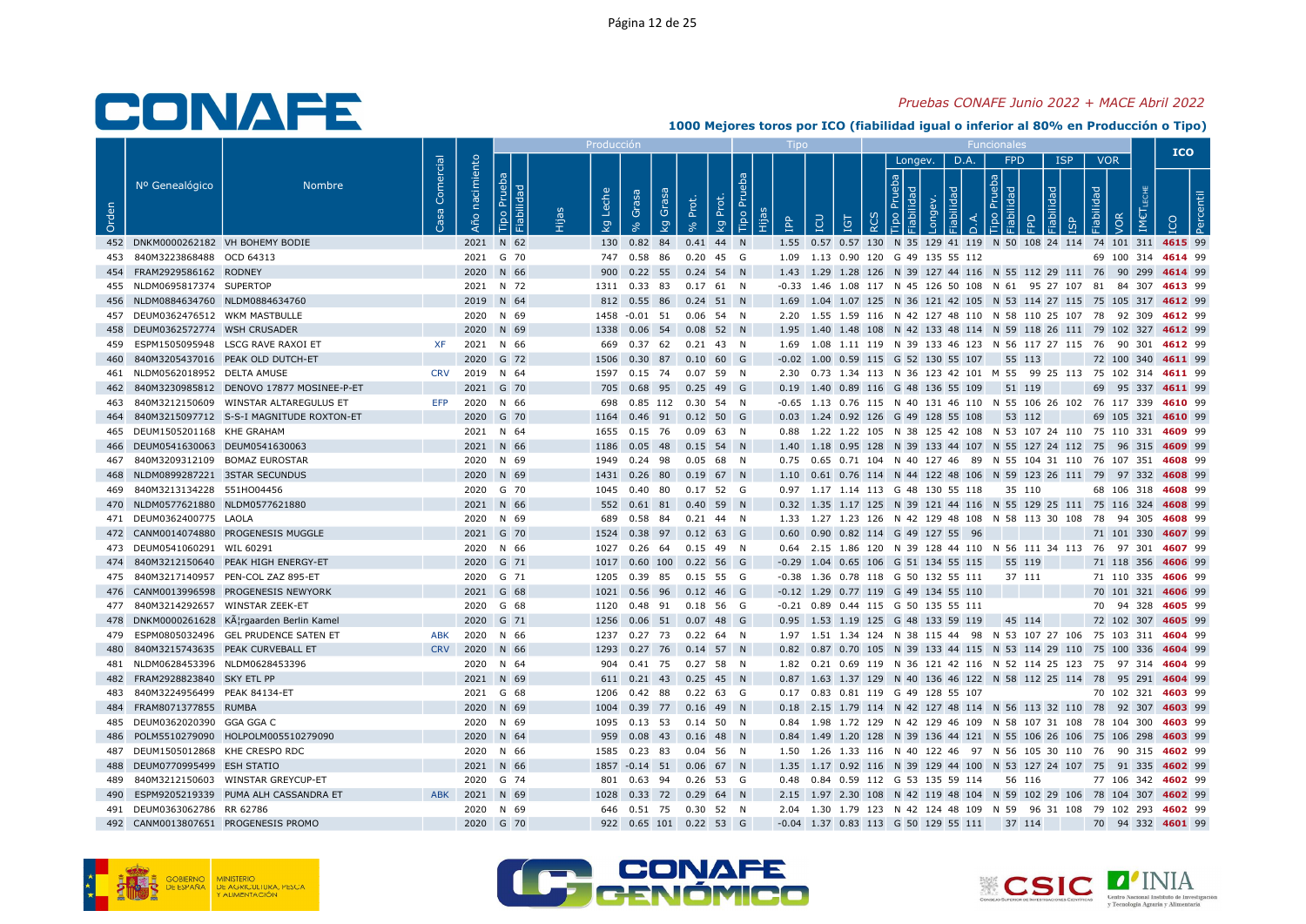### Pruebas CONAFE Junio 2022 + MACE Abril 2022

|       |                                    |                                              |                 |                   |                               | Producci    |                                        |             |          |                  |   |                                                                                                                                                                |                                                               |      |                                                                  |                                      |            |                                 | <b>ICO</b>         |  |
|-------|------------------------------------|----------------------------------------------|-----------------|-------------------|-------------------------------|-------------|----------------------------------------|-------------|----------|------------------|---|----------------------------------------------------------------------------------------------------------------------------------------------------------------|---------------------------------------------------------------|------|------------------------------------------------------------------|--------------------------------------|------------|---------------------------------|--------------------|--|
| Orden | Nº Genealógico                     | <b>Nombre</b>                                | Comercial<br>Sa | nacimiento<br>Año | Prueba<br>18<br>bilid<br>Tipo | che<br>ତ୍ୟୁ | Grasa<br>Grasa<br>$\overline{g}$       | Prot.       | kg Prot. | Tipo Prueba<br>旧 | 욥 | LCU<br>ΙGΤ                                                                                                                                                     | Longev.<br>$\frac{1}{2}$ $\frac{1}{2}$<br>$\overline{\sigma}$ | D.A. | <b>FPD</b><br>$\frac{1}{2}$ $\frac{1}{2}$<br>$\overline{\sigma}$ | $\overline{\sigma}$<br>$\frac{1}{2}$ | <b>ISP</b> | <b>VOR</b><br>Fiabilidad<br>/OR |                    |  |
|       | 452 DNKM0000262182 VH BOHEMY BODIE |                                              |                 |                   | 2021 N 62                     |             | 130  0.82  84                          | $0.41$ 44 N |          |                  |   | 1.55 0.57 0.57 130 N 35 129 41 119 N 50 108 24 114 74 101 311 4615 99                                                                                          |                                                               |      |                                                                  |                                      |            |                                 |                    |  |
|       | 453 840M3223868488 OCD 64313       |                                              |                 |                   | 2021 G 70                     |             | 747 0.58 86 0.20 45 G                  |             |          |                  |   | 1.09  1.13  0.90  120  G  49  135  55  112                                                                                                                     |                                                               |      |                                                                  |                                      |            |                                 | 69 100 314 4614 99 |  |
|       | 454 FRAM2929586162 RODNEY          |                                              |                 |                   | 2020 N 66                     |             | 900 0.22 55 0.24 54 N                  |             |          |                  |   | 1.43 1.29 1.28 126 N 39 127 44 116 N 55 112 29 111 76 90 299 4614 99                                                                                           |                                                               |      |                                                                  |                                      |            |                                 |                    |  |
|       | 455 NLDM0695817374 SUPERTOP        |                                              |                 |                   | 2021 N 72                     |             | 1311  0.33  83  0.17  61  N            |             |          |                  |   | -0.33 1.46 1.08 117 N 45 126 50 108 N 61 95 27 107 81 84 307 4613 99                                                                                           |                                                               |      |                                                                  |                                      |            |                                 |                    |  |
|       | 456 NLDM0884634760 NLDM0884634760  |                                              |                 |                   | 2019 N 64                     |             | 812  0.55  86  0.24  51  N             |             |          |                  |   | 1.69 1.04 1.07 125 N 36 121 42 105 N 53 114 27 115 75 105 317 4612 99                                                                                          |                                                               |      |                                                                  |                                      |            |                                 |                    |  |
|       | 457 DEUM0362476512 WKM MASTBULLE   |                                              |                 |                   | 2020 N 69                     |             | 1458 -0.01 51 0.06 54 N                |             |          |                  |   | 2.20 1.55 1.59 116 N 42 127 48 110 N 58 110 25 107 78 92 309 4612 99                                                                                           |                                                               |      |                                                                  |                                      |            |                                 |                    |  |
|       | 458 DEUM0362572774 WSH CRUSADER    |                                              |                 |                   | 2020 N 69                     |             | 1338  0.06  54  0.08  52  N            |             |          |                  |   | 1.95 1.40 1.48 108 N 42 133 48 114 N 59 118 26 111 79 102 327 4612 99                                                                                          |                                                               |      |                                                                  |                                      |            |                                 |                    |  |
|       |                                    | 459 ESPM1505095948 LSCG RAVE RAXOI ET        | <b>XF</b>       | 2021 N 66         |                               | 669         | $0.37$ 62 0.21 43 N                    |             |          |                  |   | 1.69 1.08 1.11 119 N 39 133 46 123 N 56 117 27 115 76 90 301 4612 99                                                                                           |                                                               |      |                                                                  |                                      |            |                                 |                    |  |
|       |                                    | 460 840M3205437016 PEAK OLD DUTCH-ET         |                 |                   | 2020 G 72                     |             | 1506  0.30  87  0.10  60  G            |             |          |                  |   | $-0.02$ 1.00 0.59 115 G 52 130 55 107 55 113                                                                                                                   |                                                               |      |                                                                  |                                      |            |                                 | 72 100 340 4611 99 |  |
|       | 461 NLDM0562018952 DELTA AMUSE     |                                              |                 | CRV 2019 N 64     |                               |             | 1597  0.15  74  0.07  59  N            |             |          |                  |   | 2.30 0.73 1.34 113 N 36 123 42 101 M 55 99 25 113 75 102 314 4611 99                                                                                           |                                                               |      |                                                                  |                                      |            |                                 |                    |  |
| 462   |                                    | 840M3230985812 DENOVO 17877 MOSINEE-P-ET     |                 |                   | 2021 G 70                     | 705         | 0.68 95 0.25 49 G                      |             |          |                  |   | 0.19 1.40 0.89 116 G 48 136 55 109                                                                                                                             |                                                               |      | 51 119                                                           |                                      |            |                                 | 69 95 337 4611 99  |  |
|       |                                    | 463 840M3212150609 WINSTAR ALTAREGULUS ET    | EFP             |                   | 2020 N 66                     | 698         | 0.85 112 0.30 54 N                     |             |          |                  |   | -0.65 1.13 0.76 115 N 40 131 46 110 N 55 106 26 102 76 117 339 4610 99                                                                                         |                                                               |      |                                                                  |                                      |            |                                 |                    |  |
|       | 465 DEUM1505201168 KHE GRAHAM      | 464 840M3215097712 S-S-I MAGNITUDE ROXTON-ET |                 |                   | 2020 G 70                     |             | 1164  0.46  91  0.12  50  G            |             |          |                  |   | 0.03 1.24 0.92 126 G 49 128 55 108                                                                                                                             |                                                               |      | 53 112                                                           |                                      |            |                                 | 69 105 321 4610 99 |  |
|       | 466 DEUM0541630063 DEUM0541630063  |                                              |                 |                   | 2021 N 64                     |             | 1655  0.15  76  0.09  63  N            |             |          |                  |   | 0.88 1.22 1.22 105 N 38 125 42 108 N 53 107 24 110 75 110 331 4609 99                                                                                          |                                                               |      |                                                                  |                                      |            |                                 |                    |  |
|       | 467 840M3209312109 BOMAZ EUROSTAR  |                                              |                 |                   | 2021 N 66<br>2020 N 69        |             | 1186  0.05  48  0.15  54  N<br>0.24 98 | $0.05$ 68 N |          |                  |   | 1.40 1.18 0.95 128 N 39 133 44 107 N 55 127 24 112 75 96 315 4609 99<br>0.75  0.65  0.71  104  N  40  127  46  89  N  55  104  31  110  76  107  351  4608  99 |                                                               |      |                                                                  |                                      |            |                                 |                    |  |
|       | 468 NLDM0899287221 3STAR SECUNDUS  |                                              |                 |                   | 2020 N 69                     | 1949        | 1431  0.26  80  0.19  67  N            |             |          |                  |   | 1.10 0.61 0.76 114 N 44 122 48 106 N 59 123 26 111 79 97 332 4608 99                                                                                           |                                                               |      |                                                                  |                                      |            |                                 |                    |  |
|       | 469 840M3213134228 551HO04456      |                                              |                 |                   | 2020 G 70                     |             | 1045  0.40  80                         | 0.17 52 G   |          |                  |   | 0.97 1.17 1.14 113 G 48 130 55 118                                                                                                                             |                                                               |      | 35 110                                                           |                                      |            |                                 | 68 106 318 4608 99 |  |
|       | 470 NLDM0577621880 NLDM0577621880  |                                              |                 |                   | 2021 N 66                     |             | 552  0.61  81  0.40  59  N             |             |          |                  |   | 0.32 1.35 1.17 125 N 39 121 44 116 N 55 129 25 111 75 116 324 4608 99                                                                                          |                                                               |      |                                                                  |                                      |            |                                 |                    |  |
|       | 471 DEUM0362400775 LAOLA           |                                              |                 |                   | 2020 N 69                     |             | 689  0.58  84  0.21  44  N             |             |          |                  |   | 1.33 1.27 1.23 126 N 42 129 48 108 N 58 113 30 108 78 94 305 4608 99                                                                                           |                                                               |      |                                                                  |                                      |            |                                 |                    |  |
|       |                                    | 472 CANM0014074880 PROGENESIS MUGGLE         |                 |                   | 2021 G 70                     |             | 1524 0.38 97 0.12 63 G                 |             |          |                  |   | 0.60 0.90 0.82 114 G 49 127 55 96                                                                                                                              |                                                               |      |                                                                  |                                      |            |                                 | 71 101 330 4607 99 |  |
|       | 473 DEUM0541060291 WIL 60291       |                                              |                 |                   | 2020 N 66                     |             | 1027  0.26  64  0.15  49  N            |             |          |                  |   | 0.64  2.15  1.86  120  N  39  128  44  110  N  56  111  34  113  76  97  301  4607  99                                                                         |                                                               |      |                                                                  |                                      |            |                                 |                    |  |
|       |                                    | 474 840M3212150640 PEAK HIGH ENERGY-ET       |                 |                   | 2020 G 71                     |             | 1017  0.60  100  0.22  56  G           |             |          |                  |   | $-0.29$ 1.04 0.65 106 G 51 134 55 115                                                                                                                          |                                                               |      | 55 119                                                           |                                      |            |                                 | 71 118 356 4606 99 |  |
|       |                                    | 475 840M3217140957 PEN-COL ZAZ 895-ET        |                 |                   | 2020 G 71                     |             | 1205  0.39  85  0.15  55  G            |             |          |                  |   | -0.38 1.36 0.78 118 G 50 132 55 111                                                                                                                            |                                                               |      | 37 111                                                           |                                      |            |                                 | 71 110 335 4606 99 |  |
|       |                                    | 476 CANM0013996598 PROGENESIS NEWYORK        |                 |                   | 2021 G 68                     |             | 1021  0.56  96  0.12  46  G            |             |          |                  |   | -0.12 1.29 0.77 119 G 49 134 55 110                                                                                                                            |                                                               |      |                                                                  |                                      |            |                                 | 70 101 321 4606 99 |  |
|       | 477 840M3214292657 WINSTAR ZEEK-ET |                                              |                 |                   | 2020 G 68                     |             | 1120  0.48  91  0.18  56  G            |             |          |                  |   | -0.21 0.89 0.44 115 G 50 135 55 111                                                                                                                            |                                                               |      |                                                                  |                                      |            |                                 | 70 94 328 4605 99  |  |
|       |                                    | 478 DNKM0000261628 KĦrgaarden Berlin Kamel   |                 |                   | 2020 G 71                     |             | 1256  0.06  51  0.07  48  G            |             |          |                  |   | 0.95 1.53 1.19 125 G 48 133 59 119                                                                                                                             |                                                               |      | 45 114                                                           |                                      |            |                                 | 72 102 307 4605 99 |  |
|       |                                    | 479 ESPM0805032496 GEL PRUDENCE SATEN ET     | <b>ABK</b>      |                   | 2020 N 66                     |             | 1237 0.27 73 0.22 64 N                 |             |          |                  |   | 1.97 1.51 1.34 124 N 38 115 44 98 N 53 107 27 106 75 103 311 4604 99                                                                                           |                                                               |      |                                                                  |                                      |            |                                 |                    |  |
|       |                                    | 840M3215743635 PEAK CURVEBALL ET             |                 | CRV 2020 N 66     |                               |             | 1293  0.27  76  0.14  57  N            |             |          |                  |   | 0.82 0.87 0.70 105 N 39 133 44 115 N 53 114 29 110 75 100 336 4604 99                                                                                          |                                                               |      |                                                                  |                                      |            |                                 |                    |  |
|       | 481 NLDM0628453396 NLDM0628453396  |                                              |                 |                   | 2020 N 64                     |             | 904  0.41  75  0.27  58  N             |             |          |                  |   | 1.82 0.21 0.69 119 N 36 121 42 116 N 52 114 25 123 75 97 314 4604 99                                                                                           |                                                               |      |                                                                  |                                      |            |                                 |                    |  |
|       | 482 FRAM2928823840 SKY ETL PP      |                                              |                 |                   | 2021 N 69                     |             | 611 0.21 43 0.25 45 N                  |             |          |                  |   | 0.87 1.63 1.37 129 N 40 136 46 122 N 58 112 25 114 78 95 291 4604 99                                                                                           |                                                               |      |                                                                  |                                      |            |                                 |                    |  |
|       | 483 840M3224956499 PEAK 84134-ET   |                                              |                 |                   | 2021 G 68                     |             | 1206  0.42  88                         | 0.22 63 G   |          |                  |   | 0.17 0.83 0.81 119 G 49 128 55 107                                                                                                                             |                                                               |      |                                                                  |                                      |            |                                 | 70 102 321 4603 99 |  |
|       | 484 FRAM8071377855 RUMBA           |                                              |                 |                   | 2020 N 69                     |             | 1004  0.39  77  0.16  49  N            |             |          |                  |   | 0.18 2.15 1.79 114 N 42 127 48 114 N 56 113 32 110 78 92 307 4603 99                                                                                           |                                                               |      |                                                                  |                                      |            |                                 |                    |  |
|       | 485 DEUM0362020390 GGA GGA C       |                                              |                 |                   | 2020 N 69                     |             | 1095  0.13  53  0.14  50  N            |             |          |                  |   | 0.84 1.98 1.72 129 N 42 129 46 109 N 58 107 31 108 78 104 300 4603 99                                                                                          |                                                               |      |                                                                  |                                      |            |                                 |                    |  |
| 486   |                                    | POLM5510279090 HOLPOLM005510279090           |                 |                   | 2020 N 64                     | 959         | $0.08$ 43 0.16 48 N                    |             |          |                  |   | 0.84 1.49 1.20 128 N 39 136 44 121 N 55 106 26 106 75 106 298 4603 99                                                                                          |                                                               |      |                                                                  |                                      |            |                                 |                    |  |
|       | 487 DEUM1505012868 KHE CRESPO RDC  |                                              |                 |                   | 2020 N 66                     |             | 1585  0.23  83  0.04  56  N            |             |          |                  |   | 1.50 1.26 1.33 116 N 40 122 46 97 N 56 105 30 110 76 90 315 <b>4602</b> 99                                                                                     |                                                               |      |                                                                  |                                      |            |                                 |                    |  |
|       | 488 DEUM0770995499 ESH STATIO      |                                              |                 |                   | 2021 N 66                     |             | 1857 -0.14 51 0.06 67 N                |             |          |                  |   | 1.35 1.17 0.92 116 N 39 129 44 100 N 53 127 24 107 75 91 335 4602 99                                                                                           |                                                               |      |                                                                  |                                      |            |                                 |                    |  |
|       |                                    | 489 840M3212150603 WINSTAR GREYCUP-ET        |                 |                   | 2020 G 74                     |             | 801  0.63  94  0.26  53  G             |             |          |                  |   | 0.48  0.84  0.59  112  G  53  135  59  114  56  116                                                                                                            |                                                               |      |                                                                  |                                      |            |                                 | 77 106 342 4602 99 |  |
|       |                                    | 490 ESPM9205219339 PUMA ALH CASSANDRA ET     | <b>ABK</b>      | 2021 N 69         |                               |             | 1028  0.33  72  0.29  64  N            |             |          |                  |   | 2.15 1.97 2.30 108 N 42 119 48 104 N 59 102 29 106 78 104 307 4602 99                                                                                          |                                                               |      |                                                                  |                                      |            |                                 |                    |  |
|       | 491 DEUM0363062786 RR 62786        |                                              |                 |                   | 2020 N 69                     |             | 646  0.51  75  0.30  52  N             |             |          |                  |   | 2.04 1.30 1.79 123 N 42 124 48 109 N 59 96 31 108 79 102 293 4602 99                                                                                           |                                                               |      |                                                                  |                                      |            |                                 |                    |  |
|       |                                    | 492 CANM0013807651 PROGENESIS PROMO          |                 |                   | 2020 G 70                     |             | 922  0.65  101  0.22  53  G            |             |          |                  |   | -0.04 1.37 0.83 113 G 50 129 55 111 37 114                                                                                                                     |                                                               |      |                                                                  |                                      |            |                                 | 70 94 332 4601 99  |  |





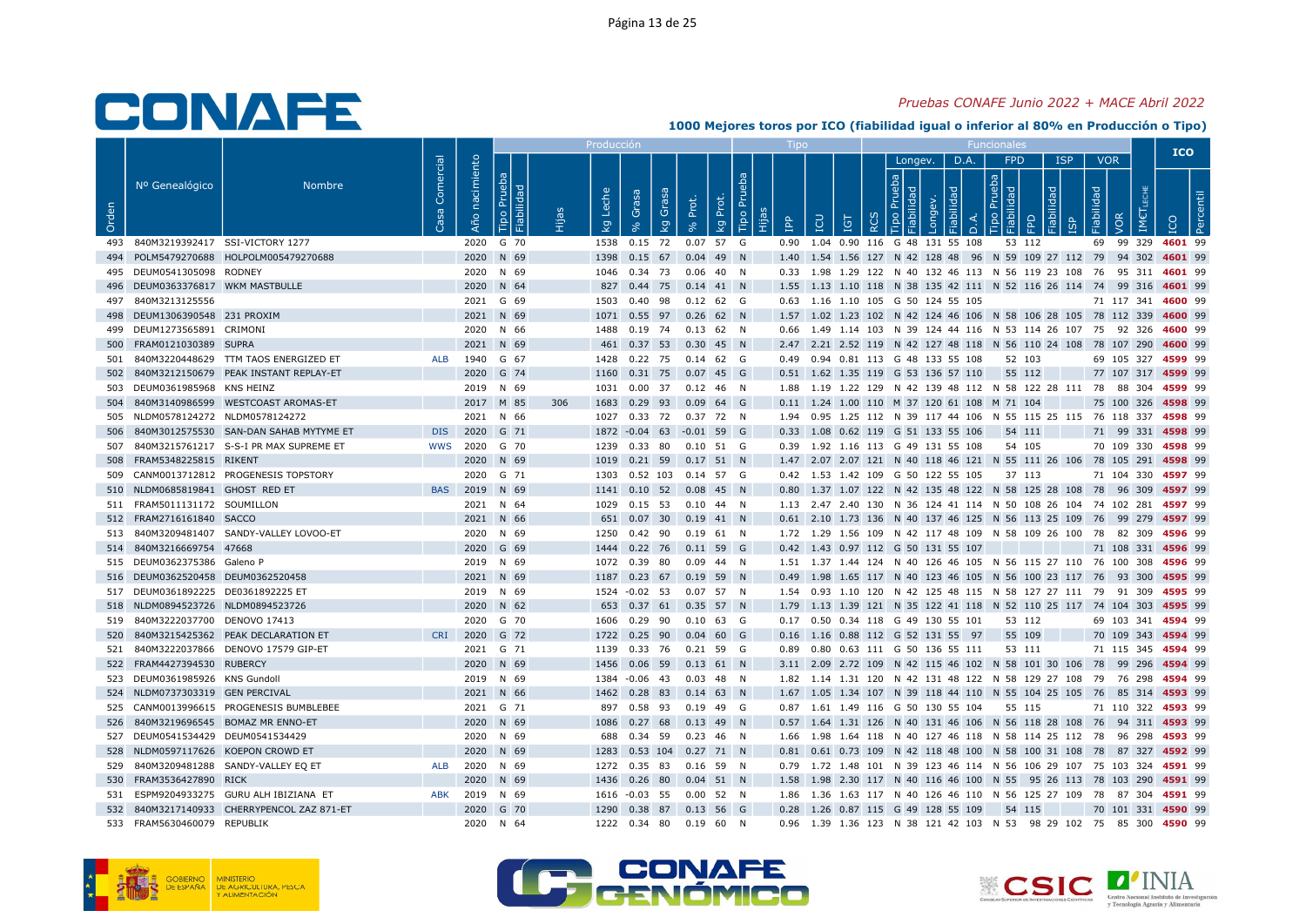#### Pruebas CONAFE Junio 2022 + MACE Abril 2022

|       |                                                                   |                                            |                   |                |                              |     | Producciór                       |                                                   |                      |               |           |                                             |          |              |      |        |                                    |                                                                                                                                              |                          |                    | <b>ICO</b> |  |
|-------|-------------------------------------------------------------------|--------------------------------------------|-------------------|----------------|------------------------------|-----|----------------------------------|---------------------------------------------------|----------------------|---------------|-----------|---------------------------------------------|----------|--------------|------|--------|------------------------------------|----------------------------------------------------------------------------------------------------------------------------------------------|--------------------------|--------------------|------------|--|
| Orden | Nº Genealógico                                                    | <b>Nombre</b>                              | Comercial<br>Casa | Año nacimiento | Prueba<br>Fiabilidad<br>Tipo |     | Leche<br>$\overline{\mathsf{g}}$ | Grasa<br>Grasa<br>$\overline{\mathsf{g}}$         | Prot.<br>Prot.<br>ΙŞ | Tipo Pru<br>旧 | <u>ed</u> | EQ<br>IGT                                   | $\alpha$ | Longev.<br>⊡ | D.A. | $\cap$ | FPD<br>$\frac{1}{2}$ $\frac{1}{6}$ | <b>ISP</b><br>요                                                                                                                              | <b>VOR</b><br>Fiabilidad | <b>JOR</b>         |            |  |
|       | 493 840M3219392417 SSI-VICTORY 1277                               |                                            |                   |                | 2020 G 70                    |     |                                  | 1538  0.15  72  0.07  57  G                       |                      |               |           | 0.90 1.04 0.90 116 G 48 131 55 108          |          |              |      |        | 53 112                             |                                                                                                                                              |                          | 69 99 329 4601 99  |            |  |
|       |                                                                   | 494 POLM5479270688 HOLPOLM005479270688     |                   |                | 2020 N 69                    |     |                                  | 1398  0.15  67  0.04  49  N                       |                      |               |           |                                             |          |              |      |        |                                    | 1.40 1.54 1.56 127 N 42 128 48 96 N 59 109 27 112 79 94 302 4601 99                                                                          |                          |                    |            |  |
|       | 495 DEUM0541305098 RODNEY                                         |                                            |                   |                | 2020 N 69                    |     |                                  | 1046  0.34  73  0.06  40  N                       |                      |               |           |                                             |          |              |      |        |                                    | 0.33 1.98 1.29 122 N 40 132 46 113 N 56 119 23 108 76 95 311 4601 99                                                                         |                          |                    |            |  |
|       | 496 DEUM0363376817 WKM MASTBULLE                                  |                                            |                   |                | 2020 N 64                    |     |                                  | 827 0.44 75 0.14 41 N                             |                      |               |           |                                             |          |              |      |        |                                    | 1.55 1.13 1.10 118 N 38 135 42 111 N 52 116 26 114 74 99 316 4601 99                                                                         |                          |                    |            |  |
|       | 497 840M3213125556                                                |                                            |                   |                | 2021 G 69                    |     |                                  | 1503  0.40  98  0.12  62  G                       |                      |               |           | 0.63 1.16 1.10 105 G 50 124 55 105          |          |              |      |        |                                    |                                                                                                                                              |                          | 71 117 341 4600 99 |            |  |
|       | 498 DEUM1306390548 231 PROXIM                                     |                                            |                   |                | 2021 N 69                    |     |                                  | 1071  0.55  97  0.26  62  N                       |                      |               |           |                                             |          |              |      |        |                                    | 1.57 1.02 1.23 102 N 42 124 46 106 N 58 106 28 105 78 112 339 4600 99                                                                        |                          |                    |            |  |
|       | 499 DEUM1273565891 CRIMONI                                        |                                            |                   |                | 2020 N 66                    |     |                                  | 1488  0.19  74  0.13  62  N                       |                      |               |           |                                             |          |              |      |        |                                    | 0.66 1.49 1.14 103 N 39 124 44 116 N 53 114 26 107 75 92 326 4600 99                                                                         |                          |                    |            |  |
| 500   | FRAM0121030389 SUPRA                                              |                                            |                   |                | 2021 N 69                    |     |                                  | 461 0.37 53 0.30 45 N                             |                      |               |           |                                             |          |              |      |        |                                    | 2.47 2.21 2.52 119 N 42 127 48 118 N 56 110 24 108 78 107 290 4600 99                                                                        |                          |                    |            |  |
| 501   |                                                                   | 840M3220448629 TTM TAOS ENERGIZED ET       | ALB               |                | 1940 G 67                    |     |                                  | 1428  0.22  75  0.14  62  G                       |                      |               |           | 0.49  0.94  0.81  113  G  48  133  55  108  |          |              |      |        | 52 103                             |                                                                                                                                              |                          | 69 105 327 4599 99 |            |  |
|       |                                                                   | 502 840M3212150679 PEAK INSTANT REPLAY-ET  |                   |                | 2020 G 74                    |     |                                  | 1160 0.31 75 0.07 45 G                            |                      |               |           | 0.51 1.62 1.35 119 G 53 136 57 110          |          |              |      |        | 55 112                             |                                                                                                                                              |                          | 77 107 317 4599 99 |            |  |
|       | 503 DEUM0361985968 KNS HEINZ                                      |                                            |                   |                | 2019 N 69                    |     |                                  | 1031  0.00  37  0.12  46  N                       |                      |               |           |                                             |          |              |      |        |                                    | 1.88 1.19 1.22 129 N 42 139 48 112 N 58 122 28 111 78 88 304 4599 99                                                                         |                          |                    |            |  |
|       |                                                                   | 504 840M3140986599 WESTCOAST AROMAS-ET     |                   |                | 2017 M 85                    | 306 |                                  | 1683 0.29 93 0.09 64 G                            |                      |               |           | 0.11 1.24 1.00 110 M 37 120 61 108 M 71 104 |          |              |      |        |                                    |                                                                                                                                              |                          | 75 100 326 4598 99 |            |  |
|       | 505 NLDM0578124272 NLDM0578124272                                 |                                            |                   |                | 2021 N 66                    |     |                                  | 1027  0.33  72  0.37  72  N                       |                      |               |           |                                             |          |              |      |        |                                    | 1.94  0.95  1.25  112  N  39  117  44  106  N  55  115  25  115  76  118  337  4598  99                                                      |                          |                    |            |  |
| 506   |                                                                   | 840M3012575530 SAN-DAN SAHAB MYTYME ET     | <b>DIS</b>        |                | 2020 G 71                    |     |                                  | 1872 -0.04 63 -0.01 59 G                          |                      |               |           | 0.33 1.08 0.62 119 G 51 133 55 106          |          |              |      |        | 54 111                             |                                                                                                                                              |                          | 71 99 331 4598 99  |            |  |
| 507   |                                                                   | 840M3215761217 S-S-I PR MAX SUPREME ET     |                   | WWS 2020 G 70  |                              |     |                                  | 1239  0.33  80  0.10  51  G                       |                      |               |           | 0.39 1.92 1.16 113 G 49 131 55 108          |          |              |      |        | 54 105                             |                                                                                                                                              |                          | 70 109 330 4598 99 |            |  |
| 508   | FRAM5348225815 RIKENT                                             |                                            |                   |                | 2020 N 69                    |     |                                  | 1019  0.21  59  0.17  51  N                       |                      |               |           |                                             |          |              |      |        |                                    | 1.47 2.07 2.07 121 N 40 118 46 121 N 55 111 26 106 78 105 291 4598 99                                                                        |                          |                    |            |  |
| 509   |                                                                   | CANM0013712812 PROGENESIS TOPSTORY         |                   |                | 2020 G 71                    |     |                                  | 1303  0.52  103  0.14  57  G                      |                      |               |           | 0.42 1.53 1.42 109 G 50 122 55 105          |          |              |      |        | 37 113                             |                                                                                                                                              |                          | 71 104 330 4597 99 |            |  |
|       | 510 NLDM0685819841 GHOST RED ET                                   |                                            |                   | BAS 2019 N 69  |                              |     |                                  | 1141  0.10  52  0.08  45  N                       |                      |               |           |                                             |          |              |      |        |                                    | 0.80 1.37 1.07 122 N 42 135 48 122 N 58 125 28 108 78 96 309 4597 99                                                                         |                          |                    |            |  |
|       | 511 FRAM5011131172 SOUMILLON                                      |                                            |                   |                | 2021 N 64                    |     |                                  | 1029  0.15  53  0.10  44  N                       |                      |               |           |                                             |          |              |      |        |                                    | 1.13  2.47  2.40  130  N  36  124  41  114  N  50  108  26  104  74  102  281  4597  99                                                      |                          |                    |            |  |
|       | 512 FRAM2716161840 SACCO                                          |                                            |                   |                | 2021 N 66                    |     |                                  | 651  0.07  30  0.19  41  N                        |                      |               |           |                                             |          |              |      |        |                                    | 0.61 2.10 1.73 136 N 40 137 46 125 N 56 113 25 109 76 99 279 4597 99                                                                         |                          |                    |            |  |
|       |                                                                   | 513 840M3209481407 SANDY-VALLEY LOVOO-ET   |                   |                | 2020 N 69                    |     |                                  | 1250  0.42  90  0.19  61  N                       |                      |               |           |                                             |          |              |      |        |                                    | 1.72 1.29 1.56 109 N 42 117 48 109 N 58 109 26 100 78 82 309 4596 99                                                                         |                          |                    |            |  |
|       | 514 840M3216669754 47668                                          |                                            |                   |                | 2020 G 69                    |     |                                  | 1444 0.22 76 0.11 59 G                            |                      |               |           | 0.42 1.43 0.97 112 G 50 131 55 107          |          |              |      |        |                                    |                                                                                                                                              |                          | 71 108 331 4596 99 |            |  |
|       | 515 DEUM0362375386 Galeno P                                       |                                            |                   |                | 2019 N 69                    |     |                                  | 1072  0.39  80                                    | $0.09$ 44 N          |               |           |                                             |          |              |      |        |                                    | 1.51 1.37 1.44 124 N 40 126 46 105 N 56 115 27 110 76 100 308 4596 99                                                                        |                          |                    |            |  |
|       | 516 DEUM0362520458 DEUM0362520458                                 |                                            |                   |                | 2021 N 69                    |     |                                  | 1187 0.23 67 0.19 59 N                            |                      |               |           |                                             |          |              |      |        |                                    | 0.49 1.98 1.65 117 N 40 123 46 105 N 56 100 23 117 76 93 300 4595 99                                                                         |                          |                    |            |  |
|       | 517 DEUM0361892225 DE0361892225 ET                                |                                            |                   |                | 2019 N 69                    |     |                                  | 1524 -0.02 53 0.07 57 N                           |                      |               |           |                                             |          |              |      |        |                                    | 1.54 0.93 1.10 120 N 42 125 48 115 N 58 127 27 111 79 91 309 4595 99                                                                         |                          |                    |            |  |
|       | 518 NLDM0894523726 NLDM0894523726                                 |                                            |                   |                | 2020 N 62                    |     |                                  | 653 0.37 61 0.35 57 N                             |                      |               |           |                                             |          |              |      |        |                                    | 1.79 1.13 1.39 121 N 35 122 41 118 N 52 110 25 117 74 104 303 4595 99                                                                        |                          |                    |            |  |
|       | 519 840M3222037700 DENOVO 17413                                   |                                            |                   |                | 2020 G 70                    |     |                                  | 1606  0.29  90                                    | 0.10 63 G            |               |           | 0.17 0.50 0.34 118 G 49 130 55 101          |          |              |      |        | 53 112                             |                                                                                                                                              |                          | 69 103 341 4594 99 |            |  |
| 520   |                                                                   | 840M3215425362 PEAK DECLARATION ET         | CRI               |                | 2020 G 72                    |     |                                  | 1722  0.25  90  0.04  60  G                       |                      |               |           | 0.16 1.16 0.88 112 G 52 131 55 97           |          |              |      |        | 55 109                             |                                                                                                                                              |                          | 70 109 343 4594 99 |            |  |
|       |                                                                   | 521 840M3222037866 DENOVO 17579 GIP-ET     |                   |                | 2021 G 71                    |     |                                  | 1139  0.33  76  0.21  59  G                       |                      |               |           | 0.89  0.80  0.63  111  G  50  136  55  111  |          |              |      |        | 53 111                             |                                                                                                                                              |                          | 71 115 345 4594 99 |            |  |
|       | 522 FRAM4427394530 RUBERCY                                        |                                            |                   |                | 2020 N 69                    |     |                                  | 1456  0.06  59  0.13  61  N                       |                      |               |           |                                             |          |              |      |        |                                    | 3.11 2.09 2.72 109 N 42 115 46 102 N 58 101 30 106 78 99 296 4594 99                                                                         |                          |                    |            |  |
|       | 523 DEUM0361985926 KNS Gundoll<br>524 NLDM0737303319 GEN PERCIVAL |                                            |                   |                | 2019 N 69<br>2021 N 66       |     |                                  | 1384 -0.06 43 0.03 48 N<br>1462 0.28 83 0.14 63 N |                      |               |           |                                             |          |              |      |        |                                    | 1.82 1.14 1.31 120 N 42 131 48 122 N 58 129 27 108 79 76 298 4594 99<br>1.67 1.05 1.34 107 N 39 118 44 110 N 55 104 25 105 76 85 314 4593 99 |                          |                    |            |  |
|       |                                                                   | 525 CANM0013996615 PROGENESIS BUMBLEBEE    |                   |                | 2021 G 71                    |     |                                  | 897 0.58 93 0.19 49 G                             |                      |               |           | 0.87 1.61 1.49 116 G 50 130 55 104          |          |              |      |        | 55 115                             |                                                                                                                                              |                          | 71 110 322 4593 99 |            |  |
|       |                                                                   | 526 840M3219696545 BOMAZ MR ENNO-ET        |                   |                | 2020 N 69                    |     |                                  | 1086  0.27  68  0.13  49  N                       |                      |               |           |                                             |          |              |      |        |                                    | 0.57 1.64 1.31 126 N 40 131 46 106 N 56 118 28 108 76 94 311 4593 99                                                                         |                          |                    |            |  |
|       | 527 DEUM0541534429 DEUM0541534429                                 |                                            |                   |                | 2020 N 69                    |     |                                  | 688  0.34  59  0.23  46  N                        |                      |               |           |                                             |          |              |      |        |                                    | 1.66 1.98 1.64 118 N 40 127 46 118 N 58 114 25 112 78 96 298 4593 99                                                                         |                          |                    |            |  |
|       |                                                                   | 528 NLDM0597117626 KOEPON CROWD ET         |                   |                | 2020 N 69                    |     |                                  | 1283  0.53  104  0.27  71  N                      |                      |               |           |                                             |          |              |      |        |                                    | 0.81  0.61  0.73  109  N  42  118  48  100  N  58  100  31  108  78  87  327  4592  99                                                       |                          |                    |            |  |
|       |                                                                   | 529 840M3209481288 SANDY-VALLEY EQ ET      | ALB               |                | 2020 N 69                    |     |                                  | 1272  0.35  83  0.16  59  N                       |                      |               |           |                                             |          |              |      |        |                                    | 0.79 1.72 1.48 101 N 39 123 46 114 N 56 106 29 107 75 103 324 4591 99                                                                        |                          |                    |            |  |
|       | 530 FRAM3536427890 RICK                                           |                                            |                   |                | 2020 N 69                    |     |                                  | 1436  0.26  80  0.04  51  N                       |                      |               |           |                                             |          |              |      |        |                                    | 1.58 1.98 2.30 117 N 40 116 46 100 N 55 95 26 113 78 103 290 4591 99                                                                         |                          |                    |            |  |
|       |                                                                   | 531 ESPM9204933275 GURU ALH IBIZIANA ET    | ABK               |                | 2019 N 69                    |     |                                  | 1616 -0.03 55 0.00 52 N                           |                      |               |           |                                             |          |              |      |        |                                    | 1.86 1.36 1.63 117 N 40 126 46 110 N 56 125 27 109 78 87 304 4591 99                                                                         |                          |                    |            |  |
|       |                                                                   | 532 840M3217140933 CHERRYPENCOL ZAZ 871-ET |                   |                | 2020 G 70                    |     |                                  | 1290  0.38  87  0.13  56  G                       |                      |               |           | 0.28 1.26 0.87 115 G 49 128 55 109          |          |              |      |        | 54 115                             |                                                                                                                                              |                          | 70 101 331 4590 99 |            |  |
|       | 533 FRAM5630460079 REPUBLIK                                       |                                            |                   |                | 2020 N 64                    |     |                                  | 1222  0.34  80  0.19  60  N                       |                      |               |           |                                             |          |              |      |        |                                    | 0.96 1.39 1.36 123 N 38 121 42 103 N 53 98 29 102 75 85 300 4590 99                                                                          |                          |                    |            |  |
|       |                                                                   |                                            |                   |                |                              |     |                                  |                                                   |                      |               |           |                                             |          |              |      |        |                                    |                                                                                                                                              |                          |                    |            |  |





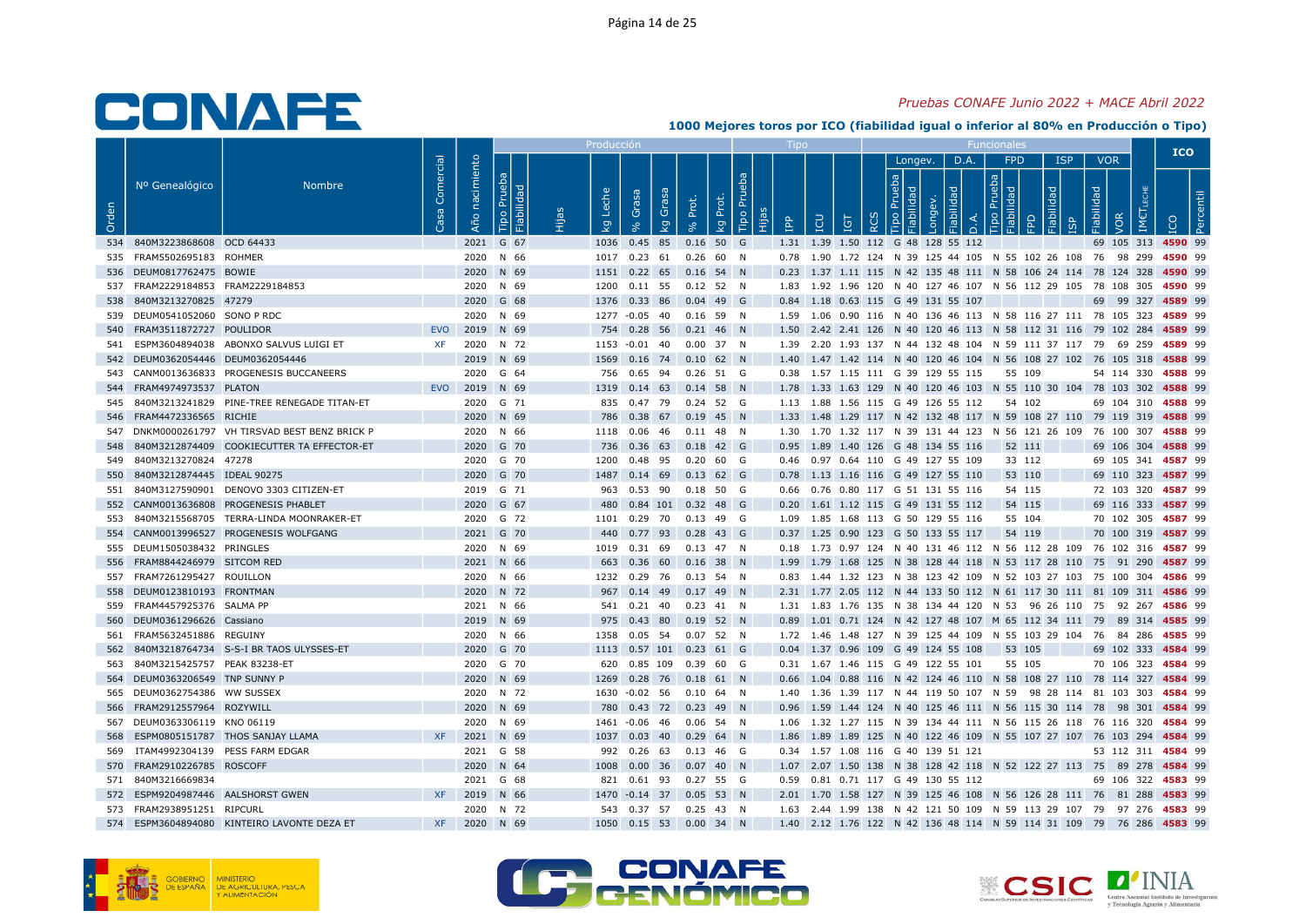### Pruebas CONAFE Junio 2022 + MACE Abril 2022

|       |                                    |                                                 |                   |                          |                              | Producci            |                                                           |       |                         |            |     |                            |                                            |      |                                           |                 |                          |     | <b>ICO</b>                                                                                  |
|-------|------------------------------------|-------------------------------------------------|-------------------|--------------------------|------------------------------|---------------------|-----------------------------------------------------------|-------|-------------------------|------------|-----|----------------------------|--------------------------------------------|------|-------------------------------------------|-----------------|--------------------------|-----|---------------------------------------------------------------------------------------------|
| Orden | Nº Genealógico                     | Nombre                                          | Comercial<br>Casa | nacimiento<br><b>Año</b> | Prueba<br>Fiabilidad<br>Tipo | Leche<br><b>L</b> g | Grasa<br>Grasa<br>$\overline{5}$                          | Prot. | Tipo Pru<br>Prot.<br>kg | <b>Add</b> | LCU | $\overline{5}$<br>$\alpha$ | Longev.                                    | D.A. | <b>FPD</b><br>$\frac{1}{2}$ $\frac{1}{2}$ | <b>ISP</b><br>요 | <b>VOR</b><br>Fiabilidad | /OR |                                                                                             |
|       | 534 840M3223868608 OCD 64433       |                                                 |                   |                          | 2021 G 67                    |                     | 1036  0.45  85                                            |       | $0.16$ 50 G             |            |     |                            | 1.31 1.39 1.50 112 G 48 128 55 112         |      |                                           |                 |                          |     | 69 105 313 4590 99                                                                          |
|       | 535 FRAM5502695183 ROHMER          |                                                 |                   |                          | 2020 N 66                    |                     | 1017  0.23  61  0.26  60  N                               |       |                         |            |     |                            |                                            |      |                                           |                 |                          |     | 0.78 1.90 1.72 124 N 39 125 44 105 N 55 102 26 108 76 98 299 4590 99                        |
|       | 536 DEUM0817762475 BOWIE           |                                                 |                   |                          | 2020 N 69                    |                     | 1151  0.22  65  0.16  54  N                               |       |                         |            |     |                            |                                            |      |                                           |                 |                          |     | 0.23 1.37 1.11 115 N 42 135 48 111 N 58 106 24 114 78 124 328 4590 99                       |
|       | 537 FRAM2229184853 FRAM2229184853  |                                                 |                   |                          | 2020 N 69                    |                     | 1200  0.11  55  0.12  52  N                               |       |                         |            |     |                            |                                            |      |                                           |                 |                          |     | 1.83 1.92 1.96 120 N 40 127 46 107 N 56 112 29 105 78 108 305 4590 99                       |
|       | 538 840M3213270825 47279           |                                                 |                   |                          | 2020 G 68                    |                     | 1376  0.33  86  0.04  49  G                               |       |                         |            |     |                            | 0.84 1.18 0.63 115 G 49 131 55 107         |      |                                           |                 |                          |     | 69 99 327 4589 99                                                                           |
|       | 539 DEUM0541052060 SONO P RDC      |                                                 |                   |                          | 2020 N 69                    |                     | 1277 -0.05 40 0.16 59 N                                   |       |                         |            |     |                            |                                            |      |                                           |                 |                          |     | 1.59 1.06 0.90 116 N 40 136 46 113 N 58 116 27 111 78 105 323 4589 99                       |
|       | 540 FRAM3511872727 POULIDOR        |                                                 | EVO               |                          | 2019 N 69                    |                     | 754  0.28  56  0.21  46  N                                |       |                         |            |     |                            |                                            |      |                                           |                 |                          |     | 1.50 2.42 2.41 126 N 40 120 46 113 N 58 112 31 116 79 102 284 4589 99                       |
|       |                                    | 541 ESPM3604894038 ABONXO SALVUS LUIGI ET       | <b>XF</b>         |                          | 2020 N 72                    |                     | 1153 -0.01 40 0.00 37 N                                   |       |                         |            |     |                            |                                            |      |                                           |                 |                          |     | 1.39  2.20  1.93  137  N  44  132  48  104  N  59  111  37  117  79  69  259  4589  99      |
|       | 542 DEUM0362054446 DEUM0362054446  |                                                 |                   |                          | 2019 N 69                    |                     | 1569  0.16  74  0.10  62  N                               |       |                         |            |     |                            |                                            |      |                                           |                 |                          |     | 1.40 1.47 1.42 114 N 40 120 46 104 N 56 108 27 102 76 105 318 4588 99                       |
|       |                                    | 543 CANM0013636833 PROGENESIS BUCCANEERS        |                   |                          | 2020 G 64                    |                     | 756  0.65  94  0.26  51  G                                |       |                         |            |     |                            | 0.38 1.57 1.15 111 G 39 129 55 115 55 109  |      |                                           |                 |                          |     | 54 114 330 4588 99                                                                          |
|       | 544 FRAM4974973537 PLATON          |                                                 |                   | EVO 2019 N 69            |                              |                     | 1319  0.14  63  0.14  58  N                               |       |                         |            |     |                            |                                            |      |                                           |                 |                          |     | 1.78 1.33 1.63 129 N 40 120 46 103 N 55 110 30 104 78 103 302 4588 99                       |
|       |                                    | 545 840M3213241829 PINE-TREE RENEGADE TITAN-ET  |                   |                          | 2020 G 71                    |                     | 835 0.47 79 0.24 52 G                                     |       |                         |            |     |                            | 1.13 1.88 1.56 115 G 49 126 55 112         |      | 54 102                                    |                 |                          |     | 69 104 310 4588 99                                                                          |
|       | 546 FRAM4472336565 RICHIE          | 547 DNKM0000261797 VH TIRSVAD BEST BENZ BRICK P |                   |                          | 2020 N 69<br>2020 N 66       |                     | 786 0.38 67 0.19 45 N                                     |       |                         |            |     |                            |                                            |      |                                           |                 |                          |     | 1.33 1.48 1.29 117 N 42 132 48 117 N 59 108 27 110 79 119 319 4588 99                       |
|       |                                    | 548 840M3212874409 COOKIECUTTER TA EFFECTOR-ET  |                   |                          | 2020 G 70                    |                     | 1118  0.06  46  0.11  48  N<br>736 0.36 63 0.18 42 G      |       |                         |            |     |                            | 0.95 1.89 1.40 126 G 48 134 55 116         |      |                                           |                 |                          |     | 1.30 1.70 1.32 117 N 39 131 44 123 N 56 121 26 109 76 100 307 4588 99<br>69 106 304 4588 99 |
|       | 549 840M3213270824 47278           |                                                 |                   |                          | 2020 G 70                    | 1200                | 0.48 95 0.20 60 G                                         |       |                         |            |     |                            | 0.46 0.97 0.64 110 G 49 127 55 109         |      | 52 111<br>33 112                          |                 |                          |     | 69 105 341 4587 99                                                                          |
|       | 550 840M3212874445 IDEAL 90275     |                                                 |                   |                          | 2020 G 70                    |                     | 1487 0.14 69 0.13 62 G                                    |       |                         |            |     |                            | 0.78 1.13 1.16 116 G 49 127 55 110         |      | 53 110                                    |                 |                          |     | 69 110 323 4587 99                                                                          |
|       |                                    | 551 840M3127590901 DENOVO 3303 CITIZEN-ET       |                   |                          | 2019 G 71                    |                     | 963  0.53  90  0.18  50  G                                |       |                         |            |     |                            | 0.66 0.76 0.80 117 G 51 131 55 116         |      | 54 115                                    |                 |                          |     | 72 103 320 4587 99                                                                          |
|       |                                    | 552 CANM0013636808 PROGENESIS PHABLET           |                   |                          | 2020 G 67                    |                     | 480 0.84 101 0.32 48 G                                    |       |                         |            |     |                            | 0.20 1.61 1.12 115 G 49 131 55 112         |      | 54 115                                    |                 |                          |     | 69 116 333 4587 99                                                                          |
|       |                                    | 553 840M3215568705 TERRA-LINDA MOONRAKER-ET     |                   |                          | 2020 G 72                    |                     | 1101  0.29  70  0.13  49  G                               |       |                         |            |     |                            | 1.09 1.85 1.68 113 G 50 129 55 116         |      | 55 104                                    |                 |                          |     | 70 102 305 4587 99                                                                          |
|       |                                    | 554 CANM0013996527 PROGENESIS WOLFGANG          |                   |                          | 2021 G 70                    |                     | 440 0.77 93 0.28 43 G                                     |       |                         |            |     |                            | 0.37 1.25 0.90 123 G 50 133 55 117         |      | 54 119                                    |                 |                          |     | 70 100 319 4587 99                                                                          |
|       | 555 DEUM1505038432 PRINGLES        |                                                 |                   |                          | 2020 N 69                    |                     | 1019  0.31  69  0.13  47  N                               |       |                         |            |     |                            |                                            |      |                                           |                 |                          |     | 0.18 1.73 0.97 124 N 40 131 46 112 N 56 112 28 109 76 102 316 4587 99                       |
| 556   | FRAM8844246979 SITCOM RED          |                                                 |                   |                          | 2021 N 66                    |                     | 663  0.36  60  0.16  38  N                                |       |                         |            |     |                            |                                            |      |                                           |                 |                          |     | 1.99 1.79 1.68 125 N 38 128 44 118 N 53 117 28 110 75 91 290 4587 99                        |
|       | 557 FRAM7261295427 ROUILLON        |                                                 |                   |                          | 2020 N 66                    |                     | 1232  0.29  76  0.13  54  N                               |       |                         |            |     |                            |                                            |      |                                           |                 |                          |     | 0.83 1.44 1.32 123 N 38 123 42 109 N 52 103 27 103 75 100 304 4586 99                       |
|       | 558 DEUM0123810193 FRONTMAN        |                                                 |                   |                          | 2020 N 72                    |                     | 967 0.14 49 0.17 49 N                                     |       |                         |            |     |                            |                                            |      |                                           |                 |                          |     | 2.31 1.77 2.05 112 N 44 133 50 112 N 61 117 30 111 81 109 311 4586 99                       |
|       | 559 FRAM4457925376 SALMA PP        |                                                 |                   |                          | 2021 N 66                    |                     | 541  0.21  40  0.23  41  N                                |       |                         |            |     |                            |                                            |      |                                           |                 |                          |     | 1.31 1.83 1.76 135 N 38 134 44 120 N 53 96 26 110 75 92 267 4586 99                         |
|       | 560 DEUM0361296626 Cassiano        |                                                 |                   |                          | 2019 N 69                    |                     | 975 0.43 80 0.19 52 N                                     |       |                         |            |     |                            |                                            |      |                                           |                 |                          |     | 0.89 1.01 0.71 124 N 42 127 48 107 M 65 112 34 111 79 89 314 4585 99                        |
|       | 561 FRAM5632451886 REGUINY         |                                                 |                   |                          | 2020 N 66                    |                     | 1358  0.05  54  0.07  52  N                               |       |                         |            |     |                            |                                            |      |                                           |                 |                          |     | 1.72 1.46 1.48 127 N 39 125 44 109 N 55 103 29 104 76 84 286 4585 99                        |
|       |                                    | 562 840M3218764734 S-S-I BR TAOS ULYSSES-ET     |                   |                          | 2020 G 70                    |                     | 1113  0.57  101  0.23  61  G                              |       |                         |            |     |                            | 0.04 1.37 0.96 109 G 49 124 55 108         |      | 53 105                                    |                 |                          |     | 69 102 333 4584 99                                                                          |
|       | 563 840M3215425757 PEAK 83238-ET   |                                                 |                   |                          | 2020 G 70                    |                     | 620 0.85 109 0.39 60 G                                    |       |                         |            |     |                            | 0.31 1.67 1.46 115 G 49 122 55 101         |      | 55 105                                    |                 |                          |     | 70 106 323 4584 99                                                                          |
|       | 564 DEUM0363206549 TNP SUNNY P     |                                                 |                   |                          | 2020 N 69                    |                     | 1269  0.28  76  0.18  61  N                               |       |                         |            |     |                            |                                            |      |                                           |                 |                          |     | 0.66 1.04 0.88 116 N 42 124 46 110 N 58 108 27 110 78 114 327 4584 99                       |
|       | 565 DEUM0362754386 WW SUSSEX       |                                                 |                   |                          | 2020 N 72                    |                     | 1630 -0.02 56 0.10 64 N                                   |       |                         |            |     |                            |                                            |      |                                           |                 |                          |     | 1.40 1.36 1.39 117 N 44 119 50 107 N 59 98 28 114 81 103 303 4584 99                        |
|       | 566 FRAM2912557964 ROZYWILL        |                                                 |                   |                          | 2020 N 69                    |                     | 780 0.43 72 0.23 49 N                                     |       |                         |            |     |                            |                                            |      |                                           |                 |                          |     | 0.96 1.59 1.44 124 N 40 125 46 111 N 56 115 30 114 78 98 301 4584 99                        |
|       | 567 DEUM0363306119 KNO 06119       |                                                 |                   |                          | 2020 N 69                    |                     | 1461 -0.06 46 0.06 54 N                                   |       |                         |            |     |                            |                                            |      |                                           |                 |                          |     | 1.06 1.32 1.27 115 N 39 134 44 111 N 56 115 26 118 76 116 320 4584 99                       |
| 568   | 569 ITAM4992304139 PESS FARM EDGAR | ESPM0805151787 THOS SANJAY LLAMA                | XF                |                          | 2021 N 69<br>2021 G 58       |                     | 1037  0.03  40  0.29  64  N                               |       |                         |            |     |                            | 0.34 1.57 1.08 116 G 40 139 51 121         |      |                                           |                 |                          |     | 1.86 1.89 1.89 125 N 40 122 46 109 N 55 107 27 107 76 103 294 4584 99                       |
|       | 570 FRAM2910226785 ROSCOFF         |                                                 |                   |                          | 2020 N 64                    |                     | 992  0.26  63  0.13  46  G<br>1008  0.00  36  0.07  40  N |       |                         |            |     |                            |                                            |      |                                           |                 |                          |     | 53 112 311 4584 99<br>1.07 2.07 1.50 138 N 38 128 42 118 N 52 122 27 113 75 89 278 4584 99  |
|       | 571 840M3216669834                 |                                                 |                   |                          | 2021 G 68                    |                     | 821 0.61 93 0.27 55 G                                     |       |                         |            |     |                            | 0.59  0.81  0.71  117  G  49  130  55  112 |      |                                           |                 |                          |     | 69 106 322 4583 99                                                                          |
|       | 572 ESPM9204987446 AALSHORST GWEN  |                                                 | <b>XF</b>         |                          | 2019 N 66                    |                     | 1470 -0.14 37 0.05 53 N                                   |       |                         |            |     |                            |                                            |      |                                           |                 |                          |     | 2.01 1.70 1.58 127 N 39 125 46 108 N 56 126 28 111 76 81 288 4583 99                        |
|       | 573 FRAM2938951251 RIPCURL         |                                                 |                   |                          | 2020 N 72                    |                     | 543 0.37 57 0.25 43 N                                     |       |                         |            |     |                            |                                            |      |                                           |                 |                          |     | 1.63  2.44  1.99  138  N  42  121  50  109  N  59  113  29  107  79  97  276  4583  99      |
|       |                                    | 574 ESPM3604894080 KINTEIRO LAVONTE DEZA ET     | <b>XF</b>         |                          | 2020 N 69                    |                     | 1050  0.15  53  0.00  34  N                               |       |                         |            |     |                            |                                            |      |                                           |                 |                          |     | 1.40 2.12 1.76 122 N 42 136 48 114 N 59 114 31 109 79 76 286 4583 99                        |
|       |                                    |                                                 |                   |                          |                              |                     |                                                           |       |                         |            |     |                            |                                            |      |                                           |                 |                          |     |                                                                                             |





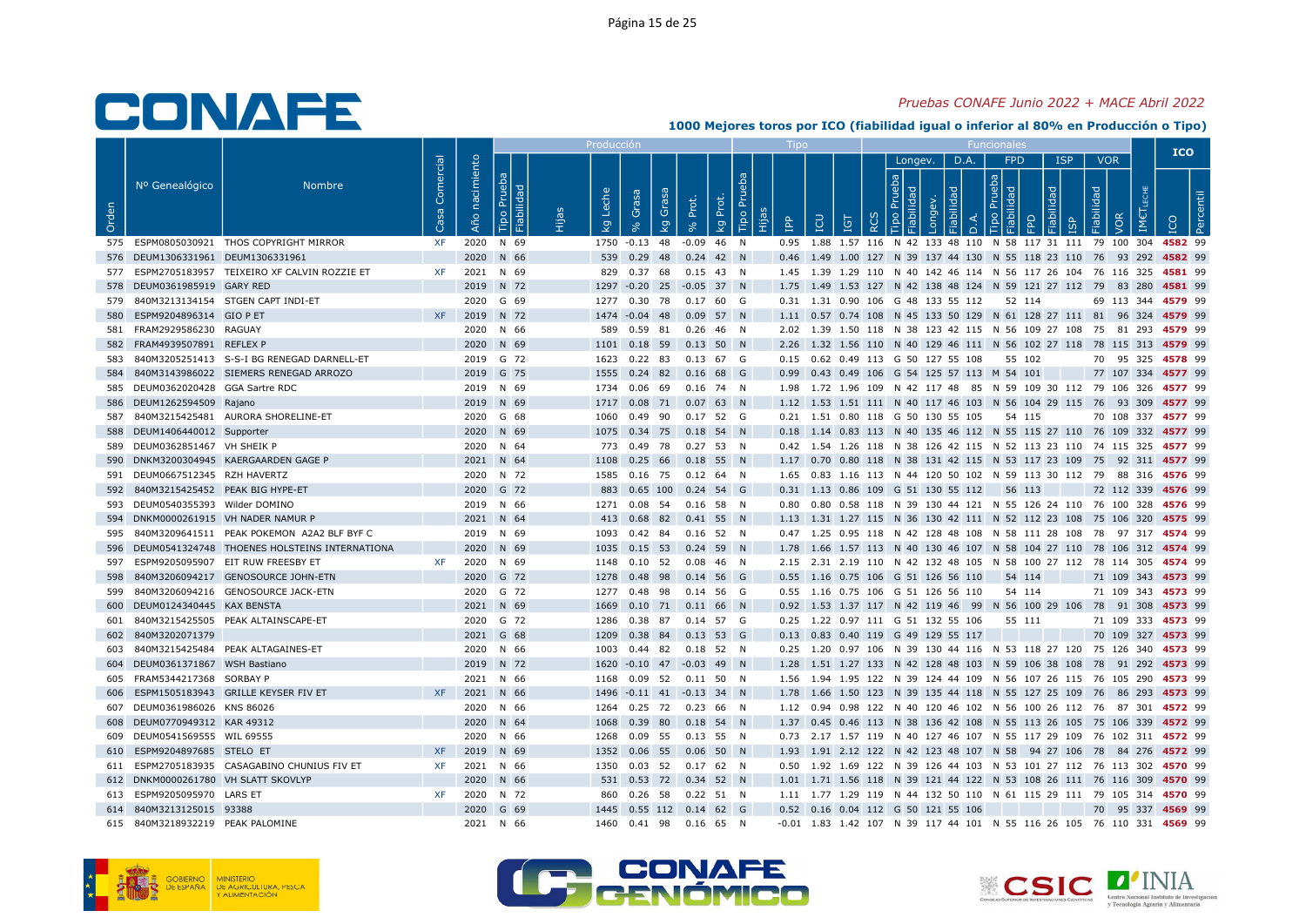#### Pruebas CONAFE Junio 2022 + MACE Abril 2022

|       |                                     |                                                 |                   |                |                                   | Producciór                      |                                  |                            |                          |           |                                                        |   |              |      |        |            |                                                                                         |                                 | <b>ICO</b>                                                            |  |
|-------|-------------------------------------|-------------------------------------------------|-------------------|----------------|-----------------------------------|---------------------------------|----------------------------------|----------------------------|--------------------------|-----------|--------------------------------------------------------|---|--------------|------|--------|------------|-----------------------------------------------------------------------------------------|---------------------------------|-----------------------------------------------------------------------|--|
| Orden | Nº Genealógico                      | <b>Nombre</b>                                   | Comercial<br>Casa | Año nacimiento | Prueba<br><b>bebilide</b><br>Tipo | Leche<br>$\mathbf{\mathcal{Q}}$ | Grasa<br>Grasa<br>$\overline{5}$ | Prot.<br>Prot.<br>$\infty$ | ā<br>Tipo Pru<br>ΙŞ<br>旧 | <u>ed</u> | EQ<br>ΙGΤ                                              | ≃ | Longev.<br>호 | D.A. | $\cap$ | FPD<br>의 모 | <b>ISP</b><br>몫                                                                         | <b>VOR</b><br>Fiabilidad<br>VOR |                                                                       |  |
|       |                                     | 575 ESPM0805030921 THOS COPYRIGHT MIRROR        | <b>XF</b>         |                | 2020 N 69                         |                                 | 1750 -0.13 48                    | $-0.09$ 46 N               |                          |           |                                                        |   |              |      |        |            |                                                                                         |                                 | 0.95 1.88 1.57 116 N 42 133 48 110 N 58 117 31 111 79 100 304 4582 99 |  |
|       | 576 DEUM1306331961 DEUM1306331961   |                                                 |                   |                | 2020 N 66                         |                                 | 539 0.29 48 0.24 42 N            |                            |                          |           |                                                        |   |              |      |        |            |                                                                                         |                                 | 0.46 1.49 1.00 127 N 39 137 44 130 N 55 118 23 110 76 93 292 4582 99  |  |
|       |                                     | 577 ESPM2705183957 TEIXEIRO XF CALVIN ROZZIE ET | <b>XF</b>         |                | 2021 N 69                         |                                 | 829 0.37 68 0.15 43 N            |                            |                          |           |                                                        |   |              |      |        |            | 1.45 1.39 1.29 110 N 40 142 46 114 N 56 117 26 104 76 116 325 4581 99                   |                                 |                                                                       |  |
|       | 578 DEUM0361985919 GARY RED         |                                                 |                   |                | 2019 N 72                         |                                 | 1297 -0.20 25 -0.05 37 N         |                            |                          |           |                                                        |   |              |      |        |            |                                                                                         |                                 | 1.75 1.49 1.53 127 N 42 138 48 124 N 59 121 27 112 79 83 280 4581 99  |  |
|       |                                     | 579 840M3213134154 STGEN CAPT INDI-ET           |                   |                | 2020 G 69                         |                                 | 1277  0.30  78  0.17  60  G      |                            |                          |           | 0.31 1.31 0.90 106 G 48 133 55 112                     |   |              |      |        | 52 114     |                                                                                         |                                 | 69 113 344 4579 99                                                    |  |
| 580   | ESPM9204896314 GIO P ET             |                                                 | <b>XF</b>         |                | 2019 N 72                         |                                 | 1474 -0.04 48 0.09 57 N          |                            |                          |           |                                                        |   |              |      |        |            |                                                                                         |                                 | 1.11 0.57 0.74 108 N 45 133 50 129 N 61 128 27 111 81 96 324 4579 99  |  |
|       | 581 FRAM2929586230 RAGUAY           |                                                 |                   |                | 2020 N 66                         |                                 | 589  0.59  81  0.26  46  N       |                            |                          |           |                                                        |   |              |      |        |            | 2.02 1.39 1.50 118 N 38 123 42 115 N 56 109 27 108 75 81 293 4579 99                    |                                 |                                                                       |  |
|       | 582 FRAM4939507891 REFLEX P         |                                                 |                   |                | 2020 N 69                         |                                 | 1101  0.18  59  0.13  50  N      |                            |                          |           |                                                        |   |              |      |        |            |                                                                                         |                                 | 2.26 1.32 1.56 110 N 40 129 46 111 N 56 102 27 118 78 115 313 4579 99 |  |
| 583   |                                     | 840M3205251413 S-S-I BG RENEGAD DARNELL-ET      |                   |                | 2019 G 72                         |                                 | 1623  0.22  83  0.13  67  G      |                            |                          |           | 0.15  0.62  0.49  113  G  50  127  55  108             |   |              |      |        | 55 102     |                                                                                         |                                 | 70 95 325 4578 99                                                     |  |
| 584   |                                     | 840M3143986022 SIEMERS RENEGAD ARROZO           |                   |                | 2019 G 75                         |                                 | 1555 0.24 82 0.16 68 G           |                            |                          |           | 0.99  0.43  0.49  106  G  54  125  57  113  M  54  101 |   |              |      |        |            |                                                                                         |                                 | 77 107 334 4577 99                                                    |  |
|       | 585 DEUM0362020428 GGA Sartre RDC   |                                                 |                   |                | 2019 N 69                         |                                 | 1734  0.06  69  0.16  74  N      |                            |                          |           |                                                        |   |              |      |        |            | 1.98 1.72 1.96 109 N 42 117 48 85 N 59 109 30 112 79 106 326 4577 99                    |                                 |                                                                       |  |
|       | 586 DEUM1262594509 Rajano           |                                                 |                   |                | 2019 N 69                         |                                 | 1717  0.08  71  0.07  63  N      |                            |                          |           |                                                        |   |              |      |        |            |                                                                                         |                                 | 1.12 1.53 1.51 111 N 40 117 46 103 N 56 104 29 115 76 93 309 4577 99  |  |
| 587   |                                     | 840M3215425481 AURORA SHORELINE-ET              |                   |                | 2020 G 68                         | 1060                            | 0.49 90 0.17 52 G                |                            |                          |           | 0.21 1.51 0.80 118 G 50 130 55 105                     |   |              |      |        | 54 115     |                                                                                         |                                 | 70 108 337 4577 99                                                    |  |
|       | 588 DEUM1406440012 Supporter        |                                                 |                   |                | 2020 N 69                         |                                 | 1075  0.34  75  0.18  54  N      |                            |                          |           |                                                        |   |              |      |        |            |                                                                                         |                                 | 0.18 1.14 0.83 113 N 40 135 46 112 N 55 115 27 110 76 109 332 4577 99 |  |
|       | 589 DEUM0362851467 VH SHEIK P       |                                                 |                   |                | 2020 N 64                         |                                 | 773 0.49 78 0.27 53 N            |                            |                          |           |                                                        |   |              |      |        |            | 0.42 1.54 1.26 118 N 38 126 42 115 N 52 113 23 110 74 115 325 4577 99                   |                                 |                                                                       |  |
| 590   |                                     | DNKM3200304945 KAERGAARDEN GAGE P               |                   |                | 2021 N 64                         | 1108                            | $0.25$ 66 0.18 55 N              |                            |                          |           |                                                        |   |              |      |        |            |                                                                                         |                                 | 1.17 0.70 0.80 118 N 38 131 42 115 N 53 117 23 109 75 92 311 4577 99  |  |
|       | 591 DEUM0667512345 RZH HAVERTZ      |                                                 |                   |                | 2020 N 72                         |                                 | 1585  0.16  75  0.12  64  N      |                            |                          |           |                                                        |   |              |      |        |            | 1.65 0.83 1.16 113 N 44 120 50 102 N 59 113 30 112 79 88 316 4576 99                    |                                 |                                                                       |  |
| 592   | 840M3215425452 PEAK BIG HYPE-ET     |                                                 |                   |                | 2020 G 72                         |                                 | 883 0.65 100 0.24 54 G           |                            |                          |           | 0.31 1.13 0.86 109 G 51 130 55 112                     |   |              |      |        | 56 113     |                                                                                         |                                 | 72 112 339 4576 99                                                    |  |
|       | 593 DEUM0540355393 Wilder DOMINO    |                                                 |                   |                | 2019 N 66                         |                                 | 1271  0.08  54  0.16  58  N      |                            |                          |           |                                                        |   |              |      |        |            | 0.80 0.80 0.58 118 N 39 130 44 121 N 55 126 24 110 76 100 328 4576 99                   |                                 |                                                                       |  |
|       |                                     | 594 DNKM0000261915 VH NADER NAMUR P             |                   |                | 2021 N 64                         |                                 | 413  0.68  82  0.41  55  N       |                            |                          |           |                                                        |   |              |      |        |            |                                                                                         |                                 | 1.13 1.31 1.27 115 N 36 130 42 111 N 52 112 23 108 75 106 320 4575 99 |  |
| 595   |                                     | 840M3209641511 PEAK POKEMON A2A2 BLF BYF C      |                   |                | 2019 N 69                         |                                 | 1093  0.42  84  0.16  52  N      |                            |                          |           |                                                        |   |              |      |        |            | 0.47 1.25 0.95 118 N 42 128 48 108 N 58 111 28 108 78 97 317 4574 99                    |                                 |                                                                       |  |
| 596   |                                     | DEUM0541324748 THOENES HOLSTEINS INTERNATIONA   |                   |                | 2020 N 69                         |                                 | 1035  0.15  53  0.24  59  N      |                            |                          |           |                                                        |   |              |      |        |            |                                                                                         |                                 | 1.78 1.66 1.57 113 N 40 130 46 107 N 58 104 27 110 78 106 312 4574 99 |  |
| 597   |                                     | ESPM9205095907 EIT RUW FREESBY ET               | XF                |                | 2020 N 69                         |                                 | 1148  0.10  52  0.08  46  N      |                            |                          |           |                                                        |   |              |      |        |            | 2.15 2.31 2.19 110 N 42 132 48 105 N 58 100 27 112 78 114 305 4574 99                   |                                 |                                                                       |  |
| 598   |                                     | 840M3206094217 GENOSOURCE JOHN-ETN              |                   |                | 2020 G 72                         |                                 | 1278 0.48 98 0.14 56 G           |                            |                          |           | 0.55 1.16 0.75 106 G 51 126 56 110                     |   |              |      |        | 54 114     |                                                                                         |                                 | 71 109 343 4573 99                                                    |  |
| 599   |                                     | 840M3206094216 GENOSOURCE JACK-ETN              |                   |                | 2020 G 72                         |                                 | 1277 0.48 98 0.14 56 G           |                            |                          |           | 0.55 1.16 0.75 106 G 51 126 56 110                     |   |              |      |        | 54 114     |                                                                                         |                                 | 71 109 343 4573 99                                                    |  |
| 600   | DEUM0124340445 KAX BENSTA           |                                                 |                   |                | 2021 N 69                         | 1669                            | $0.10$ 71 $0.11$ 66 N            |                            |                          |           |                                                        |   |              |      |        |            |                                                                                         |                                 | 0.92 1.53 1.37 117 N 42 119 46 99 N 56 100 29 106 78 91 308 4573 99   |  |
| 601   |                                     | 840M3215425505 PEAK ALTAINSCAPE-ET              |                   |                | 2020 G 72                         |                                 | 1286  0.38  87  0.14  57  G      |                            |                          |           | 0.25 1.22 0.97 111 G 51 132 55 106                     |   |              |      |        | 55 111     |                                                                                         |                                 | 71 109 333 4573 99                                                    |  |
| 602   | 840M3202071379                      |                                                 |                   |                | 2021 G 68                         | 1209                            | 0.38 84 0.13 53 G                |                            |                          |           | 0.13 0.83 0.40 119 G 49 129 55 117                     |   |              |      |        |            |                                                                                         |                                 | 70 109 327 4573 99                                                    |  |
| 603   |                                     | 840M3215425484 PEAK ALTAGAINES-ET               |                   |                | 2020 N 66                         |                                 | 1003  0.44  82  0.18  52  N      |                            |                          |           |                                                        |   |              |      |        |            | 0.25 1.20 0.97 106 N 39 130 44 116 N 53 118 27 120 75 126 340 4573 99                   |                                 |                                                                       |  |
|       | 604 DEUM0361371867 WSH Bastiano     |                                                 |                   |                | 2019 N 72                         |                                 | 1620 -0.10 47 -0.03 49 N         |                            |                          |           |                                                        |   |              |      |        |            |                                                                                         |                                 | 1.28 1.51 1.27 133 N 42 128 48 103 N 59 106 38 108 78 91 292 4573 99  |  |
|       | 605 FRAM5344217368 SORBAY P         |                                                 |                   |                | 2021 N 66                         |                                 | 1168  0.09  52  0.11  50  N      |                            |                          |           |                                                        |   |              |      |        |            | 1.56 1.94 1.95 122 N 39 124 44 109 N 56 107 26 115 76 105 290 4573 99                   |                                 |                                                                       |  |
| 606   |                                     | ESPM1505183943 GRILLE KEYSER FIV ET             | <b>XF</b>         |                | 2021 N 66                         |                                 | 1496 -0.11 41 -0.13 34 N         |                            |                          |           |                                                        |   |              |      |        |            |                                                                                         |                                 | 1.78 1.66 1.50 123 N 39 135 44 118 N 55 127 25 109 76 86 293 4573 99  |  |
|       | 607 DEUM0361986026 KNS 86026        |                                                 |                   |                | 2020 N 66                         |                                 | 1264  0.25  72  0.23  66  N      |                            |                          |           |                                                        |   |              |      |        |            | 1.12 0.94 0.98 122 N 40 120 46 102 N 56 100 26 112 76 87 301 4572 99                    |                                 |                                                                       |  |
|       | 608 DEUM0770949312 KAR 49312        |                                                 |                   |                | 2020 N 64                         |                                 | 1068  0.39  80  0.18  54  N      |                            |                          |           |                                                        |   |              |      |        |            |                                                                                         |                                 | 1.37 0.45 0.46 113 N 38 136 42 108 N 55 113 26 105 75 106 339 4572 99 |  |
|       | 609 DEUM0541569555 WIL 69555        |                                                 |                   |                | 2020 N 66                         | 1268                            | 0.09 55 0.13 55 N                |                            |                          |           |                                                        |   |              |      |        |            | 0.73  2.17  1.57  119  N  40  127  46  107  N  55  117  29  109  76  102  311  4572  99 |                                 |                                                                       |  |
|       | 610 ESPM9204897685 STELO ET         |                                                 | <b>XF</b>         |                | 2019 N 69                         |                                 | 1352  0.06  55  0.06  50  N      |                            |                          |           |                                                        |   |              |      |        |            |                                                                                         |                                 | 1.93 1.91 2.12 122 N 42 123 48 107 N 58 94 27 106 78 84 276 4572 99   |  |
|       |                                     | 611 ESPM2705183935 CASAGABINO CHUNIUS FIV ET    | XF                |                | 2021 N 66                         |                                 | 1350  0.03  52  0.17  62  N      |                            |                          |           |                                                        |   |              |      |        |            | 0.50 1.92 1.69 122 N 39 126 44 103 N 53 101 27 112 76 113 302 4570 99                   |                                 |                                                                       |  |
|       | 612 DNKM0000261780 VH SLATT SKOVLYP |                                                 |                   |                | 2020 N 66                         |                                 | 531 0.53 72 0.34 52 N            |                            |                          |           |                                                        |   |              |      |        |            |                                                                                         |                                 | 1.01 1.71 1.56 118 N 39 121 44 122 N 53 108 26 111 76 116 309 4570 99 |  |
|       | 613 ESPM9205095970 LARS ET          |                                                 | <b>XF</b>         |                | 2020 N 72                         |                                 | 860  0.26  58  0.22  51  N       |                            |                          |           |                                                        |   |              |      |        |            | 1.11 1.77 1.29 119 N 44 132 50 110 N 61 115 29 111 79 105 314 4570 99                   |                                 |                                                                       |  |
|       | 614 840M3213125015 93388            |                                                 |                   |                | 2020 G 69                         |                                 | 1445  0.55  112  0.14  62  G     |                            |                          |           | 0.52 0.16 0.04 112 G 50 121 55 106                     |   |              |      |        |            |                                                                                         |                                 | 70 95 337 4569 99                                                     |  |
|       | 615 840M3218932219 PEAK PALOMINE    |                                                 |                   |                | 2021 N 66                         |                                 | 1460  0.41  98  0.16  65  N      |                            |                          |           |                                                        |   |              |      |        |            | -0.01 1.83 1.42 107 N 39 117 44 101 N 55 116 26 105 76 110 331 4569 99                  |                                 |                                                                       |  |





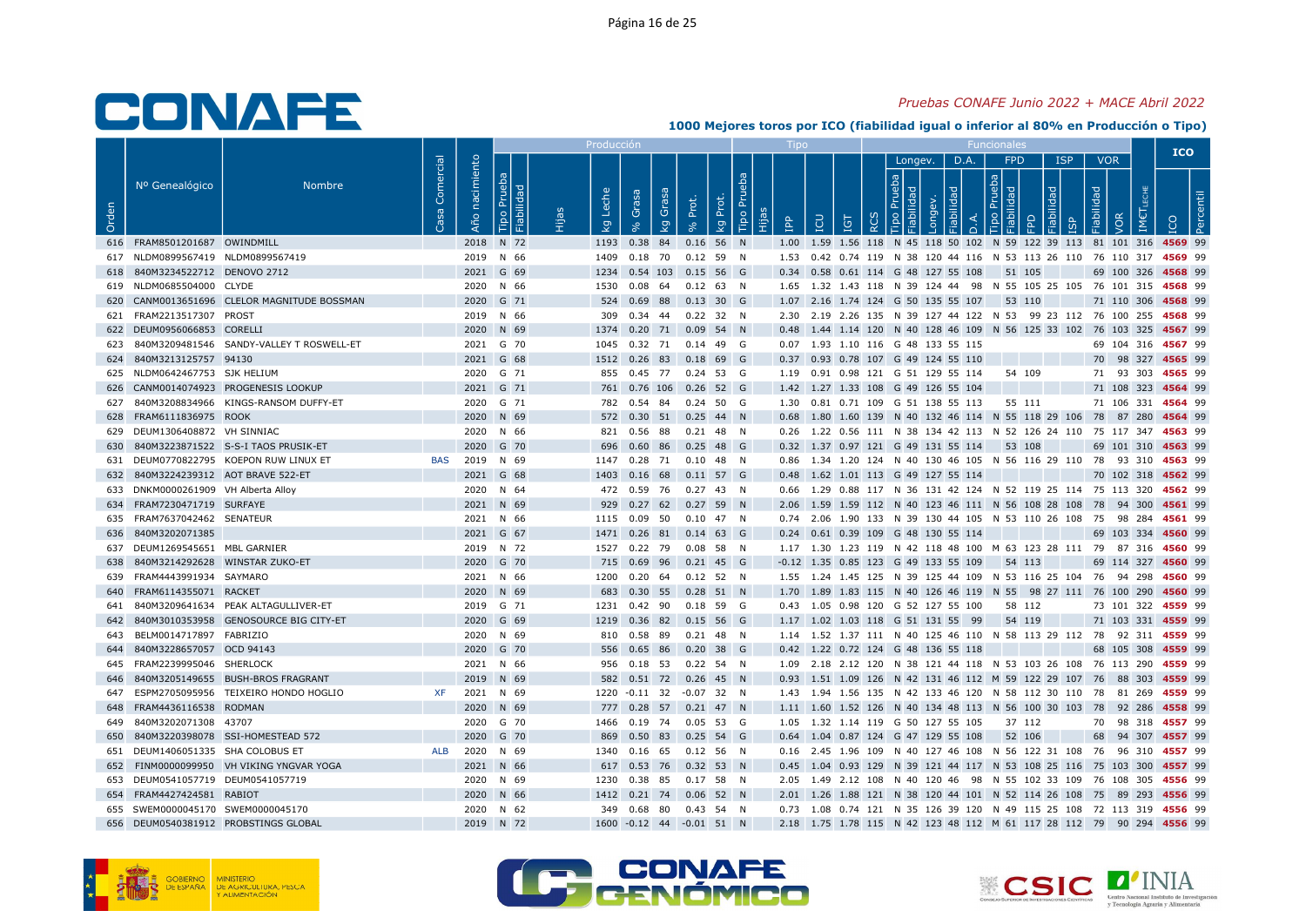### Pruebas CONAFE Junio 2022 + MACE Abril 2022

|       |                                                       |                                              |                |                   |                              | Producci    |                                                      |       |             |           |   |                                                                                                                                                      |                              |      |                                           |                                 |            |                          |     | <b>ICO</b>         |  |
|-------|-------------------------------------------------------|----------------------------------------------|----------------|-------------------|------------------------------|-------------|------------------------------------------------------|-------|-------------|-----------|---|------------------------------------------------------------------------------------------------------------------------------------------------------|------------------------------|------|-------------------------------------------|---------------------------------|------------|--------------------------|-----|--------------------|--|
| Orden | Nº Genealógico                                        | <b>Nombre</b>                                | Comercial<br>အ | nacimiento<br>Año | Prueba<br>ᄝ<br>bilid<br>Tipo | che<br>ତ୍ୟୁ | ese<br>Grasa<br>Ö<br>$\overline{g}$                  | Prot. | kg Prot.    | Tipo Prue | 욥 | LCU<br>Ξ                                                                                                                                             | Longev.<br><b>동 [할</b><br>ਾਰ | D.A. | <b>FPD</b><br>$\frac{a}{b}$ $\frac{b}{c}$ | $\overline{\sigma}$<br>$\Omega$ | <b>ISP</b> | <b>VOR</b><br>Fiabilidad | /OR |                    |  |
|       | 616 FRAM8501201687 OWINDMILL                          |                                              |                |                   | 2018 N 72                    |             | 1193 0.38 84                                         |       | $0.16$ 56 N |           |   | 1.00 1.59 1.56 118 N 45 118 50 102 N 59 122 39 113 81 101 316 4569 99                                                                                |                              |      |                                           |                                 |            |                          |     |                    |  |
|       | 617 NLDM0899567419 NLDM0899567419                     |                                              |                |                   | 2019 N 66                    |             | 1409  0.18  70  0.12  59  N                          |       |             |           |   | 1.53 0.42 0.74 119 N 38 120 44 116 N 53 113 26 110 76 110 317 4569 99                                                                                |                              |      |                                           |                                 |            |                          |     |                    |  |
|       | 618 840M3234522712 DENOVO 2712                        |                                              |                |                   | 2021 G 69                    |             | 1234  0.54  103  0.15  56  G                         |       |             |           |   | 0.34 0.58 0.61 114 G 48 127 55 108                                                                                                                   |                              |      |                                           | 51 105                          |            |                          |     | 69 100 326 4568 99 |  |
|       | 619 NLDM0685504000 CLYDE                              |                                              |                |                   | 2020 N 66                    | 1530        | $0.08$ 64 $0.12$ 63 N                                |       |             |           |   | 1.65 1.32 1.43 118 N 39 124 44 98 N 55 105 25 105 76 101 315 4568 99                                                                                 |                              |      |                                           |                                 |            |                          |     |                    |  |
|       |                                                       | 620 CANM0013651696 CLELOR MAGNITUDE BOSSMAN  |                |                   | 2020 G 71                    |             | 524  0.69  88  0.13  30  G                           |       |             |           |   | 1.07 2.16 1.74 124 G 50 135 55 107                                                                                                                   |                              |      |                                           | 53 110                          |            |                          |     | 71 110 306 4568 99 |  |
|       | 621 FRAM2213517307 PROST                              |                                              |                |                   | 2019 N 66                    |             | 309  0.34  44  0.22  32  N                           |       |             |           |   | 2.30 2.19 2.26 135 N 39 127 44 122 N 53 99 23 112 76 100 255 4568 99                                                                                 |                              |      |                                           |                                 |            |                          |     |                    |  |
|       | 622 DEUM0956066853 CORELLI                            |                                              |                |                   | 2020 N 69                    |             | 1374  0.20  71  0.09  54  N                          |       |             |           |   | 0.48 1.44 1.14 120 N 40 128 46 109 N 56 125 33 102 76 103 325 4567 99                                                                                |                              |      |                                           |                                 |            |                          |     |                    |  |
|       |                                                       | 623 840M3209481546 SANDY-VALLEY T ROSWELL-ET |                |                   | 2021 G 70                    |             | 1045  0.32  71  0.14  49  G                          |       |             |           |   | 0.07 1.93 1.10 116 G 48 133 55 115                                                                                                                   |                              |      |                                           |                                 |            |                          |     | 69 104 316 4567 99 |  |
|       | 624 840M3213125757 94130                              |                                              |                |                   | 2021 G 68                    |             | 1512 0.26 83 0.18 69 G                               |       |             |           |   | 0.37 0.93 0.78 107 G 49 124 55 110                                                                                                                   |                              |      |                                           |                                 |            |                          |     | 70 98 327 4565 99  |  |
|       | 625 NLDM0642467753 SJK HELIUM                         |                                              |                |                   | 2020 G 71                    |             | 855 0.45 77 0.24 53 G                                |       |             |           |   | 1.19  0.91  0.98  121  G  51  129  55  114                                                                                                           |                              |      |                                           | 54 109                          |            |                          |     | 71 93 303 4565 99  |  |
|       |                                                       | 626 CANM0014074923 PROGENESIS LOOKUP         |                |                   | 2021 G 71                    |             | 761 0.76 106 0.26 52 G                               |       |             |           |   | 1.42 1.27 1.33 108 G 49 126 55 104                                                                                                                   |                              |      |                                           |                                 |            |                          |     | 71 108 323 4564 99 |  |
|       |                                                       | 627 840M3208834966 KINGS-RANSOM DUFFY-ET     |                |                   | 2020 G 71                    |             | 782  0.54  84  0.24  50  G                           |       |             |           |   | 1.30  0.81  0.71  109  G  51  138  55  113                                                                                                           |                              |      |                                           | 55 111                          |            |                          |     | 71 106 331 4564 99 |  |
|       | 628 FRAM6111836975 ROOK                               |                                              |                |                   | 2020 N 69                    |             | 572  0.30  51  0.25  44  N                           |       |             |           |   | 0.68 1.80 1.60 139 N 40 132 46 114 N 55 118 29 106 78 87 280 4564 99                                                                                 |                              |      |                                           |                                 |            |                          |     |                    |  |
|       | 629 DEUM1306408872 VH SINNIAC                         |                                              |                |                   | 2020 N 66                    |             | 821  0.56  88  0.21  48  N                           |       |             |           |   | 0.26 1.22 0.56 111 N 38 134 42 113 N 52 126 24 110 75 117 347 4563 99                                                                                |                              |      |                                           |                                 |            |                          |     |                    |  |
|       |                                                       | 630 840M3223871522 S-S-I TAOS PRUSIK-ET      |                |                   | 2020 G 70                    |             | 696  0.60  86  0.25  48  G                           |       |             |           |   | 0.32 1.37 0.97 121 G 49 131 55 114 53 108                                                                                                            |                              |      |                                           |                                 |            |                          |     | 69 101 310 4563 99 |  |
|       |                                                       | 631 DEUM0770822795 KOEPON RUW LINUX ET       | BAS            |                   | 2019 N 69                    |             | 1147  0.28  71  0.10  48  N                          |       |             |           |   | 0.86 1.34 1.20 124 N 40 130 46 105 N 56 116 29 110 78 93 310 4563 99                                                                                 |                              |      |                                           |                                 |            |                          |     |                    |  |
|       | 632 840M3224239312 AOT BRAVE 522-ET                   |                                              |                |                   | 2021 G 68                    |             | 1403 0.16 68 0.11 57 G                               |       |             |           |   | 0.48 1.62 1.01 113 G 49 127 55 114                                                                                                                   |                              |      |                                           |                                 |            |                          |     | 70 102 318 4562 99 |  |
|       | 633 DNKM0000261909 VH Alberta Alloy                   |                                              |                |                   | 2020 N 64                    |             | 472  0.59  76  0.27  43  N                           |       |             |           |   | 0.66 1.29 0.88 117 N 36 131 42 124 N 52 119 25 114 75 113 320 4562 99                                                                                |                              |      |                                           |                                 |            |                          |     |                    |  |
|       | 634 FRAM7230471719 SURFAYE                            |                                              |                |                   | 2021 N 69                    |             | 929 0.27 62 0.27 59 N                                |       |             |           |   | 2.06 1.59 1.59 112 N 40 123 46 111 N 56 108 28 108 78 94 300 4561 99                                                                                 |                              |      |                                           |                                 |            |                          |     |                    |  |
|       | 635 FRAM7637042462 SENATEUR                           |                                              |                |                   | 2021 N 66                    |             | 1115  0.09  50  0.10  47  N                          |       |             |           |   | 0.74  2.06  1.90  133  N  39  130  44  105  N  53  110  26  108  75  98  284  4561  99                                                               |                              |      |                                           |                                 |            |                          |     |                    |  |
|       | 636 840M3202071385                                    |                                              |                |                   | 2021 G 67                    |             | 1471 0.26 81 0.14 63 G                               |       |             |           |   | 0.24 0.61 0.39 109 G 48 130 55 114                                                                                                                   |                              |      |                                           |                                 |            |                          |     | 69 103 334 4560 99 |  |
|       | 637 DEUM1269545651 MBL GARNIER                        |                                              |                |                   | 2019 N 72                    |             | 1527  0.22  79  0.08  58  N                          |       |             |           |   | 1.17 1.30 1.23 119 N 42 118 48 100 M 63 123 28 111 79 87 316 4560 99                                                                                 |                              |      |                                           |                                 |            |                          |     |                    |  |
|       | 638 840M3214292628 WINSTAR ZUKO-ET                    |                                              |                |                   | 2020 G 70                    |             | 715 0.69 96 0.21 45 G                                |       |             |           |   | $-0.12$ 1.35 0.85 123 G 49 133 55 109                                                                                                                |                              |      |                                           | 54 113                          |            |                          |     | 69 114 327 4560 99 |  |
|       | 639 FRAM4443991934 SAYMARO                            |                                              |                |                   | 2021 N 66                    |             | 1200  0.20  64  0.12  52  N                          |       |             |           |   | 1.55 1.24 1.45 125 N 39 125 44 109 N 53 116 25 104 76 94 298 4560 99                                                                                 |                              |      |                                           |                                 |            |                          |     |                    |  |
|       | 640 FRAM6114355071 RACKET                             |                                              |                |                   | 2020 N 69                    |             | 683  0.30  55  0.28  51  N                           |       |             |           |   | 1.70 1.89 1.83 115 N 40 126 46 119 N 55 98 27 111 76 100 290 4560 99                                                                                 |                              |      |                                           |                                 |            |                          |     |                    |  |
|       |                                                       | 641 840M3209641634 PEAK ALTAGULLIVER-ET      |                |                   | 2019 G 71                    |             | 1231  0.42  90  0.18  59  G                          |       |             |           |   | 0.43 1.05 0.98 120 G 52 127 55 100                                                                                                                   |                              |      |                                           | 58 112                          |            |                          |     | 73 101 322 4559 99 |  |
|       |                                                       | 642 840M3010353958 GENOSOURCE BIG CITY-ET    |                |                   | 2020 G 69                    |             | 1219  0.36  82  0.15  56  G                          |       |             |           |   | 1.17 1.02 1.03 118 G 51 131 55 99                                                                                                                    |                              |      |                                           | 54 119                          |            |                          |     | 71 103 331 4559 99 |  |
|       | 643 BELM0014717897 FABRIZIO                           |                                              |                |                   | 2020 N 69                    |             | 810  0.58  89  0.21  48  N                           |       |             |           |   | 1.14 1.52 1.37 111 N 40 125 46 110 N 58 113 29 112 78 92 311 4559 99                                                                                 |                              |      |                                           |                                 |            |                          |     |                    |  |
|       | 644 840M3228657057 OCD 94143                          |                                              |                |                   | 2020 G 70                    |             | 556  0.65  86  0.20  38  G                           |       |             |           |   | 0.42 1.22 0.72 124 G 48 136 55 118                                                                                                                   |                              |      |                                           |                                 |            |                          |     | 68 105 308 4559 99 |  |
|       | 645 FRAM2239995046 SHERLOCK                           |                                              |                |                   | 2021 N 66                    |             | 956  0.18  53  0.22  54  N                           |       |             |           |   | 1.09  2.18  2.12  120  N  38  121  44  118  N  53  103  26  108  76  113  290  4559  99                                                              |                              |      |                                           |                                 |            |                          |     |                    |  |
|       |                                                       | 646 840M3205149655 BUSH-BROS FRAGRANT        |                |                   | 2019 N 69                    |             | 582  0.51  72  0.26  45  N                           |       |             |           |   | 0.93 1.51 1.09 126 N 42 131 46 112 M 59 122 29 107 76 88 303 4559 99                                                                                 |                              |      |                                           |                                 |            |                          |     |                    |  |
|       |                                                       | 647 ESPM2705095956 TEIXEIRO HONDO HOGLIO     | XF             |                   | 2021 N 69                    |             | 1220 -0.11 32 -0.07 32 N                             |       |             |           |   | 1.43 1.94 1.56 135 N 42 133 46 120 N 58 112 30 110 78 81 269 4559 99                                                                                 |                              |      |                                           |                                 |            |                          |     |                    |  |
|       | 648 FRAM4436116538 RODMAN<br>649 840M3202071308 43707 |                                              |                |                   | 2020 N 69<br>2020 G 70       |             | 777 0.28 57 0.21 47 N<br>1466  0.19  74  0.05  53  G |       |             |           |   | 1.11 1.60 1.52 126 N 40 134 48 113 N 56 100 30 103 78 92 286 4558 99                                                                                 |                              |      |                                           |                                 |            |                          |     |                    |  |
|       |                                                       |                                              |                |                   |                              |             |                                                      |       |             |           |   | 1.05 1.32 1.14 119 G 50 127 55 105                                                                                                                   |                              |      |                                           | 37 112                          |            |                          |     | 70 98 318 4557 99  |  |
| 650   | 651 DEUM1406051335 SHA COLOBUS ET                     | 840M3220398078 SSI-HOMESTEAD 572             | ALB            |                   | 2020 G 70<br>2020 N 69       | 869         | 0.50 83 0.25 54 G<br>1340  0.16  65  0.12  56  N     |       |             |           |   | 0.64 1.04 0.87 124 G 47 129 55 108                                                                                                                   |                              |      |                                           | 52 106                          |            |                          |     | 68 94 307 4557 99  |  |
|       |                                                       | 652 FINM0000099950 VH VIKING YNGVAR YOGA     |                |                   | 2021 N 66                    |             | 617 0.53 76 0.32 53 N                                |       |             |           |   | 0.16 2.45 1.96 109 N 40 127 46 108 N 56 122 31 108 76 96 310 <b>4557</b> 99<br>0.45 1.04 0.93 129 N 39 121 44 117 N 53 108 25 116 75 103 300 4557 99 |                              |      |                                           |                                 |            |                          |     |                    |  |
|       | 653 DEUM0541057719 DEUM0541057719                     |                                              |                |                   | 2020 N 69                    |             | 1230  0.38  85  0.17  58  N                          |       |             |           |   | 2.05 1.49 2.12 108 N 40 120 46 98 N 55 102 33 109 76 108 305 4556 99                                                                                 |                              |      |                                           |                                 |            |                          |     |                    |  |
|       | 654 FRAM4427424581 RABIOT                             |                                              |                |                   | 2020 N 66                    |             | 1412  0.21  74  0.06  52  N                          |       |             |           |   | 2.01 1.26 1.88 121 N 38 120 44 101 N 52 114 26 108 75 89 293 4556 99                                                                                 |                              |      |                                           |                                 |            |                          |     |                    |  |
|       | 655 SWEM0000045170 SWEM0000045170                     |                                              |                |                   | 2020 N 62                    |             | 349  0.68  80  0.43  54  N                           |       |             |           |   | 0.73 1.08 0.74 121 N 35 126 39 120 N 49 115 25 108 72 113 319 4556 99                                                                                |                              |      |                                           |                                 |            |                          |     |                    |  |
|       |                                                       | 656 DEUM0540381912 PROBSTINGS GLOBAL         |                |                   | 2019 N 72                    |             | 1600 -0.12 44 -0.01 51 N                             |       |             |           |   | 2.18 1.75 1.78 115 N 42 123 48 112 M 61 117 28 112 79 90 294 4556 99                                                                                 |                              |      |                                           |                                 |            |                          |     |                    |  |
|       |                                                       |                                              |                |                   |                              |             |                                                      |       |             |           |   |                                                                                                                                                      |                              |      |                                           |                                 |            |                          |     |                    |  |





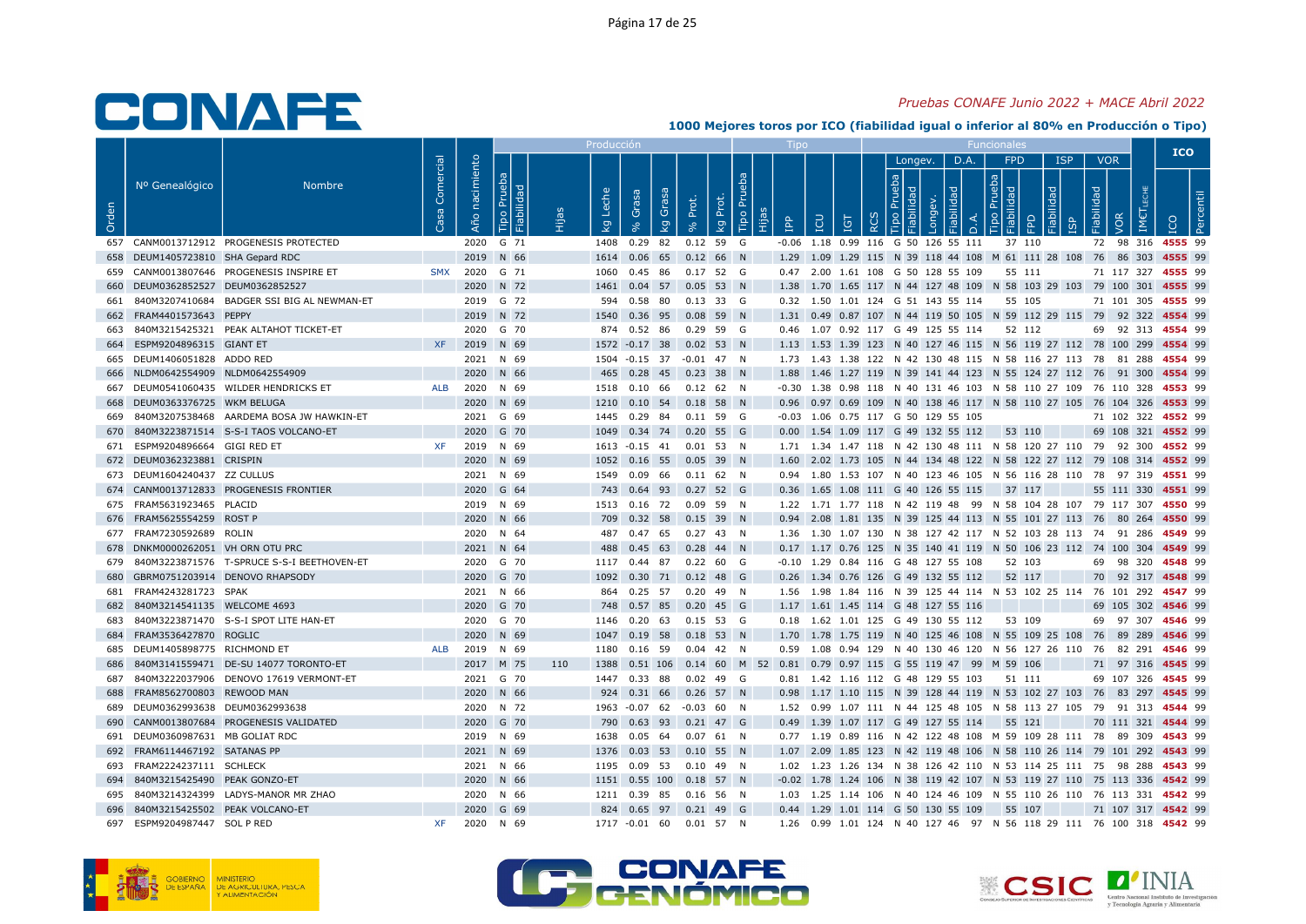### Pruebas CONAFE Junio 2022 + MACE Abril 2022

|       |                                    |                                                |                 |                   |                              |     | Producció                        |                                                                                         |               |                         |         |                                                     |          |              |      |                   |                            |                          |     | <b>ICO</b>                                                                                 |  |
|-------|------------------------------------|------------------------------------------------|-----------------|-------------------|------------------------------|-----|----------------------------------|-----------------------------------------------------------------------------------------|---------------|-------------------------|---------|-----------------------------------------------------|----------|--------------|------|-------------------|----------------------------|--------------------------|-----|--------------------------------------------------------------------------------------------|--|
| Orden | Nº Genealógico                     | <b>Nombre</b>                                  | Comercial<br>္တ | nacimiento<br>Año | Prueba<br>Fiabilidad<br>Tipo |     | Leche<br>$\overline{\mathsf{x}}$ | Grasa<br>Grasa<br>$\overline{\mathsf{g}}$                                               | Prot.         | Tipo Pru<br>Prot.<br>kg | ۹q<br>旧 | <b>CO</b><br>IGT                                    | $\alpha$ | Longev.<br>윿 | D.A. | <b>FPD</b><br>음 음 | <b>ISP</b><br>$\mathbb{R}$ | <b>VOR</b><br>Fiabilidad | VOR |                                                                                            |  |
|       |                                    | 657 CANM0013712912 PROGENESIS PROTECTED        |                 |                   | 2020 G 71                    |     |                                  | 1408  0.29  82  0.12  59  G                                                             |               |                         |         | -0.06 1.18 0.99 116 G 50 126 55 111                 |          |              |      | 37 110            |                            |                          |     | 72 98 316 4555 99                                                                          |  |
|       | 658 DEUM1405723810 SHA Gepard RDC  |                                                |                 |                   | 2019 N 66                    |     |                                  | 1614  0.06  65  0.12  66  N                                                             |               |                         |         |                                                     |          |              |      |                   |                            |                          |     | 1.29 1.09 1.29 115 N 39 118 44 108 M 61 111 28 108 76 86 303 4555 99                       |  |
|       |                                    | 659 CANM0013807646 PROGENESIS INSPIRE ET       | <b>SMX</b>      |                   | 2020 G 71                    |     | 1060                             | 0.45 86 0.17 52 G                                                                       |               |                         |         | 0.47 2.00 1.61 108 G 50 128 55 109                  |          |              |      | 55 111            |                            |                          |     | 71 117 327 4555 99                                                                         |  |
|       | 660 DEUM0362852527 DEUM0362852527  |                                                |                 |                   | 2020 N 72                    |     | 1461                             | 0.04 57 0.05 53 N                                                                       |               |                         |         |                                                     |          |              |      |                   |                            |                          |     | 1.38 1.70 1.65 117 N 44 127 48 109 N 58 103 29 103 79 100 301 4555 99                      |  |
|       |                                    | 661 840M3207410684 BADGER SSI BIG AL NEWMAN-ET |                 |                   | 2019 G 72                    |     |                                  | 594  0.58  80  0.13  33  G                                                              |               |                         |         | 0.32 1.50 1.01 124 G 51 143 55 114                  |          |              |      | 55 105            |                            |                          |     | 71 101 305 4555 99                                                                         |  |
|       | 662 FRAM4401573643 PEPPY           |                                                |                 |                   | 2019 N 72                    |     |                                  | 1540 0.36 95 0.08 59 N                                                                  |               |                         |         |                                                     |          |              |      |                   |                            |                          |     | 1.31 0.49 0.87 107 N 44 119 50 105 N 59 112 29 115 79 92 322 4554 99                       |  |
|       |                                    | 663 840M3215425321 PEAK ALTAHOT TICKET-ET      |                 |                   | 2020 G 70                    |     |                                  | 874  0.52  86  0.29  59  G                                                              |               |                         |         | 0.46 1.07 0.92 117 G 49 125 55 114 52 112           |          |              |      |                   |                            |                          |     | 69 92 313 4554 99                                                                          |  |
|       | 664 ESPM9204896315 GIANT ET        |                                                | <b>XF</b>       |                   | 2019 N 69                    |     |                                  | 1572 -0.17 38 0.02 53 N                                                                 |               |                         |         |                                                     |          |              |      |                   |                            |                          |     | 1.13 1.53 1.39 123 N 40 127 46 115 N 56 119 27 112 78 100 299 4554 99                      |  |
|       | 665 DEUM1406051828 ADDO RED        |                                                |                 |                   | 2021 N 69                    |     |                                  | 1504 -0.15 37 -0.01 47 N                                                                |               |                         |         |                                                     |          |              |      |                   |                            |                          |     | 1.73 1.43 1.38 122 N 42 130 48 115 N 58 116 27 113 78 81 288 4554 99                       |  |
|       | 666 NLDM0642554909 NLDM0642554909  |                                                |                 |                   | 2020 N 66                    |     |                                  | 465 0.28 45 0.23 38 N                                                                   |               |                         |         |                                                     |          |              |      |                   |                            |                          |     | 1.88 1.46 1.27 119 N 39 141 44 123 N 55 124 27 112 76 91 300 4554 99                       |  |
|       |                                    | 667 DEUM0541060435 WILDER HENDRICKS ET         | ALB             |                   | 2020 N 69                    |     |                                  | 1518  0.10  66  0.12  62  N                                                             |               |                         |         |                                                     |          |              |      |                   |                            |                          |     | -0.30 1.38 0.98 118 N 40 131 46 103 N 58 110 27 109 76 110 328 4553 99                     |  |
|       | 668 DEUM0363376725 WKM BELUGA      |                                                |                 |                   | 2020 N 69                    |     |                                  | 1210  0.10  54  0.18  58  N                                                             |               |                         |         |                                                     |          |              |      |                   |                            |                          |     | 0.96 0.97 0.69 109 N 40 138 46 117 N 58 110 27 105 76 104 326 4553 99                      |  |
| 669   |                                    | 840M3207538468 AARDEMA BOSA JW HAWKIN-ET       |                 |                   | 2021 G 69                    |     |                                  | 1445 0.29 84 0.11 59 G                                                                  |               |                         |         | -0.03 1.06 0.75 117 G 50 129 55 105                 |          |              |      |                   |                            |                          |     | 71 102 322 4552 99                                                                         |  |
|       |                                    | 670 840M3223871514 S-S-I TAOS VOLCANO-ET       |                 |                   | 2020 G 70                    |     |                                  | 1049  0.34  74  0.20  55  G                                                             |               |                         |         | 0.00 1.54 1.09 117 G 49 132 55 112                  |          |              |      | 53 110            |                            |                          |     | 69 108 321 4552 99                                                                         |  |
|       | 671 ESPM9204896664 GIGI RED ET     |                                                | XF              |                   | 2019 N 69                    |     |                                  | 1613 - 0.15 41 0.01 53 N                                                                |               |                         |         |                                                     |          |              |      |                   |                            |                          |     | 1.71 1.34 1.47 118 N 42 130 48 111 N 58 120 27 110 79 92 300 4552 99                       |  |
|       | 672 DEUM0362323881 CRISPIN         |                                                |                 |                   | 2020 N 69                    |     |                                  | 1052  0.16  55  0.05  39  N                                                             |               |                         |         |                                                     |          |              |      |                   |                            |                          |     | 1.60 2.02 1.73 105 N 44 134 48 122 N 58 122 27 112 79 108 314 4552 99                      |  |
|       | 673 DEUM1604240437 ZZ CULLUS       |                                                |                 |                   | 2021 N 69                    |     |                                  | 1549  0.09  66  0.11  62  N                                                             |               |                         |         |                                                     |          |              |      |                   |                            |                          |     | 0.94 1.80 1.53 107 N 40 123 46 105 N 56 116 28 110 78 97 319 4551 99                       |  |
|       |                                    | 674 CANM0013712833 PROGENESIS FRONTIER         |                 |                   | 2020 G 64                    |     |                                  | 743 0.64 93 0.27 52 G                                                                   |               |                         |         | 0.36 1.65 1.08 111 G 40 126 55 115                  |          |              |      | 37 117            |                            |                          |     | 55 111 330 4551 99                                                                         |  |
|       | 675 FRAM5631923465 PLACID          |                                                |                 |                   | 2019 N 69                    |     |                                  | 1513  0.16  72  0.09  59  N                                                             |               |                         |         |                                                     |          |              |      |                   |                            |                          |     | 1.22 1.71 1.77 118 N 42 119 48 99 N 58 104 28 107 79 117 307 4550 99                       |  |
|       | 676 FRAM5625554259 ROST P          |                                                |                 |                   | 2020 N 66                    |     |                                  | 709 0.32 58 0.15 39 N                                                                   |               |                         |         |                                                     |          |              |      |                   |                            |                          |     | 0.94 2.08 1.81 135 N 39 125 44 113 N 55 101 27 113 76 80 264 4550 99                       |  |
|       | 677 FRAM7230592689 ROLIN           |                                                |                 |                   | 2020 N 64                    |     |                                  | 487 0.47 65 0.27 43 N                                                                   |               |                         |         |                                                     |          |              |      |                   |                            |                          |     | 1.36 1.30 1.07 130 N 38 127 42 117 N 52 103 28 113 74 91 286 4549 99                       |  |
|       | 678 DNKM0000262051 VH ORN OTU PRC  |                                                |                 |                   | 2021 N 64                    |     |                                  | 488  0.45  63  0.28  44  N                                                              |               |                         |         |                                                     |          |              |      |                   |                            |                          |     | 0.17 1.17 0.76 125 N 35 140 41 119 N 50 106 23 112 74 100 304 4549 99                      |  |
|       | 680 GBRM0751203914 DENOVO RHAPSODY | 679 840M3223871576 T-SPRUCE S-S-I BEETHOVEN-ET |                 |                   | 2020 G 70                    |     |                                  | 1117 0.44 87                                                                            | $0.22\ 60\ G$ |                         |         | -0.10 1.29 0.84 116 G 48 127 55 108                 |          |              |      | 52 103            |                            |                          |     | 69 98 320 4548 99                                                                          |  |
|       | 681 FRAM4243281723 SPAK            |                                                |                 |                   | 2020 G 70                    |     |                                  | 1092  0.30  71  0.12  48  G                                                             |               |                         |         | 0.26 1.34 0.76 126 G 49 132 55 112                  |          |              |      | 52 117            |                            |                          |     | 70 92 317 4548 99<br>1.56 1.98 1.84 116 N 39 125 44 114 N 53 102 25 114 76 101 292 4547 99 |  |
|       | 682 840M3214541135 WELCOME 4693    |                                                |                 |                   | 2021 N 66<br>2020 G 70       |     |                                  | 864  0.25  57  0.20  49  N<br>748  0.57  85  0.20  45  G                                |               |                         |         | 1.17 1.61 1.45 114 G 48 127 55 116                  |          |              |      |                   |                            |                          |     | 69 105 302 4546 99                                                                         |  |
|       |                                    | 683 840M3223871470 S-S-I SPOT LITE HAN-ET      |                 |                   | 2020 G 70                    |     |                                  | 1146  0.20  63  0.15  53  G                                                             |               |                         |         | 0.18 1.62 1.01 125 G 49 130 55 112                  |          |              |      | 53 109            |                            |                          |     | 69 97 307 4546 99                                                                          |  |
|       | 684 FRAM3536427870 ROGLIC          |                                                |                 |                   | 2020 N 69                    |     |                                  | 1047  0.19  58  0.18  53  N                                                             |               |                         |         |                                                     |          |              |      |                   |                            |                          |     | 1.70 1.78 1.75 119 N 40 125 46 108 N 55 109 25 108 76 89 289 4546 99                       |  |
|       | 685 DEUM1405898775 RICHMOND ET     |                                                | ALB             |                   | 2019 N 69                    |     |                                  | 1180  0.16  59  0.04  42  N                                                             |               |                         |         |                                                     |          |              |      |                   |                            |                          |     | 0.59 1.08 0.94 129 N 40 130 46 120 N 56 127 26 110 76 82 291 4546 99                       |  |
|       |                                    | 686 840M3141559471 DE-SU 14077 TORONTO-ET      |                 |                   | 2017 M 75                    | 110 |                                  | 1388  0.51  106  0.14  60  M  52  0.81  0.79  0.97  115  G  55  119  47  99  M  59  106 |               |                         |         |                                                     |          |              |      |                   |                            |                          |     | 71 97 316 4545 99                                                                          |  |
|       |                                    | 687 840M3222037906 DENOVO 17619 VERMONT-ET     |                 |                   | 2021 G 70                    |     |                                  | 1447 0.33 88 0.02 49 G                                                                  |               |                         |         | 0.81  1.42  1.16  112  G  48  129  55  103  51  111 |          |              |      |                   |                            |                          |     | 69 107 326 4545 99                                                                         |  |
|       | 688 FRAM8562700803 REWOOD MAN      |                                                |                 |                   | 2020 N 66                    |     |                                  | 924 0.31 66 0.26 57 N                                                                   |               |                         |         |                                                     |          |              |      |                   |                            |                          |     | 0.98 1.17 1.10 115 N 39 128 44 119 N 53 102 27 103 76 83 297 4545 99                       |  |
|       | 689 DEUM0362993638 DEUM0362993638  |                                                |                 |                   | 2020 N 72                    |     |                                  | 1963 -0.07 62 -0.03 60 N                                                                |               |                         |         |                                                     |          |              |      |                   |                            |                          |     | 1.52 0.99 1.07 111 N 44 125 48 105 N 58 113 27 105 79 91 313 4544 99                       |  |
|       |                                    | 690 CANM0013807684 PROGENESIS VALIDATED        |                 |                   | 2020 G 70                    |     |                                  | 790  0.63  93  0.21  47  G                                                              |               |                         |         | 0.49 1.39 1.07 117 G 49 127 55 114 55 121           |          |              |      |                   |                            |                          |     | 70 111 321 4544 99                                                                         |  |
|       | 691 DEUM0360987631 MB GOLIAT RDC   |                                                |                 |                   | 2019 N 69                    |     | 1638                             | 0.05 64 0.07 61 N                                                                       |               |                         |         |                                                     |          |              |      |                   |                            |                          |     | 0.77 1.19 0.89 116 N 42 122 48 108 M 59 109 28 111 78 89 309 4543 99                       |  |
|       | 692 FRAM6114467192 SATANAS PP      |                                                |                 |                   | 2021 N 69                    |     |                                  | 1376  0.03  53  0.10  55  N                                                             |               |                         |         |                                                     |          |              |      |                   |                            |                          |     | 1.07 2.09 1.85 123 N 42 119 48 106 N 58 110 26 114 79 101 292 4543 99                      |  |
|       | 693 FRAM2224237111 SCHLECK         |                                                |                 |                   | 2021 N 66                    |     |                                  | 1195  0.09  53  0.10  49  N                                                             |               |                         |         |                                                     |          |              |      |                   |                            |                          |     | 1.02 1.23 1.26 134 N 38 126 42 110 N 53 114 25 111 75 98 288 4543 99                       |  |
|       | 694 840M3215425490 PEAK GONZO-ET   |                                                |                 |                   | 2020 N 66                    |     |                                  | 1151  0.55  100  0.18  57  N                                                            |               |                         |         |                                                     |          |              |      |                   |                            |                          |     | -0.02 1.78 1.24 106 N 38 119 42 107 N 53 119 27 110 75 113 336 4542 99                     |  |
|       |                                    | 695 840M3214324399 LADYS-MANOR MR ZHAO         |                 |                   | 2020 N 66                    |     |                                  | 1211  0.39  85  0.16  56  N                                                             |               |                         |         |                                                     |          |              |      |                   |                            |                          |     | 1.03 1.25 1.14 106 N 40 124 46 109 N 55 110 26 110 76 113 331 4542 99                      |  |
|       | 696 840M3215425502 PEAK VOLCANO-ET |                                                |                 |                   | 2020 G 69                    |     |                                  | 824 0.65 97 0.21 49 G                                                                   |               |                         |         | 0.44 1.29 1.01 114 G 50 130 55 109                  |          |              |      | 55 107            |                            |                          |     | 71 107 317 4542 99                                                                         |  |
|       | 697 ESPM9204987447 SOL P RED       |                                                | XF              |                   | 2020 N 69                    |     |                                  | 1717 -0.01 60 0.01 57 N                                                                 |               |                         |         |                                                     |          |              |      |                   |                            |                          |     | 1.26 0.99 1.01 124 N 40 127 46 97 N 56 118 29 111 76 100 318 4542 99                       |  |





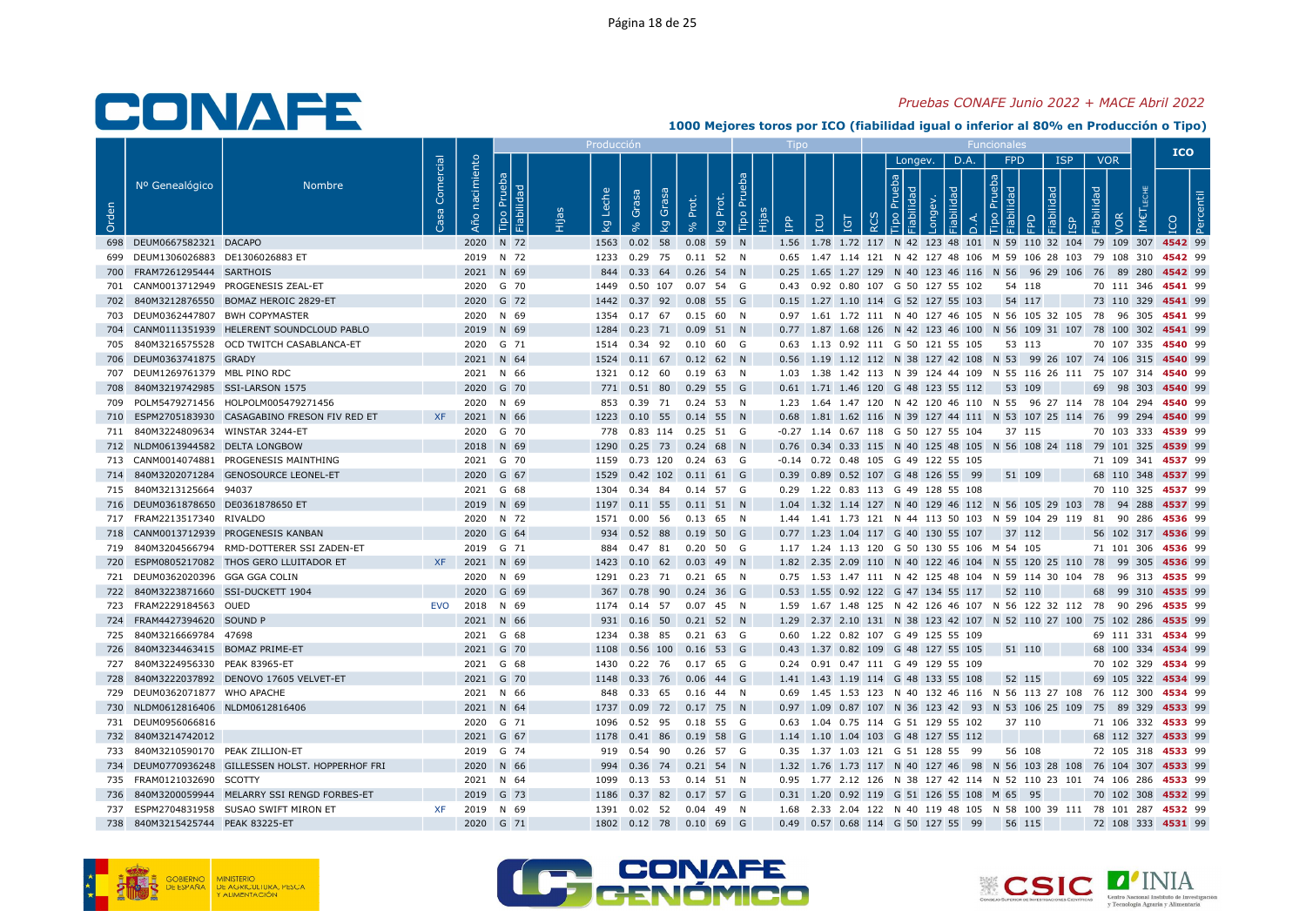### Pruebas CONAFE Junio 2022 + MACE Abril 2022

|       |                                     |                                                   |                |                   |                              | Producci    |                                                   |       |             |           |   |                                                                                                              |                              |      |                                           |                     |            |                                 | <b>ICO</b>                |  |
|-------|-------------------------------------|---------------------------------------------------|----------------|-------------------|------------------------------|-------------|---------------------------------------------------|-------|-------------|-----------|---|--------------------------------------------------------------------------------------------------------------|------------------------------|------|-------------------------------------------|---------------------|------------|---------------------------------|---------------------------|--|
| Orden | Nº Genealógico                      | <b>Nombre</b>                                     | Comercial<br>အ | nacimiento<br>Año | Prueba<br>ᄝ<br>bilid<br>Tipo | che<br>ତ୍ୟୁ | ese<br>Grasa<br>Ö<br>$\mathbb{S}^1$               | Prot. | kg Prot.    | Tipo Prue | 욥 | LCU<br>Ξ                                                                                                     | Longev.<br><b>동 [할</b><br>ਾਰ | D.A. | <b>FPD</b><br>$\frac{a}{b}$ $\frac{b}{c}$ | $\overline{\sigma}$ | <b>ISP</b> | <b>VOR</b><br>Fiabilidad<br>/OR |                           |  |
|       | 698 DEUM0667582321 DACAPO           |                                                   |                |                   | 2020 N 72                    |             | 1563 0.02 58                                      |       | $0.08$ 59 N |           |   | 1.56 1.78 1.72 117 N 42 123 48 101 N 59 110 32 104 79 109 307 4542 99                                        |                              |      |                                           |                     |            |                                 |                           |  |
|       | 699 DEUM1306026883 DE1306026883 ET  |                                                   |                |                   | 2019 N 72                    |             | 1233  0.29  75  0.11  52  N                       |       |             |           |   | 0.65 1.47 1.14 121 N 42 127 48 106 M 59 106 28 103 79 108 310 4542 99                                        |                              |      |                                           |                     |            |                                 |                           |  |
|       | 700 FRAM7261295444 SARTHOIS         |                                                   |                |                   | 2021 N 69                    |             | 844 0.33 64 0.26 54 N                             |       |             |           |   | 0.25 1.65 1.27 129 N 40 123 46 116 N 56 96 29 106 76 89 280 4542 99                                          |                              |      |                                           |                     |            |                                 |                           |  |
|       |                                     | 701 CANM0013712949 PROGENESIS ZEAL-ET             |                |                   | 2020 G 70                    | 1449        | 0.50 107 0.07 54 G                                |       |             |           |   | 0.43 0.92 0.80 107 G 50 127 55 102                                                                           |                              |      | 54 118                                    |                     |            |                                 | 70 111 346 4541 99        |  |
|       |                                     | 702 840M3212876550 BOMAZ HEROIC 2829-ET           |                |                   | 2020 G 72                    |             | 1442  0.37  92  0.08  55  G                       |       |             |           |   | 0.15 1.27 1.10 114 G 52 127 55 103                                                                           |                              |      | 54 117                                    |                     |            |                                 | 73 110 329 4541 99        |  |
|       | 703 DEUM0362447807 BWH COPYMASTER   |                                                   |                |                   | 2020 N 69                    |             | 1354  0.17  67  0.15  60  N                       |       |             |           |   | 0.97 1.61 1.72 111 N 40 127 46 105 N 56 105 32 105 78 96 305 4541 99                                         |                              |      |                                           |                     |            |                                 |                           |  |
|       |                                     | 704 CANM0111351939 HELERENT SOUNDCLOUD PABLO      |                |                   | 2019 N 69                    |             | 1284  0.23  71  0.09  51  N                       |       |             |           |   | 0.77 1.87 1.68 126 N 42 123 46 100 N 56 109 31 107 78 100 302 4541 99                                        |                              |      |                                           |                     |            |                                 |                           |  |
|       |                                     | 705 840M3216575528 OCD TWITCH CASABLANCA-ET       |                |                   | 2020 G 71                    |             | 1514  0.34  92  0.10  60  G                       |       |             |           |   | 0.63 1.13 0.92 111 G 50 121 55 105                                                                           |                              |      | 53 113                                    |                     |            |                                 | 70 107 335 <b>4540</b> 99 |  |
|       | 706 DEUM0363741875 GRADY            |                                                   |                |                   | 2021 N 64                    |             | 1524  0.11  67  0.12  62  N                       |       |             |           |   | 0.56 1.19 1.12 112 N 38 127 42 108 N 53 99 26 107 74 106 315 4540 99                                         |                              |      |                                           |                     |            |                                 |                           |  |
|       | 707 DEUM1269761379 MBL PINO RDC     |                                                   |                |                   | 2021 N 66                    |             | 1321  0.12  60  0.19  63  N                       |       |             |           |   | 1.03 1.38 1.42 113 N 39 124 44 109 N 55 116 26 111 75 107 314 4540 99                                        |                              |      |                                           |                     |            |                                 |                           |  |
|       | 708 840M3219742985 SSI-LARSON 1575  |                                                   |                |                   | 2020 G 70                    |             | 771 0.51 80 0.29 55 G                             |       |             |           |   | 0.61 1.71 1.46 120 G 48 123 55 112                                                                           |                              |      | 53 109                                    |                     |            |                                 | 69 98 303 4540 99         |  |
|       |                                     | 709 POLM5479271456 HOLPOLM005479271456            |                |                   | 2020 N 69                    |             | 853 0.39 71 0.24 53 N                             |       |             |           |   | 1.23 1.64 1.47 120 N 42 120 46 110 N 55 96 27 114 78 104 294 4540 99                                         |                              |      |                                           |                     |            |                                 |                           |  |
|       |                                     | 710 ESPM2705183930 CASAGABINO FRESON FIV RED ET   | XF             |                   | 2021 N 66                    |             | 1223  0.10  55  0.14  55  N                       |       |             |           |   | 0.68 1.81 1.62 116 N 39 127 44 111 N 53 107 25 114 76 99 294 4540 99                                         |                              |      |                                           |                     |            |                                 |                           |  |
|       | 711 840M3224809634 WINSTAR 3244-ET  |                                                   |                |                   | 2020 G 70                    |             | 778  0.83  114  0.25  51  G                       |       |             |           |   | -0.27 1.14 0.67 118 G 50 127 55 104                                                                          |                              |      | 37 115                                    |                     |            |                                 | 70 103 333 4539 99        |  |
|       | 712 NLDM0613944582 DELTA LONGBOW    | 713 CANM0014074881 PROGENESIS MAINTHING           |                |                   | 2018 N 69<br>2021 G 70       |             | 1290  0.25  73  0.24  68  N<br>0.73 120 0.24 63 G |       |             |           |   | 0.76 0.34 0.33 115 N 40 125 48 105 N 56 108 24 118 79 101 325 4539 99<br>-0.14 0.72 0.48 105 G 49 122 55 105 |                              |      |                                           |                     |            |                                 | 71 109 341 4537 99        |  |
|       |                                     | 714 840M3202071284 GENOSOURCE LEONEL-ET           |                |                   | 2020 G 67                    | 1159        | 1529  0.42  102  0.11  61  G                      |       |             |           |   | 0.39 0.89 0.52 107 G 48 126 55 99                                                                            |                              |      | 51 109                                    |                     |            |                                 | 68 110 348 4537 99        |  |
|       | 715 840M3213125664 94037            |                                                   |                |                   | 2021 G 68                    |             | 1304  0.34  84  0.14  57  G                       |       |             |           |   | 0.29 1.22 0.83 113 G 49 128 55 108                                                                           |                              |      |                                           |                     |            |                                 | 70 110 325 4537 99        |  |
|       | 716 DEUM0361878650 DE0361878650 ET  |                                                   |                |                   | 2019 N 69                    |             | 1197 0.11 55 0.11 51 N                            |       |             |           |   | 1.04 1.32 1.14 127 N 40 129 46 112 N 56 105 29 103 78 94 288 4537 99                                         |                              |      |                                           |                     |            |                                 |                           |  |
|       | 717 FRAM2213517340 RIVALDO          |                                                   |                |                   | 2020 N 72                    |             | 1571  0.00  56  0.13  65  N                       |       |             |           |   | 1.44 1.41 1.73 121 N 44 113 50 103 N 59 104 29 119 81 90 286 4536 99                                         |                              |      |                                           |                     |            |                                 |                           |  |
|       |                                     | 718 CANM0013712939 PROGENESIS KANBAN              |                |                   | 2020 G 64                    |             | 934  0.52  88  0.19  50  G                        |       |             |           |   | 0.77 1.23 1.04 117 G 40 130 55 107                                                                           |                              |      | 37 112                                    |                     |            |                                 | 56 102 317 4536 99        |  |
|       |                                     | 719 840M3204566794 RMD-DOTTERER SSI ZADEN-ET      |                |                   | 2019 G 71                    |             | 884  0.47  81  0.20  50  G                        |       |             |           |   | 1.17 1.24 1.13 120 G 50 130 55 106 M 54 105                                                                  |                              |      |                                           |                     |            |                                 | 71 101 306 4536 99        |  |
|       |                                     | 720 ESPM0805217082 THOS GERO LLUITADOR ET         | XF I           | 2021 N 69         |                              |             | 1423  0.10  62  0.03  49  N                       |       |             |           |   | 1.82 2.35 2.09 110 N 40 122 46 104 N 55 120 25 110 78 99 305 4536 99                                         |                              |      |                                           |                     |            |                                 |                           |  |
|       | 721 DEUM0362020396 GGA GGA COLIN    |                                                   |                |                   | 2020 N 69                    |             | 1291  0.23  71  0.21  65  N                       |       |             |           |   | 0.75 1.53 1.47 111 N 42 125 48 104 N 59 114 30 104 78 96 313 4535 99                                         |                              |      |                                           |                     |            |                                 |                           |  |
|       | 722 840M3223871660 SSI-DUCKETT 1904 |                                                   |                |                   | 2020 G 69                    |             | 367 0.78 90 0.24 36 G                             |       |             |           |   | 0.53 1.55 0.92 122 G 47 134 55 117 52 110                                                                    |                              |      |                                           |                     |            |                                 | 68 99 310 4535 99         |  |
|       | 723 FRAM2229184563 OUED             |                                                   | EVO            | 2018 N 69         |                              |             | 1174  0.14  57  0.07  45  N                       |       |             |           |   | 1.59  1.67  1.48  125  N  42  126  46  107  N  56  122  32  112  78  90  296  4535  99                       |                              |      |                                           |                     |            |                                 |                           |  |
|       | 724 FRAM4427394620 SOUND P          |                                                   |                |                   | 2021 N 66                    |             | 931  0.16  50  0.21  52  N                        |       |             |           |   | 1.29 2.37 2.10 131 N 38 123 42 107 N 52 110 27 100 75 102 286 4535 99                                        |                              |      |                                           |                     |            |                                 |                           |  |
|       | 725 840M3216669784 47698            |                                                   |                |                   | 2021 G 68                    |             | 1234  0.38  85  0.21  63  G                       |       |             |           |   | 0.60 1.22 0.82 107 G 49 125 55 109                                                                           |                              |      |                                           |                     |            |                                 | 69 111 331 4534 99        |  |
|       | 726 840M3234463415 BOMAZ PRIME-ET   |                                                   |                |                   | 2021 G 70                    |             | 1108  0.56  100  0.16  53  G                      |       |             |           |   | 0.43 1.37 0.82 109 G 48 127 55 105                                                                           |                              |      | 51 110                                    |                     |            |                                 | 68 100 334 4534 99        |  |
|       | 727 840M3224956330 PEAK 83965-ET    |                                                   |                |                   | 2021 G 68                    | 1430        | 0.22 76 0.17 65 G                                 |       |             |           |   | 0.24 0.91 0.47 111 G 49 129 55 109                                                                           |                              |      |                                           |                     |            |                                 | 70 102 329 4534 99        |  |
|       |                                     | 728 840M3222037892 DENOVO 17605 VELVET-ET         |                |                   | 2021 G 70                    |             | 1148  0.33  76  0.06  44  G                       |       |             |           |   | 1.41 1.43 1.19 114 G 48 133 55 108                                                                           |                              |      | 52 115                                    |                     |            |                                 | 69 105 322 4534 99        |  |
|       | 729 DEUM0362071877 WHO APACHE       |                                                   |                |                   | 2021 N 66                    | 848         | 0.33 65 0.16 44 N                                 |       |             |           |   | 0.69 1.45 1.53 123 N 40 132 46 116 N 56 113 27 108 76 112 300 4534 99                                        |                              |      |                                           |                     |            |                                 |                           |  |
|       | 730 NLDM0612816406 NLDM0612816406   |                                                   |                |                   | 2021 N 64                    |             | 1737 0.09 72 0.17 75 N                            |       |             |           |   | 0.97 1.09 0.87 107 N 36 123 42 93 N 53 106 25 109 75 89 329 4533 99                                          |                              |      |                                           |                     |            |                                 |                           |  |
|       | 731 DEUM0956066816                  |                                                   |                |                   | 2020 G 71                    |             | 1096  0.52  95  0.18  55  G                       |       |             |           |   | 0.63 1.04 0.75 114 G 51 129 55 102                                                                           |                              |      | 37 110                                    |                     |            |                                 | 71 106 332 4533 99        |  |
|       | 732 840M3214742012                  |                                                   |                |                   | 2021 G 67                    | 1178        | 0.41 86 0.19 58 G                                 |       |             |           |   | 1.14 1.10 1.04 103 G 48 127 55 112                                                                           |                              |      |                                           |                     |            |                                 | 68 112 327 4533 99        |  |
|       | 733 840M3210590170 PEAK ZILLION-ET  |                                                   |                |                   | 2019 G 74                    |             | 919  0.54  90  0.26  57  G                        |       |             |           |   | 0.35 1.37 1.03 121 G 51 128 55 99                                                                            |                              |      | 56 108                                    |                     |            |                                 | 72 105 318 4533 99        |  |
|       |                                     | 734 DEUM0770936248 GILLESSEN HOLST. HOPPERHOF FRI |                |                   | 2020 N 66                    |             | 994 0.36 74 0.21 54 N                             |       |             |           |   | 1.32 1.76 1.73 117 N 40 127 46 98 N 56 103 28 108 76 104 307 4533 99                                         |                              |      |                                           |                     |            |                                 |                           |  |
|       | 735 FRAM0121032690 SCOTTY           |                                                   |                |                   | 2021 N 64                    |             | 1099  0.13  53  0.14  51  N                       |       |             |           |   | 0.95 1.77 2.12 126 N 38 127 42 114 N 52 110 23 101 74 106 286 4533 99                                        |                              |      |                                           |                     |            |                                 |                           |  |
|       |                                     | 736 840M3200059944 MELARRY SSI RENGD FORBES-ET    |                |                   | 2019 G 73                    |             | 1186  0.37  82  0.17  57  G                       |       |             |           |   | 0.31 1.20 0.92 119 G 51 126 55 108 M 65 95                                                                   |                              |      |                                           |                     |            |                                 | 70 102 308 4532 99        |  |
|       |                                     | 737 ESPM2704831958 SUSAO SWIFT MIRON ET           | XF             |                   | 2019 N 69                    |             | 1391  0.02  52  0.04  49  N                       |       |             |           |   | 1.68  2.33  2.04  122  N  40  119  48  105  N  58  100  39  111  78  101  287  4532  99                      |                              |      |                                           |                     |            |                                 |                           |  |
|       | 738 840M3215425744 PEAK 83225-ET    |                                                   |                |                   | 2020 G 71                    |             | 1802  0.12  78  0.10  69  G                       |       |             |           |   | 0.49  0.57  0.68  114  G  50  127  55  99                                                                    |                              |      | 56 115                                    |                     |            |                                 | 72 108 333 4531 99        |  |





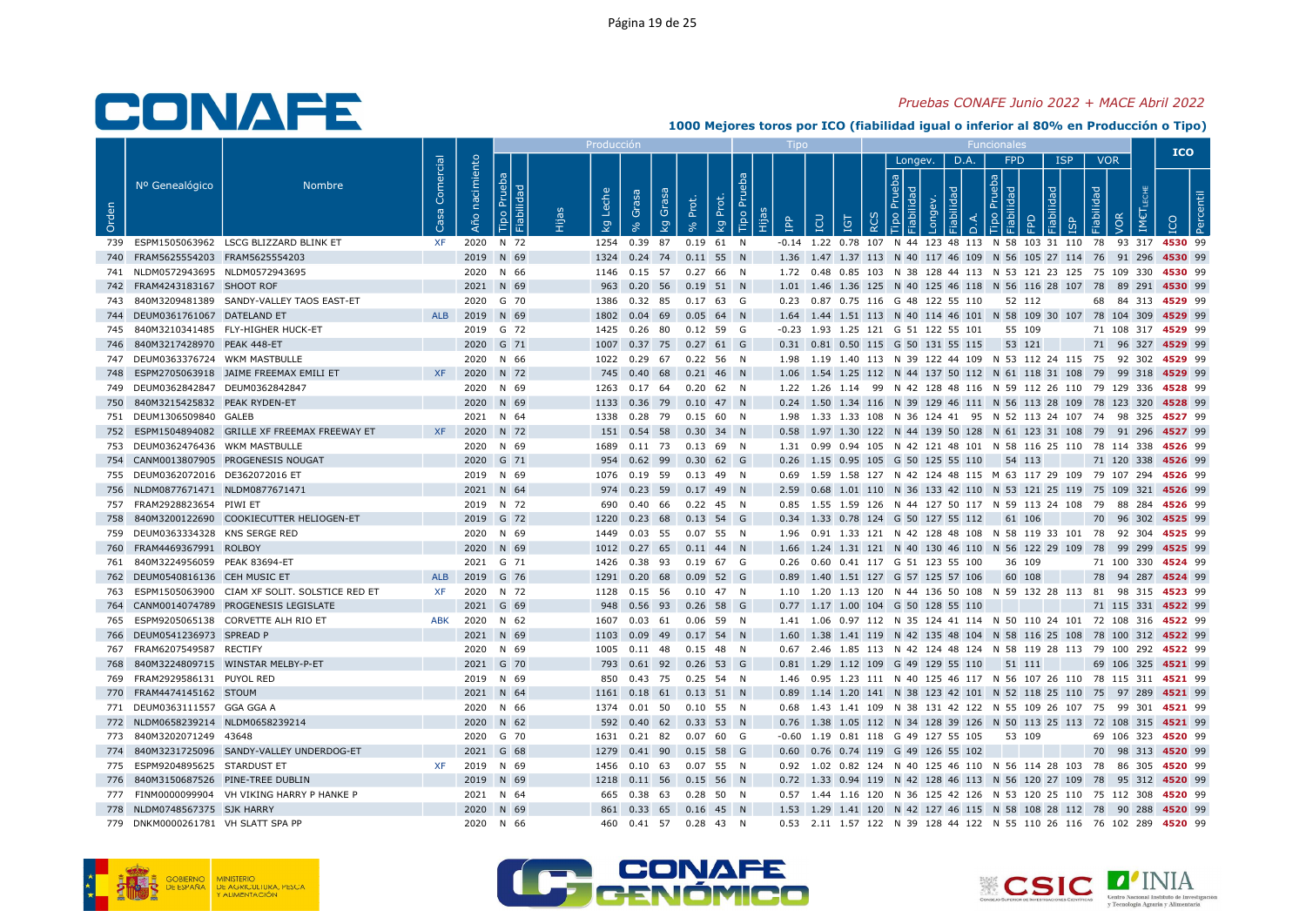#### Pruebas CONAFE Junio 2022 + MACE Abril 2022

|            |                                     |                                                 |                   |                   |                            | Producció           |                                                      |                                  |                       |            |                                            |          |                          |      |          |            |                          |     | <b>ICO</b>                                                                                  |  |
|------------|-------------------------------------|-------------------------------------------------|-------------------|-------------------|----------------------------|---------------------|------------------------------------------------------|----------------------------------|-----------------------|------------|--------------------------------------------|----------|--------------------------|------|----------|------------|--------------------------|-----|---------------------------------------------------------------------------------------------|--|
| Orden      | Nº Genealógico                      | <b>Nombre</b>                                   | Comercial<br>Casa | nacimiento<br>Año | Prueba<br>abilidad<br>Tipo | Leche<br><b>L</b> g | Grasa<br>Grasa<br>ç                                  | Prot.<br>Prot.<br>kg<br>$\infty$ | <b>Bd</b><br>Tipo Pru | <b>AdI</b> | LCU<br>IGT                                 | $\alpha$ | Longev.<br>$\frac{d}{d}$ | D.A. | FPD<br>몪 | <b>ISP</b> | <b>VOR</b><br>Fiabilidad | VOR |                                                                                             |  |
|            |                                     | 739 ESPM1505063962 LSCG BLIZZARD BLINK ET       | XF                |                   | 2020 N 72                  |                     | 1254 0.39 87                                         | $0.19$ 61 N                      |                       |            |                                            |          |                          |      |          |            |                          |     | -0.14 1.22 0.78 107 N 44 123 48 113 N 58 103 31 110 78 93 317 4530 99                       |  |
|            | 740 FRAM5625554203 FRAM5625554203   |                                                 |                   |                   | 2019 N 69                  |                     | 1324 0.24 74 0.11 55 N                               |                                  |                       |            |                                            |          |                          |      |          |            |                          |     | 1.36 1.47 1.37 113 N 40 117 46 109 N 56 105 27 114 76 91 296 4530 99                        |  |
|            | 741 NLDM0572943695 NLDM0572943695   |                                                 |                   |                   | 2020 N 66                  |                     | 1146  0.15  57  0.27  66  N                          |                                  |                       |            |                                            |          |                          |      |          |            |                          |     | 1.72  0.48  0.85  103  N  38  128  44  113  N  53  121  23  125  75  109  330  4530  99     |  |
|            | 742 FRAM4243183167 SHOOT ROF        |                                                 |                   |                   | 2021 N 69                  | 963                 | $0.20$ 56 $0.19$ 51 N                                |                                  |                       |            |                                            |          |                          |      |          |            |                          |     | 1.01 1.46 1.36 125 N 40 125 46 118 N 56 116 28 107 78 89 291 4530 99                        |  |
|            |                                     | 743 840M3209481389 SANDY-VALLEY TAOS EAST-ET    |                   |                   | 2020 G 70                  |                     | 1386  0.32  85  0.17  63  G                          |                                  |                       |            | 0.23 0.87 0.75 116 G 48 122 55 110         |          |                          |      | 52 112   |            |                          |     | 68 84 313 4529 99                                                                           |  |
|            | 744 DEUM0361761067 DATELAND ET      |                                                 |                   | ALB 2019 N 69     |                            | 1802                | $0.04$ 69 $0.05$ 64 N                                |                                  |                       |            |                                            |          |                          |      |          |            |                          |     | 1.64 1.44 1.51 113 N 40 114 46 101 N 58 109 30 107 78 104 309 4529 99                       |  |
|            |                                     | 745 840M3210341485 FLY-HIGHER HUCK-ET           |                   |                   | 2019 G 72                  |                     | 1425  0.26  80  0.12  59  G                          |                                  |                       |            | $-0.23$ 1.93 1.25 121 G 51 122 55 101      |          |                          |      | 55 109   |            |                          |     | 71 108 317 4529 99                                                                          |  |
|            | 746 840M3217428970 PEAK 448-ET      |                                                 |                   |                   | 2020 G 71                  |                     | 1007 0.37 75 0.27 61 G                               |                                  |                       |            | 0.31  0.81  0.50  115  G  50  131  55  115 |          |                          |      | 53 121   |            |                          |     | 71 96 327 4529 99                                                                           |  |
|            | 747 DEUM0363376724 WKM MASTBULLE    |                                                 |                   |                   | 2020 N 66                  |                     | 1022  0.29  67  0.22  56  N                          |                                  |                       |            |                                            |          |                          |      |          |            |                          |     | 1.98 1.19 1.40 113 N 39 122 44 109 N 53 112 24 115 75 92 302 4529 99                        |  |
|            |                                     | 748 ESPM2705063918 JAIME FREEMAX EMILI ET       | <b>XF</b>         |                   | 2020 N 72                  |                     | 745 0.40 68 0.21 46 N                                |                                  |                       |            |                                            |          |                          |      |          |            |                          |     | 1.06 1.54 1.25 112 N 44 137 50 112 N 61 118 31 108 79 99 318 <b>4529</b> 99                 |  |
|            | 749 DEUM0362842847 DEUM0362842847   |                                                 |                   |                   | 2020 N 69                  |                     | 1263  0.17  64  0.20  62  N                          |                                  |                       |            |                                            |          |                          |      |          |            |                          |     | 1.22 1.26 1.14 99 N 42 128 48 116 N 59 112 26 110 79 129 336 4528 99                        |  |
| 750        | 840M3215425832 PEAK RYDEN-ET        |                                                 |                   |                   | 2020 N 69                  |                     | 1133  0.36  79  0.10  47  N                          |                                  |                       |            |                                            |          |                          |      |          |            |                          |     | 0.24 1.50 1.34 116 N 39 129 46 111 N 56 113 28 109 78 123 320 4528 99                       |  |
|            | 751 DEUM1306509840 GALEB            |                                                 |                   |                   | 2021 N 64                  |                     | 1338 0.28 79                                         | $0.15\,$ 60 N                    |                       |            |                                            |          |                          |      |          |            |                          |     | 1.98 1.33 1.33 108 N 36 124 41 95 N 52 113 24 107 74 98 325 <b>4527</b> 99                  |  |
|            |                                     | 752 ESPM1504894082 GRILLE XF FREEMAX FREEWAY ET | XF .              |                   | 2020 N 72                  |                     | 151  0.54  58  0.30  34  N                           |                                  |                       |            |                                            |          |                          |      |          |            |                          |     | 0.58 1.97 1.30 122 N 44 139 50 128 N 61 123 31 108 79 91 296 4527 99                        |  |
|            | 753 DEUM0362476436 WKM MASTBULLE    |                                                 |                   |                   | 2020 N 69                  |                     | 1689  0.11  73  0.13  69  N                          |                                  |                       |            |                                            |          |                          |      |          |            |                          |     | 1.31 0.99 0.94 105 N 42 121 48 101 N 58 116 25 110 78 114 338 4526 99                       |  |
|            |                                     | 754 CANM0013807905 PROGENESIS NOUGAT            |                   |                   | 2020 G 71                  |                     | 954 0.62 99 0.30 62 G                                |                                  |                       |            | 0.26 1.15 0.95 105 G 50 125 55 110         |          |                          |      | 54 113   |            |                          |     | 71 120 338 4526 99                                                                          |  |
|            | 755 DEUM0362072016 DE362072016 ET   |                                                 |                   |                   | 2019 N 69                  |                     | 1076  0.19  59  0.13  49  N                          |                                  |                       |            |                                            |          |                          |      |          |            |                          |     | 0.69 1.59 1.58 127 N 42 124 48 115 M 63 117 29 109 79 107 294 4526 99                       |  |
|            | 756 NLDM0877671471 NLDM0877671471   |                                                 |                   |                   | 2021 N 64                  |                     | 974 0.23 59 0.17 49 N                                |                                  |                       |            |                                            |          |                          |      |          |            |                          |     | 2.59 0.68 1.01 110 N 36 133 42 110 N 53 121 25 119 75 109 321 4526 99                       |  |
|            | 757 FRAM2928823654 PIWI ET          |                                                 |                   |                   | 2019 N 72                  |                     | 690  0.40  66  0.22  45  N                           |                                  |                       |            |                                            |          |                          |      |          |            |                          |     | 0.85 1.55 1.59 126 N 44 127 50 117 N 59 113 24 108 79 88 284 4526 99                        |  |
| 758        |                                     | 840M3200122690 COOKIECUTTER HELIOGEN-ET         |                   |                   | 2019 G 72                  |                     | 1220 0.23 68 0.13 54 G                               |                                  |                       |            | 0.34 1.33 0.78 124 G 50 127 55 112         |          |                          |      | 61 106   |            |                          |     | 70 96 302 4525 99                                                                           |  |
|            | 759 DEUM0363334328 KNS SERGE RED    |                                                 |                   |                   | 2020 N 69                  |                     | 1449  0.03  55  0.07  55  N                          |                                  |                       |            |                                            |          |                          |      |          |            |                          |     | 1.96 0.91 1.33 121 N 42 128 48 108 N 58 119 33 101 78 92 304 4525 99                        |  |
|            | 760 FRAM4469367991 ROLBOY           |                                                 |                   |                   | 2020 N 69                  |                     | 1012  0.27  65  0.11  44  N                          |                                  |                       |            |                                            |          |                          |      |          |            |                          |     | 1.66 1.24 1.31 121 N 40 130 46 110 N 56 122 29 109 78 99 299 4525 99                        |  |
| 761        | 840M3224956059 PEAK 83694-ET        |                                                 |                   |                   | 2021 G 71                  |                     | 1426  0.38  93  0.19  67  G                          |                                  |                       |            | 0.26  0.60  0.41  117  G  51  123  55  100 |          |                          |      | 36 109   |            |                          |     | 71 100 330 4524 99                                                                          |  |
|            | 762 DEUM0540816136 CEH MUSIC ET     |                                                 | ALB               |                   | 2019 G 76                  |                     | 1291  0.20  68  0.09  52  G                          |                                  |                       |            | 0.89 1.40 1.51 127 G 57 125 57 106         |          |                          |      | 60 108   |            |                          |     | 78 94 287 4524 99                                                                           |  |
| 763        |                                     | ESPM1505063900 CIAM XF SOLIT. SOLSTICE RED ET   | XF                |                   | 2020 N 72                  |                     | 1128  0.15  56  0.10  47  N                          |                                  |                       |            |                                            |          |                          |      |          |            |                          |     | 1.10 1.20 1.13 120 N 44 136 50 108 N 59 132 28 113 81 98 315 4523 99                        |  |
| 764        |                                     | CANM0014074789 PROGENESIS LEGISLATE             |                   |                   | 2021 G 69                  |                     | 948  0.56  93  0.26  58  G                           |                                  |                       |            | 0.77 1.17 1.00 104 G 50 128 55 110         |          |                          |      |          |            |                          |     | 71 115 331 4522 99                                                                          |  |
|            |                                     | 765 ESPM9205065138 CORVETTE ALH RIO ET          | <b>ABK</b>        |                   | 2020 N 62                  |                     | 1607  0.03  61  0.06  59  N                          |                                  |                       |            |                                            |          |                          |      |          |            |                          |     | 1.41 1.06 0.97 112 N 35 124 41 114 N 50 110 24 101 72 108 316 4522 99                       |  |
|            | 766 DEUM0541236973 SPREAD P         |                                                 |                   |                   | 2021 N 69                  |                     | 1103  0.09  49  0.17  54  N                          |                                  |                       |            |                                            |          |                          |      |          |            |                          |     | 1.60 1.38 1.41 119 N 42 135 48 104 N 58 116 25 108 78 100 312 4522 99                       |  |
| 767<br>768 | FRAM6207549587 RECTIFY              | 840M3224809715 WINSTAR MELBY-P-ET               |                   |                   | 2020 N 69<br>2021 G 70     |                     | 1005  0.11  48  0.15  48  N<br>793 0.61 92 0.26 53 G |                                  |                       |            | 0.81 1.29 1.12 109 G 49 129 55 110         |          |                          |      | 51 111   |            |                          |     | 0.67 2.46 1.85 113 N 42 124 48 124 N 58 119 28 113 79 100 292 4522 99<br>69 106 325 4521 99 |  |
|            | 769 FRAM2929586131 PUYOL RED        |                                                 |                   |                   | 2019 N 69                  |                     | 850 0.43 75 0.25 54 N                                |                                  |                       |            |                                            |          |                          |      |          |            |                          |     | 1.46 0.95 1.23 111 N 40 125 46 117 N 56 107 26 110 78 115 311 4521 99                       |  |
|            | 770 FRAM4474145162 STOUM            |                                                 |                   |                   | 2021 N 64                  |                     | 1161  0.18  61  0.13  51  N                          |                                  |                       |            |                                            |          |                          |      |          |            |                          |     | 0.89 1.14 1.20 141 N 38 123 42 101 N 52 118 25 110 75 97 289 4521 99                        |  |
|            | 771 DEUM0363111557 GGA GGA A        |                                                 |                   |                   | 2020 N 66                  |                     | 1374  0.01  50  0.10  55  N                          |                                  |                       |            |                                            |          |                          |      |          |            |                          |     | 0.68 1.43 1.41 109 N 38 131 42 122 N 55 109 26 107 75 99 301 4521 99                        |  |
|            | 772 NLDM0658239214 NLDM0658239214   |                                                 |                   |                   | 2020 N 62                  |                     | 592 0.40 62 0.33 53 N                                |                                  |                       |            |                                            |          |                          |      |          |            |                          |     | 0.76 1.38 1.05 112 N 34 128 39 126 N 50 113 25 113 72 108 315 4521 99                       |  |
|            | 773 840M3202071249 43648            |                                                 |                   |                   | 2020 G 70                  |                     | 1631  0.21  82  0.07  60  G                          |                                  |                       |            | -0.60 1.19 0.81 118 G 49 127 55 105        |          |                          |      | 53 109   |            |                          |     | 69 106 323 4520 99                                                                          |  |
|            |                                     | 774 840M3231725096 SANDY-VALLEY UNDERDOG-ET     |                   |                   | 2021 G 68                  | 1279                | 0.41 90 0.15 58 G                                    |                                  |                       |            | 0.60 0.76 0.74 119 G 49 126 55 102         |          |                          |      |          |            |                          |     | 70 98 313 4520 99                                                                           |  |
|            | 775 ESPM9204895625 STARDUST ET      |                                                 | XF                |                   | 2019 N 69                  |                     | 1456  0.10  63                                       | $0.07$ 55 N                      |                       |            |                                            |          |                          |      |          |            |                          |     | 0.92 1.02 0.82 124 N 40 125 46 110 N 56 114 28 103 78 86 305 4520 99                        |  |
|            | 776 840M3150687526 PINE-TREE DUBLIN |                                                 |                   |                   | 2019 N 69                  |                     | 1218  0.11  56  0.15  56  N                          |                                  |                       |            |                                            |          |                          |      |          |            |                          |     | 0.72 1.33 0.94 119 N 42 128 46 113 N 56 120 27 109 78 95 312 4520 99                        |  |
| 777        |                                     | FINM0000099904 VH VIKING HARRY P HANKE P        |                   |                   | 2021 N 64                  | 665                 | $0.38$ 63                                            | $0.28$ 50 N                      |                       |            |                                            |          |                          |      |          |            |                          |     | 0.57 1.44 1.16 120 N 36 125 42 126 N 53 120 25 110 75 112 308 4520 99                       |  |
|            | 778 NLDM0748567375 SJK HARRY        |                                                 |                   |                   | 2020 N 69                  |                     | 861 0.33 65 0.16 45 N                                |                                  |                       |            |                                            |          |                          |      |          |            |                          |     | 1.53 1.29 1.41 120 N 42 127 46 115 N 58 108 28 112 78 90 288 4520 99                        |  |
|            | 779 DNKM0000261781 VH SLATT SPA PP  |                                                 |                   |                   | 2020 N 66                  |                     | 460  0.41  57  0.28  43  N                           |                                  |                       |            |                                            |          |                          |      |          |            |                          |     | 0.53 2.11 1.57 122 N 39 128 44 122 N 55 110 26 116 76 102 289 4520 99                       |  |
|            |                                     |                                                 |                   |                   |                            |                     |                                                      |                                  |                       |            |                                            |          |                          |      |          |            |                          |     |                                                                                             |  |





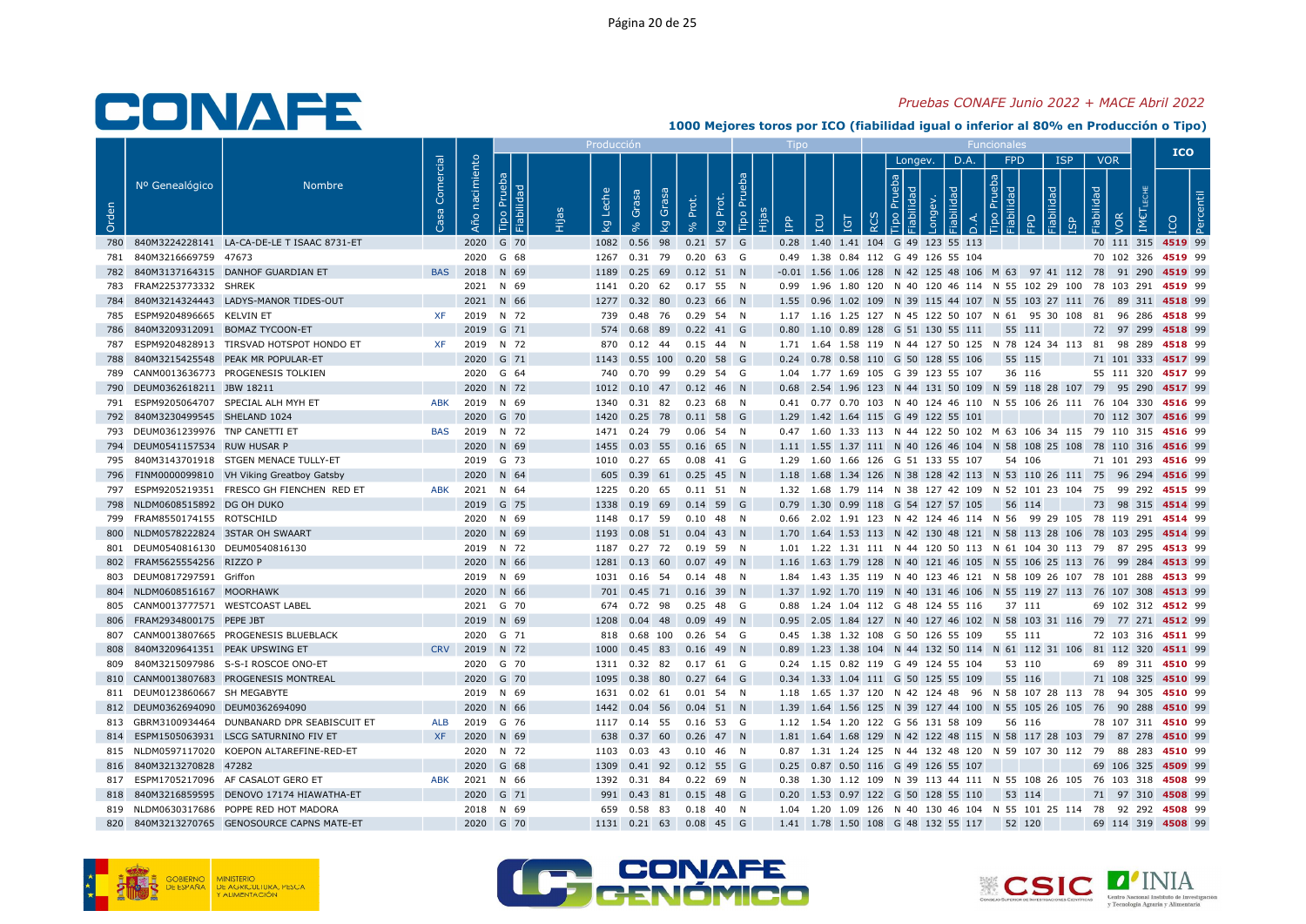### Pruebas CONAFE Junio 2022 + MACE Abril 2022

|       |                                                          |                                                |                 |                   |                              | Producci            |                                                      |       |                         |            |                                                                                                                                                |          |                       |      |                                    |                            |            |                   | <b>ICO</b>         |  |
|-------|----------------------------------------------------------|------------------------------------------------|-----------------|-------------------|------------------------------|---------------------|------------------------------------------------------|-------|-------------------------|------------|------------------------------------------------------------------------------------------------------------------------------------------------|----------|-----------------------|------|------------------------------------|----------------------------|------------|-------------------|--------------------|--|
| Orden | Nº Genealógico                                           | Nombre                                         | Comercial<br>്ള | nacimiento<br>Año | Prueba<br>Fiabilidad<br>Tipo | Leche<br><b>L</b> g | Grasa<br>Grasa<br>$\overline{5}$                     | Prot. | Tipo Pru<br>Prot.<br>kg | <b>Add</b> | LCU<br>ΙGΤ                                                                                                                                     | $\alpha$ | Longev.<br><b>gla</b> | D.A. | FPD<br>$\frac{1}{2}$ $\frac{1}{8}$ | <b>ISP</b><br>$\mathbb{R}$ | Fiabilidad | <b>VOR</b><br>VOR |                    |  |
|       |                                                          | 780 840M3224228141 LA-CA-DE-LE T ISAAC 8731-ET |                 |                   | 2020 G 70                    |                     | 1082 0.56 98 0.21 57 G                               |       |                         |            | 0.28 1.40 1.41 104 G 49 123 55 113                                                                                                             |          |                       |      |                                    |                            |            |                   | 70 111 315 4519 99 |  |
|       | 781 840M3216669759 47673                                 |                                                |                 |                   | 2020 G 68                    |                     | 1267  0.31  79  0.20  63  G                          |       |                         |            | 0.49 1.38 0.84 112 G 49 126 55 104                                                                                                             |          |                       |      |                                    |                            |            |                   | 70 102 326 4519 99 |  |
|       |                                                          | 782 840M3137164315 DANHOF GUARDIAN ET          | <b>BAS</b>      |                   | 2018 N 69                    |                     | 1189  0.25  69  0.12  51  N                          |       |                         |            | -0.01 1.56 1.06 128 N 42 125 48 106 M 63 97 41 112 78 91 290 4519 99                                                                           |          |                       |      |                                    |                            |            |                   |                    |  |
|       | 783 FRAM2253773332 SHREK                                 |                                                |                 |                   | 2021 N 69                    |                     | 1141  0.20  62  0.17  55  N                          |       |                         |            | 0.99 1.96 1.80 120 N 40 120 46 114 N 55 102 29 100 78 103 291 4519 99                                                                          |          |                       |      |                                    |                            |            |                   |                    |  |
|       |                                                          | 784 840M3214324443 LADYS-MANOR TIDES-OUT       |                 |                   | 2021 N 66                    |                     | 1277  0.32  80  0.23  66  N                          |       |                         |            | 1.55 0.96 1.02 109 N 39 115 44 107 N 55 103 27 111 76 89 311 4518 99                                                                           |          |                       |      |                                    |                            |            |                   |                    |  |
|       | 785 ESPM9204896665 KELVIN ET                             |                                                | XF              |                   | 2019 N 72                    |                     | 739  0.48  76  0.29  54  N                           |       |                         |            | 1.17 1.16 1.25 127 N 45 122 50 107 N 61 95 30 108 81 96 286 4518 99                                                                            |          |                       |      |                                    |                            |            |                   |                    |  |
|       | 786 840M3209312091 BOMAZ TYCOON-ET                       |                                                |                 |                   | 2019 G 71                    |                     | 574  0.68  89  0.22  41  G                           |       |                         |            | 0.80 1.10 0.89 128 G 51 130 55 111                                                                                                             |          |                       |      | 55 111                             |                            |            |                   | 72 97 299 4518 99  |  |
|       |                                                          | 787 ESPM9204828913 TIRSVAD HOTSPOT HONDO ET    | <b>XF</b>       |                   | 2019 N 72                    |                     | 870  0.12  44  0.15  44  N                           |       |                         |            | 1.71  1.64  1.58  119  N  44  127  50  125  N  78  124  34  113  81  98  289  4518  99                                                         |          |                       |      |                                    |                            |            |                   |                    |  |
|       |                                                          | 788 840M3215425548 PEAK MR POPULAR-ET          |                 |                   | 2020 G 71                    |                     | 1143  0.55  100  0.20  58  G                         |       |                         |            | 0.24 0.78 0.58 110 G 50 128 55 106                                                                                                             |          |                       |      | 55 115                             |                            |            |                   | 71 101 333 4517 99 |  |
|       |                                                          | 789 CANM0013636773 PROGENESIS TOLKIEN          |                 |                   | 2020 G 64                    |                     | 740  0.70  99  0.29  54  G                           |       |                         |            | 1.04 1.77 1.69 105 G 39 123 55 107                                                                                                             |          |                       |      | 36 116                             |                            |            |                   | 55 111 320 4517 99 |  |
|       | 790 DEUM0362618211 JBW 18211                             |                                                |                 |                   | 2020 N 72                    |                     | 1012  0.10  47  0.12  46  N                          |       |                         |            | 0.68 2.54 1.96 123 N 44 131 50 109 N 59 118 28 107 79 95 290 4517 99                                                                           |          |                       |      |                                    |                            |            |                   |                    |  |
|       |                                                          | 791 ESPM9205064707 SPECIAL ALH MYH ET          | ABK             |                   | 2019 N 69                    |                     | 1340  0.31  82  0.23  68  N                          |       |                         |            | 0.41 0.77 0.70 103 N 40 124 46 110 N 55 106 26 111 76 104 330 4516 99                                                                          |          |                       |      |                                    |                            |            |                   |                    |  |
|       | 792 840M3230499545 SHELAND 1024                          |                                                |                 |                   | 2020 G 70                    |                     | 1420  0.25  78  0.11  58  G                          |       |                         |            | 1.29 1.42 1.64 115 G 49 122 55 101                                                                                                             |          |                       |      |                                    |                            |            |                   | 70 112 307 4516 99 |  |
|       | 793 DEUM0361239976 TNP CANETTI ET                        |                                                | <b>BAS</b>      |                   | 2019 N 72                    |                     | 1471  0.24  79  0.06  54  N                          |       |                         |            | 0.47 1.60 1.33 113 N 44 122 50 102 M 63 106 34 115 79 110 315 4516 99                                                                          |          |                       |      |                                    |                            |            |                   |                    |  |
|       | 794 DEUM0541157534 RUW HUSAR P                           |                                                |                 |                   | 2020 N 69                    |                     | 1455  0.03  55  0.16  65  N                          |       |                         |            | 1.11 1.55 1.37 111 N 40 126 46 104 N 58 108 25 108 78 110 316 4516 99                                                                          |          |                       |      |                                    |                            |            |                   |                    |  |
|       |                                                          | 795 840M3143701918 STGEN MENACE TULLY-ET       |                 |                   | 2019 G 73                    |                     | 1010  0.27  65  0.08  41  G                          |       |                         |            | 1.29 1.60 1.66 126 G 51 133 55 107                                                                                                             |          |                       |      | 54 106                             |                            |            |                   | 71 101 293 4516 99 |  |
|       |                                                          | 796 FINM0000099810 VH Viking Greatboy Gatsby   |                 |                   | 2020 N 64                    |                     | 605 0.39 61 0.25 45 N                                |       |                         |            | 1.18 1.68 1.34 126 N 38 128 42 113 N 53 110 26 111 75 96 294 4516 99                                                                           |          |                       |      |                                    |                            |            |                   |                    |  |
|       |                                                          | 797 ESPM9205219351 FRESCO GH FIENCHEN RED ET   | ABK             |                   | 2021 N 64                    |                     | 1225  0.20  65  0.11  51  N                          |       |                         |            | 1.32 1.68 1.79 114 N 38 127 42 109 N 52 101 23 104 75 99 292 4515 99                                                                           |          |                       |      |                                    |                            |            |                   |                    |  |
|       | 798 NLDM0608515892 DG OH DUKO                            |                                                |                 |                   | 2019 G 75                    |                     | 1338 0.19 69 0.14 59 G                               |       |                         |            | 0.79 1.30 0.99 118 G 54 127 57 105 56 114                                                                                                      |          |                       |      |                                    |                            |            |                   | 73 98 315 4514 99  |  |
|       | 799 FRAM8550174155 ROTSCHILD                             |                                                |                 |                   | 2020 N 69                    |                     | 1148  0.17  59  0.10  48  N                          |       |                         |            | 0.66 2.02 1.91 123 N 42 124 46 114 N 56 99 29 105 78 119 291 4514 99                                                                           |          |                       |      |                                    |                            |            |                   |                    |  |
|       | 800 NLDM0578222824 3STAR OH SWAART                       |                                                |                 |                   | 2020 N 69                    |                     | 1193  0.08  51  0.04  43  N                          |       |                         |            | 1.70 1.64 1.53 113 N 42 130 48 121 N 58 113 28 106 78 103 295 4514 99                                                                          |          |                       |      |                                    |                            |            |                   |                    |  |
|       | 801 DEUM0540816130 DEUM0540816130                        |                                                |                 |                   | 2019 N 72                    |                     | 1187  0.27  72  0.19  59  N                          |       |                         |            | 1.01 1.22 1.31 111 N 44 120 50 113 N 61 104 30 113 79 87 295 4513 99                                                                           |          |                       |      |                                    |                            |            |                   |                    |  |
|       | 802 FRAM5625554256 RIZZO P<br>803 DEUM0817297591 Griffon |                                                |                 |                   | 2020 N 66                    |                     | 1281  0.13  60  0.07  49  N                          |       |                         |            | 1.16 1.63 1.79 128 N 40 121 46 105 N 55 106 25 113 76 99 284 4513 99                                                                           |          |                       |      |                                    |                            |            |                   |                    |  |
|       | 804 NLDM0608516167 MOORHAWK                              |                                                |                 |                   | 2019 N 69<br>2020 N 66       |                     | 1031  0.16  54  0.14  48  N<br>701 0.45 71 0.16 39 N |       |                         |            | 1.84 1.43 1.35 119 N 40 123 46 121 N 58 109 26 107 78 101 288 4513 99<br>1.37 1.92 1.70 119 N 40 131 46 106 N 55 119 27 113 76 107 308 4513 99 |          |                       |      |                                    |                            |            |                   |                    |  |
|       | 805 CANM0013777571 WESTCOAST LABEL                       |                                                |                 |                   | 2021 G 70                    |                     | 674  0.72  98  0.25  48  G                           |       |                         |            | 0.88 1.24 1.04 112 G 48 124 55 116                                                                                                             |          |                       |      | 37 111                             |                            |            |                   | 69 102 312 4512 99 |  |
|       | 806 FRAM2934800175 PEPE JBT                              |                                                |                 |                   | 2019 N 69                    |                     | 1208  0.04  48  0.09  49  N                          |       |                         |            | 0.95 2.05 1.84 127 N 40 127 46 102 N 58 103 31 116 79 77 271 4512 99                                                                           |          |                       |      |                                    |                            |            |                   |                    |  |
|       |                                                          | 807 CANM0013807665 PROGENESIS BLUEBLACK        |                 |                   | 2020 G 71                    |                     | 818  0.68  100  0.26  54  G                          |       |                         |            | 0.45 1.38 1.32 108 G 50 126 55 109                                                                                                             |          |                       |      | 55 111                             |                            |            |                   | 72 103 316 4511 99 |  |
| 808.  | 840M3209641351 PEAK UPSWING ET                           |                                                |                 |                   | CRV 2019 N 72                |                     | 1000  0.45  83  0.16  49  N                          |       |                         |            | 0.89 1.23 1.38 104 N 44 132 50 114 N 61 112 31 106 81 112 320 4511 99                                                                          |          |                       |      |                                    |                            |            |                   |                    |  |
|       |                                                          | 809 840M3215097986 S-S-I ROSCOE ONO-ET         |                 |                   | 2020 G 70                    |                     | 1311  0.32  82  0.17  61  G                          |       |                         |            | 0.24 1.15 0.82 119 G 49 124 55 104                                                                                                             |          |                       |      | 53 110                             |                            |            |                   | 69 89 311 4510 99  |  |
|       |                                                          | 810 CANM0013807683 PROGENESIS MONTREAL         |                 |                   | 2020 G 70                    |                     | 1095  0.38  80  0.27  64  G                          |       |                         |            | 0.34 1.33 1.04 111 G 50 125 55 109                                                                                                             |          |                       |      | 55 116                             |                            |            |                   | 71 108 325 4510 99 |  |
|       | 811 DEUM0123860667 SH MEGABYTE                           |                                                |                 |                   | 2019 N 69                    |                     | 1631  0.02  61  0.01  54  N                          |       |                         |            | 1.18 1.65 1.37 120 N 42 124 48 96 N 58 107 28 113 78 94 305 4510 99                                                                            |          |                       |      |                                    |                            |            |                   |                    |  |
|       | 812 DEUM0362694090 DEUM0362694090                        |                                                |                 |                   | 2020 N 66                    |                     | 1442 0.04 56 0.04 51 N                               |       |                         |            | 1.39 1.64 1.56 125 N 39 127 44 100 N 55 105 26 105 76 90 288 4510 99                                                                           |          |                       |      |                                    |                            |            |                   |                    |  |
|       |                                                          | 813 GBRM3100934464 DUNBANARD DPR SEABISCUIT ET | ALB             |                   | 2019 G 76                    |                     | 1117 0.14 55 0.16 53 G                               |       |                         |            | 1.12  1.54  1.20  122  G  56  131  58  109                                                                                                     |          |                       |      | 56 116                             |                            |            |                   | 78 107 311 4510 99 |  |
|       |                                                          | 814 ESPM1505063931 LSCG SATURNINO FIV ET       | <b>XF</b>       |                   | 2020 N 69                    |                     | 638 0.37 60 0.26 47 N                                |       |                         |            | 1.81 1.64 1.68 129 N 42 122 48 115 N 58 117 28 103 79 87 278 4510 99                                                                           |          |                       |      |                                    |                            |            |                   |                    |  |
|       |                                                          | 815 NLDM0597117020 KOEPON ALTAREFINE-RED-ET    |                 |                   | 2020 N 72                    |                     | 1103  0.03  43  0.10  46  N                          |       |                         |            | 0.87 1.31 1.24 125 N 44 132 48 120 N 59 107 30 112 79 88 283 4510 99                                                                           |          |                       |      |                                    |                            |            |                   |                    |  |
|       | 816 840M3213270828 47282                                 |                                                |                 |                   | 2020 G 68                    |                     | 1309  0.41  92  0.12  55  G                          |       |                         |            | 0.25 0.87 0.50 116 G 49 126 55 107                                                                                                             |          |                       |      |                                    |                            |            |                   | 69 106 325 4509 99 |  |
|       |                                                          | 817 ESPM1705217096 AF CASALOT GERO ET          | ABK             |                   | 2021 N 66                    |                     | 1392  0.31  84  0.22  69  N                          |       |                         |            | 0.38 1.30 1.12 109 N 39 113 44 111 N 55 108 26 105 76 103 318 4508 99                                                                          |          |                       |      |                                    |                            |            |                   |                    |  |
|       |                                                          | 818 840M3216859595 DENOVO 17174 HIAWATHA-ET    |                 |                   | 2020 G 71                    |                     | 991 0.43 81 0.15 48 G                                |       |                         |            | 0.20 1.53 0.97 122 G 50 128 55 110                                                                                                             |          |                       |      | 53 114                             |                            |            |                   | 71 97 310 4508 99  |  |
|       |                                                          | 819 NLDM0630317686 POPPE RED HOT MADORA        |                 |                   | 2018 N 69                    |                     | 659  0.58  83  0.18  40  N                           |       |                         |            | 1.04 1.20 1.09 126 N 40 130 46 104 N 55 101 25 114 78 92 292 4508 99                                                                           |          |                       |      |                                    |                            |            |                   |                    |  |
| 820   |                                                          | 840M3213270765 GENOSOURCE CAPNS MATE-ET        |                 |                   | 2020 G 70                    |                     | 1131 0.21 63 0.08 45 G                               |       |                         |            | 1.41 1.78 1.50 108 G 48 132 55 117                                                                                                             |          |                       |      | 52 120                             |                            |            |                   | 69 114 319 4508 99 |  |





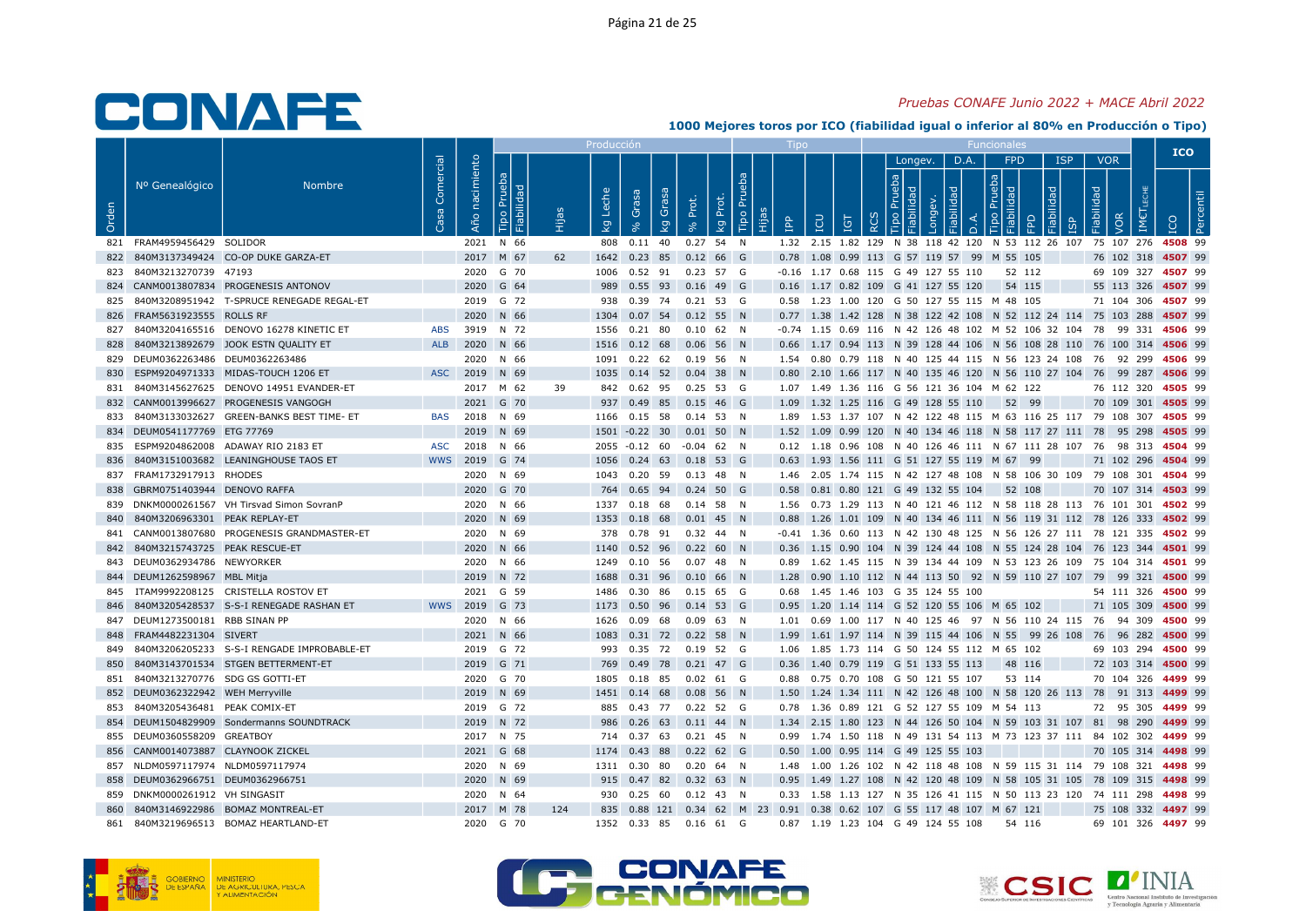#### Pruebas CONAFE Junio 2022 + MACE Abril 2022

|       |                                    |                                                |            |               |                              |             | Producc     |                                 |             |                      |                 |           |               |               |                                            |                                                                       |            |                   | <b>ICO</b>                                                                              |
|-------|------------------------------------|------------------------------------------------|------------|---------------|------------------------------|-------------|-------------|---------------------------------|-------------|----------------------|-----------------|-----------|---------------|---------------|--------------------------------------------|-----------------------------------------------------------------------|------------|-------------------|-----------------------------------------------------------------------------------------|
|       | Nº Genealógico                     | <b>Nombre</b>                                  | Comercial  | nacimiento    |                              |             |             |                                 |             |                      |                 |           |               | Longev.       | D.A.                                       | <b>FPD</b>                                                            | <b>ISP</b> | <b>VOR</b>        |                                                                                         |
| Orden |                                    |                                                | <b>S</b> a | Año           | Prueba<br>Fiabilidad<br>Tipo | <b>Beth</b> | Leche<br>Σã | Grasa<br>Grasa<br>$\mathcal{Q}$ | Prot.       | Tipo Pru<br>kg Prot. | Hijas<br>e<br>E | <b>CD</b> | Ξ<br>$\alpha$ | $\frac{1}{2}$ |                                            | $\frac{1}{2}$ $\frac{1}{2}$<br>$\Omega$                               | う          | Fiabilidad<br>VOR |                                                                                         |
|       | 821 FRAM4959456429 SOLIDOR         |                                                |            |               | 2021 N 66                    |             | 808         | $0.11$ 40                       | $0.27$ 54 N |                      |                 |           |               |               |                                            |                                                                       |            |                   | 1.32  2.15  1.82  129  N  38  118  42  120  N  53  112  26  107  75  107  276  4508  99 |
|       |                                    | 822 840M3137349424 CO-OP DUKE GARZA-ET         |            |               | 2017 M 67                    | 62          |             | 1642 0.23 85 0.12 66 G          |             |                      |                 |           |               |               |                                            | 0.78 1.08 0.99 113 G 57 119 57 99 M 55 105                            |            |                   | 76 102 318 4507 99                                                                      |
|       | 823 840M3213270739 47193           |                                                |            |               | 2020 G 70                    |             |             | 1006  0.52  91  0.23  57  G     |             |                      |                 |           |               |               | -0.16 1.17 0.68 115 G 49 127 55 110        | 52 112                                                                |            |                   | 69 109 327 4507 99                                                                      |
|       |                                    | 824 CANM0013807834 PROGENESIS ANTONOV          |            |               | 2020 G 64                    |             |             | 989  0.55  93  0.16  49  G      |             |                      |                 |           |               |               | 0.16 1.17 0.82 109 G 41 127 55 120         | 54 115                                                                |            |                   | 55 113 326 4507 99                                                                      |
|       |                                    | 825 840M3208951942 T-SPRUCE RENEGADE REGAL-ET  |            |               | 2019 G 72                    |             |             | 938 0.39 74 0.21 53 G           |             |                      |                 |           |               |               |                                            | 0.58 1.23 1.00 120 G 50 127 55 115 M 48 105                           |            |                   | 71 104 306 4507 99                                                                      |
|       | 826 FRAM5631923555 ROLLS RF        |                                                |            |               | 2020 N 66                    |             | 1304        | 0.07 54 0.12 55 N               |             |                      |                 |           |               |               |                                            |                                                                       |            |                   | 0.77 1.38 1.42 128 N 38 122 42 108 N 52 112 24 114 75 103 288 4507 99                   |
|       |                                    | 827 840M3204165516 DENOVO 16278 KINETIC ET     | <b>ABS</b> |               | 3919 N 72                    |             |             | 1556  0.21  80  0.10  62  N     |             |                      |                 |           |               |               |                                            |                                                                       |            |                   | -0.74 1.15 0.69 116 N 42 126 48 102 M 52 106 32 104 78 99 331 4506 99                   |
| 828   |                                    | 840M3213892679 JOOK ESTN QUALITY ET            |            | ALB 2020 N 66 |                              |             |             | 1516  0.12  68  0.06  56  N     |             |                      |                 |           |               |               |                                            |                                                                       |            |                   | 0.66 1.17 0.94 113 N 39 128 44 106 N 56 108 28 110 76 100 314 4506 99                   |
|       | 829 DEUM0362263486 DEUM0362263486  |                                                |            |               | 2020 N 66                    |             |             | 1091  0.22  62  0.19  56  N     |             |                      |                 |           |               |               |                                            |                                                                       |            |                   | 1.54  0.80  0.79  118  N  40  125  44  115  N  56  123  24  108  76  92  299  4506  99  |
| 830   |                                    | ESPM9204971333 MIDAS-TOUCH 1206 ET             |            | ASC 2019 N 69 |                              |             |             | 1035  0.14  52  0.04  38  N     |             |                      |                 |           |               |               |                                            |                                                                       |            |                   | 0.80 2.10 1.66 117 N 40 135 46 120 N 56 110 27 104 76 99 287 4506 99                    |
|       |                                    | 831 840M3145627625 DENOVO 14951 EVANDER-ET     |            |               | 2017 M 62                    | 39          |             | 842 0.62 95 0.25 53 G           |             |                      |                 |           |               |               |                                            | 1.07 1.49 1.36 116 G 56 121 36 104 M 62 122                           |            |                   | 76 112 320 4505 99                                                                      |
|       |                                    | 832 CANM0013996627 PROGENESIS VANGOGH          |            |               | 2021 G 70                    |             |             | 937 0.49 85 0.15 46 G           |             |                      |                 |           |               |               |                                            | 1.09 1.32 1.25 116 G 49 128 55 110 52 99                              |            |                   | 70 109 301 4505 99                                                                      |
|       |                                    | 833 840M3133032627 GREEN-BANKS BEST TIME- ET   | <b>BAS</b> |               | 2018 N 69                    |             |             | 1166  0.15  58  0.14  53  N     |             |                      |                 |           |               |               |                                            |                                                                       |            |                   | 1.89 1.53 1.37 107 N 42 122 48 115 M 63 116 25 117 79 108 307 4505 99                   |
|       | 834 DEUM0541177769 ETG 77769       |                                                |            |               | 2019 N 69                    |             |             | 1501 -0.22 30 0.01 50 N         |             |                      |                 |           |               |               |                                            |                                                                       |            |                   | 1.52 1.09 0.99 120 N 40 134 46 118 N 58 117 27 111 78 95 298 4505 99                    |
|       |                                    | 835 ESPM9204862008 ADAWAY RIO 2183 ET          | ASC        |               | 2018 N 66                    |             |             | 2055 -0.12 60 -0.04 62 N        |             |                      |                 |           |               |               |                                            |                                                                       |            |                   | 0.12 1.18 0.96 108 N 40 126 46 111 N 67 111 28 107 76 98 313 4504 99                    |
| 836   |                                    | 840M3151003682 LEANINGHOUSE TAOS ET            | <b>WWS</b> |               | 2019 G 74                    |             |             | 1056  0.24  63  0.18  53  G     |             |                      |                 |           |               |               |                                            | 0.63 1.93 1.56 111 G 51 127 55 119 M 67 99                            |            |                   | 71 102 296 4504 99                                                                      |
|       | 837 FRAM1732917913 RHODES          |                                                |            |               | 2020 N 69                    |             |             | 1043  0.20  59  0.13  48  N     |             |                      |                 |           |               |               |                                            |                                                                       |            |                   | 1.46  2.05  1.74  115  N  42  127  48  108  N  58  106  30  109  79  108  301  4504  99 |
|       | 838 GBRM0751403944 DENOVO RAFFA    |                                                |            |               | 2020 G 70                    |             |             | 764 0.65 94 0.24 50 G           |             |                      |                 |           |               |               | 0.58  0.81  0.80  121  G  49  132  55  104 | 52 108                                                                |            |                   | 70 107 314 4503 99                                                                      |
|       |                                    | 839 DNKM0000261567 VH Tirsvad Simon SovranP    |            |               | 2020 N 66                    |             |             | 1337  0.18  68  0.14  58  N     |             |                      |                 |           |               |               |                                            |                                                                       |            |                   | 1.56 0.73 1.29 113 N 40 121 46 112 N 58 118 28 113 76 101 301 4502 99                   |
| 840   | 840M3206963301 PEAK REPLAY-ET      |                                                |            |               | 2020 N 69                    |             |             | 1353  0.18  68  0.01  45  N     |             |                      |                 |           |               |               |                                            |                                                                       |            |                   | 0.88 1.26 1.01 109 N 40 134 46 111 N 56 119 31 112 78 126 333 4502 99                   |
|       |                                    | 841 CANM0013807680 PROGENESIS GRANDMASTER-ET   |            |               | 2020 N 69                    |             |             | 378  0.78  91  0.32  44  N      |             |                      |                 |           |               |               |                                            |                                                                       |            |                   | -0.41 1.36 0.60 113 N 42 130 48 125 N 56 126 27 111 78 121 335 4502 99                  |
|       | 842 840M3215743725 PEAK RESCUE-ET  |                                                |            |               | 2020 N 66                    |             |             | 1140  0.52  96  0.22  60  N     |             |                      |                 |           |               |               |                                            |                                                                       |            |                   | 0.36 1.15 0.90 104 N 39 124 44 108 N 55 124 28 104 76 123 344 4501 99                   |
|       | 843 DEUM0362934786 NEWYORKER       |                                                |            |               | 2020 N 66                    |             | 1249        | 0.10 56 0.07 48 N               |             |                      |                 |           |               |               |                                            |                                                                       |            |                   | 0.89 1.62 1.45 115 N 39 134 44 109 N 53 123 26 109 75 104 314 4501 99                   |
|       | 844 DEUM1262598967 MBL Mitja       |                                                |            |               | 2019 N 72                    |             |             | 1688  0.31  96  0.10  66  N     |             |                      |                 |           |               |               |                                            |                                                                       |            |                   | 1.28 0.90 1.10 112 N 44 113 50 92 N 59 110 27 107 79 99 321 4500 99                     |
|       |                                    | 845 ITAM9992208125 CRISTELLA ROSTOV ET         |            |               | 2021 G 59                    |             |             | 1486  0.30  86  0.15  65  G     |             |                      |                 |           |               |               | 0.68 1.45 1.46 103 G 35 124 55 100         |                                                                       |            |                   | 54 111 326 4500 99                                                                      |
|       |                                    | 846 840M3205428537 S-S-I RENEGADE RASHAN ET    | <b>WWS</b> |               | 2019 G 73                    |             |             | 1173  0.50  96  0.14  53  G     |             |                      |                 |           |               |               |                                            | 0.95 1.20 1.14 114 G 52 120 55 106 M 65 102                           |            |                   | 71 105 309 4500 99                                                                      |
|       | 847 DEUM1273500181 RBB SINAN PP    |                                                |            |               | 2020 N 66                    |             |             | 1626  0.09  68                  | 0.09 63 N   |                      |                 |           |               |               |                                            |                                                                       |            |                   | 1.01  0.69  1.00  117  N  40  125  46  97  N  56  110  24  115  76  94  309  4500  99   |
|       | 848 FRAM4482231304 SIVERT          |                                                |            |               | 2021 N 66                    |             |             | 1083  0.31  72  0.22  58  N     |             |                      |                 |           |               |               |                                            |                                                                       |            |                   | 1.99 1.61 1.97 114 N 39 115 44 106 N 55 99 26 108 76 96 282 4500 99                     |
|       |                                    | 849 840M3206205233 S-S-I RENGADE IMPROBABLE-ET |            |               | 2019 G 72                    |             |             | 993 0.35 72 0.19 52 G           |             |                      |                 |           |               |               |                                            | 1.06  1.85  1.73  114  G  50  124  55  112  M  65  102                |            |                   | 69 103 294 4500 99                                                                      |
| 850   |                                    | 840M3143701534 STGEN BETTERMENT-ET             |            |               | 2019 G 71                    |             |             | 769 0.49 78 0.21 47 G           |             |                      |                 |           |               |               | 0.36 1.40 0.79 119 G 51 133 55 113         | 48 116                                                                |            |                   | 72 103 314 4500 99                                                                      |
|       | 851 840M3213270776 SDG GS GOTTI-ET |                                                |            |               | 2020 G 70                    |             |             | 1805  0.18  85  0.02  61  G     |             |                      |                 |           |               |               | 0.88  0.75  0.70  108  G  50  121  55  107 | 53 114                                                                |            |                   | 70 104 326 4499 99                                                                      |
|       | 852 DEUM0362322942 WEH Merryville  |                                                |            |               | 2019 N 69                    |             |             | 1451  0.14  68  0.08  56  N     |             |                      |                 |           |               |               |                                            |                                                                       |            |                   | 1.50 1.24 1.34 111 N 42 126 48 100 N 58 120 26 113 78 91 313 4499 99                    |
| 853   | 840M3205436481 PEAK COMIX-ET       |                                                |            |               | 2019 G 72                    |             |             | 885 0.43 77 0.22 52 G           |             |                      |                 |           |               |               |                                            | 0.78 1.36 0.89 121 G 52 127 55 109 M 54 113                           |            |                   | 72 95 305 4499 99                                                                       |
|       |                                    | 854 DEUM1504829909 Sondermanns SOUNDTRACK      |            |               | 2019 N 72                    |             |             | 986  0.26  63  0.11  44  N      |             |                      |                 |           |               |               |                                            |                                                                       |            |                   | 1.34 2.15 1.80 123 N 44 126 50 104 N 59 103 31 107 81 98 290 4499 99                    |
|       | 855 DEUM0360558209 GREATBOY        |                                                |            |               | 2017 N 75                    |             |             | 714  0.37  63  0.21  45  N      |             |                      |                 |           |               |               |                                            |                                                                       |            |                   | 0.99 1.74 1.50 118 N 49 131 54 113 M 73 123 37 111 84 102 302 4499 99                   |
|       | 856 CANM0014073887 CLAYNOOK ZICKEL |                                                |            |               | 2021 G 68                    |             |             | 1174  0.43  88  0.22  62  G     |             |                      |                 |           |               |               | 0.50 1.00 0.95 114 G 49 125 55 103         |                                                                       |            |                   | 70 105 314 4498 99                                                                      |
|       | 857 NLDM0597117974 NLDM0597117974  |                                                |            |               | 2020 N 69                    |             |             | 1311  0.30  80  0.20  64  N     |             |                      |                 |           |               |               |                                            |                                                                       |            |                   | 1.48 1.00 1.26 102 N 42 118 48 108 N 59 115 31 114 79 108 321 4498 99                   |
|       | 858 DEUM0362966751 DEUM0362966751  |                                                |            |               | 2020 N 69                    |             |             | 915  0.47  82  0.32  63  N      |             |                      |                 |           |               |               |                                            |                                                                       |            |                   | 0.95 1.49 1.27 108 N 42 120 48 109 N 58 105 31 105 78 109 315 4498 99                   |
|       | 859 DNKM0000261912 VH SINGASIT     |                                                |            |               | 2020 N 64                    |             |             | 930 0.25 60 0.12 43 N           |             |                      |                 |           |               |               |                                            |                                                                       |            |                   | 0.33 1.58 1.13 127 N 35 126 41 115 N 50 113 23 120 74 111 298 4498 99                   |
| 860   |                                    | 840M3146922986 BOMAZ MONTREAL-ET               |            |               | 2017 M 78                    | 124         |             |                                 |             |                      |                 |           |               |               |                                            | 835 0.88 121 0.34 62 M 23 0.91 0.38 0.62 107 G 55 117 48 107 M 67 121 |            |                   | 75 108 332 4497 99                                                                      |
| 861   |                                    | 840M3219696513 BOMAZ HEARTLAND-ET              |            |               | 2020 G 70                    |             |             | 1352  0.33  85  0.16  61  G     |             |                      |                 |           |               |               | 0.87 1.19 1.23 104 G 49 124 55 108         | 54 116                                                                |            |                   | 69 101 326 4497 99                                                                      |





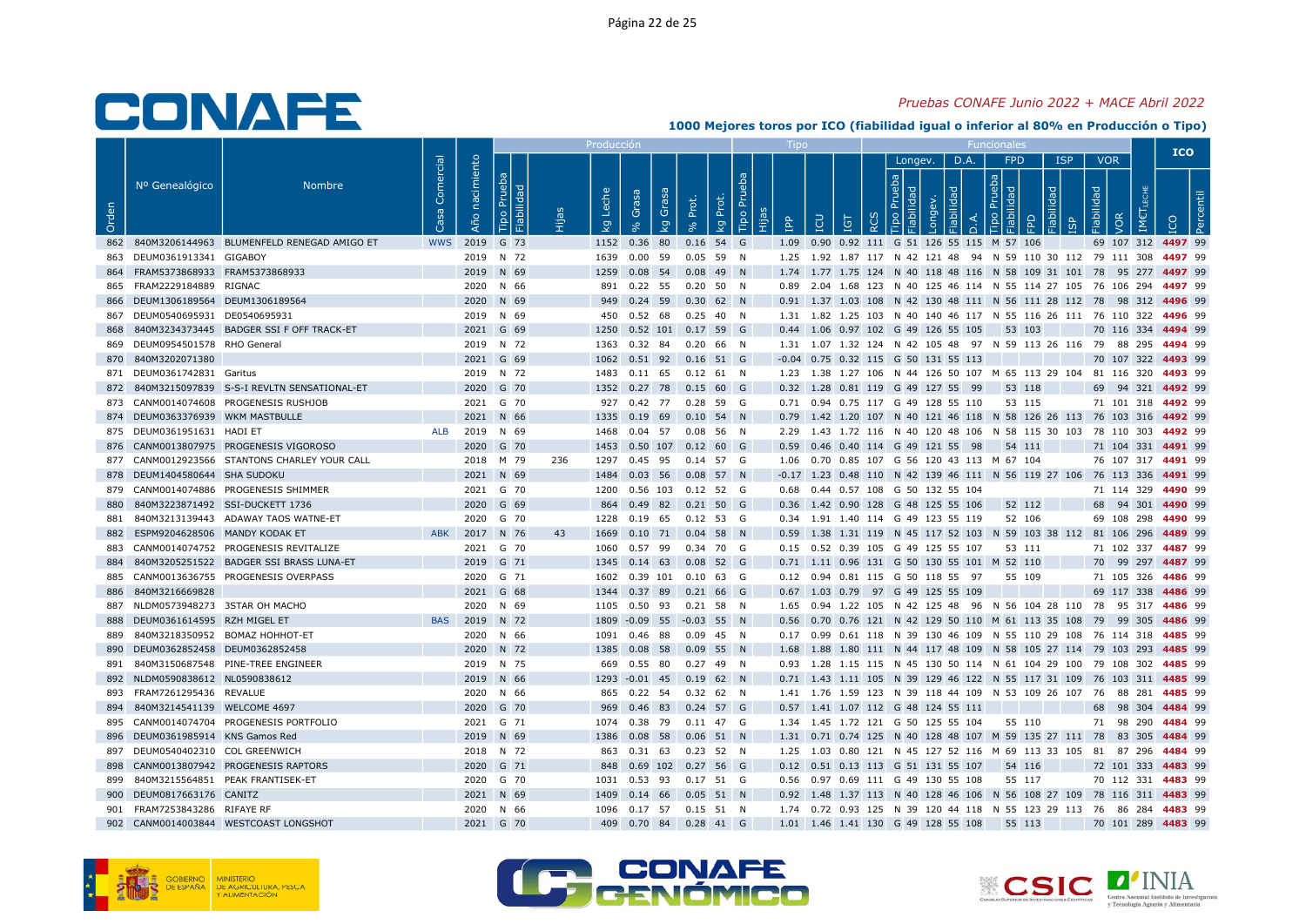#### Pruebas CONAFE Junio 2022 + MACE Abril 2022

|       |                                                                   |                                                |                   |                   |                              |     | Producci            |                                  |                                                         |          |            |     |   |         |                                                        |     |        |                 |            |                   | <b>ICO</b>                                                                                                                                    |
|-------|-------------------------------------------------------------------|------------------------------------------------|-------------------|-------------------|------------------------------|-----|---------------------|----------------------------------|---------------------------------------------------------|----------|------------|-----|---|---------|--------------------------------------------------------|-----|--------|-----------------|------------|-------------------|-----------------------------------------------------------------------------------------------------------------------------------------------|
| Orden | Nº Genealógico                                                    | <b>Nombre</b>                                  | Comercial<br>- Sa | nacimiento<br>Año | Prueba<br>Fiabilidad<br>Tipo |     | Leche<br><b>L</b> g | Grasa<br>Grasa<br>$\overline{5}$ | Prot.<br>Prot.<br>ΔÄ                                    | Tipo Pru | <b>Add</b> | LCU | Ξ | Longev. | D.A.                                                   | 의 모 | FPD    | <b>ISP</b><br>모 | Fiabilidad | <b>VOR</b><br>/OR |                                                                                                                                               |
|       |                                                                   | 862 840M3206144963 BLUMENFELD RENEGAD AMIGO ET | <b>WWS</b>        |                   | 2019 G 73                    |     |                     | 1152 0.36 80                     | $0.16$ 54 G                                             |          |            |     |   |         | 1.09 0.90 0.92 111 G 51 126 55 115 M 57 106            |     |        |                 |            |                   | 69 107 312 4497 99                                                                                                                            |
|       | 863 DEUM0361913341 GIGABOY                                        |                                                |                   |                   | 2019 N 72                    |     |                     |                                  | 1639  0.00  59  0.05  59  N                             |          |            |     |   |         |                                                        |     |        |                 |            |                   | 1.25 1.92 1.87 117 N 42 121 48 94 N 59 110 30 112 79 111 308 4497 99                                                                          |
|       | 864 FRAM5373868933 FRAM5373868933                                 |                                                |                   |                   | 2019 N 69                    |     |                     |                                  | 1259  0.08  54  0.08  49  N                             |          |            |     |   |         |                                                        |     |        |                 |            |                   | 1.74 1.77 1.75 124 N 40 118 48 116 N 58 109 31 101 78 95 277 4497 99                                                                          |
|       | 865 FRAM2229184889 RIGNAC                                         |                                                |                   |                   | 2020 N 66                    |     |                     |                                  | 891  0.22  55  0.20  50  N                              |          |            |     |   |         |                                                        |     |        |                 |            |                   | 0.89  2.04  1.68  123  N  40  125  46  114  N  55  114  27  105  76  106  294  4497  99                                                       |
|       | 866 DEUM1306189564 DEUM1306189564                                 |                                                |                   |                   | 2020 N 69                    |     |                     |                                  | 949 0.24 59 0.30 62 N                                   |          |            |     |   |         |                                                        |     |        |                 |            |                   | 0.91 1.37 1.03 108 N 42 130 48 111 N 56 111 28 112 78 98 312 4496 99                                                                          |
|       | 867 DEUM0540695931 DE0540695931                                   |                                                |                   |                   | 2019 N 69                    |     |                     |                                  | 450  0.52  68  0.25  40  N                              |          |            |     |   |         |                                                        |     |        |                 |            |                   | 1.31 1.82 1.25 103 N 40 140 46 117 N 55 116 26 111 76 110 322 4496 99                                                                         |
| 868   |                                                                   | 840M3234373445 BADGER SSI F OFF TRACK-ET       |                   |                   | 2021 G 69                    |     |                     |                                  | 1250  0.52  101  0.17  59  G                            |          |            |     |   |         | 0.44 1.06 0.97 102 G 49 126 55 105 53 103              |     |        |                 |            |                   | 70 116 334 4494 99                                                                                                                            |
|       | 869 DEUM0954501578 RHO General                                    |                                                |                   |                   | 2019 N 72                    |     |                     |                                  | 1363  0.32  84  0.20  66  N                             |          |            |     |   |         |                                                        |     |        |                 |            |                   | 1.31 1.07 1.32 124 N 42 105 48 97 N 59 113 26 116 79 88 295 4494 99                                                                           |
|       | 870 840M3202071380                                                |                                                |                   |                   | 2021 G 69                    |     |                     |                                  | 1062  0.51  92  0.16  51  G                             |          |            |     |   |         | -0.04 0.75 0.32 115 G 50 131 55 113                    |     |        |                 |            |                   | 70 107 322 4493 99                                                                                                                            |
|       | 871 DEUM0361742831 Garitus                                        |                                                |                   |                   | 2019 N 72                    |     |                     |                                  | 1483  0.11  65  0.12  61  N                             |          |            |     |   |         |                                                        |     |        |                 |            |                   | 1.23 1.38 1.27 106 N 44 126 50 107 M 65 113 29 104 81 116 320 4493 99                                                                         |
|       |                                                                   | 872 840M3215097839 S-S-I REVLTN SENSATIONAL-ET |                   |                   | 2020 G 70                    |     |                     |                                  | 1352 0.27 78 0.15 60 G                                  |          |            |     |   |         | 0.32 1.28 0.81 119 G 49 127 55 99                      |     | 53 118 |                 |            |                   | 69 94 321 4492 99                                                                                                                             |
|       |                                                                   | 873 CANM0014074608 PROGENESIS RUSHJOB          |                   |                   | 2021 G 70                    |     |                     |                                  | 927 0.42 77 0.28 59 G                                   |          |            |     |   |         | 0.71 0.94 0.75 117 G 49 128 55 110                     |     | 53 115 |                 |            |                   | 71 101 318 4492 99                                                                                                                            |
|       | 874 DEUM0363376939 WKM MASTBULLE                                  |                                                |                   |                   | 2021 N 66                    |     |                     |                                  | 1335  0.19  69  0.10  54  N                             |          |            |     |   |         |                                                        |     |        |                 |            |                   | 0.79 1.42 1.20 107 N 40 121 46 118 N 58 126 26 113 76 103 316 4492 99                                                                         |
|       | 875 DEUM0361951631 HADI ET                                        |                                                | ALB               |                   | 2019 N 69                    |     |                     |                                  | 1468  0.04  57  0.08  56  N                             |          |            |     |   |         |                                                        |     |        |                 |            |                   | 2.29 1.43 1.72 116 N 40 120 48 106 N 58 115 30 103 78 110 303 4492 99                                                                         |
|       |                                                                   | 876 CANM0013807975 PROGENESIS VIGOROSO         |                   |                   | 2020 G 70                    |     |                     |                                  | 1453  0.50  107  0.12  60  G                            |          |            |     |   |         | 0.59 0.46 0.40 114 G 49 121 55 98                      |     | 54 111 |                 |            |                   | 71 104 331 4491 99                                                                                                                            |
|       |                                                                   | 877 CANM0012923566 STANTONS CHARLEY YOUR CALL  |                   |                   | 2018 M 79                    | 236 |                     |                                  | 1297  0.45  95  0.14  57  G                             |          |            |     |   |         | 1.06  0.70  0.85  107  G  56  120  43  113  M  67  104 |     |        |                 |            |                   | 76 107 317 4491 99                                                                                                                            |
|       | 878 DEUM1404580644 SHA SUDOKU                                     |                                                |                   |                   | 2021 N 69                    |     |                     |                                  | 1484  0.03  56  0.08  57  N                             |          |            |     |   |         |                                                        |     |        |                 |            |                   | -0.17 1.23 0.48 110 N 42 139 46 111 N 56 119 27 106 76 113 336 4491 99                                                                        |
|       |                                                                   | 879 CANM0014074886 PROGENESIS SHIMMER          |                   |                   | 2021 G 70                    |     |                     |                                  | 1200  0.56  103  0.12  52  G                            |          |            |     |   |         | 0.68  0.44  0.57  108  G  50  132  55  104             |     |        |                 |            |                   | 71 114 329 4490 99                                                                                                                            |
| 880   | 840M3223871492 SSI-DUCKETT 1736                                   |                                                |                   |                   | 2020 G 69                    |     |                     |                                  | 864 0.49 82 0.21 50 G                                   |          |            |     |   |         | 0.36 1.42 0.90 128 G 48 125 55 106                     |     | 52 112 |                 |            |                   | 68 94 301 4490 99                                                                                                                             |
| 881   |                                                                   | 840M3213139443 ADAWAY TAOS WATNE-ET            |                   |                   | 2020 G 70                    |     |                     |                                  | 1228  0.19  65  0.12  53  G                             |          |            |     |   |         | 0.34 1.91 1.40 114 G 49 123 55 119                     |     | 52 106 |                 |            |                   | 69 108 298 4490 99                                                                                                                            |
|       | 882 ESPM9204628506 MANDY KODAK ET                                 |                                                | <b>ABK</b>        |                   | 2017 N 76                    | 43  |                     |                                  | 1669  0.10  71  0.04  58  N                             |          |            |     |   |         |                                                        |     |        |                 |            |                   | 0.59 1.38 1.31 119 N 45 117 52 103 N 59 103 38 112 81 106 296 4489 99                                                                         |
|       |                                                                   | 883 CANM0014074752 PROGENESIS REVITALIZE       |                   |                   | 2021 G 70                    |     |                     |                                  | 1060  0.57  99  0.34  70  G                             |          |            |     |   |         | 0.15 0.52 0.39 105 G 49 125 55 107                     |     | 53 111 |                 |            |                   | 71 102 337 4487 99                                                                                                                            |
| 884   |                                                                   | 840M3205251522 BADGER SSI BRASS LUNA-ET        |                   |                   | 2019 G 71                    |     |                     |                                  | 1345  0.14  63  0.08  52  G                             |          |            |     |   |         | 0.71 1.11 0.96 131 G 50 130 55 101 M 52 110            |     |        |                 |            |                   | 70 99 297 4487 99                                                                                                                             |
|       |                                                                   | 885 CANM0013636755 PROGENESIS OVERPASS         |                   |                   | 2020 G 71                    |     |                     |                                  | 1602  0.39  101  0.10  63  G                            |          |            |     |   |         | 0.12 0.94 0.81 115 G 50 118 55 97                      |     | 55 109 |                 |            |                   | 71 105 326 4486 99                                                                                                                            |
| 886   | 840M3216669828                                                    |                                                |                   |                   | 2021 G 68                    |     |                     |                                  | 1344  0.37  89  0.21  66  G                             |          |            |     |   |         | 0.67 1.03 0.79 97 G 49 125 55 109                      |     |        |                 |            |                   | 69 117 338 4486 99                                                                                                                            |
| 887   | NLDM0573948273 3STAR OH MACHO                                     |                                                |                   |                   | 2020 N 69                    |     |                     |                                  | 1105  0.50  93  0.21  58  N                             |          |            |     |   |         |                                                        |     |        |                 |            |                   | 1.65 0.94 1.22 105 N 42 125 48 96 N 56 104 28 110 78 95 317 4486 99                                                                           |
| 889   | 888 DEUM0361614595 RZH MIGEL ET<br>840M3218350952 BOMAZ HOHHOT-ET |                                                | <b>BAS</b>        |                   | 2019 N 72<br>2020 N 66       |     |                     |                                  | 1809 -0.09 55 -0.03 55 N<br>1091  0.46  88  0.09  45  N |          |            |     |   |         |                                                        |     |        |                 |            |                   | 0.56 0.70 0.76 121 N 42 129 50 110 M 61 113 35 108 79 99 305 4486 99<br>0.17 0.99 0.61 118 N 39 130 46 109 N 55 110 29 108 76 114 318 4485 99 |
|       | 890 DEUM0362852458 DEUM0362852458                                 |                                                |                   |                   | 2020 N 72                    |     |                     |                                  | 1385  0.08  58  0.09  55  N                             |          |            |     |   |         |                                                        |     |        |                 |            |                   | 1.68 1.88 1.80 111 N 44 117 48 109 N 58 105 27 114 79 103 293 4485 99                                                                         |
|       |                                                                   | 891 840M3150687548 PINE-TREE ENGINEER          |                   |                   | 2019 N 75                    |     |                     |                                  | 669  0.55  80  0.27  49  N                              |          |            |     |   |         |                                                        |     |        |                 |            |                   | 0.93 1.28 1.15 115 N 45 130 50 114 N 61 104 29 100 79 108 302 4485 99                                                                         |
|       | 892 NLDM0590838612 NL0590838612                                   |                                                |                   |                   | 2019 N 66                    |     |                     |                                  | 1293 -0.01 45 0.19 62 N                                 |          |            |     |   |         |                                                        |     |        |                 |            |                   | 0.71 1.43 1.11 105 N 39 129 46 122 N 55 117 31 109 76 103 311 4485 99                                                                         |
|       | 893 FRAM7261295436 REVALUE                                        |                                                |                   |                   | 2020 N 66                    |     |                     |                                  | 865 0.22 54 0.32 62 N                                   |          |            |     |   |         |                                                        |     |        |                 |            |                   | 1.41 1.76 1.59 123 N 39 118 44 109 N 53 109 26 107 76 88 281 4485 99                                                                          |
|       | 894 840M3214541139 WELCOME 4697                                   |                                                |                   |                   | 2020 G 70                    |     |                     |                                  | 969 0.46 83 0.24 57 G                                   |          |            |     |   |         | 0.57 1.41 1.07 112 G 48 124 55 111                     |     |        |                 |            |                   | 68 98 304 4484 99                                                                                                                             |
|       |                                                                   | 895 CANM0014074704 PROGENESIS PORTFOLIO        |                   |                   | 2021 G 71                    |     |                     |                                  | 1074  0.38  79  0.11  47  G                             |          |            |     |   |         | 1.34 1.45 1.72 121 G 50 125 55 104                     |     | 55 110 |                 |            |                   | 71 98 290 4484 99                                                                                                                             |
|       | 896 DEUM0361985914 KNS Gamos Red                                  |                                                |                   |                   | 2019 N 69                    |     |                     |                                  | 1386  0.08  58  0.06  51  N                             |          |            |     |   |         |                                                        |     |        |                 |            |                   | 1.31 0.71 0.74 125 N 40 128 48 107 M 59 135 27 111 78 83 305 4484 99                                                                          |
|       | 897 DEUM0540402310 COL GREENWICH                                  |                                                |                   |                   | 2018 N 72                    |     |                     |                                  | 863 0.31 63 0.23 52 N                                   |          |            |     |   |         |                                                        |     |        |                 |            |                   | 1.25 1.03 0.80 121 N 45 127 52 116 M 69 113 33 105 81 87 296 4484 99                                                                          |
| 898   |                                                                   | CANM0013807942 PROGENESIS RAPTORS              |                   |                   | 2020 G 71                    |     |                     |                                  | 848  0.69  102  0.27  56  G                             |          |            |     |   |         | 0.12 0.51 0.13 113 G 51 131 55 107                     |     | 54 116 |                 |            |                   | 72 101 333 4483 99                                                                                                                            |
|       | 899 840M3215564851 PEAK FRANTISEK-ET                              |                                                |                   |                   | 2020 G 70                    |     |                     |                                  | 1031  0.53  93  0.17  51  G                             |          |            |     |   |         | 0.56 0.97 0.69 111 G 49 130 55 108                     |     | 55 117 |                 |            |                   | 70 112 331 4483 99                                                                                                                            |
|       | 900 DEUM0817663176 CANITZ                                         |                                                |                   |                   | 2021 N 69                    |     |                     |                                  | 1409  0.14  66  0.05  51  N                             |          |            |     |   |         |                                                        |     |        |                 |            |                   | 0.92 1.48 1.37 113 N 40 128 46 106 N 56 108 27 109 78 116 311 4483 99                                                                         |
|       | 901 FRAM7253843286 RIFAYE RF                                      |                                                |                   |                   | 2020 N 66                    |     |                     |                                  | 1096  0.17  57  0.15  51  N                             |          |            |     |   |         |                                                        |     |        |                 |            |                   | 1.74  0.72  0.93  125  N  39  120  44  118  N  55  123  29  113  76  86  284  4483  99                                                        |
|       |                                                                   | 902 CANM0014003844 WESTCOAST LONGSHOT          |                   |                   | 2021 G 70                    |     |                     |                                  | 409  0.70  84  0.28  41  G                              |          |            |     |   |         | 1.01  1.46  1.41  130  G  49  128  55  108             |     | 55 113 |                 |            |                   | 70 101 289 4483 99                                                                                                                            |





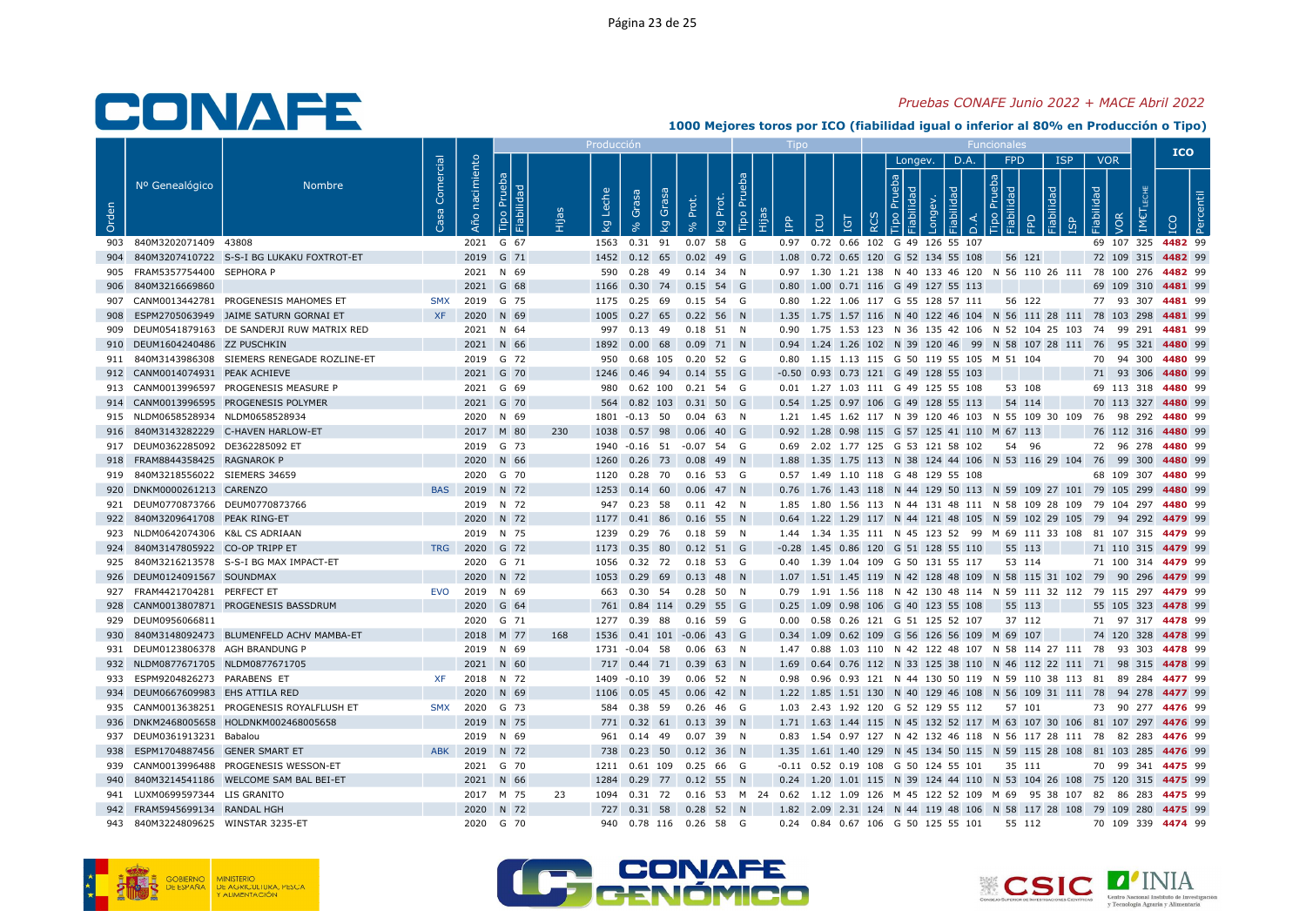#### Pruebas CONAFE Junio 2022 + MACE Abril 2022

|       |                                                            |                                               |                   |                   |                              |     | Producció   |                                                    |                   |                               |            |     |          |                                             |           |                                |                                                               |                          |     | <b>ICO</b>                                                                                    |
|-------|------------------------------------------------------------|-----------------------------------------------|-------------------|-------------------|------------------------------|-----|-------------|----------------------------------------------------|-------------------|-------------------------------|------------|-----|----------|---------------------------------------------|-----------|--------------------------------|---------------------------------------------------------------|--------------------------|-----|-----------------------------------------------------------------------------------------------|
| Orden | Nº Genealógico                                             | <b>Nombre</b>                                 | Comercial<br>Casa | nacimiento<br>Año | Prueba<br>Fiabilidad<br>Tipo |     | Leche<br>kg | Grasa<br>Grasa<br>kg                               | Prot.<br>$\infty$ | ba<br>Tipo Pru<br>Prot.<br>kg | <b>AdI</b> | ICU | ΙGΤ<br>≃ | Longev.<br>deb<br>$\overline{\sigma}$       | D.A.<br>흥 | FPD<br>$\boxed{g}$ $\boxed{g}$ | <b>ISP</b><br>ᄝ                                               | <b>VOR</b><br>Fiabilidad | VOR |                                                                                               |
|       | 903 840M3202071409 43808                                   |                                               |                   |                   | 2021 G 67                    |     |             | 1563  0.31  91                                     |                   | $0.07$ 58 G                   |            |     |          | 0.97 0.72 0.66 102 G 49 126 55 107          |           |                                |                                                               |                          |     | 69 107 325 4482 99                                                                            |
| 904   |                                                            | 840M3207410722 S-S-I BG LUKAKU FOXTROT-ET     |                   |                   | 2019 G 71                    |     |             | 1452 0.12 65 0.02 49 G                             |                   |                               |            |     |          | 1.08  0.72  0.65  120  G  52  134  55  108  |           | 56 121                         |                                                               |                          |     | 72 109 315 4482 99                                                                            |
|       | 905 FRAM5357754400 SEPHORA P                               |                                               |                   |                   | 2021 N 69                    |     | 590         | 0.28 49 0.14 34 N                                  |                   |                               |            |     |          |                                             |           |                                |                                                               |                          |     | 0.97 1.30 1.21 138 N 40 133 46 120 N 56 110 26 111 78 100 276 4482 99                         |
| 906   | 840M3216669860                                             |                                               |                   |                   | 2021 G 68                    |     | 1166        | 0.30                                               |                   | 74 0.15 54 G                  |            |     |          | 0.80 1.00 0.71 116 G 49 127 55 113          |           |                                |                                                               |                          |     | 69 109 310 4481 99                                                                            |
|       |                                                            | 907 CANM0013442781 PROGENESIS MAHOMES ET      | <b>SMX</b>        |                   | 2019 G 75                    |     |             | 1175  0.25  69  0.15  54  G                        |                   |                               |            |     |          | 0.80 1.22 1.06 117 G 55 128 57 111          |           | 56 122                         |                                                               |                          |     | 77 93 307 4481 99                                                                             |
| 908   |                                                            | ESPM2705063949 JAIME SATURN GORNAI ET         | <b>XF</b>         |                   | 2020 N 69                    |     | 1005        | $0.27$ 65 0.22 56 N                                |                   |                               |            |     |          |                                             |           |                                |                                                               |                          |     | 1.35 1.75 1.57 116 N 40 122 46 104 N 56 111 28 111 78 103 298 4481 99                         |
|       |                                                            | 909 DEUM0541879163 DE SANDERJI RUW MATRIX RED |                   |                   | 2021 N 64                    |     |             | 997 0.13 49 0.18 51 N                              |                   |                               |            |     |          |                                             |           |                                |                                                               |                          |     | 0.90 1.75 1.53 123 N 36 135 42 106 N 52 104 25 103 74 99 291 4481 99                          |
|       | 910 DEUM1604240486 ZZ PUSCHKIN                             |                                               |                   |                   | 2021 N 66                    |     |             | 1892  0.00  68  0.09  71  N                        |                   |                               |            |     |          |                                             |           |                                |                                                               |                          |     | 0.94 1.24 1.26 102 N 39 120 46 99 N 58 107 28 111 76 95 321 4480 99                           |
| 911   |                                                            | 840M3143986308 SIEMERS RENEGADE ROZLINE-ET    |                   |                   | 2019 G 72                    |     |             | 950  0.68  105  0.20  52  G                        |                   |                               |            |     |          | 0.80 1.15 1.13 115 G 50 119 55 105 M 51 104 |           |                                |                                                               |                          |     | 70 94 300 4480 99                                                                             |
|       | 912 CANM0014074931 PEAK ACHIEVE                            |                                               |                   |                   | 2021 G 70                    |     |             | 1246  0.46  94  0.14  55  G                        |                   |                               |            |     |          | $-0.50$ 0.93 0.73 121 G 49 128 55 103       |           |                                |                                                               |                          |     | 71 93 306 4480 99                                                                             |
|       |                                                            | 913 CANM0013996597 PROGENESIS MEASURE P       |                   |                   | 2021 G 69                    |     | 980         | 0.62 100 0.21 54 G                                 |                   |                               |            |     |          | 0.01 1.27 1.03 111 G 49 125 55 108          |           | 53 108                         |                                                               |                          |     | 69 113 318 4480 99                                                                            |
|       |                                                            | 914 CANM0013996595 PROGENESIS POLYMER         |                   |                   | 2021 G 70                    |     |             | 564  0.82  103  0.31  50  G                        |                   |                               |            |     |          | 0.54 1.25 0.97 106 G 49 128 55 113          |           | 54 114                         |                                                               |                          |     | 70 113 327 4480 99                                                                            |
|       | 915 NLDM0658528934 NLDM0658528934                          |                                               |                   |                   | 2020 N 69                    |     |             | 1801 -0.13 50                                      |                   | $0.04$ 63 N                   |            |     |          |                                             |           |                                |                                                               |                          |     | 1.21 1.45 1.62 117 N 39 120 46 103 N 55 109 30 109 76 98 292 4480 99                          |
|       | 917 DEUM0362285092 DE362285092 ET                          | 916 840M3143282229 C-HAVEN HARLOW-ET          |                   |                   | 2017 M 80                    | 230 |             | 1038  0.57  98  0.06  40  G                        |                   |                               |            |     |          | 0.92 1.28 0.98 115 G 57 125 41 110 M 67 113 |           |                                |                                                               |                          |     | 76 112 316 4480 99                                                                            |
|       | 918 FRAM8844358425 RAGNAROK P                              |                                               |                   |                   | 2019 G 73<br>2020 N 66       |     |             | 1940 -0.16 51 -0.07 54 G                           |                   |                               |            |     |          | 0.69 2.02 1.77 125 G 53 121 58 102          |           | 54 96                          |                                                               |                          |     | 72 96 278 4480 99                                                                             |
|       |                                                            |                                               |                   |                   |                              |     | 1260        | $0.26$ 73 $0.08$ 49 N                              |                   |                               |            |     |          |                                             |           |                                |                                                               |                          |     | 1.88 1.35 1.75 113 N 38 124 44 106 N 53 116 29 104 76 99 300 4480 99                          |
| 920   | 919 840M3218556022 SIEMERS 34659<br>DNKM0000261213 CARENZO |                                               |                   | BAS 2019 N 72     | 2020 G 70                    |     | 1253        | 1120  0.28  70  0.16  53  G<br>$0.14$ 60 0.06 47 N |                   |                               |            |     |          | 0.57 1.49 1.10 118 G 48 129 55 108          |           |                                | 0.76 1.76 1.43 118 N 44 129 50 113 N 59 109 27 101 79 105 299 |                          |     | 68 109 307 4480 99<br>4480 99                                                                 |
|       | 921 DEUM0770873766 DEUM0770873766                          |                                               |                   |                   | 2019 N 72                    |     |             | 947 0.23 58 0.11 42 N                              |                   |                               |            |     |          |                                             |           |                                |                                                               |                          |     | 1.85 1.80 1.56 113 N 44 131 48 111 N 58 109 28 109 79 104 297 4480 99                         |
|       | 922 840M3209641708 PEAK RING-ET                            |                                               |                   |                   | 2020 N 72                    |     |             | 1177  0.41  86  0.16  55  N                        |                   |                               |            |     |          |                                             |           |                                |                                                               |                          |     | 0.64 1.22 1.29 117 N 44 121 48 105 N 59 102 29 105 79 94 292 4479 99                          |
|       | 923 NLDM0642074306 K&L CS ADRIAAN                          |                                               |                   |                   | 2019 N 75                    |     |             | 1239  0.29  76  0.18  59  N                        |                   |                               |            |     |          |                                             |           |                                |                                                               |                          |     | 1.44 1.34 1.35 111 N 45 123 52 99 M 69 111 33 108 81 107 315 4479 99                          |
| 924   | 840M3147805922 CO-OP TRIPP ET                              |                                               | <b>TRG</b>        |                   | 2020 G 72                    |     |             | 1173 0.35 80 0.12 51 G                             |                   |                               |            |     |          | $-0.28$ 1.45 0.86 120 G 51 128 55 110       |           | 55 113                         |                                                               |                          |     | 71 110 315 4479 99                                                                            |
|       |                                                            | 925 840M3216213578 S-S-I BG MAX IMPACT-ET     |                   |                   | 2020 G 71                    |     |             | 1056  0.32  72  0.18  53  G                        |                   |                               |            |     |          | 0.40 1.39 1.04 109 G 50 131 55 117          |           | 53 114                         |                                                               |                          |     | 71 100 314 4479 99                                                                            |
|       | 926 DEUM0124091567 SOUNDMAX                                |                                               |                   |                   | 2020 N 72                    |     |             | 1053  0.29  69  0.13  48  N                        |                   |                               |            |     |          |                                             |           |                                |                                                               |                          |     | 1.07 1.51 1.45 119 N 42 128 48 109 N 58 115 31 102 79 90 296 4479 99                          |
|       | 927 FRAM4421704281 PERFECT ET                              |                                               | EVO               |                   | 2019 N 69                    |     |             | 663  0.30  54  0.28  50  N                         |                   |                               |            |     |          |                                             |           |                                |                                                               |                          |     | 0.79 1.91 1.56 118 N 42 130 48 114 N 59 111 32 112 79 115 297 4479 99                         |
|       |                                                            | 928 CANM0013807871 PROGENESIS BASSDRUM        |                   |                   | 2020 G 64                    |     |             | 761 0.84 114 0.29 55 G                             |                   |                               |            |     |          | 0.25 1.09 0.98 106 G 40 123 55 108          |           | 55 113                         |                                                               |                          |     | 55 105 323 4478 99                                                                            |
|       | 929 DEUM0956066811                                         |                                               |                   |                   | 2020 G 71                    |     |             | 1277 0.39 88                                       |                   | 0.16 59 G                     |            |     |          | 0.00  0.58  0.26  121  G  51  125  52  107  |           | 37 112                         |                                                               |                          |     | 71 97 317 4478 99                                                                             |
| 930   |                                                            | 840M3148092473 BLUMENFELD ACHV MAMBA-ET       |                   |                   | 2018 M 77                    | 168 |             | 1536  0.41  101  -0.06  43  G                      |                   |                               |            |     |          | 0.34 1.09 0.62 109 G 56 126 56 109 M 69 107 |           |                                |                                                               |                          |     | 74 120 328 4478 99                                                                            |
|       | 931 DEUM0123806378 AGH BRANDUNG P                          |                                               |                   |                   | 2019 N 69                    |     |             | 1731 -0.04 58 0.06 63 N                            |                   |                               |            |     |          |                                             |           |                                |                                                               |                          |     | 1.47 0.88 1.03 110 N 42 122 48 107 N 58 114 27 111 78 93 303 4478 99                          |
| 932   | NLDM0877671705 NLDM0877671705                              |                                               |                   |                   | 2021 N 60                    |     |             | 717 0.44 71 0.39 63 N                              |                   |                               |            |     |          |                                             |           |                                |                                                               |                          |     | 1.69  0.64  0.76  112  N  33  125  38  110  N  46  112  22  111  71  98  315  4478  99        |
|       | 933 ESPM9204826273 PARABENS ET                             |                                               | <b>XF</b>         |                   | 2018 N 72                    |     |             | 1409 -0.10 39 0.06 52 N                            |                   |                               |            |     |          |                                             |           |                                |                                                               |                          |     | 0.98  0.96  0.93  121  N  44  130  50  119  N  59  110  38  113  81  89  284  4477  99        |
|       | 934 DEUM0667609983 EHS ATTILA RED                          |                                               |                   |                   | 2020 N 69                    |     |             | 1106  0.05  45  0.06  42  N                        |                   |                               |            |     |          |                                             |           |                                |                                                               |                          |     | 1.22 1.85 1.51 130 N 40 129 46 108 N 56 109 31 111 78 94 278 4477 99                          |
|       |                                                            | 935 CANM0013638251 PROGENESIS ROYALFLUSH ET   |                   | SMX 2020 G 73     |                              |     |             | 584  0.38  59  0.26  46  G                         |                   |                               |            |     |          | 1.03 2.43 1.92 120 G 52 129 55 112          |           | 57 101                         |                                                               |                          |     | 73 90 277 4476 99                                                                             |
|       |                                                            | 936 DNKM2468005658 HOLDNKM002468005658        |                   |                   | 2019 N 75                    |     |             | 771 0.32 61 0.13 39 N                              |                   |                               |            |     |          |                                             |           |                                |                                                               |                          |     | 1.71 1.63 1.44 115 N 45 132 52 117 M 63 107 30 106 81 107 297 4476 99                         |
|       | 937 DEUM0361913231 Babalou                                 |                                               |                   |                   | 2019 N 69                    |     |             | 961 0.14 49                                        |                   | 0.07 39 N                     |            |     |          |                                             |           |                                |                                                               |                          |     | 0.83 1.54 0.97 127 N 42 132 46 118 N 56 117 28 111 78 82 283 4476 99                          |
| 938   | ESPM1704887456 GENER SMART ET                              |                                               | ABK               |                   | 2019 N 72                    |     |             | 738 0.23 50 0.12 36 N                              |                   |                               |            |     |          |                                             |           |                                |                                                               |                          |     | 1.35 1.61 1.40 129 N 45 134 50 115 N 59 115 28 108 81 103 285 4476 99                         |
| 939   |                                                            | CANM0013996488 PROGENESIS WESSON-ET           |                   |                   | 2021 G 70                    |     |             | 1211  0.61  109  0.25  66  G                       |                   |                               |            |     |          | $-0.11$ 0.52 0.19 108 G 50 124 55 101       |           | 35 111                         |                                                               |                          |     | 70 99 341 4475 99                                                                             |
| 940   |                                                            | 840M3214541186 WELCOME SAM BAL BEI-ET         |                   |                   | 2021 N 66                    |     |             | 1284  0.29  77  0.12  55  N                        |                   |                               |            |     |          |                                             |           |                                |                                                               |                          |     | 0.24 1.20 1.01 115 N 39 124 44 110 N 53 104 26 108 75 120 315 4475 99                         |
|       | 941 LUXM0699597344 LIS GRANITO                             |                                               |                   |                   | 2017 M 75                    | 23  |             |                                                    |                   |                               |            |     |          |                                             |           |                                |                                                               |                          |     | 1094 0.31 72 0.16 53 M 24 0.62 1.12 1.09 126 M 45 122 52 109 M 69 95 38 107 82 86 283 4475 99 |
|       | 942 FRAM5945699134 RANDAL HGH                              |                                               |                   |                   | 2020 N 72                    |     |             | 727 0.31 58 0.28 52 N                              |                   |                               |            |     |          |                                             |           |                                |                                                               |                          |     | 1.82  2.09  2.31  124  N  44  119  48  106  N  58  117  28  108  79  109  280  4475  99       |
|       | 943 840M3224809625 WINSTAR 3235-ET                         |                                               |                   |                   | 2020 G 70                    |     |             | 940 0.78 116 0.26 58 G                             |                   |                               |            |     |          | 0.24 0.84 0.67 106 G 50 125 55 101          |           | 55 112                         |                                                               |                          |     | 70 109 339 4474 99                                                                            |





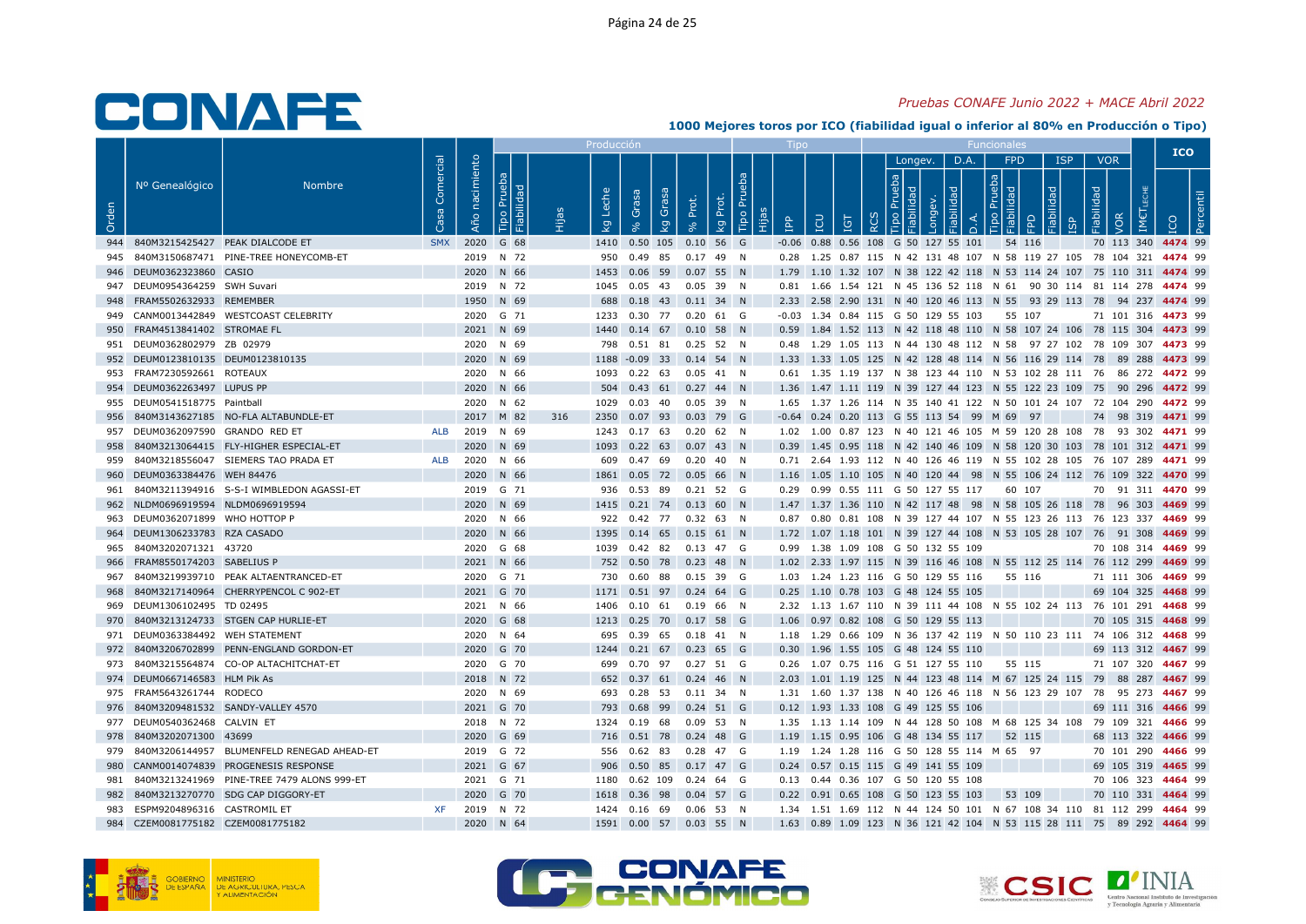### Pruebas CONAFE Junio 2022 + MACE Abril 2022

|       |                                   |                                                |                   |                   |                           |     | Producció         |                                |       |             |                       |            |            |                                                                                         |      |                                |            |            |                   | <b>ICO</b>                                                            |
|-------|-----------------------------------|------------------------------------------------|-------------------|-------------------|---------------------------|-----|-------------------|--------------------------------|-------|-------------|-----------------------|------------|------------|-----------------------------------------------------------------------------------------|------|--------------------------------|------------|------------|-------------------|-----------------------------------------------------------------------|
| Orden | Nº Genealógico                    | <b>Nombre</b>                                  | Comercial<br>Casa | nacimiento<br>Año | Tipo Prueba<br>Fiabilidad |     | Leche<br><b>Q</b> | <b>BSB</b><br>Grasa<br>Ğ<br>ζg | Prot. | Prot.<br>kg | <b>Bd</b><br>Tipo Pru | <b>AdI</b> | LCU<br>IGT | Longev.<br>$\frac{1}{2}$<br>$\overline{\sigma}$                                         | D.A. | FPD<br>$\boxed{g}$ $\boxed{g}$ | <b>ISP</b> | Fiabilidad | <b>VOR</b><br>/OR |                                                                       |
| 944   | 840M3215425427 PEAK DIALCODE ET   |                                                | <b>SMX</b>        |                   | 2020 G 68                 |     |                   | 1410  0.50  105  0.10  56  G   |       |             |                       |            |            | $-0.06$ 0.88 0.56 108 G 50 127 55 101                                                   |      | 54 116                         |            |            |                   | 70 113 340 4474 99                                                    |
|       |                                   | 945 840M3150687471 PINE-TREE HONEYCOMB-ET      |                   |                   | 2019 N 72                 |     |                   | 950 0.49 85 0.17 49 N          |       |             |                       |            |            | 0.28 1.25 0.87 115 N 42 131 48 107 N 58 119 27 105 78 104 321 4474 99                   |      |                                |            |            |                   |                                                                       |
|       | 946 DEUM0362323860 CASIO          |                                                |                   |                   | 2020 N 66                 |     |                   | 1453  0.06  59  0.07  55  N    |       |             |                       |            |            |                                                                                         |      |                                |            |            |                   | 1.79 1.10 1.32 107 N 38 122 42 118 N 53 114 24 107 75 110 311 4474 99 |
|       | 947 DEUM0954364259 SWH Suvari     |                                                |                   |                   | 2019 N 72                 |     |                   | 1045  0.05  43  0.05  39  N    |       |             |                       |            |            | 0.81 1.66 1.54 121 N 45 136 52 118 N 61 90 30 114 81 114 278 4474 99                    |      |                                |            |            |                   |                                                                       |
|       | 948 FRAM5502632933 REMEMBER       |                                                |                   |                   | 1950 N 69                 |     |                   | 688  0.18  43  0.11  34  N     |       |             |                       |            |            |                                                                                         |      |                                |            |            |                   | 2.33 2.58 2.90 131 N 40 120 46 113 N 55 93 29 113 78 94 237 4474 99   |
|       |                                   | 949 CANM0013442849 WESTCOAST CELEBRITY         |                   |                   | 2020 G 71                 |     |                   | 1233  0.30  77  0.20  61  G    |       |             |                       |            |            | $-0.03$ 1.34 0.84 115 G 50 129 55 103                                                   |      | 55 107                         |            |            |                   | 71 101 316 4473 99                                                    |
| 950   | FRAM4513841402 STROMAE FL         |                                                |                   |                   | 2021 N 69                 |     |                   | 1440  0.14  67  0.10  58  N    |       |             |                       |            |            |                                                                                         |      |                                |            |            |                   | 0.59 1.84 1.52 113 N 42 118 48 110 N 58 107 24 106 78 115 304 4473 99 |
|       | 951 DEUM0362802979 ZB 02979       |                                                |                   |                   | 2020 N 69                 |     |                   | 798  0.51  81  0.25  52  N     |       |             |                       |            |            | 0.48 1.29 1.05 113 N 44 130 48 112 N 58 97 27 102 78 109 307 4473 99                    |      |                                |            |            |                   |                                                                       |
|       | 952 DEUM0123810135 DEUM0123810135 |                                                |                   |                   | 2020 N 69                 |     |                   | 1188 -0.09 33 0.14 54 N        |       |             |                       |            |            |                                                                                         |      |                                |            |            |                   | 1.33 1.33 1.05 125 N 42 128 48 114 N 56 116 29 114 78 89 288 4473 99  |
|       | 953 FRAM7230592661 ROTEAUX        |                                                |                   |                   | 2020 N 66                 |     |                   | 1093  0.22  63  0.05  41  N    |       |             |                       |            |            | 0.61 1.35 1.19 137 N 38 123 44 110 N 53 102 28 111 76 86 272 4472 99                    |      |                                |            |            |                   |                                                                       |
| 954   | DEUM0362263497 LUPUS PP           |                                                |                   |                   | 2020 N 66                 |     |                   | 504  0.43  61  0.27  44  N     |       |             |                       |            |            |                                                                                         |      |                                |            |            |                   | 1.36 1.47 1.11 119 N 39 127 44 123 N 55 122 23 109 75 90 296 4472 99  |
|       | 955 DEUM0541518775 Paintball      |                                                |                   |                   | 2020 N 62                 |     |                   | 1029  0.03  40  0.05  39  N    |       |             |                       |            |            | 1.65 1.37 1.26 114 N 35 140 41 122 N 50 101 24 107 72 104 290 4472 99                   |      |                                |            |            |                   |                                                                       |
| 956   |                                   | 840M3143627185 NO-FLA ALTABUNDLE-ET            |                   |                   | 2017 M 82                 | 316 |                   | 2350 0.07 93 0.03 79 G         |       |             |                       |            |            | -0.64 0.24 0.20 113 G 55 113 54 99 M 69 97                                              |      |                                |            |            |                   | 74 98 319 4471 99                                                     |
| 957   | DEUM0362097590 GRANDO RED ET      |                                                | ALB               |                   | 2019 N 69                 |     |                   | 1243  0.17  63  0.20  62  N    |       |             |                       |            |            | 1.02 1.00 0.87 123 N 40 121 46 105 M 59 120 28 108 78 93 302 4471 99                    |      |                                |            |            |                   |                                                                       |
| 958   |                                   | 840M3213064415 FLY-HIGHER ESPECIAL-ET          |                   |                   | 2020 N 69                 |     |                   | 1093  0.22  63  0.07  43  N    |       |             |                       |            |            |                                                                                         |      |                                |            |            |                   | 0.39 1.45 0.95 118 N 42 140 46 109 N 58 120 30 103 78 101 312 4471 99 |
| 959   |                                   | 840M3218556047 SIEMERS TAO PRADA ET            | ALB               |                   | 2020 N 66                 |     |                   | 609  0.47  69  0.20  40  N     |       |             |                       |            |            | 0.71  2.64  1.93  112  N  40  126  46  119  N  55  102  28  105  76  107  289  4471  99 |      |                                |            |            |                   |                                                                       |
|       | 960 DEUM0363384476 WEH 84476      |                                                |                   |                   | 2020 N 66                 |     |                   | 1861  0.05  72  0.05  66  N    |       |             |                       |            |            |                                                                                         |      |                                |            |            |                   | 1.16 1.05 1.10 105 N 40 120 44 98 N 55 106 24 112 76 109 322 4470 99  |
| 961   |                                   | 840M3211394916 S-S-I WIMBLEDON AGASSI-ET       |                   |                   | 2019 G 71                 |     |                   | 936 0.53 89                    |       | 0.21 52 G   |                       |            |            | 0.29 0.99 0.55 111 G 50 127 55 117                                                      |      | 60 107                         |            |            |                   | 70 91 311 4470 99                                                     |
| 962   | NLDM0696919594 NLDM0696919594     |                                                |                   |                   | 2020 N 69                 |     |                   | 1415  0.21  74  0.13  60  N    |       |             |                       |            |            |                                                                                         |      |                                |            |            |                   | 1.47 1.37 1.36 110 N 42 117 48 98 N 58 105 26 118 78 96 303 4469 99   |
| 963   | DEUM0362071899 WHO HOTTOP P       |                                                |                   |                   | 2020 N 66                 |     |                   | 922 0.42 77 0.32 63 N          |       |             |                       |            |            | 0.87 0.80 0.81 108 N 39 127 44 107 N 55 123 26 113 76 123 337 4469 99                   |      |                                |            |            |                   |                                                                       |
|       | 964 DEUM1306233783 RZA CASADO     |                                                |                   |                   | 2020 N 66                 |     |                   | 1395  0.14  65  0.15  61  N    |       |             |                       |            |            |                                                                                         |      |                                |            |            |                   | 1.72 1.07 1.18 101 N 39 127 44 108 N 53 105 28 107 76 91 308 4469 99  |
| 965   | 840M3202071321 43720              |                                                |                   |                   | 2020 G 68                 |     |                   | 1039  0.42  82  0.13  47  G    |       |             |                       |            |            | 0.99 1.38 1.09 108 G 50 132 55 109                                                      |      |                                |            |            |                   | 70 108 314 4469 99                                                    |
| 966   | FRAM8550174203 SABELIUS P         |                                                |                   |                   | 2021 N 66                 |     |                   | 752 0.50 78 0.23 48 N          |       |             |                       |            |            |                                                                                         |      |                                |            |            |                   | 1.02 2.33 1.97 115 N 39 116 46 108 N 55 112 25 114 76 112 299 4469 99 |
| 967   |                                   | 840M3219939710 PEAK ALTAENTRANCED-ET           |                   |                   | 2020 G 71                 |     |                   | 730  0.60  88  0.15  39  G     |       |             |                       |            |            | 1.03 1.24 1.23 116 G 50 129 55 116                                                      |      | 55 116                         |            |            |                   | 71 111 306 4469 99                                                    |
|       |                                   | 840M3217140964 CHERRYPENCOL C 902-ET           |                   |                   | 2021 G 70                 |     |                   | 1171  0.51  97  0.24  64  G    |       |             |                       |            |            | 0.25 1.10 0.78 103 G 48 124 55 105                                                      |      |                                |            |            |                   | 69 104 325 4468 99                                                    |
| 969   | DEUM1306102495 TD 02495           |                                                |                   |                   | 2021 N 66                 |     |                   | 1406  0.10  61  0.19  66  N    |       |             |                       |            |            | 2.32 1.13 1.67 110 N 39 111 44 108 N 55 102 24 113 76 101 291 4468 99                   |      |                                |            |            |                   |                                                                       |
| 970   |                                   | 840M3213124733 STGEN CAP HURLIE-ET             |                   |                   | 2020 G 68                 |     |                   | 1213  0.25  70  0.17  58  G    |       |             |                       |            |            | 1.06 0.97 0.82 108 G 50 129 55 113                                                      |      |                                |            |            |                   | 70 105 315 4468 99                                                    |
|       | 971 DEUM0363384492 WEH STATEMENT  |                                                |                   |                   | 2020 N 64                 |     |                   | 695 0.39 65 0.18 41 N          |       |             |                       |            |            | 1.18 1.29 0.66 109 N 36 137 42 119 N 50 110 23 111 74 106 312 4468 99                   |      |                                |            |            |                   |                                                                       |
|       |                                   | 972 840M3206702899 PENN-ENGLAND GORDON-ET      |                   |                   | 2020 G 70                 |     |                   | 1244  0.21  67  0.23  65  G    |       |             |                       |            |            | 0.30 1.96 1.55 105 G 48 124 55 110                                                      |      |                                |            |            |                   | 69 113 312 4467 99                                                    |
|       |                                   | 973 840M3215564874 CO-OP ALTACHITCHAT-ET       |                   |                   | 2020 G 70                 |     |                   | 699 0.70 97 0.27 51 G          |       |             |                       |            |            | 0.26 1.07 0.75 116 G 51 127 55 110                                                      |      | 55 115                         |            |            |                   | 71 107 320 4467 99                                                    |
|       | 974 DEUM0667146583 HLM Pik As     |                                                |                   |                   | 2018 N 72                 |     |                   | 652 0.37 61 0.24 46 N          |       |             |                       |            |            |                                                                                         |      |                                |            |            |                   | 2.03 1.01 1.19 125 N 44 123 48 114 M 67 125 24 115 79 88 287 4467 99  |
|       | 975 FRAM5643261744 RODECO         |                                                |                   |                   | 2020 N 69                 |     |                   | 693  0.28  53  0.11  34  N     |       |             |                       |            |            | 1.31 1.60 1.37 138 N 40 126 46 118 N 56 123 29 107 78 95 273 4467 99                    |      |                                |            |            |                   |                                                                       |
|       |                                   | 976 840M3209481532 SANDY-VALLEY 4570           |                   |                   | 2021 G 70                 |     |                   | 793 0.68 99 0.24 51 G          |       |             |                       |            |            | 0.12 1.93 1.33 108 G 49 125 55 106                                                      |      |                                |            |            |                   | 69 111 316 4466 99                                                    |
|       | 977 DEUM0540362468 CALVIN ET      |                                                |                   |                   | 2018 N 72                 |     |                   | 1324  0.19  68  0.09  53  N    |       |             |                       |            |            | 1.35 1.13 1.14 109 N 44 128 50 108 M 68 125 34 108 79 109 321 4466 99                   |      |                                |            |            |                   |                                                                       |
| 978   | 840M3202071300 43699              |                                                |                   |                   | 2020 G 69                 |     |                   | 716  0.51  78  0.24  48  G     |       |             |                       |            |            | 1.19 1.15 0.95 106 G 48 134 55 117                                                      |      | 52 115                         |            |            |                   | 68 113 322 4466 99                                                    |
|       |                                   | 979 840M3206144957 BLUMENFELD RENEGAD AHEAD-ET |                   |                   | 2019 G 72                 |     |                   | 556  0.62  83  0.28  47  G     |       |             |                       |            |            | 1.19 1.24 1.28 116 G 50 128 55 114 M 65 97                                              |      |                                |            |            |                   | 70 101 290 4466 99                                                    |
| 980   |                                   | CANM0014074839 PROGENESIS RESPONSE             |                   |                   | 2021 G 67                 |     |                   | 906  0.50  85  0.17  47  G     |       |             |                       |            |            | 0.24 0.57 0.15 115 G 49 141 55 109                                                      |      |                                |            |            |                   | 69 105 319 4465 99                                                    |
| 981   |                                   | 840M3213241969 PINE-TREE 7479 ALONS 999-ET     |                   |                   | 2021 G 71                 |     |                   | 1180  0.62  109  0.24  64  G   |       |             |                       |            |            | 0.13 0.44 0.36 107 G 50 120 55 108                                                      |      |                                |            |            |                   | 70 106 323 4464 99                                                    |
| 982   |                                   | 840M3213270770 SDG CAP DIGGORY-ET              |                   |                   | 2020 G 70                 |     |                   | 1618  0.36  98  0.04  57  G    |       |             |                       |            |            | 0.22 0.91 0.65 108 G 50 123 55 103                                                      |      | 53 109                         |            |            |                   | 70 110 331 4464 99                                                    |
| 983   | ESPM9204896316 CASTROMIL ET       |                                                | <b>XF</b>         |                   | 2019 N 72                 |     |                   | 1424  0.16  69  0.06  53  N    |       |             |                       |            |            | 1.34 1.51 1.69 112 N 44 124 50 101 N 67 108 34 110 81 112 299 4464 99                   |      |                                |            |            |                   |                                                                       |
| 984   | CZEM0081775182 CZEM0081775182     |                                                |                   |                   | 2020 N 64                 |     |                   | 1591  0.00  57  0.03  55  N    |       |             |                       |            |            | 1.63 0.89 1.09 123 N 36 121 42 104 N 53 115 28 111 75 89 292 4464 99                    |      |                                |            |            |                   |                                                                       |